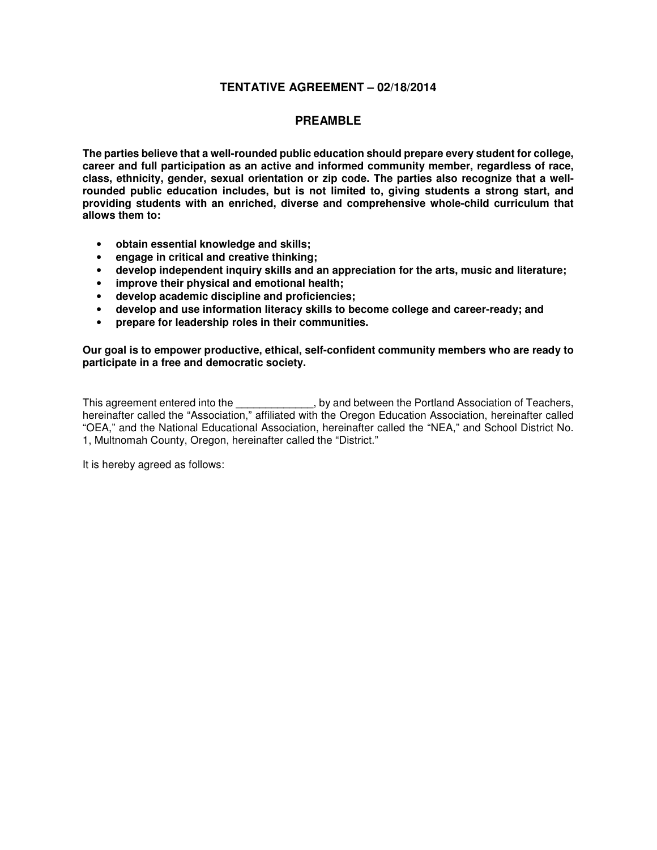### **TENTATIVE AGREEMENT – 02/18/2014**

### **PREAMBLE**

**The parties believe that a well-rounded public education should prepare every student for college, career and full participation as an active and informed community member, regardless of race, class, ethnicity, gender, sexual orientation or zip code. The parties also recognize that a wellrounded public education includes, but is not limited to, giving students a strong start, and providing students with an enriched, diverse and comprehensive whole-child curriculum that allows them to:** 

- **obtain essential knowledge and skills;**
- **engage in critical and creative thinking;**
- **develop independent inquiry skills and an appreciation for the arts, music and literature;**
- **improve their physical and emotional health;**
- **develop academic discipline and proficiencies;**
- **develop and use information literacy skills to become college and career-ready; and**
- **prepare for leadership roles in their communities.**

**Our goal is to empower productive, ethical, self-confident community members who are ready to participate in a free and democratic society.** 

This agreement entered into the \_\_\_\_\_\_\_\_\_\_\_\_, by and between the Portland Association of Teachers, hereinafter called the "Association," affiliated with the Oregon Education Association, hereinafter called "OEA," and the National Educational Association, hereinafter called the "NEA," and School District No. 1, Multnomah County, Oregon, hereinafter called the "District."

It is hereby agreed as follows: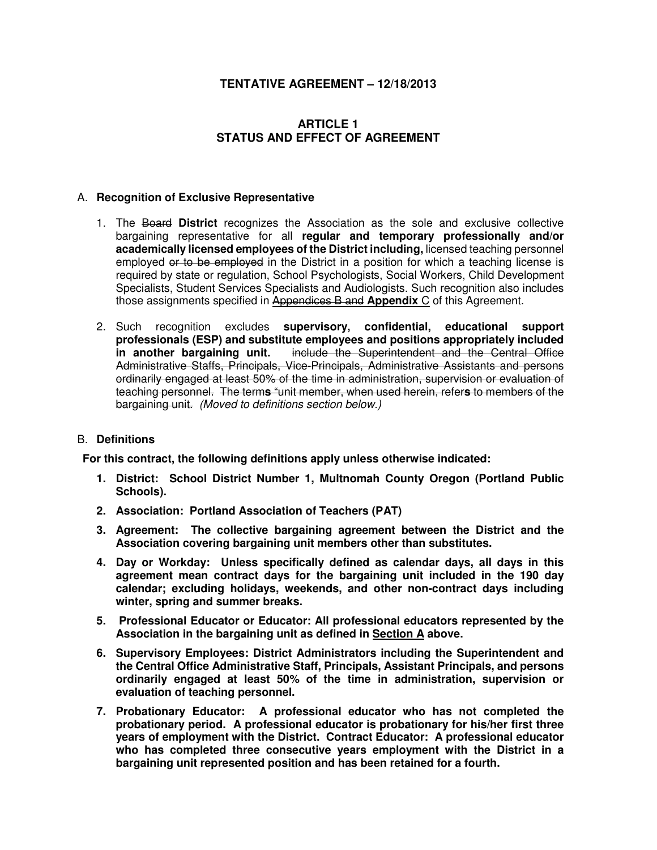## **TENTATIVE AGREEMENT – 12/18/2013**

## **ARTICLE 1 STATUS AND EFFECT OF AGREEMENT**

### A. **Recognition of Exclusive Representative**

- 1. The Board **District** recognizes the Association as the sole and exclusive collective bargaining representative for all **regular and temporary professionally and/or academically licensed employees of the District including,** licensed teaching personnel employed or to be employed in the District in a position for which a teaching license is required by state or regulation, School Psychologists, Social Workers, Child Development Specialists, Student Services Specialists and Audiologists. Such recognition also includes those assignments specified in Appendices B and **Appendix** C of this Agreement.
- 2. Such recognition excludes **supervisory, confidential, educational support professionals (ESP) and substitute employees and positions appropriately included**  include the Superintendent and the Central Office Administrative Staffs, Principals, Vice-Principals, Administrative Assistants and persons ordinarily engaged at least 50% of the time in administration, supervision or evaluation of teaching personnel. The term**s** "unit member, when used herein, refer**s** to members of the bargaining unit. (Moved to definitions section below.)

### B. **Definitions**

**For this contract, the following definitions apply unless otherwise indicated:** 

- **1. District: School District Number 1, Multnomah County Oregon (Portland Public Schools).**
- **2. Association: Portland Association of Teachers (PAT)**
- **3. Agreement: The collective bargaining agreement between the District and the Association covering bargaining unit members other than substitutes.**
- **4. Day or Workday: Unless specifically defined as calendar days, all days in this agreement mean contract days for the bargaining unit included in the 190 day calendar; excluding holidays, weekends, and other non-contract days including winter, spring and summer breaks.**
- **5. Professional Educator or Educator: All professional educators represented by the Association in the bargaining unit as defined in Section A above.**
- **6. Supervisory Employees: District Administrators including the Superintendent and the Central Office Administrative Staff, Principals, Assistant Principals, and persons ordinarily engaged at least 50% of the time in administration, supervision or evaluation of teaching personnel.**
- **7. Probationary Educator: A professional educator who has not completed the probationary period. A professional educator is probationary for his/her first three years of employment with the District. Contract Educator: A professional educator who has completed three consecutive years employment with the District in a bargaining unit represented position and has been retained for a fourth.**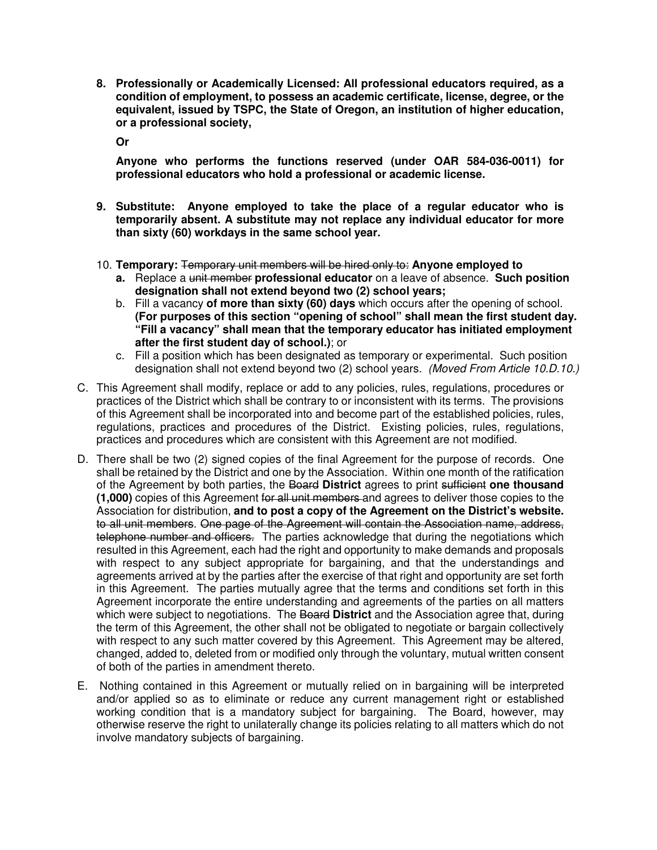**8. Professionally or Academically Licensed: All professional educators required, as a condition of employment, to possess an academic certificate, license, degree, or the equivalent, issued by TSPC, the State of Oregon, an institution of higher education, or a professional society,** 

**Or** 

**Anyone who performs the functions reserved (under OAR 584-036-0011) for professional educators who hold a professional or academic license.** 

- **9. Substitute: Anyone employed to take the place of a regular educator who is temporarily absent. A substitute may not replace any individual educator for more than sixty (60) workdays in the same school year.**
- 10. **Temporary:** Temporary unit members will be hired only to: **Anyone employed to** 
	- **a.** Replace a unit member **professional educator** on a leave of absence. **Such position designation shall not extend beyond two (2) school years;**
	- b. Fill a vacancy **of more than sixty (60) days** which occurs after the opening of school. **(For purposes of this section "opening of school" shall mean the first student day. "Fill a vacancy" shall mean that the temporary educator has initiated employment after the first student day of school.)**; or
	- c. Fill a position which has been designated as temporary or experimental. Such position designation shall not extend beyond two (2) school years. (Moved From Article 10.D.10.)
- C. This Agreement shall modify, replace or add to any policies, rules, regulations, procedures or practices of the District which shall be contrary to or inconsistent with its terms. The provisions of this Agreement shall be incorporated into and become part of the established policies, rules, regulations, practices and procedures of the District. Existing policies, rules, regulations, practices and procedures which are consistent with this Agreement are not modified.
- D. There shall be two (2) signed copies of the final Agreement for the purpose of records. One shall be retained by the District and one by the Association. Within one month of the ratification of the Agreement by both parties, the Board **District** agrees to print sufficient **one thousand (1,000)** copies of this Agreement for all unit members and agrees to deliver those copies to the Association for distribution, **and to post a copy of the Agreement on the District's website.**  to all unit members. One page of the Agreement will contain the Association name, address, telephone number and officers. The parties acknowledge that during the negotiations which resulted in this Agreement, each had the right and opportunity to make demands and proposals with respect to any subject appropriate for bargaining, and that the understandings and agreements arrived at by the parties after the exercise of that right and opportunity are set forth in this Agreement. The parties mutually agree that the terms and conditions set forth in this Agreement incorporate the entire understanding and agreements of the parties on all matters which were subject to negotiations. The Board **District** and the Association agree that, during the term of this Agreement, the other shall not be obligated to negotiate or bargain collectively with respect to any such matter covered by this Agreement. This Agreement may be altered, changed, added to, deleted from or modified only through the voluntary, mutual written consent of both of the parties in amendment thereto.
- E. Nothing contained in this Agreement or mutually relied on in bargaining will be interpreted and/or applied so as to eliminate or reduce any current management right or established working condition that is a mandatory subject for bargaining. The Board, however, may otherwise reserve the right to unilaterally change its policies relating to all matters which do not involve mandatory subjects of bargaining.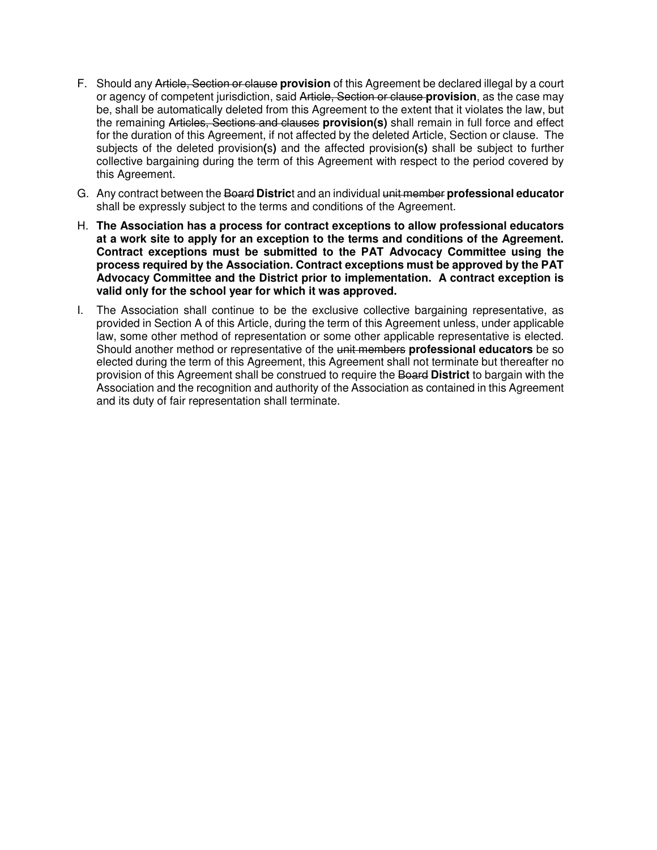- F. Should any Article, Section or clause **provision** of this Agreement be declared illegal by a court or agency of competent jurisdiction, said Article, Section or clause **provision**, as the case may be, shall be automatically deleted from this Agreement to the extent that it violates the law, but the remaining Articles, Sections and clauses **provision(s)** shall remain in full force and effect for the duration of this Agreement, if not affected by the deleted Article, Section or clause. The subjects of the deleted provision**(**s**)** and the affected provision**(**s**)** shall be subject to further collective bargaining during the term of this Agreement with respect to the period covered by this Agreement.
- G. Any contract between the Board **Distric**t and an individual unit member **professional educator** shall be expressly subject to the terms and conditions of the Agreement.
- H. **The Association has a process for contract exceptions to allow professional educators at a work site to apply for an exception to the terms and conditions of the Agreement. Contract exceptions must be submitted to the PAT Advocacy Committee using the process required by the Association. Contract exceptions must be approved by the PAT Advocacy Committee and the District prior to implementation. A contract exception is valid only for the school year for which it was approved.**
- I. The Association shall continue to be the exclusive collective bargaining representative, as provided in Section A of this Article, during the term of this Agreement unless, under applicable law, some other method of representation or some other applicable representative is elected. Should another method or representative of the unit members **professional educators** be so elected during the term of this Agreement, this Agreement shall not terminate but thereafter no provision of this Agreement shall be construed to require the Board **District** to bargain with the Association and the recognition and authority of the Association as contained in this Agreement and its duty of fair representation shall terminate.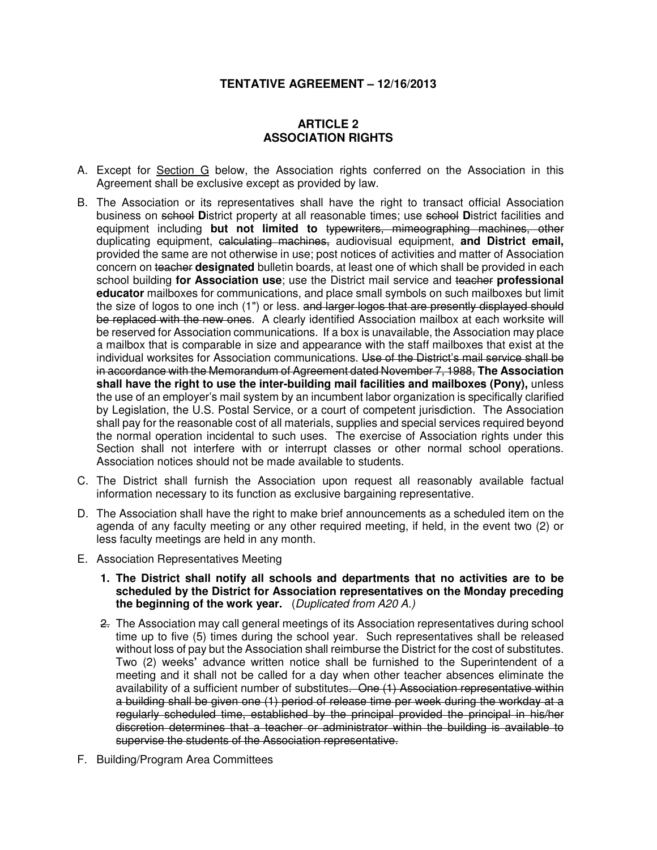## **TENTATIVE AGREEMENT – 12/16/2013**

## **ARTICLE 2 ASSOCIATION RIGHTS**

- A. Except for Section G below, the Association rights conferred on the Association in this Agreement shall be exclusive except as provided by law.
- B. The Association or its representatives shall have the right to transact official Association business on school **D**istrict property at all reasonable times; use school **D**istrict facilities and equipment including **but not limited to** typewriters, mimeographing machines, other duplicating equipment, calculating machines, audiovisual equipment, **and District email,** provided the same are not otherwise in use; post notices of activities and matter of Association concern on teacher **designated** bulletin boards, at least one of which shall be provided in each school building **for Association use**; use the District mail service and teacher **professional educator** mailboxes for communications, and place small symbols on such mailboxes but limit the size of logos to one inch (1") or less. and larger logos that are presently displayed should be replaced with the new ones. A clearly identified Association mailbox at each worksite will be reserved for Association communications. If a box is unavailable, the Association may place a mailbox that is comparable in size and appearance with the staff mailboxes that exist at the individual worksites for Association communications. Use of the District's mail service shall be in accordance with the Memorandum of Agreement dated November 7, 1988, **The Association shall have the right to use the inter-building mail facilities and mailboxes (Pony),** unless the use of an employer's mail system by an incumbent labor organization is specifically clarified by Legislation, the U.S. Postal Service, or a court of competent jurisdiction. The Association shall pay for the reasonable cost of all materials, supplies and special services required beyond the normal operation incidental to such uses. The exercise of Association rights under this Section shall not interfere with or interrupt classes or other normal school operations. Association notices should not be made available to students.
- C. The District shall furnish the Association upon request all reasonably available factual information necessary to its function as exclusive bargaining representative.
- D. The Association shall have the right to make brief announcements as a scheduled item on the agenda of any faculty meeting or any other required meeting, if held, in the event two (2) or less faculty meetings are held in any month.
- E. Association Representatives Meeting
	- **1. The District shall notify all schools and departments that no activities are to be scheduled by the District for Association representatives on the Monday preceding the beginning of the work year.** (Duplicated from A20 A.)
	- 2. The Association may call general meetings of its Association representatives during school time up to five (5) times during the school year. Such representatives shall be released without loss of pay but the Association shall reimburse the District for the cost of substitutes. Two (2) weeks**'** advance written notice shall be furnished to the Superintendent of a meeting and it shall not be called for a day when other teacher absences eliminate the availability of a sufficient number of substitutes. One (1) Association representative within a building shall be given one (1) period of release time per week during the workday at a regularly scheduled time, established by the principal provided the principal in his/her discretion determines that a teacher or administrator within the building is available to supervise the students of the Association representative.
- F. Building/Program Area Committees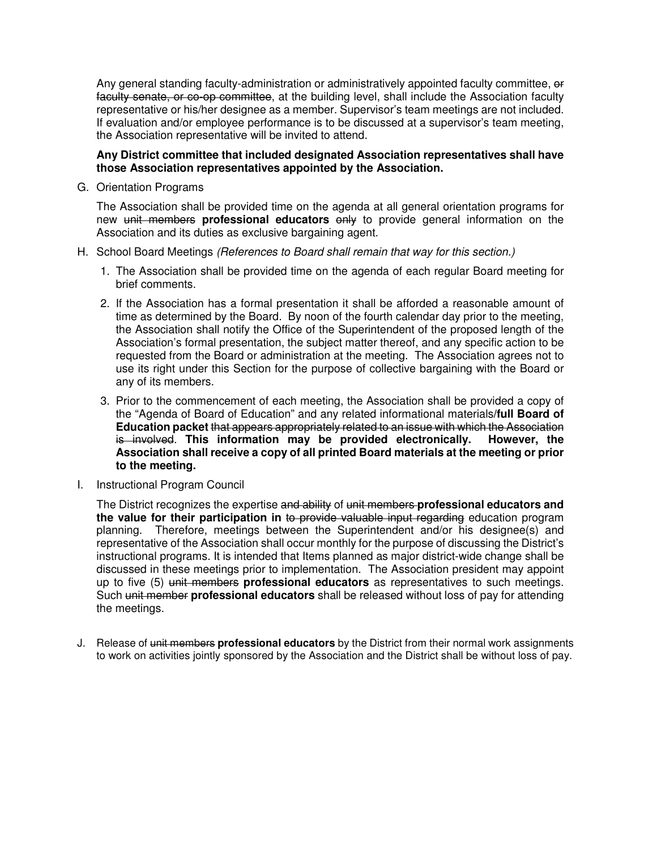Any general standing faculty-administration or administratively appointed faculty committee, or faculty senate, or co-op committee, at the building level, shall include the Association faculty representative or his/her designee as a member. Supervisor's team meetings are not included. If evaluation and/or employee performance is to be discussed at a supervisor's team meeting, the Association representative will be invited to attend.

### **Any District committee that included designated Association representatives shall have those Association representatives appointed by the Association.**

G. Orientation Programs

The Association shall be provided time on the agenda at all general orientation programs for new unit members **professional educators** only to provide general information on the Association and its duties as exclusive bargaining agent.

- H. School Board Meetings (References to Board shall remain that way for this section.)
	- 1. The Association shall be provided time on the agenda of each regular Board meeting for brief comments.
	- 2. If the Association has a formal presentation it shall be afforded a reasonable amount of time as determined by the Board. By noon of the fourth calendar day prior to the meeting, the Association shall notify the Office of the Superintendent of the proposed length of the Association's formal presentation, the subject matter thereof, and any specific action to be requested from the Board or administration at the meeting. The Association agrees not to use its right under this Section for the purpose of collective bargaining with the Board or any of its members.
	- 3. Prior to the commencement of each meeting, the Association shall be provided a copy of the "Agenda of Board of Education" and any related informational materials**/full Board of Education packet** that appears appropriately related to an issue with which the Association is involved. **This information may be provided electronically. However, the Association shall receive a copy of all printed Board materials at the meeting or prior to the meeting.**
- I. Instructional Program Council

The District recognizes the expertise and ability of unit members **professional educators and the value for their participation in** to provide valuable input regarding education program planning. Therefore, meetings between the Superintendent and/or his designee(s) and representative of the Association shall occur monthly for the purpose of discussing the District's instructional programs. It is intended that Items planned as major district-wide change shall be discussed in these meetings prior to implementation. The Association president may appoint up to five (5) unit members **professional educators** as representatives to such meetings. Such unit member **professional educators** shall be released without loss of pay for attending the meetings.

J. Release of unit members **professional educators** by the District from their normal work assignments to work on activities jointly sponsored by the Association and the District shall be without loss of pay.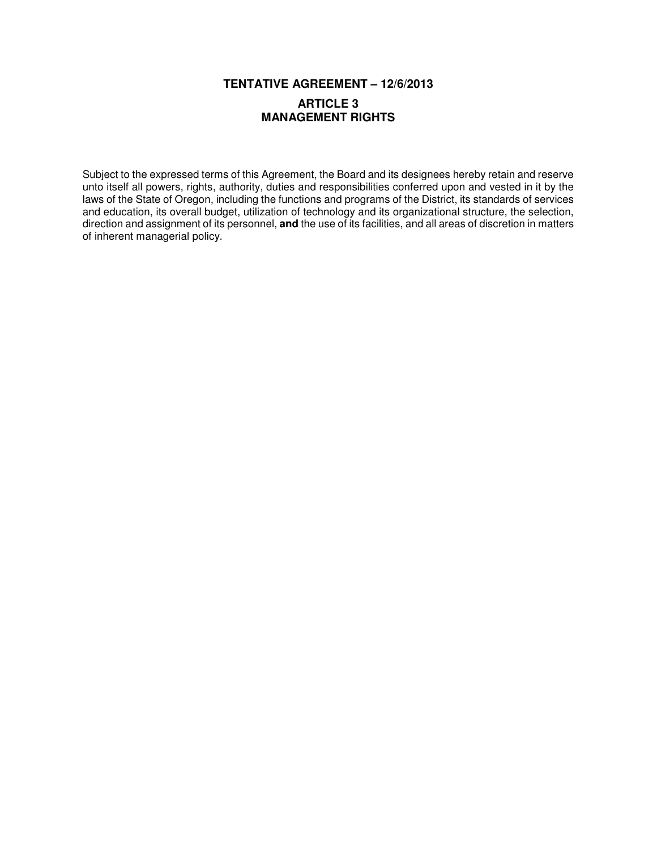# **TENTATIVE AGREEMENT – 12/6/2013**

## **ARTICLE 3 MANAGEMENT RIGHTS**

Subject to the expressed terms of this Agreement, the Board and its designees hereby retain and reserve unto itself all powers, rights, authority, duties and responsibilities conferred upon and vested in it by the laws of the State of Oregon, including the functions and programs of the District, its standards of services and education, its overall budget, utilization of technology and its organizational structure, the selection, direction and assignment of its personnel, **and** the use of its facilities, and all areas of discretion in matters of inherent managerial policy.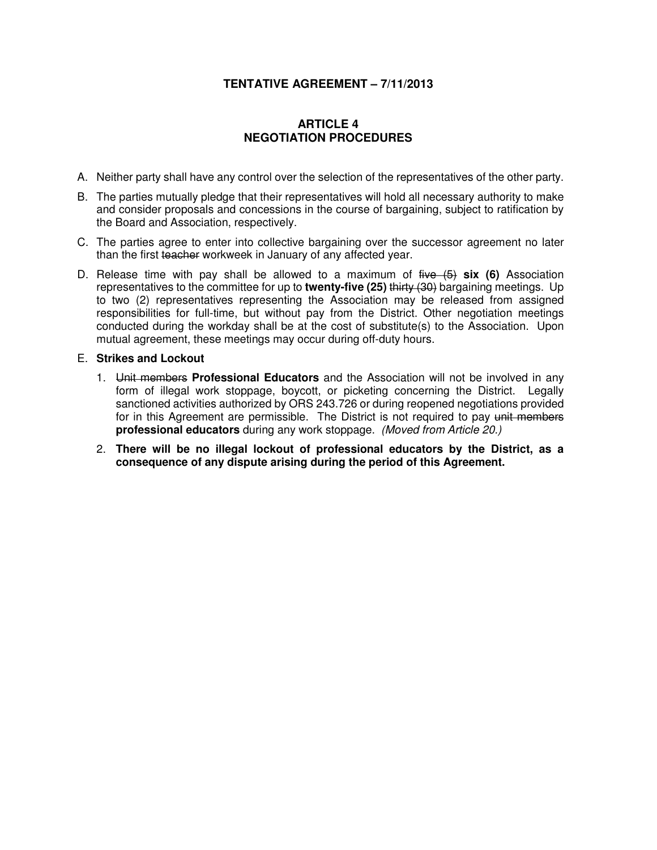## **TENTATIVE AGREEMENT – 7/11/2013**

## **ARTICLE 4 NEGOTIATION PROCEDURES**

- A. Neither party shall have any control over the selection of the representatives of the other party.
- B. The parties mutually pledge that their representatives will hold all necessary authority to make and consider proposals and concessions in the course of bargaining, subject to ratification by the Board and Association, respectively.
- C. The parties agree to enter into collective bargaining over the successor agreement no later than the first teacher workweek in January of any affected year.
- D. Release time with pay shall be allowed to a maximum of five (5) **six (6)** Association representatives to the committee for up to **twenty-five (25)** thirty (30) bargaining meetings. Up to two (2) representatives representing the Association may be released from assigned responsibilities for full-time, but without pay from the District. Other negotiation meetings conducted during the workday shall be at the cost of substitute(s) to the Association. Upon mutual agreement, these meetings may occur during off-duty hours.
- E. **Strikes and Lockout** 
	- 1. Unit members **Professional Educators** and the Association will not be involved in any form of illegal work stoppage, boycott, or picketing concerning the District. Legally sanctioned activities authorized by ORS 243.726 or during reopened negotiations provided for in this Agreement are permissible. The District is not required to pay unit members **professional educators** during any work stoppage. (Moved from Article 20.)
	- 2. **There will be no illegal lockout of professional educators by the District, as a consequence of any dispute arising during the period of this Agreement.**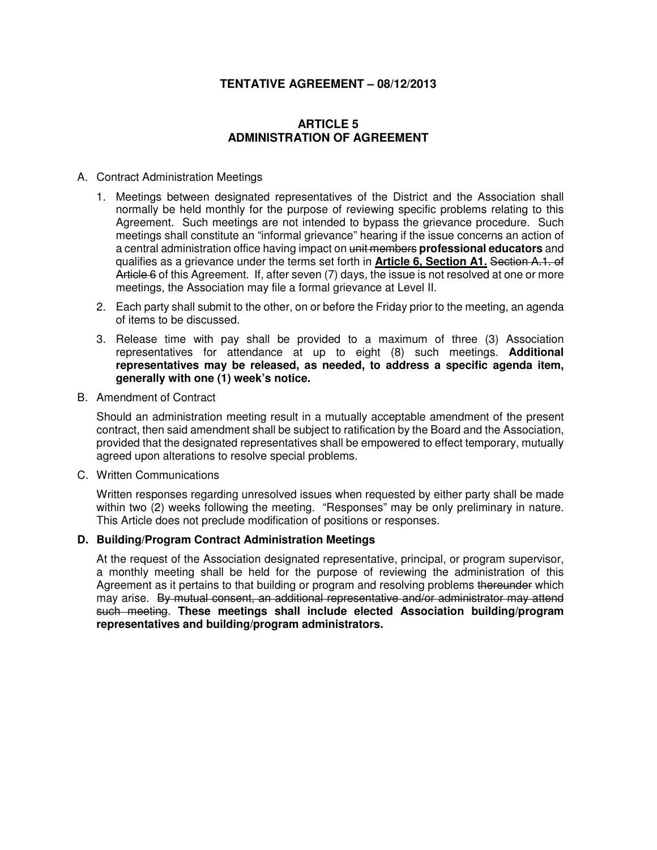## **TENTATIVE AGREEMENT – 08/12/2013**

## **ARTICLE 5 ADMINISTRATION OF AGREEMENT**

### A. Contract Administration Meetings

- 1. Meetings between designated representatives of the District and the Association shall normally be held monthly for the purpose of reviewing specific problems relating to this Agreement. Such meetings are not intended to bypass the grievance procedure. Such meetings shall constitute an "informal grievance" hearing if the issue concerns an action of a central administration office having impact on unit members **professional educators** and qualifies as a grievance under the terms set forth in **Article 6, Section A1.** Section A.1. of Article 6 of this Agreement. If, after seven (7) days, the issue is not resolved at one or more meetings, the Association may file a formal grievance at Level II.
- 2. Each party shall submit to the other, on or before the Friday prior to the meeting, an agenda of items to be discussed.
- 3. Release time with pay shall be provided to a maximum of three (3) Association representatives for attendance at up to eight (8) such meetings. **Additional representatives may be released, as needed, to address a specific agenda item, generally with one (1) week's notice.**
- B. Amendment of Contract

Should an administration meeting result in a mutually acceptable amendment of the present contract, then said amendment shall be subject to ratification by the Board and the Association, provided that the designated representatives shall be empowered to effect temporary, mutually agreed upon alterations to resolve special problems.

C. Written Communications

Written responses regarding unresolved issues when requested by either party shall be made within two (2) weeks following the meeting. "Responses" may be only preliminary in nature. This Article does not preclude modification of positions or responses.

### **D. Building/Program Contract Administration Meetings**

At the request of the Association designated representative, principal, or program supervisor, a monthly meeting shall be held for the purpose of reviewing the administration of this Agreement as it pertains to that building or program and resolving problems thereunder which may arise. By mutual consent, an additional representative and/or administrator may attend such meeting. **These meetings shall include elected Association building/program representatives and building/program administrators.**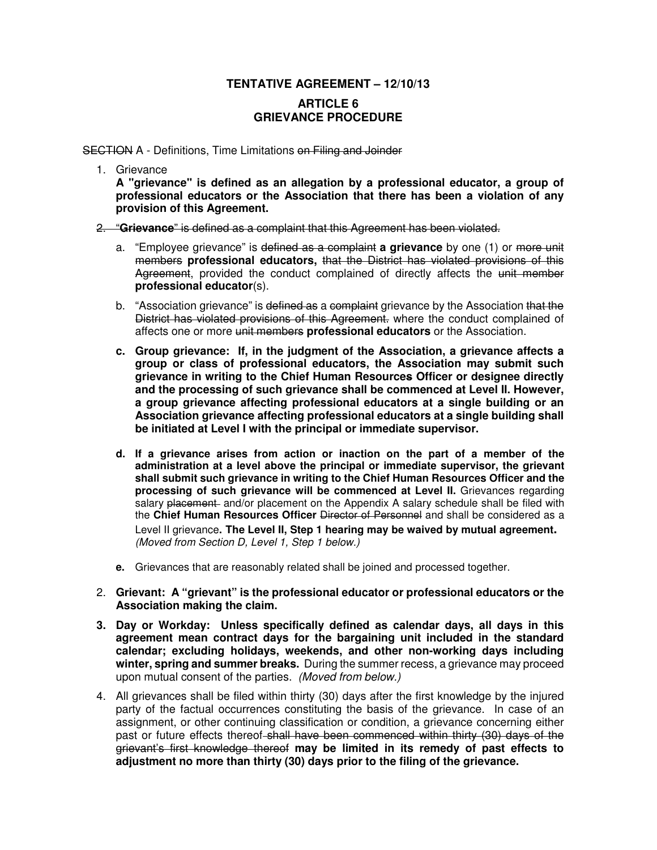## **TENTATIVE AGREEMENT – 12/10/13**

## **ARTICLE 6 GRIEVANCE PROCEDURE**

**SECTION A** - Definitions, Time Limitations on Filing and Joinder

1. Grievance

**A "grievance" is defined as an allegation by a professional educator, a group of professional educators or the Association that there has been a violation of any provision of this Agreement.**

2. "**Grievance**" is defined as a complaint that this Agreement has been violated.

- a. "Employee grievance" is defined as a complaint **a grievance** by one (1) or more unit members **professional educators,** that the District has violated provisions of this Agreement, provided the conduct complained of directly affects the unit member **professional educator**(s).
- b. "Association grievance" is defined as a complaint grievance by the Association that the District has violated provisions of this Agreement. where the conduct complained of affects one or more unit members **professional educators** or the Association.
- **c. Group grievance: If, in the judgment of the Association, a grievance affects a group or class of professional educators, the Association may submit such grievance in writing to the Chief Human Resources Officer or designee directly and the processing of such grievance shall be commenced at Level II. However, a group grievance affecting professional educators at a single building or an Association grievance affecting professional educators at a single building shall be initiated at Level I with the principal or immediate supervisor.**
- **d. If a grievance arises from action or inaction on the part of a member of the administration at a level above the principal or immediate supervisor, the grievant shall submit such grievance in writing to the Chief Human Resources Officer and the processing of such grievance will be commenced at Level II.** Grievances regarding salary placement and/or placement on the Appendix A salary schedule shall be filed with the **Chief Human Resources Officer** Director of Personnel and shall be considered as a Level II grievance**. The Level II, Step 1 hearing may be waived by mutual agreement.**  (Moved from Section D, Level 1, Step 1 below.)
- **e.** Grievances that are reasonably related shall be joined and processed together.
- 2. **Grievant: A "grievant" is the professional educator or professional educators or the Association making the claim.**
- **3. Day or Workday: Unless specifically defined as calendar days, all days in this agreement mean contract days for the bargaining unit included in the standard calendar; excluding holidays, weekends, and other non-working days including winter, spring and summer breaks.** During the summer recess, a grievance may proceed upon mutual consent of the parties. (Moved from below.)
- 4. All grievances shall be filed within thirty (30) days after the first knowledge by the injured party of the factual occurrences constituting the basis of the grievance. In case of an assignment, or other continuing classification or condition, a grievance concerning either past or future effects thereof-shall have been commenced within thirty (30) days of the grievant's first knowledge thereof **may be limited in its remedy of past effects to adjustment no more than thirty (30) days prior to the filing of the grievance.**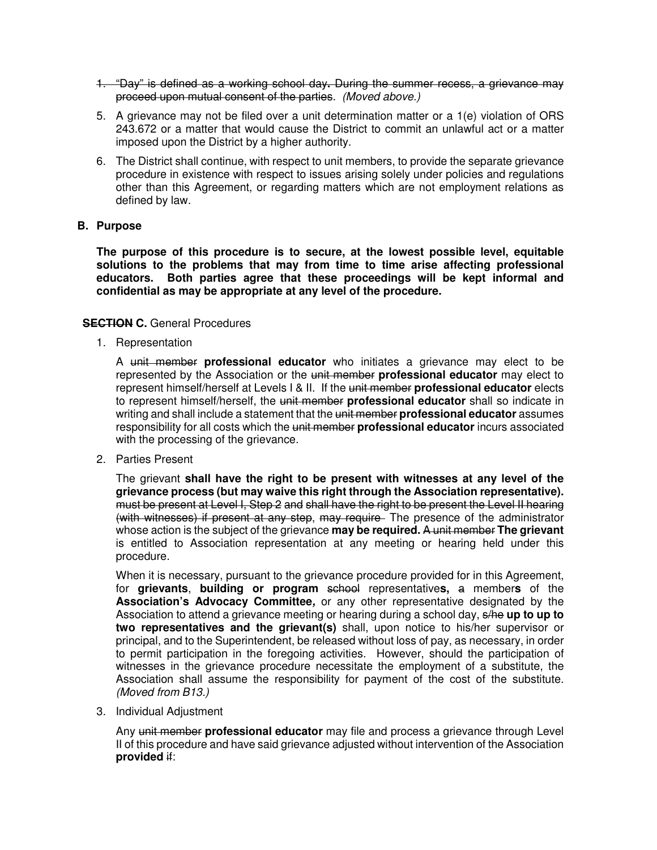- 1. "Day" is defined as a working school day**.** During the summer recess, a grievance may proceed upon mutual consent of the parties. (Moved above.)
- 5. A grievance may not be filed over a unit determination matter or a 1(e) violation of ORS 243.672 or a matter that would cause the District to commit an unlawful act or a matter imposed upon the District by a higher authority.
- 6. The District shall continue, with respect to unit members, to provide the separate grievance procedure in existence with respect to issues arising solely under policies and regulations other than this Agreement, or regarding matters which are not employment relations as defined by law.

### **B. Purpose**

**The purpose of this procedure is to secure, at the lowest possible level, equitable solutions to the problems that may from time to time arise affecting professional educators. Both parties agree that these proceedings will be kept informal and confidential as may be appropriate at any level of the procedure.** 

### **SECTION C.** General Procedures

1. Representation

A unit member **professional educator** who initiates a grievance may elect to be represented by the Association or the unit member **professional educator** may elect to represent himself/herself at Levels I & II. If the unit member **professional educator** elects to represent himself/herself, the unit member **professional educator** shall so indicate in writing and shall include a statement that the unit member **professional educator** assumes responsibility for all costs which the unit member **professional educator** incurs associated with the processing of the grievance.

2. Parties Present

The grievant **shall have the right to be present with witnesses at any level of the grievance process (but may waive this right through the Association representative).**  must be present at Level I, Step 2 and shall have the right to be present the Level II hearing (with witnesses) if present at any step, may require. The presence of the administrator whose action is the subject of the grievance **may be required.** A unit member **The grievant**  is entitled to Association representation at any meeting or hearing held under this procedure.

 When it is necessary, pursuant to the grievance procedure provided for in this Agreement, for **grievants**, **building or program** school representative**s,** a member**s** of the **Association's Advocacy Committee,** or any other representative designated by the Association to attend a grievance meeting or hearing during a school day, s/he **up to up to two representatives and the grievant(s)** shall, upon notice to his/her supervisor or principal, and to the Superintendent, be released without loss of pay, as necessary, in order to permit participation in the foregoing activities. However, should the participation of witnesses in the grievance procedure necessitate the employment of a substitute, the Association shall assume the responsibility for payment of the cost of the substitute. (Moved from B13.)

3. Individual Adjustment

Any unit member **professional educator** may file and process a grievance through Level II of this procedure and have said grievance adjusted without intervention of the Association **provided** if: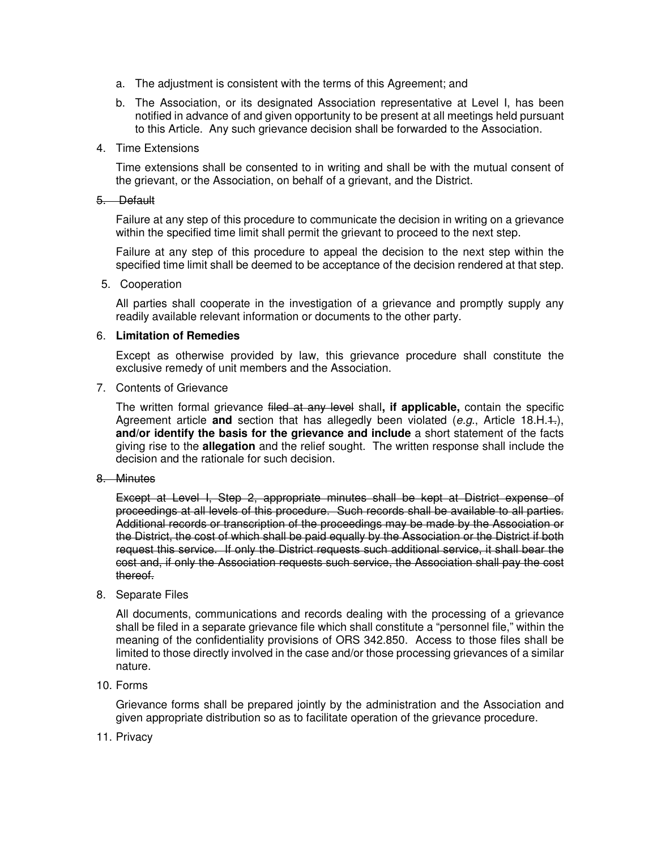- a. The adjustment is consistent with the terms of this Agreement; and
- b. The Association, or its designated Association representative at Level I, has been notified in advance of and given opportunity to be present at all meetings held pursuant to this Article. Any such grievance decision shall be forwarded to the Association.
- 4. Time Extensions

Time extensions shall be consented to in writing and shall be with the mutual consent of the grievant, or the Association, on behalf of a grievant, and the District.

### 5. Default

Failure at any step of this procedure to communicate the decision in writing on a grievance within the specified time limit shall permit the grievant to proceed to the next step.

Failure at any step of this procedure to appeal the decision to the next step within the specified time limit shall be deemed to be acceptance of the decision rendered at that step.

5. Cooperation

All parties shall cooperate in the investigation of a grievance and promptly supply any readily available relevant information or documents to the other party.

### 6. **Limitation of Remedies**

Except as otherwise provided by law, this grievance procedure shall constitute the exclusive remedy of unit members and the Association.

7. Contents of Grievance

The written formal grievance filed at any level shall**, if applicable,** contain the specific Agreement article **and** section that has allegedly been violated (e.g., Article 18.H.1.), **and/or identify the basis for the grievance and include** a short statement of the facts giving rise to the **allegation** and the relief sought. The written response shall include the decision and the rationale for such decision.

8. Minutes

Except at Level I, Step 2, appropriate minutes shall be kept at District expense of proceedings at all levels of this procedure. Such records shall be available to all parties. Additional records or transcription of the proceedings may be made by the Association or the District, the cost of which shall be paid equally by the Association or the District if both request this service. If only the District requests such additional service, it shall bear the cost and, if only the Association requests such service, the Association shall pay the cost thereof.

8. Separate Files

All documents, communications and records dealing with the processing of a grievance shall be filed in a separate grievance file which shall constitute a "personnel file," within the meaning of the confidentiality provisions of ORS 342.850. Access to those files shall be limited to those directly involved in the case and/or those processing grievances of a similar nature.

10. Forms

Grievance forms shall be prepared jointly by the administration and the Association and given appropriate distribution so as to facilitate operation of the grievance procedure.

11. Privacy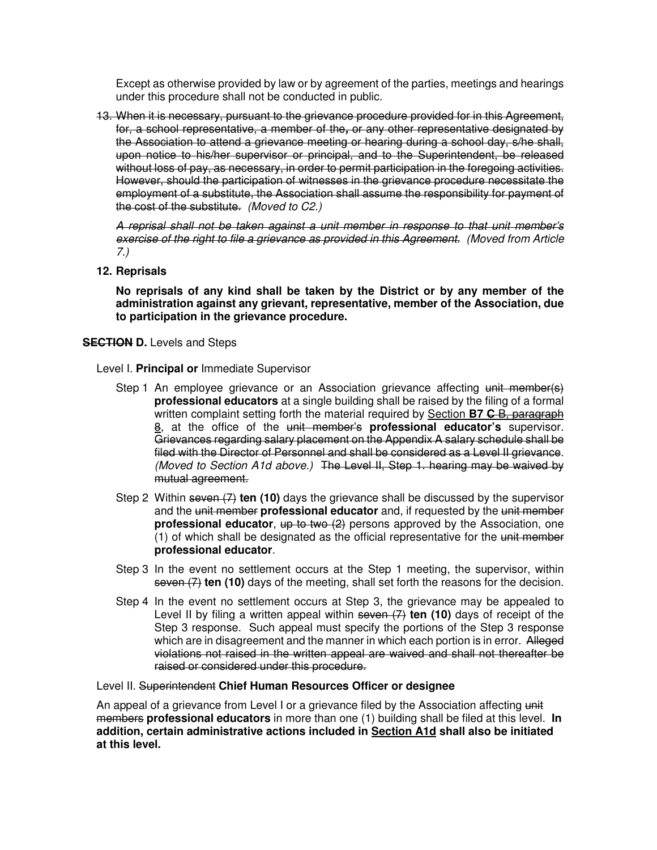Except as otherwise provided by law or by agreement of the parties, meetings and hearings under this procedure shall not be conducted in public.

13. When it is necessary, pursuant to the grievance procedure provided for in this Agreement, for, a school representative, a member of the**,** or any other representative designated by the Association to attend a grievance meeting or hearing during a school day, s/he shall, upon notice to his/her supervisor or principal, and to the Superintendent, be released without loss of pay, as necessary, in order to permit participation in the foregoing activities. However, should the participation of witnesses in the grievance procedure necessitate the employment of a substitute, the Association shall assume the responsibility for payment of the cost of the substitute. (Moved to C2.)

A reprisal shall not be taken against a unit member in response to that unit member's exercise of the right to file a grievance as provided in this Agreement. (Moved from Article 7.)

### **12. Reprisals**

**No reprisals of any kind shall be taken by the District or by any member of the administration against any grievant, representative, member of the Association, due to participation in the grievance procedure.** 

### **SECTION D.** Levels and Steps

- Level I. **Principal or** Immediate Supervisor
	- Step 1 An employee grievance or an Association grievance affecting unit member(s) **professional educators** at a single building shall be raised by the filing of a formal written complaint setting forth the material required by Section **B7 C** B, paragraph 8, at the office of the unit member's **professional educator's** supervisor. Grievances regarding salary placement on the Appendix A salary schedule shall be filed with the Director of Personnel and shall be considered as a Level II grievance. (Moved to Section A1d above.) The Level II, Step 1. hearing may be waived by mutual agreement.
	- Step 2 Within seven (7) **ten (10)** days the grievance shall be discussed by the supervisor and the unit member **professional educator** and, if requested by the unit member **professional educator**,  $\frac{up}{up}$  to two (2) persons approved by the Association, one (1) of which shall be designated as the official representative for the unit member **professional educator**.
	- Step 3 In the event no settlement occurs at the Step 1 meeting, the supervisor, within seven (7) **ten (10)** days of the meeting, shall set forth the reasons for the decision.
	- Step 4 In the event no settlement occurs at Step 3, the grievance may be appealed to Level II by filing a written appeal within seven (7) **ten (10)** days of receipt of the Step 3 response. Such appeal must specify the portions of the Step 3 response which are in disagreement and the manner in which each portion is in error. Alleged violations not raised in the written appeal are waived and shall not thereafter be raised or considered under this procedure.

### Level II. Superintendent **Chief Human Resources Officer or designee**

An appeal of a grievance from Level I or a grievance filed by the Association affecting unit members **professional educators** in more than one (1) building shall be filed at this level. **In addition, certain administrative actions included in Section A1d shall also be initiated at this level.**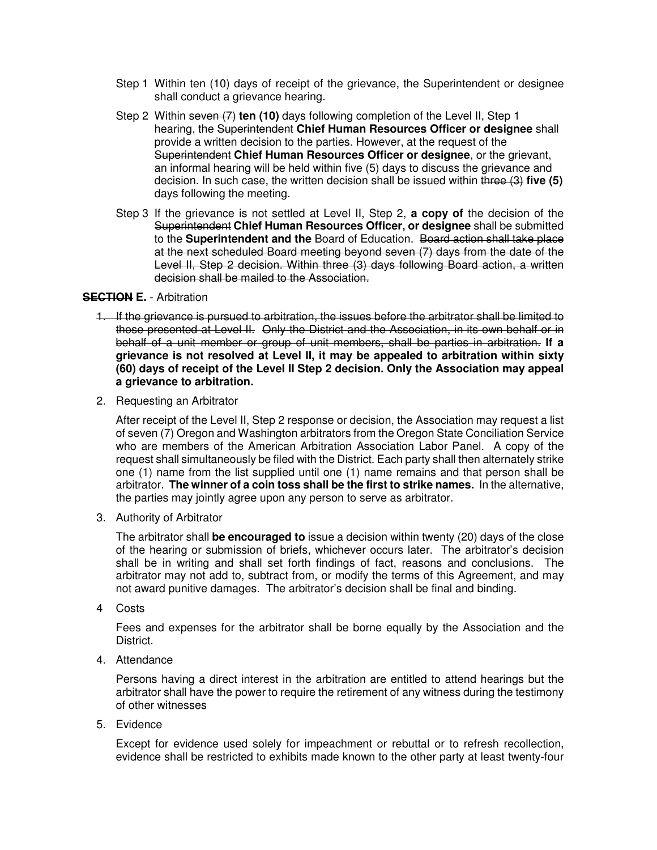- Step 1 Within ten (10) days of receipt of the grievance, the Superintendent or designee shall conduct a grievance hearing.
- Step 2 Within seven (7) **ten (10)** days following completion of the Level II, Step 1 hearing, the Superintendent **Chief Human Resources Officer or designee** shall provide a written decision to the parties. However, at the request of the Superintendent **Chief Human Resources Officer or designee**, or the grievant, an informal hearing will be held within five (5) days to discuss the grievance and decision. In such case, the written decision shall be issued within three (3) **five (5)** days following the meeting.
- Step 3 If the grievance is not settled at Level II, Step 2, **a copy of** the decision of the Superintendent **Chief Human Resources Officer, or designee** shall be submitted to the **Superintendent and the** Board of Education. Board action shall take place at the next scheduled Board meeting beyond seven (7) days from the date of the Level II, Step 2 decision. Within three (3) days following Board action, a written decision shall be mailed to the Association.

### **SECTION E. - Arbitration**

- 1. If the grievance is pursued to arbitration, the issues before the arbitrator shall be limited to those presented at Level II. Only the District and the Association, in its own behalf or in behalf of a unit member or group of unit members, shall be parties in arbitration. **If a grievance is not resolved at Level II, it may be appealed to arbitration within sixty (60) days of receipt of the Level II Step 2 decision. Only the Association may appeal a grievance to arbitration.**
- 2. Requesting an Arbitrator

 After receipt of the Level II, Step 2 response or decision, the Association may request a list of seven (7) Oregon and Washington arbitrators from the Oregon State Conciliation Service who are members of the American Arbitration Association Labor Panel. A copy of the request shall simultaneously be filed with the District. Each party shall then alternately strike one (1) name from the list supplied until one (1) name remains and that person shall be arbitrator. **The winner of a coin toss shall be the first to strike names.** In the alternative, the parties may jointly agree upon any person to serve as arbitrator.

3. Authority of Arbitrator

 The arbitrator shall **be encouraged to** issue a decision within twenty (20) days of the close of the hearing or submission of briefs, whichever occurs later. The arbitrator's decision shall be in writing and shall set forth findings of fact, reasons and conclusions. The arbitrator may not add to, subtract from, or modify the terms of this Agreement, and may not award punitive damages. The arbitrator's decision shall be final and binding.

4 Costs

 Fees and expenses for the arbitrator shall be borne equally by the Association and the District.

4. Attendance

 Persons having a direct interest in the arbitration are entitled to attend hearings but the arbitrator shall have the power to require the retirement of any witness during the testimony of other witnesses

5. Evidence

 Except for evidence used solely for impeachment or rebuttal or to refresh recollection, evidence shall be restricted to exhibits made known to the other party at least twenty-four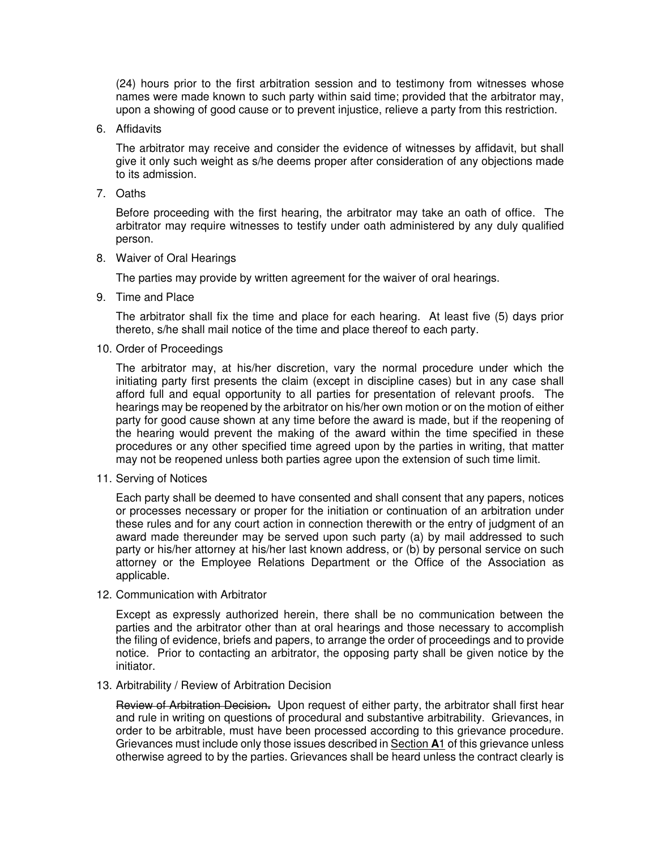(24) hours prior to the first arbitration session and to testimony from witnesses whose names were made known to such party within said time; provided that the arbitrator may, upon a showing of good cause or to prevent injustice, relieve a party from this restriction.

6. Affidavits

 The arbitrator may receive and consider the evidence of witnesses by affidavit, but shall give it only such weight as s/he deems proper after consideration of any objections made to its admission.

7. Oaths

 Before proceeding with the first hearing, the arbitrator may take an oath of office. The arbitrator may require witnesses to testify under oath administered by any duly qualified person.

8. Waiver of Oral Hearings

The parties may provide by written agreement for the waiver of oral hearings.

9. Time and Place

 The arbitrator shall fix the time and place for each hearing. At least five (5) days prior thereto, s/he shall mail notice of the time and place thereof to each party.

10. Order of Proceedings

 The arbitrator may, at his/her discretion, vary the normal procedure under which the initiating party first presents the claim (except in discipline cases) but in any case shall afford full and equal opportunity to all parties for presentation of relevant proofs. The hearings may be reopened by the arbitrator on his/her own motion or on the motion of either party for good cause shown at any time before the award is made, but if the reopening of the hearing would prevent the making of the award within the time specified in these procedures or any other specified time agreed upon by the parties in writing, that matter may not be reopened unless both parties agree upon the extension of such time limit.

11. Serving of Notices

 Each party shall be deemed to have consented and shall consent that any papers, notices or processes necessary or proper for the initiation or continuation of an arbitration under these rules and for any court action in connection therewith or the entry of judgment of an award made thereunder may be served upon such party (a) by mail addressed to such party or his/her attorney at his/her last known address, or (b) by personal service on such attorney or the Employee Relations Department or the Office of the Association as applicable.

12. Communication with Arbitrator

 Except as expressly authorized herein, there shall be no communication between the parties and the arbitrator other than at oral hearings and those necessary to accomplish the filing of evidence, briefs and papers, to arrange the order of proceedings and to provide notice. Prior to contacting an arbitrator, the opposing party shall be given notice by the initiator.

13. Arbitrability / Review of Arbitration Decision

 Review of Arbitration Decision**.** Upon request of either party, the arbitrator shall first hear and rule in writing on questions of procedural and substantive arbitrability. Grievances, in order to be arbitrable, must have been processed according to this grievance procedure. Grievances must include only those issues described in Section **A**1 of this grievance unless otherwise agreed to by the parties. Grievances shall be heard unless the contract clearly is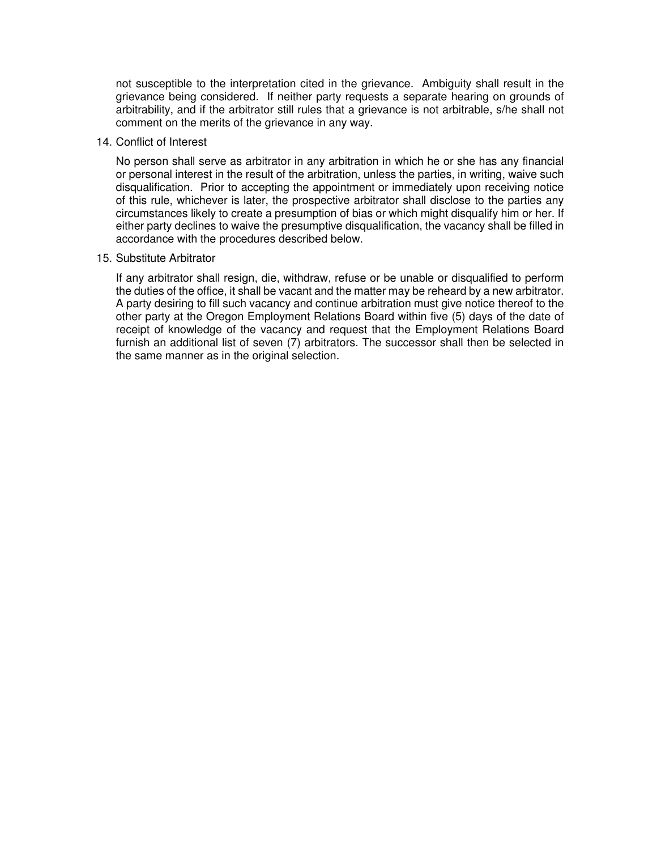not susceptible to the interpretation cited in the grievance. Ambiguity shall result in the grievance being considered. If neither party requests a separate hearing on grounds of arbitrability, and if the arbitrator still rules that a grievance is not arbitrable, s/he shall not comment on the merits of the grievance in any way.

### 14. Conflict of Interest

 No person shall serve as arbitrator in any arbitration in which he or she has any financial or personal interest in the result of the arbitration, unless the parties, in writing, waive such disqualification. Prior to accepting the appointment or immediately upon receiving notice of this rule, whichever is later, the prospective arbitrator shall disclose to the parties any circumstances likely to create a presumption of bias or which might disqualify him or her. If either party declines to waive the presumptive disqualification, the vacancy shall be filled in accordance with the procedures described below.

#### 15. Substitute Arbitrator

 If any arbitrator shall resign, die, withdraw, refuse or be unable or disqualified to perform the duties of the office, it shall be vacant and the matter may be reheard by a new arbitrator. A party desiring to fill such vacancy and continue arbitration must give notice thereof to the other party at the Oregon Employment Relations Board within five (5) days of the date of receipt of knowledge of the vacancy and request that the Employment Relations Board furnish an additional list of seven (7) arbitrators. The successor shall then be selected in the same manner as in the original selection.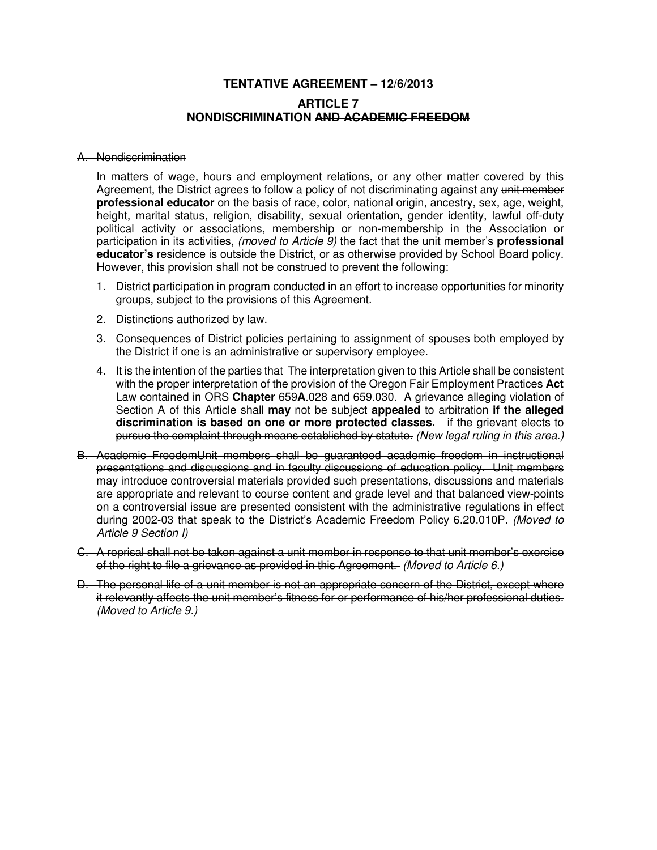## **TENTATIVE AGREEMENT – 12/6/2013 ARTICLE 7 NONDISCRIMINATION AND ACADEMIC FREEDOM**

### A. Nondiscrimination

In matters of wage, hours and employment relations, or any other matter covered by this Agreement, the District agrees to follow a policy of not discriminating against any unit member **professional educator** on the basis of race, color, national origin, ancestry, sex, age, weight, height, marital status, religion, disability, sexual orientation, gender identity, lawful off-duty political activity or associations, membership or non-membership in the Association or participation in its activities, (moved to Article 9) the fact that the unit member's **professional educator's** residence is outside the District, or as otherwise provided by School Board policy. However, this provision shall not be construed to prevent the following:

- 1. District participation in program conducted in an effort to increase opportunities for minority groups, subject to the provisions of this Agreement.
- 2. Distinctions authorized by law.
- 3. Consequences of District policies pertaining to assignment of spouses both employed by the District if one is an administrative or supervisory employee.
- 4. It is the intention of the parties that The interpretation given to this Article shall be consistent with the proper interpretation of the provision of the Oregon Fair Employment Practices **Act** Law contained in ORS **Chapter** 659**A**.028 and 659.030. A grievance alleging violation of Section A of this Article shall **may** not be subject **appealed** to arbitration **if the alleged discrimination is based on one or more protected classes.** if the grievant elects to pursue the complaint through means established by statute. (New legal ruling in this area.)
- B. Academic FreedomUnit members shall be guaranteed academic freedom in instructional presentations and discussions and in faculty discussions of education policy. Unit members may introduce controversial materials provided such presentations, discussions and materials are appropriate and relevant to course content and grade level and that balanced view-points on a controversial issue are presented consistent with the administrative regulations in effect during 2002-03 that speak to the District's Academic Freedom Policy 6.20.010P. (Moved to Article 9 Section I)
- C. A reprisal shall not be taken against a unit member in response to that unit member's exercise of the right to file a grievance as provided in this Agreement. (Moved to Article 6.)
- D. The personal life of a unit member is not an appropriate concern of the District, except where it relevantly affects the unit member's fitness for or performance of his/her professional duties. (Moved to Article 9.)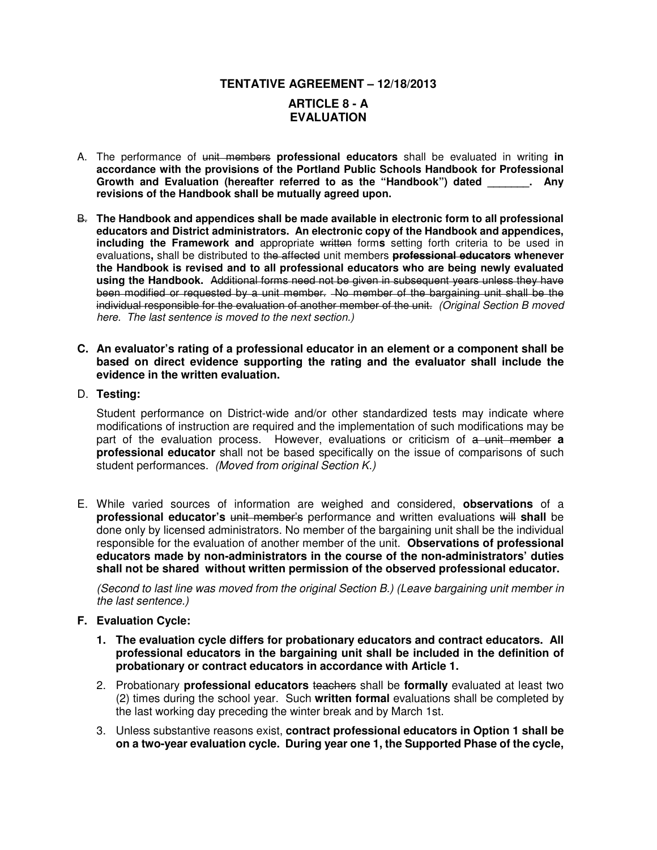## **TENTATIVE AGREEMENT – 12/18/2013 ARTICLE 8 - A EVALUATION**

- A. The performance of unit members **professional educators** shall be evaluated in writing **in accordance with the provisions of the Portland Public Schools Handbook for Professional Growth and Evaluation (hereafter referred to as the "Handbook") dated \_\_\_\_\_\_\_. Any revisions of the Handbook shall be mutually agreed upon.**
- B. **The Handbook and appendices shall be made available in electronic form to all professional educators and District administrators. An electronic copy of the Handbook and appendices, including the Framework and** appropriate written forms setting forth criteria to be used in evaluations**,** shall be distributed to the affected unit members **professional educators whenever the Handbook is revised and to all professional educators who are being newly evaluated using the Handbook.** Additional forms need not be given in subsequent years unless they have been modified or requested by a unit member. No member of the bargaining unit shall be the individual responsible for the evaluation of another member of the unit. (Original Section B moved here. The last sentence is moved to the next section.)
- **C. An evaluator's rating of a professional educator in an element or a component shall be based on direct evidence supporting the rating and the evaluator shall include the evidence in the written evaluation.**
- D. **Testing:**

Student performance on District-wide and/or other standardized tests may indicate where modifications of instruction are required and the implementation of such modifications may be part of the evaluation process. However, evaluations or criticism of a unit member **a professional educator** shall not be based specifically on the issue of comparisons of such student performances. (Moved from original Section K.)

E. While varied sources of information are weighed and considered, **observations** of a **professional educator's** unit member's performance and written evaluations will **shall** be done only by licensed administrators. No member of the bargaining unit shall be the individual responsible for the evaluation of another member of the unit. **Observations of professional educators made by non-administrators in the course of the non-administrators' duties shall not be shared without written permission of the observed professional educator.**

(Second to last line was moved from the original Section B.) (Leave bargaining unit member in the last sentence.)

- **F. Evaluation Cycle:**
	- **1. The evaluation cycle differs for probationary educators and contract educators. All professional educators in the bargaining unit shall be included in the definition of probationary or contract educators in accordance with Article 1.**
	- 2. Probationary **professional educators** teachers shall be **formally** evaluated at least two (2) times during the school year. Such **written formal** evaluations shall be completed by the last working day preceding the winter break and by March 1st.
	- 3. Unless substantive reasons exist, **contract professional educators in Option 1 shall be on a two-year evaluation cycle. During year one 1, the Supported Phase of the cycle,**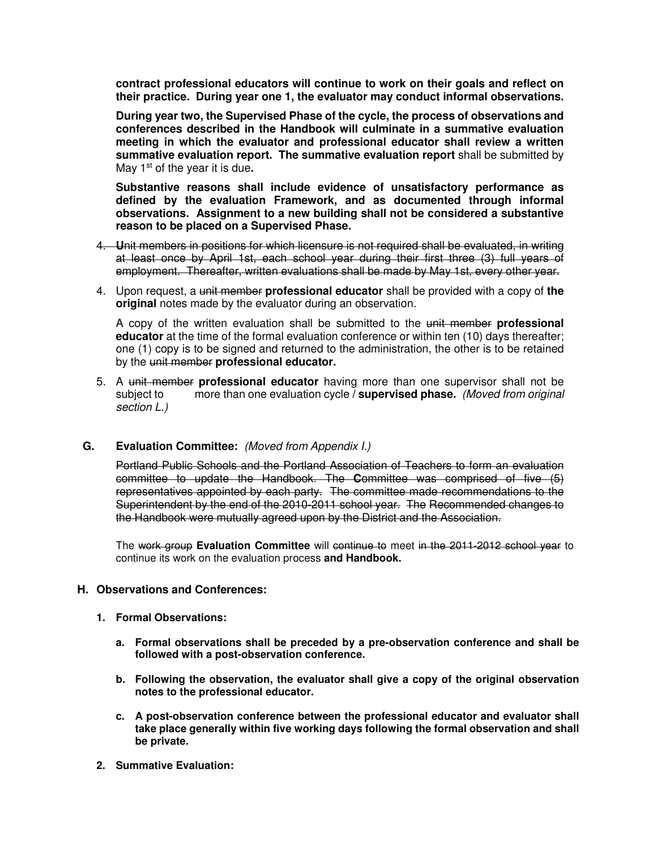**contract professional educators will continue to work on their goals and reflect on their practice. During year one 1, the evaluator may conduct informal observations.** 

**During year two, the Supervised Phase of the cycle, the process of observations and conferences described in the Handbook will culminate in a summative evaluation meeting in which the evaluator and professional educator shall review a written summative evaluation report. The summative evaluation report** shall be submitted by May 1st of the year it is due**.**

**Substantive reasons shall include evidence of unsatisfactory performance as defined by the evaluation Framework, and as documented through informal observations. Assignment to a new building shall not be considered a substantive reason to be placed on a Supervised Phase.**

- 4. **U**nit members in positions for which licensure is not required shall be evaluated, in writing at least once by April 1st, each school year during their first three (3) full years of employment. Thereafter, written evaluations shall be made by May 1st, every other year.
- 4. Upon request, a unit member **professional educator** shall be provided with a copy of **the original** notes made by the evaluator during an observation.

A copy of the written evaluation shall be submitted to the unit member **professional educator** at the time of the formal evaluation conference or within ten (10) days thereafter; one (1) copy is to be signed and returned to the administration, the other is to be retained by the unit member **professional educator.**

5. A unit member **professional educator** having more than one supervisor shall not be subject to more than one evaluation cycle **/ supervised phase.** (Moved from original section L.)

### **G. Evaluation Committee:** (Moved from Appendix I.)

 Portland Public Schools and the Portland Association of Teachers to form an evaluation committee to update the Handbook. The **C**ommittee was comprised of five (5) representatives appointed by each party. The committee made recommendations to the Superintendent by the end of the 2010-2011 school year. The Recommended changes to the Handbook were mutually agreed upon by the District and the Association.

The work group Evaluation Committee will continue to meet in the 2011-2012 school year to continue its work on the evaluation process **and Handbook.**

### **H. Observations and Conferences:**

- **1. Formal Observations:** 
	- **a. Formal observations shall be preceded by a pre-observation conference and shall be followed with a post-observation conference.**
	- **b. Following the observation, the evaluator shall give a copy of the original observation notes to the professional educator.**
	- **c. A post-observation conference between the professional educator and evaluator shall take place generally within five working days following the formal observation and shall be private.**
- **2. Summative Evaluation:**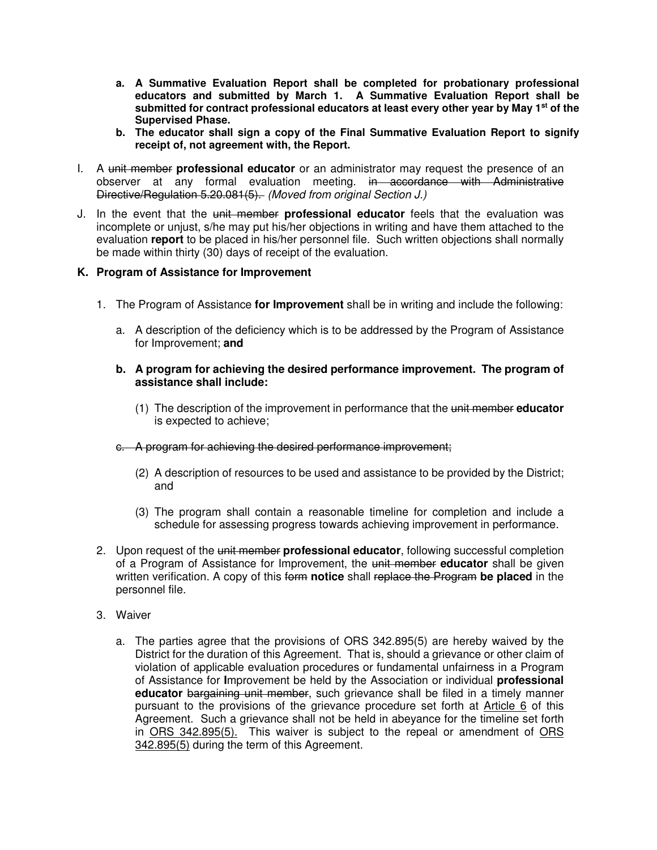- **a. A Summative Evaluation Report shall be completed for probationary professional educators and submitted by March 1. A Summative Evaluation Report shall be submitted for contract professional educators at least every other year by May 1st of the Supervised Phase.**
- **b. The educator shall sign a copy of the Final Summative Evaluation Report to signify receipt of, not agreement with, the Report.**
- I. A unit member **professional educator** or an administrator may request the presence of an observer at any formal evaluation meeting. in accordance with Administrative Directive/Regulation 5.20.081(5). (Moved from original Section J.)
- J. In the event that the unit member **professional educator** feels that the evaluation was incomplete or unjust, s/he may put his/her objections in writing and have them attached to the evaluation **report** to be placed in his/her personnel file. Such written objections shall normally be made within thirty (30) days of receipt of the evaluation.

## **K. Program of Assistance for Improvement**

- 1. The Program of Assistance **for Improvement** shall be in writing and include the following:
	- a. A description of the deficiency which is to be addressed by the Program of Assistance for Improvement; **and**
	- **b. A program for achieving the desired performance improvement. The program of assistance shall include:** 
		- (1) The description of the improvement in performance that the unit member **educator** is expected to achieve;
	- c. A program for achieving the desired performance improvement;
		- (2) A description of resources to be used and assistance to be provided by the District; and
		- (3) The program shall contain a reasonable timeline for completion and include a schedule for assessing progress towards achieving improvement in performance.
- 2. Upon request of the unit member **professional educator**, following successful completion of a Program of Assistance for Improvement, the unit member **educator** shall be given written verification. A copy of this form **notice** shall replace the Program **be placed** in the personnel file.
- 3. Waiver
	- a. The parties agree that the provisions of ORS 342.895(5) are hereby waived by the District for the duration of this Agreement. That is, should a grievance or other claim of violation of applicable evaluation procedures or fundamental unfairness in a Program of Assistance for **I**mprovement be held by the Association or individual **professional educator** bargaining unit member, such grievance shall be filed in a timely manner pursuant to the provisions of the grievance procedure set forth at Article 6 of this Agreement. Such a grievance shall not be held in abeyance for the timeline set forth in ORS 342.895(5). This waiver is subject to the repeal or amendment of ORS 342.895(5) during the term of this Agreement.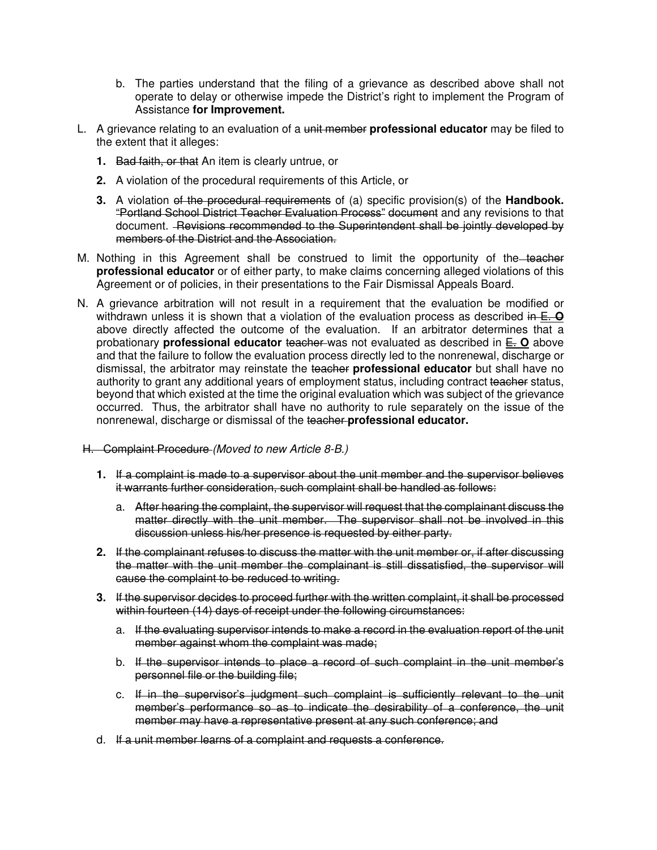- b. The parties understand that the filing of a grievance as described above shall not operate to delay or otherwise impede the District's right to implement the Program of Assistance **for Improvement.**
- L. A grievance relating to an evaluation of a unit member **professional educator** may be filed to the extent that it alleges:
	- **1.** Bad faith, or that An item is clearly untrue, or
	- **2.** A violation of the procedural requirements of this Article, or
	- **3.** A violation of the procedural requirements of (a) specific provision(s) of the **Handbook.**  "Portland School District Teacher Evaluation Process" document and any revisions to that document. Revisions recommended to the Superintendent shall be jointly developed by members of the District and the Association.
- M. Nothing in this Agreement shall be construed to limit the opportunity of the teacher **professional educator** or of either party, to make claims concerning alleged violations of this Agreement or of policies, in their presentations to the Fair Dismissal Appeals Board.
- N. A grievance arbitration will not result in a requirement that the evaluation be modified or withdrawn unless it is shown that a violation of the evaluation process as described in E. **O** above directly affected the outcome of the evaluation. If an arbitrator determines that a probationary **professional educator** teacher was not evaluated as described in E. **O** above and that the failure to follow the evaluation process directly led to the nonrenewal, discharge or dismissal, the arbitrator may reinstate the teacher **professional educator** but shall have no authority to grant any additional years of employment status, including contract teacher status, beyond that which existed at the time the original evaluation which was subject of the grievance occurred. Thus, the arbitrator shall have no authority to rule separately on the issue of the nonrenewal, discharge or dismissal of the teacher **professional educator.**
- H. Complaint Procedure (Moved to new Article 8-B.)
	- **1.** If a complaint is made to a supervisor about the unit member and the supervisor believes it warrants further consideration, such complaint shall be handled as follows:
		- a. After hearing the complaint, the supervisor will request that the complainant discuss the matter directly with the unit member. The supervisor shall not be involved in this discussion unless his/her presence is requested by either party.
	- **2.** If the complainant refuses to discuss the matter with the unit member or, if after discussing the matter with the unit member the complainant is still dissatisfied, the supervisor will cause the complaint to be reduced to writing.
	- **3.** If the supervisor decides to proceed further with the written complaint, it shall be processed within fourteen (14) days of receipt under the following circumstances:
		- a. If the evaluating supervisor intends to make a record in the evaluation report of the unit member against whom the complaint was made;
		- b. If the supervisor intends to place a record of such complaint in the unit member's personnel file or the building file;
		- c. If in the supervisor's judgment such complaint is sufficiently relevant to the unit member's performance so as to indicate the desirability of a conference, the unit member may have a representative present at any such conference; and
	- d. If a unit member learns of a complaint and requests a conference.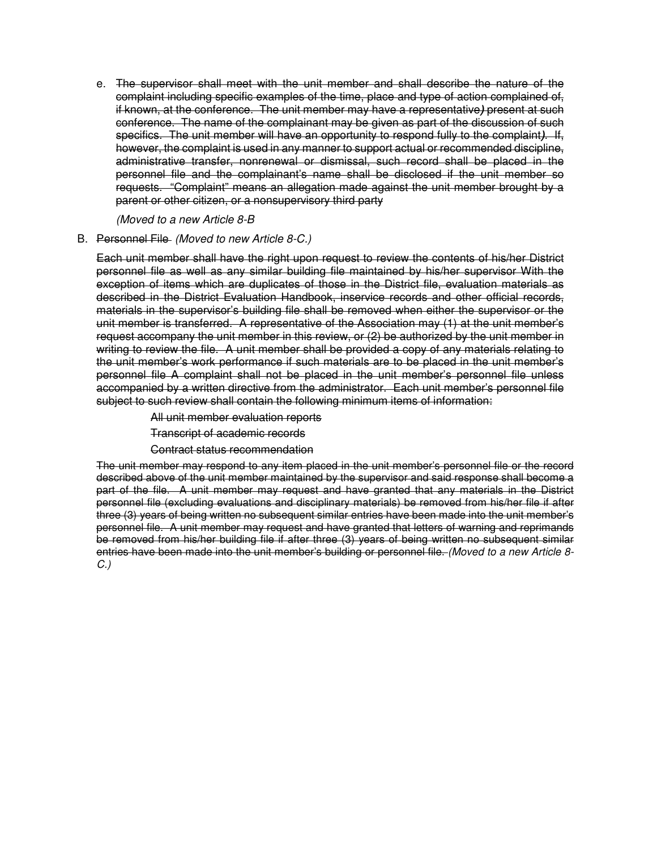e. The supervisor shall meet with the unit member and shall describe the nature of the complaint including specific examples of the time, place and type of action complained of, if known, at the conference. The unit member may have a representative**)** present at such conference. The name of the complainant may be given as part of the discussion of such specifics. The unit member will have an opportunity to respond fully to the complaint**)**. If, however, the complaint is used in any manner to support actual or recommended discipline, administrative transfer, nonrenewal or dismissal, such record shall be placed in the personnel file and the complainant's name shall be disclosed if the unit member so requests. "Complaint" means an allegation made against the unit member brought by a parent or other citizen, or a nonsupervisory third party

(Moved to a new Article 8-B

### B. Personnel File(Moved to new Article 8-C.)

Each unit member shall have the right upon request to review the contents of his/her District personnel file as well as any similar building file maintained by his/her supervisor With the exception of items which are duplicates of those in the District file, evaluation materials as described in the District Evaluation Handbook, inservice records and other official records, materials in the supervisor's building file shall be removed when either the supervisor or the unit member is transferred. A representative of the Association may (1) at the unit member's request accompany the unit member in this review, or (2) be authorized by the unit member in writing to review the file. A unit member shall be provided a copy of any materials relating to the unit member's work performance if such materials are to be placed in the unit member's personnel file A complaint shall not be placed in the unit member's personnel file unless accompanied by a written directive from the administrator. Each unit member's personnel file subject to such review shall contain the following minimum items of information:

All unit member evaluation reports

Transcript of academic records

Contract status recommendation

The unit member may respond to any item placed in the unit member's personnel file or the record described above of the unit member maintained by the supervisor and said response shall become a part of the file. A unit member may request and have granted that any materials in the District personnel file (excluding evaluations and disciplinary materials) be removed from his/her file if after three (3) years of being written no subsequent similar entries have been made into the unit member's personnel file. A unit member may request and have granted that letters of warning and reprimands be removed from his/her building file if after three (3) years of being written no subsequent similar entries have been made into the unit member's building or personnel file. (Moved to a new Article 8-C.)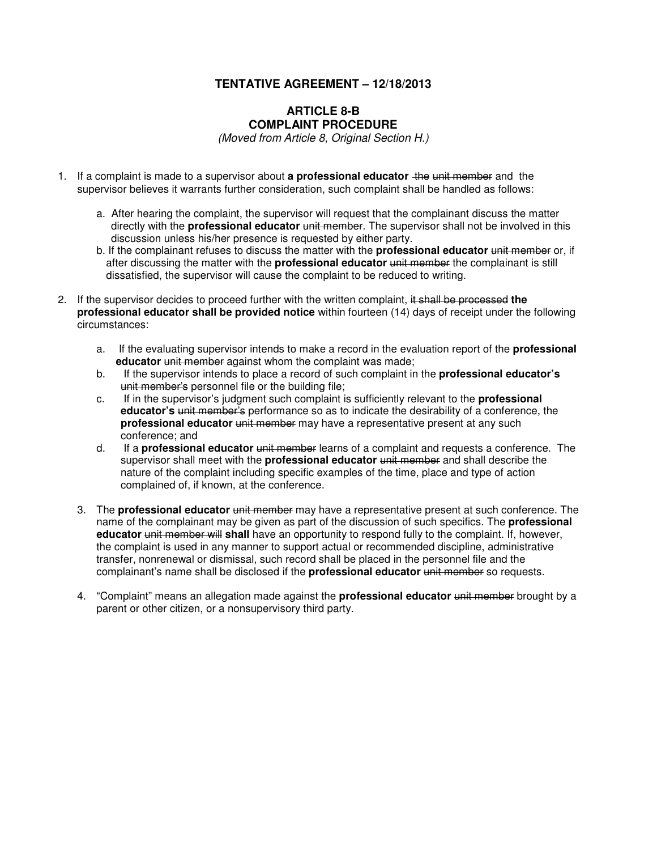## **TENTATIVE AGREEMENT – 12/18/2013**

### **ARTICLE 8-B COMPLAINT PROCEDURE**

(Moved from Article 8, Original Section H.)

- 1. If a complaint is made to a supervisor about **a professional educator** the unit member and the supervisor believes it warrants further consideration, such complaint shall be handled as follows:
	- a. After hearing the complaint, the supervisor will request that the complainant discuss the matter directly with the **professional educator** unit member. The supervisor shall not be involved in this discussion unless his/her presence is requested by either party.
	- b. If the complainant refuses to discuss the matter with the **professional educator** unit member or, if after discussing the matter with the **professional educator** unit member the complainant is still dissatisfied, the supervisor will cause the complaint to be reduced to writing.
- 2. If the supervisor decides to proceed further with the written complaint, it shall be processed **the professional educator shall be provided notice** within fourteen (14) days of receipt under the following circumstances:
	- a. If the evaluating supervisor intends to make a record in the evaluation report of the **professional educator** unit member against whom the complaint was made;
	- b. If the supervisor intends to place a record of such complaint in the **professional educator's** unit member's personnel file or the building file;
	- c. If in the supervisor's judgment such complaint is sufficiently relevant to the **professional educator's** unit member's performance so as to indicate the desirability of a conference, the **professional educator** unit member may have a representative present at any such conference; and
	- d. If a **professional educator** unit member learns of a complaint and requests a conference. The supervisor shall meet with the **professional educator** unit member and shall describe the nature of the complaint including specific examples of the time, place and type of action complained of, if known, at the conference.
	- 3. The **professional educator** unit member may have a representative present at such conference. The name of the complainant may be given as part of the discussion of such specifics. The **professional educator** unit member will **shall** have an opportunity to respond fully to the complaint. If, however, the complaint is used in any manner to support actual or recommended discipline, administrative transfer, nonrenewal or dismissal, such record shall be placed in the personnel file and the complainant's name shall be disclosed if the **professional educator** unit member so requests.
	- 4. "Complaint" means an allegation made against the **professional educator** unit member brought by a parent or other citizen, or a nonsupervisory third party.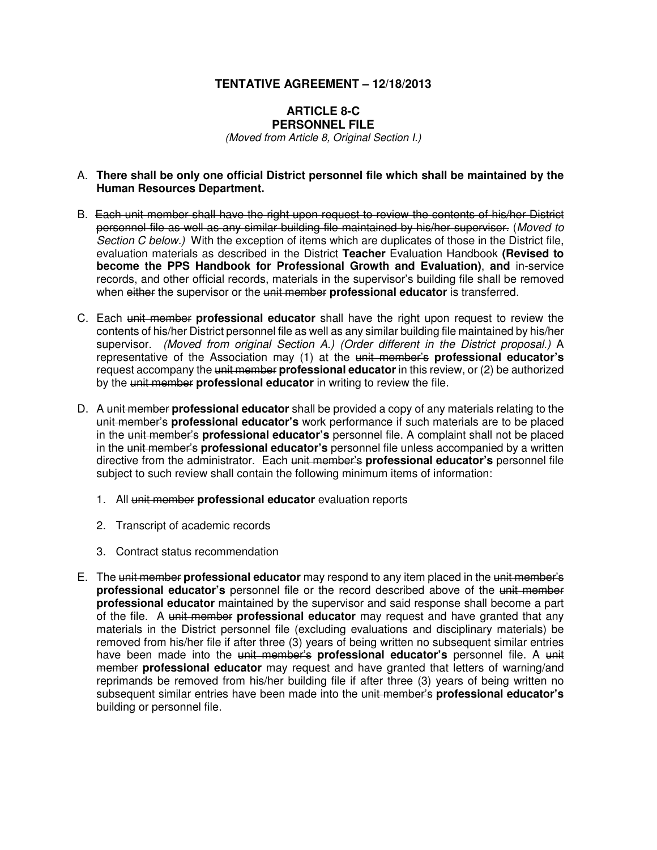### **TENTATIVE AGREEMENT – 12/18/2013**

#### **ARTICLE 8-C PERSONNEL FILE**

(Moved from Article 8, Original Section I.)

### A. **There shall be only one official District personnel file which shall be maintained by the Human Resources Department.**

- B. Each unit member shall have the right upon request to review the contents of his/her District personnel file as well as any similar building file maintained by his/her supervisor. (Moved to Section C below.)With the exception of items which are duplicates of those in the District file, evaluation materials as described in the District **Teacher** Evaluation Handbook **(Revised to become the PPS Handbook for Professional Growth and Evaluation)**, **and** in-service records, and other official records, materials in the supervisor's building file shall be removed when either the supervisor or the unit member **professional educator** is transferred.
- C. Each unit member **professional educator** shall have the right upon request to review the contents of his/her District personnel file as well as any similar building file maintained by his/her supervisor. (Moved from original Section A.) (Order different in the District proposal.) A representative of the Association may (1) at the unit member's **professional educator's** request accompany the unit member **professional educator** in this review, or (2) be authorized by the unit member **professional educator** in writing to review the file.
- D. A unit member **professional educator** shall be provided a copy of any materials relating to the unit member's **professional educator's** work performance if such materials are to be placed in the unit member's **professional educator's** personnel file. A complaint shall not be placed in the unit member's **professional educator's** personnel file unless accompanied by a written directive from the administrator. Each unit member's **professional educator's** personnel file subject to such review shall contain the following minimum items of information:
	- 1. All unit member **professional educator** evaluation reports
	- 2. Transcript of academic records
	- 3. Contract status recommendation
- E. The unit member **professional educator** may respond to any item placed in the unit member's **professional educator's** personnel file or the record described above of the unit member **professional educator** maintained by the supervisor and said response shall become a part of the file. A unit member **professional educator** may request and have granted that any materials in the District personnel file (excluding evaluations and disciplinary materials) be removed from his/her file if after three (3) years of being written no subsequent similar entries have been made into the unit member's **professional educator's** personnel file. A unit member **professional educator** may request and have granted that letters of warning/and reprimands be removed from his/her building file if after three (3) years of being written no subsequent similar entries have been made into the unit member's **professional educator's** building or personnel file.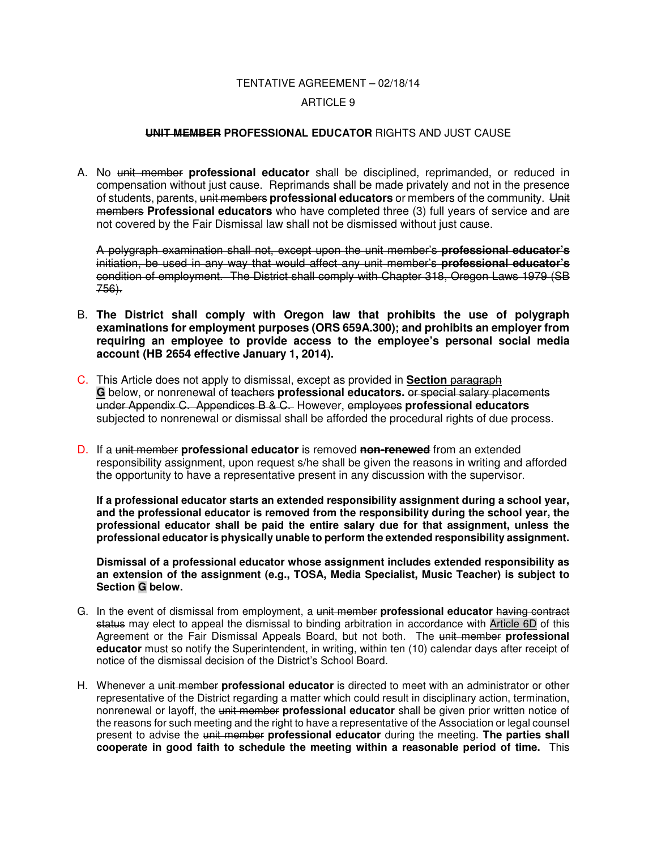## TENTATIVE AGREEMENT – 02/18/14

### ARTICLE 9

### **UNIT MEMBER PROFESSIONAL EDUCATOR** RIGHTS AND JUST CAUSE

A. No unit member **professional educator** shall be disciplined, reprimanded, or reduced in compensation without just cause. Reprimands shall be made privately and not in the presence of students, parents, unit members **professional educators** or members of the community. Unit members **Professional educators** who have completed three (3) full years of service and are not covered by the Fair Dismissal law shall not be dismissed without just cause.

A polygraph examination shall not, except upon the unit member's **professional educator's** initiation, be used in any way that would affect any unit member's **professional educator's** condition of employment. The District shall comply with Chapter 318, Oregon Laws 1979 (SB 756).

- B. **The District shall comply with Oregon law that prohibits the use of polygraph examinations for employment purposes (ORS 659A.300); and prohibits an employer from requiring an employee to provide access to the employee's personal social media account (HB 2654 effective January 1, 2014).**
- C. This Article does not apply to dismissal, except as provided in **Section** paragraph **G** below, or nonrenewal of teachers **professional educators.** or special salary placements under Appendix C. Appendices B & C. However, employees **professional educators** subjected to nonrenewal or dismissal shall be afforded the procedural rights of due process.
- D. If a unit member **professional educator** is removed **non-renewed** from an extended responsibility assignment, upon request s/he shall be given the reasons in writing and afforded the opportunity to have a representative present in any discussion with the supervisor.

**If a professional educator starts an extended responsibility assignment during a school year, and the professional educator is removed from the responsibility during the school year, the professional educator shall be paid the entire salary due for that assignment, unless the professional educator is physically unable to perform the extended responsibility assignment.** 

**Dismissal of a professional educator whose assignment includes extended responsibility as an extension of the assignment (e.g., TOSA, Media Specialist, Music Teacher) is subject to Section G below.** 

- G. In the event of dismissal from employment, a unit member **professional educator** having contract status may elect to appeal the dismissal to binding arbitration in accordance with Article 6D of this Agreement or the Fair Dismissal Appeals Board, but not both. The unit member **professional educator** must so notify the Superintendent, in writing, within ten (10) calendar days after receipt of notice of the dismissal decision of the District's School Board.
- H. Whenever a unit member **professional educator** is directed to meet with an administrator or other representative of the District regarding a matter which could result in disciplinary action, termination, nonrenewal or layoff, the unit member **professional educator** shall be given prior written notice of the reasons for such meeting and the right to have a representative of the Association or legal counsel present to advise the unit member **professional educator** during the meeting. **The parties shall cooperate in good faith to schedule the meeting within a reasonable period of time.** This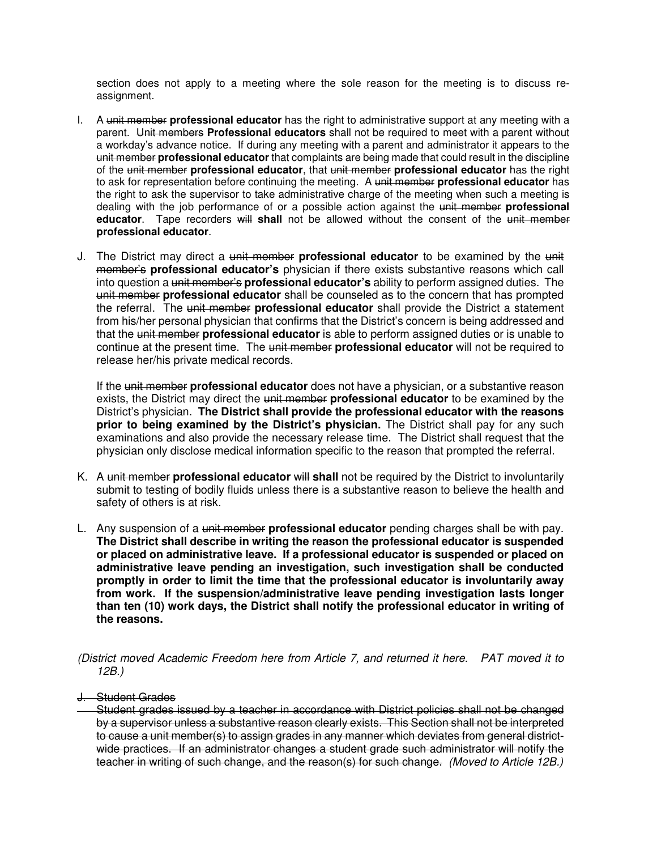section does not apply to a meeting where the sole reason for the meeting is to discuss reassignment.

- I. A unit member **professional educator** has the right to administrative support at any meeting with a parent. Unit members **Professional educators** shall not be required to meet with a parent without a workday's advance notice. If during any meeting with a parent and administrator it appears to the unit member **professional educator** that complaints are being made that could result in the discipline of the unit member **professional educator**, that unit member **professional educator** has the right to ask for representation before continuing the meeting. A unit member **professional educator** has the right to ask the supervisor to take administrative charge of the meeting when such a meeting is dealing with the job performance of or a possible action against the unit member **professional educator**. Tape recorders will **shall** not be allowed without the consent of the unit member **professional educator**.
- J. The District may direct a unit member **professional educator** to be examined by the unit member's **professional educator's** physician if there exists substantive reasons which call into question a unit member's **professional educator's** ability to perform assigned duties. The unit member **professional educator** shall be counseled as to the concern that has prompted the referral. The unit member **professional educator** shall provide the District a statement from his/her personal physician that confirms that the District's concern is being addressed and that the unit member **professional educator** is able to perform assigned duties or is unable to continue at the present time. The unit member **professional educator** will not be required to release her/his private medical records.

If the unit member **professional educator** does not have a physician, or a substantive reason exists, the District may direct the unit member **professional educator** to be examined by the District's physician. **The District shall provide the professional educator with the reasons prior to being examined by the District's physician.** The District shall pay for any such examinations and also provide the necessary release time. The District shall request that the physician only disclose medical information specific to the reason that prompted the referral.

- K. A unit member **professional educator** will **shall** not be required by the District to involuntarily submit to testing of bodily fluids unless there is a substantive reason to believe the health and safety of others is at risk.
- L. Any suspension of a unit member **professional educator** pending charges shall be with pay. **The District shall describe in writing the reason the professional educator is suspended or placed on administrative leave. If a professional educator is suspended or placed on administrative leave pending an investigation, such investigation shall be conducted promptly in order to limit the time that the professional educator is involuntarily away from work. If the suspension/administrative leave pending investigation lasts longer than ten (10) work days, the District shall notify the professional educator in writing of the reasons.**

(District moved Academic Freedom here from Article 7, and returned it here. PAT moved it to 12B.)

J. Student Grades

Student grades issued by a teacher in accordance with District policies shall not be changed by a supervisor unless a substantive reason clearly exists. This Section shall not be interpreted to cause a unit member(s) to assign grades in any manner which deviates from general districtwide practices. If an administrator changes a student grade such administrator will notify the teacher in writing of such change, and the reason(s) for such change. (Moved to Article 12B.)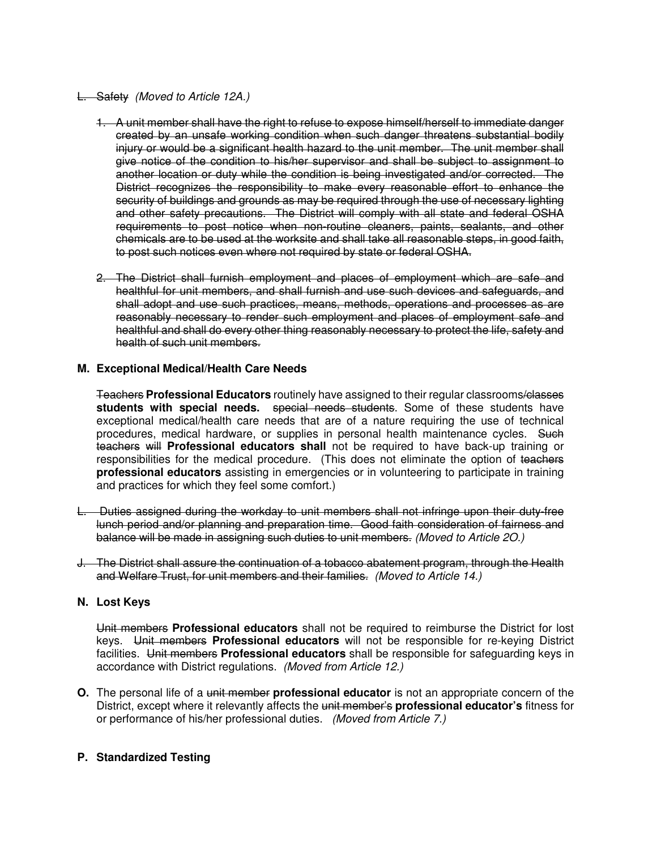### L. Safety(Moved to Article 12A.)

- 1. A unit member shall have the right to refuse to expose himself/herself to immediate danger created by an unsafe working condition when such danger threatens substantial bodily injury or would be a significant health hazard to the unit member. The unit member shall give notice of the condition to his/her supervisor and shall be subject to assignment to another location or duty while the condition is being investigated and/or corrected. The District recognizes the responsibility to make every reasonable effort to enhance the security of buildings and grounds as may be required through the use of necessary lighting and other safety precautions. The District will comply with all state and federal OSHA requirements to post notice when non-routine cleaners, paints, sealants, and other chemicals are to be used at the worksite and shall take all reasonable steps, in good faith, to post such notices even where not required by state or federal OSHA.
- 2. The District shall furnish employment and places of employment which are safe and healthful for unit members, and shall furnish and use such devices and safeguards, and shall adopt and use such practices, means, methods, operations and processes as are reasonably necessary to render such employment and places of employment safe and healthful and shall do every other thing reasonably necessary to protect the life, safety and health of such unit members.

### **M. Exceptional Medical/Health Care Needs**

 Teachers **Professional Educators** routinely have assigned to their regular classrooms/classes students with special needs. special needs students. Some of these students have exceptional medical/health care needs that are of a nature requiring the use of technical procedures, medical hardware, or supplies in personal health maintenance cycles. Such teachers will **Professional educators shall** not be required to have back-up training or responsibilities for the medical procedure. (This does not eliminate the option of teachers **professional educators** assisting in emergencies or in volunteering to participate in training and practices for which they feel some comfort.)

- L.Duties assigned during the workday to unit members shall not infringe upon their duty-free lunch period and/or planning and preparation time. Good faith consideration of fairness and balance will be made in assigning such duties to unit members. (Moved to Article 2O.)
- J. The District shall assure the continuation of a tobacco abatement program, through the Health and Welfare Trust, for unit members and their families. (Moved to Article 14.)

## **N. Lost Keys**

Unit members **Professional educators** shall not be required to reimburse the District for lost keys. Unit members **Professional educators** will not be responsible for re-keying District facilities. Unit members **Professional educators** shall be responsible for safeguarding keys in accordance with District regulations. (Moved from Article 12.)

**O.** The personal life of a unit member **professional educator** is not an appropriate concern of the District, except where it relevantly affects the unit member's **professional educator's** fitness for or performance of his/her professional duties. (Moved from Article 7.)

### **P. Standardized Testing**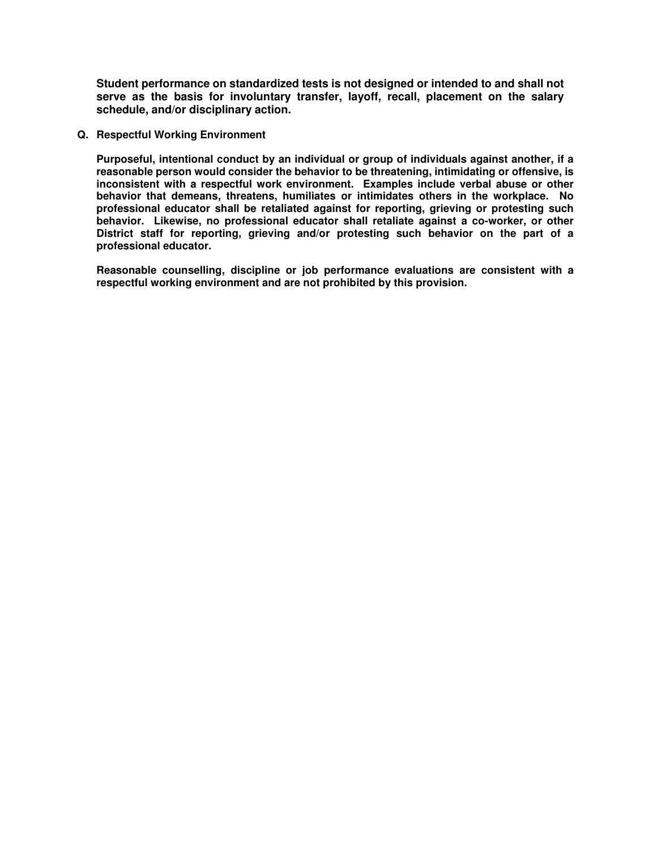**Student performance on standardized tests is not designed or intended to and shall not serve as the basis for involuntary transfer, layoff, recall, placement on the salary schedule, and/or disciplinary action.** 

**Q. Respectful Working Environment** 

**Purposeful, intentional conduct by an individual or group of individuals against another, if a reasonable person would consider the behavior to be threatening, intimidating or offensive, is inconsistent with a respectful work environment. Examples include verbal abuse or other behavior that demeans, threatens, humiliates or intimidates others in the workplace. No professional educator shall be retaliated against for reporting, grieving or protesting such behavior. Likewise, no professional educator shall retaliate against a co-worker, or other District staff for reporting, grieving and/or protesting such behavior on the part of a professional educator.** 

**Reasonable counselling, discipline or job performance evaluations are consistent with a respectful working environment and are not prohibited by this provision.**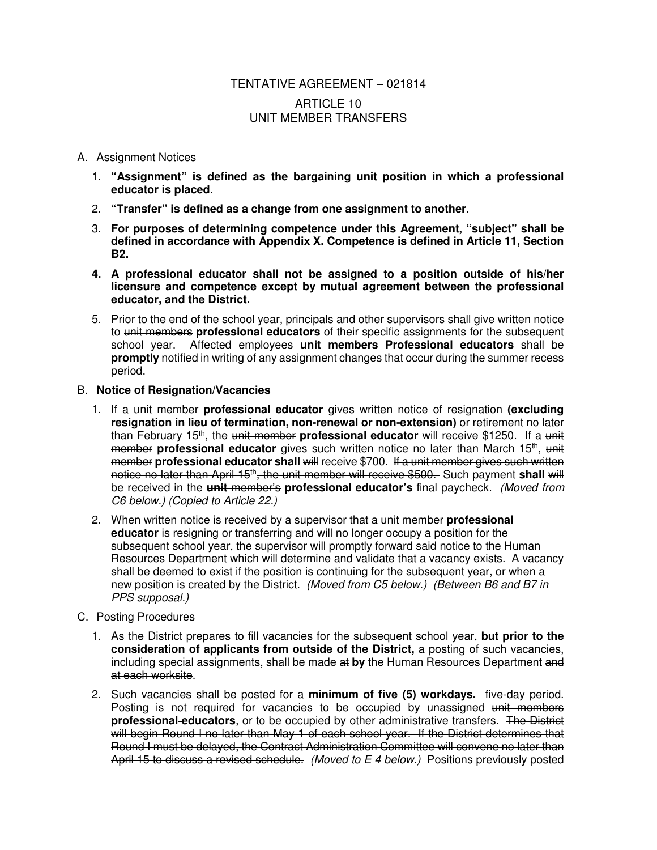## TENTATIVE AGREEMENT – 021814 ARTICLE 10 UNIT MEMBER TRANSFERS

### A. Assignment Notices

- 1. **"Assignment" is defined as the bargaining unit position in which a professional educator is placed.**
- 2. **"Transfer" is defined as a change from one assignment to another.**
- 3. **For purposes of determining competence under this Agreement, "subject" shall be defined in accordance with Appendix X. Competence is defined in Article 11, Section B2.**
- **4. A professional educator shall not be assigned to a position outside of his/her licensure and competence except by mutual agreement between the professional educator, and the District.**
- 5. Prior to the end of the school year, principals and other supervisors shall give written notice to unit members **professional educators** of their specific assignments for the subsequent school year. Affected employees **unit members Professional educators** shall be **promptly** notified in writing of any assignment changes that occur during the summer recess period.

### B. **Notice of Resignation/Vacancies**

- 1. If a unit member **professional educator** gives written notice of resignation **(excluding resignation in lieu of termination, non-renewal or non-extension)** or retirement no later than February 15<sup>th</sup>, the unit member professional educator will receive \$1250. If a unit member professional educator gives such written notice no later than March 15<sup>th</sup>, unit member **professional educator shall** will receive \$700. If a unit member gives such written notice no later than April 15<sup>th</sup>, the unit member will receive \$500. Such payment shall will be received in the **unit** member's **professional educator's** final paycheck. (Moved from C6 below.) (Copied to Article 22.)
- 2. When written notice is received by a supervisor that a unit member **professional educator** is resigning or transferring and will no longer occupy a position for the subsequent school year, the supervisor will promptly forward said notice to the Human Resources Department which will determine and validate that a vacancy exists. A vacancy shall be deemed to exist if the position is continuing for the subsequent year, or when a new position is created by the District. (Moved from C5 below.) (Between B6 and B7 in PPS supposal.)

### C. Posting Procedures

- 1. As the District prepares to fill vacancies for the subsequent school year, **but prior to the consideration of applicants from outside of the District,** a posting of such vacancies, including special assignments, shall be made at **by** the Human Resources Department and at each worksite.
- 2. Such vacancies shall be posted for a **minimum of five (5) workdays.** five-day period. Posting is not required for vacancies to be occupied by unassigned unit members **professional educators**, or to be occupied by other administrative transfers. The District will begin Round I no later than May 1 of each school year. If the District determines that Round I must be delayed, the Contract Administration Committee will convene no later than April 15 to discuss a revised schedule. *(Moved to E 4 below.)* Positions previously posted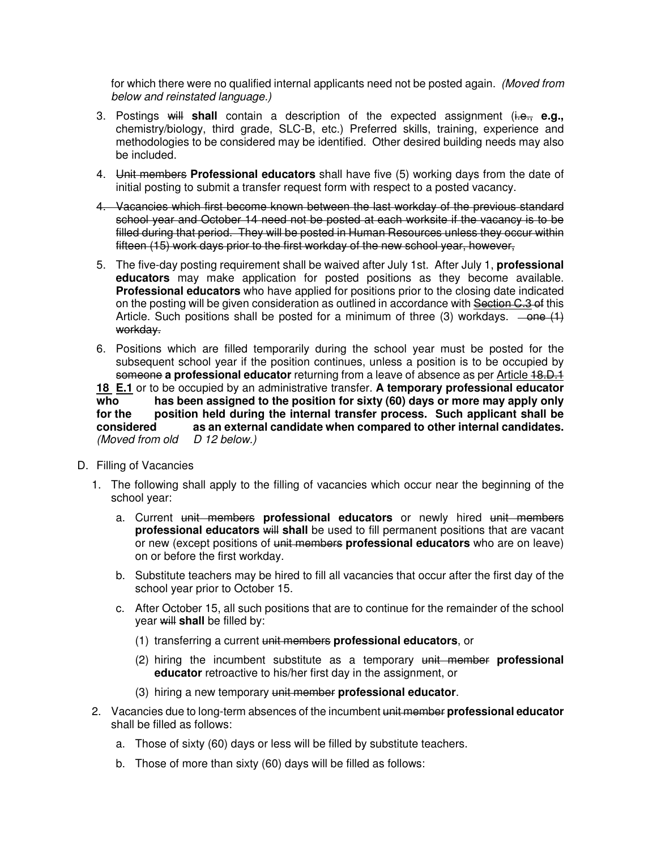for which there were no qualified internal applicants need not be posted again. (Moved from below and reinstated language.)

- 3. Postings will **shall** contain a description of the expected assignment (i.e., **e.g.,** chemistry/biology, third grade, SLC-B, etc.) Preferred skills, training, experience and methodologies to be considered may be identified. Other desired building needs may also be included.
- 4. Unit members **Professional educators** shall have five (5) working days from the date of initial posting to submit a transfer request form with respect to a posted vacancy.
- 4. Vacancies which first become known between the last workday of the previous standard school year and October 14 need not be posted at each worksite if the vacancy is to be filled during that period. They will be posted in Human Resources unless they occur within fifteen (15) work days prior to the first workday of the new school year, however,
- 5. The five-day posting requirement shall be waived after July 1st. After July 1, **professional educators** may make application for posted positions as they become available. **Professional educators** who have applied for positions prior to the closing date indicated on the posting will be given consideration as outlined in accordance with Section C.3 of this Article. Such positions shall be posted for a minimum of three (3) workdays.  $-\theta$ workday.
- 6. Positions which are filled temporarily during the school year must be posted for the subsequent school year if the position continues, unless a position is to be occupied by someone a professional educator returning from a leave of absence as per **Article 18.D.1 18 E.1** or to be occupied by an administrative transfer. **A temporary professional educator**  has been assigned to the position for sixty (60) days or more may apply only

**for the position held during the internal transfer process. Such applicant shall be considered as an external candidate when compared to other internal candidates.** (Moved from old  $D$  12 below.)

- D. Filling of Vacancies
	- 1. The following shall apply to the filling of vacancies which occur near the beginning of the school year:
		- a. Current unit members **professional educators** or newly hired unit members **professional educators will shall** be used to fill permanent positions that are vacant or new (except positions of unit members **professional educators** who are on leave) on or before the first workday.
		- b. Substitute teachers may be hired to fill all vacancies that occur after the first day of the school year prior to October 15.
		- c. After October 15, all such positions that are to continue for the remainder of the school year will **shall** be filled by:
			- (1) transferring a current unit members **professional educators**, or
			- (2) hiring the incumbent substitute as a temporary unit member **professional educator** retroactive to his/her first day in the assignment, or
			- (3) hiring a new temporary unit member **professional educator**.
	- 2. Vacancies due to long-term absences of the incumbent unit member **professional educator** shall be filled as follows:
		- a. Those of sixty (60) days or less will be filled by substitute teachers.
		- b. Those of more than sixty (60) days will be filled as follows: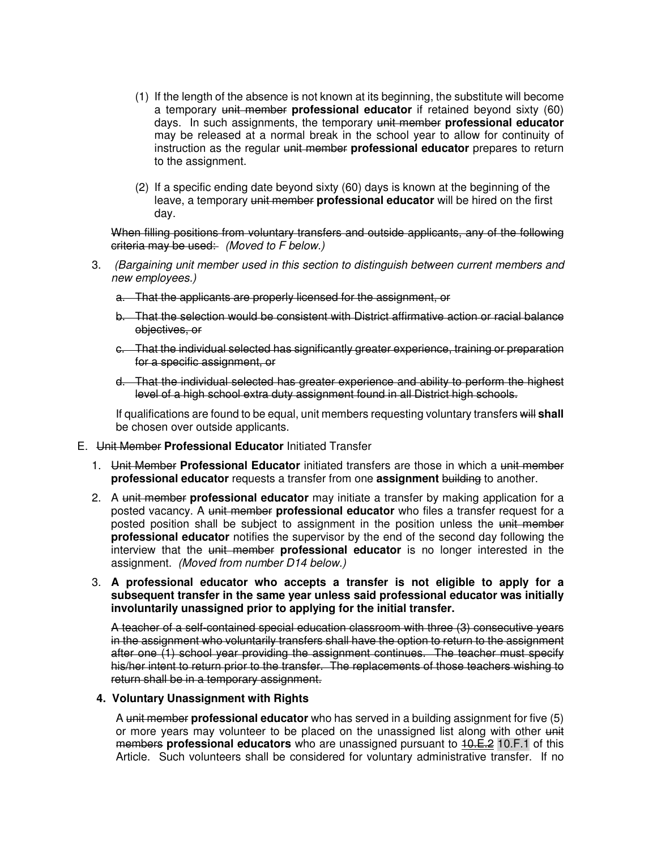- (1) If the length of the absence is not known at its beginning, the substitute will become a temporary unit member **professional educator** if retained beyond sixty (60) days. In such assignments, the temporary unit member **professional educator** may be released at a normal break in the school year to allow for continuity of instruction as the regular unit member **professional educator** prepares to return to the assignment.
- (2) If a specific ending date beyond sixty (60) days is known at the beginning of the leave, a temporary unit member **professional educator** will be hired on the first day.

When filling positions from voluntary transfers and outside applicants, any of the following criteria may be used: (Moved to F below.)

- 3. (Bargaining unit member used in this section to distinguish between current members and new employees.)
	- a. That the applicants are properly licensed for the assignment, or
	- b. That the selection would be consistent with District affirmative action or racial balance objectives, or
	- c. That the individual selected has significantly greater experience, training or preparation for a specific assignment, or
	- d. That the individual selected has greater experience and ability to perform the highest level of a high school extra duty assignment found in all District high schools.

If qualifications are found to be equal, unit members requesting voluntary transfers will **shall**  be chosen over outside applicants.

### E. Unit Member **Professional Educator** Initiated Transfer

- 1. Unit Member **Professional Educator** initiated transfers are those in which a unit member **professional educator** requests a transfer from one **assignment** building to another.
- 2. A unit member **professional educator** may initiate a transfer by making application for a posted vacancy. A unit member **professional educator** who files a transfer request for a posted position shall be subject to assignment in the position unless the unit member **professional educator** notifies the supervisor by the end of the second day following the interview that the unit member **professional educator** is no longer interested in the assignment. (Moved from number D14 below.)
- 3. **A professional educator who accepts a transfer is not eligible to apply for a subsequent transfer in the same year unless said professional educator was initially involuntarily unassigned prior to applying for the initial transfer.**

A teacher of a self-contained special education classroom with three (3) consecutive years in the assignment who voluntarily transfers shall have the option to return to the assignment after one (1) school year providing the assignment continues. The teacher must specify his/her intent to return prior to the transfer. The replacements of those teachers wishing to return shall be in a temporary assignment.

### **4. Voluntary Unassignment with Rights**

A unit member **professional educator** who has served in a building assignment for five (5) or more years may volunteer to be placed on the unassigned list along with other unit members **professional educators** who are unassigned pursuant to 10.E.2 10.F.1 of this Article. Such volunteers shall be considered for voluntary administrative transfer. If no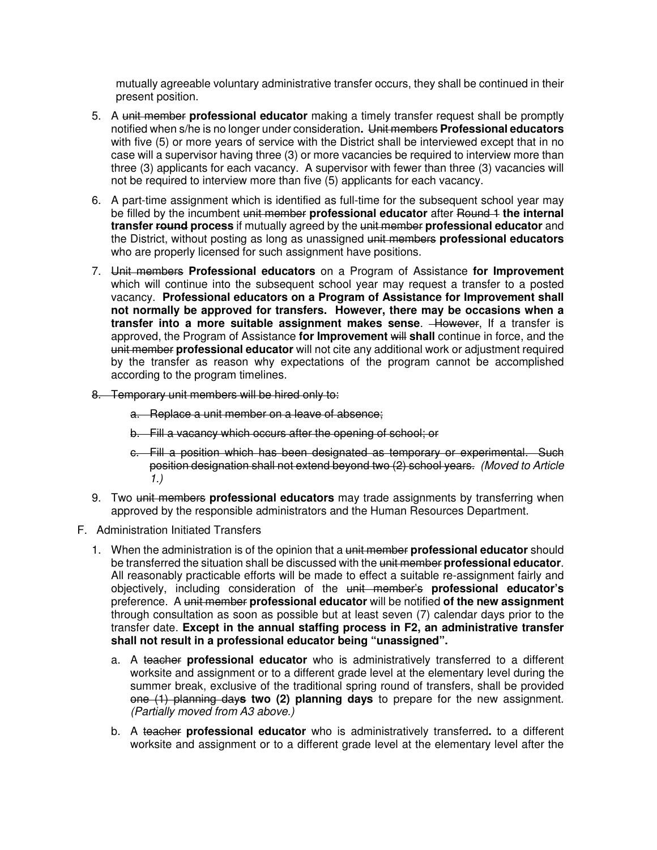mutually agreeable voluntary administrative transfer occurs, they shall be continued in their present position.

- 5. A unit member **professional educator** making a timely transfer request shall be promptly notified when s/he is no longer under consideration**.** Unit members **Professional educators** with five (5) or more years of service with the District shall be interviewed except that in no case will a supervisor having three (3) or more vacancies be required to interview more than three (3) applicants for each vacancy. A supervisor with fewer than three (3) vacancies will not be required to interview more than five (5) applicants for each vacancy.
- 6. A part-time assignment which is identified as full-time for the subsequent school year may be filled by the incumbent unit member **professional educator** after Round 1 **the internal transfer round process** if mutually agreed by the unit member **professional educator** and the District, without posting as long as unassigned unit members **professional educators** who are properly licensed for such assignment have positions.
- 7. Unit members **Professional educators** on a Program of Assistance **for Improvement** which will continue into the subsequent school year may request a transfer to a posted vacancy. **Professional educators on a Program of Assistance for Improvement shall not normally be approved for transfers. However, there may be occasions when a transfer into a more suitable assignment makes sense.** However, If a transfer is approved, the Program of Assistance **for Improvement** will **shall** continue in force, and the unit member **professional educator** will not cite any additional work or adjustment required by the transfer as reason why expectations of the program cannot be accomplished according to the program timelines.
- 8. Temporary unit members will be hired only to:
	- a. Replace a unit member on a leave of absence;
	- b. Fill a vacancy which occurs after the opening of school; or
	- c. Fill a position which has been designated as temporary or experimental. Such position designation shall not extend beyond two (2) school years. (Moved to Article 1.)
- 9. Two unit members **professional educators** may trade assignments by transferring when approved by the responsible administrators and the Human Resources Department.
- F. Administration Initiated Transfers
	- 1. When the administration is of the opinion that a unit member **professional educator** should be transferred the situation shall be discussed with the unit member **professional educator**. All reasonably practicable efforts will be made to effect a suitable re-assignment fairly and objectively, including consideration of the unit member's **professional educator's** preference. A unit member **professional educator** will be notified **of the new assignment** through consultation as soon as possible but at least seven (7) calendar days prior to the transfer date. **Except in the annual staffing process in F2, an administrative transfer shall not result in a professional educator being "unassigned".** 
		- a. A teacher **professional educator** who is administratively transferred to a different worksite and assignment or to a different grade level at the elementary level during the summer break, exclusive of the traditional spring round of transfers, shall be provided one (1) planning day**s two (2) planning days** to prepare for the new assignment. (Partially moved from A3 above.)
		- b. A teacher **professional educator** who is administratively transferred**.** to a different worksite and assignment or to a different grade level at the elementary level after the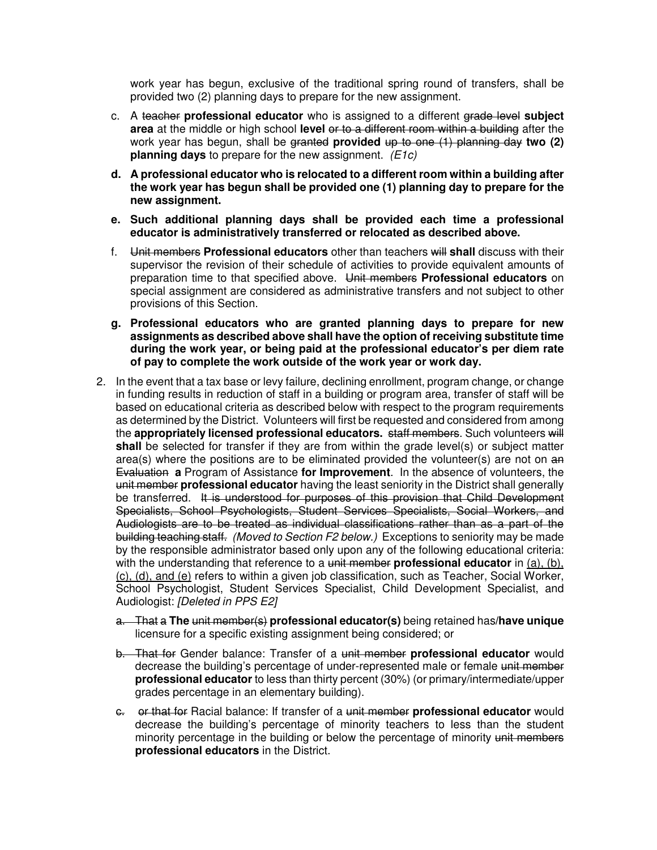work year has begun, exclusive of the traditional spring round of transfers, shall be provided two (2) planning days to prepare for the new assignment.

- c. A teacher **professional educator** who is assigned to a different grade level **subject area** at the middle or high school **level** or to a different room within a building after the work year has begun, shall be granted **provided** up to one (1) planning day **two (2) planning days** to prepare for the new assignment. (*E1c*)
- **d. A professional educator who is relocated to a different room within a building after the work year has begun shall be provided one (1) planning day to prepare for the new assignment.**
- **e. Such additional planning days shall be provided each time a professional educator is administratively transferred or relocated as described above.**
- f. Unit members **Professional educators** other than teachers will **shall** discuss with their supervisor the revision of their schedule of activities to provide equivalent amounts of preparation time to that specified above. Unit members **Professional educators** on special assignment are considered as administrative transfers and not subject to other provisions of this Section.
- **g. Professional educators who are granted planning days to prepare for new assignments as described above shall have the option of receiving substitute time during the work year, or being paid at the professional educator's per diem rate of pay to complete the work outside of the work year or work day.**
- 2. In the event that a tax base or levy failure, declining enrollment, program change, or change in funding results in reduction of staff in a building or program area, transfer of staff will be based on educational criteria as described below with respect to the program requirements as determined by the District. Volunteers will first be requested and considered from among the **appropriately licensed professional educators.** staff members. Such volunteers will **shall** be selected for transfer if they are from within the grade level(s) or subject matter area(s) where the positions are to be eliminated provided the volunteer(s) are not on  $a$ <sup> $a$ </sup> Evaluation **a** Program of Assistance **for Improvement**. In the absence of volunteers, the unit member **professional educator** having the least seniority in the District shall generally be transferred. It is understood for purposes of this provision that Child Development Specialists, School Psychologists, Student Services Specialists, Social Workers, and Audiologists are to be treated as individual classifications rather than as a part of the building teaching staff. (Moved to Section F2 below.) Exceptions to seniority may be made by the responsible administrator based only upon any of the following educational criteria: with the understanding that reference to a unit member **professional educator** in (a), (b), (c), (d), and (e) refers to within a given job classification, such as Teacher, Social Worker, School Psychologist, Student Services Specialist, Child Development Specialist, and Audiologist: [Deleted in PPS E2]
	- a. That a **The** unit member(s) **professional educator(s)** being retained has**/have unique** licensure for a specific existing assignment being considered; or
	- b. That for Gender balance: Transfer of a unit member **professional educator** would decrease the building's percentage of under-represented male or female unit member **professional educator** to less than thirty percent (30%) (or primary/intermediate/upper grades percentage in an elementary building).
	- c. or that for Racial balance: If transfer of a unit member **professional educator** would decrease the building's percentage of minority teachers to less than the student minority percentage in the building or below the percentage of minority unit members **professional educators** in the District.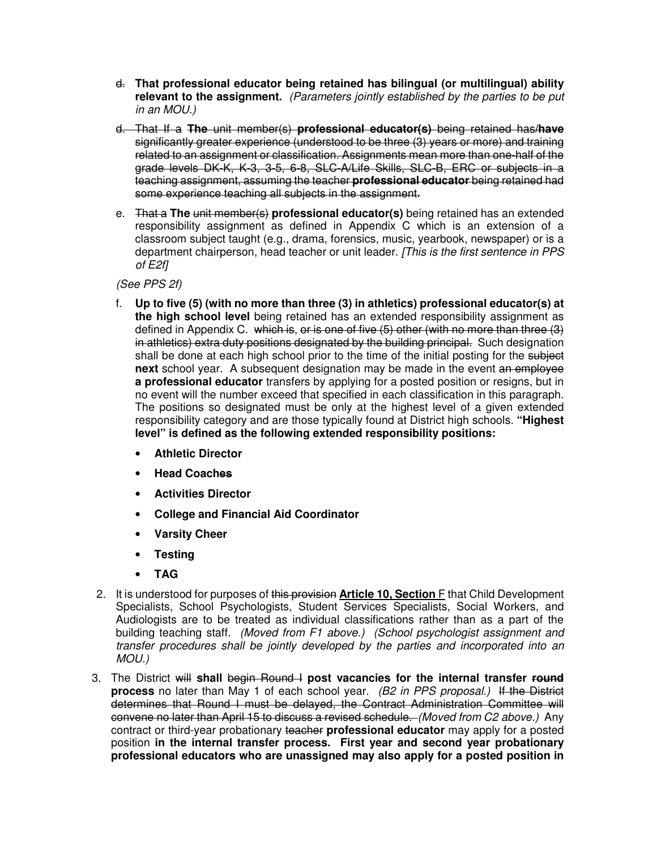- d. **That professional educator being retained has bilingual (or multilingual) ability relevant to the assignment.** (Parameters jointly established by the parties to be put in an MOU.)
- d. That If a **The** unit member(s) **professional educator(s)** being retained has**/have** significantly greater experience (understood to be three (3) years or more) and training related to an assignment or classification. Assignments mean more than one-half of the grade levels DK-K, K-3, 3-5, 6-8, SLC-A/Life Skills, SLC-B, ERC or subjects in a teaching assignment, assuming the teacher **professional educator** being retained had some experience teaching all subjects in the assignment.
- e. That a **The** unit member(s) **professional educator(s)** being retained has an extended responsibility assignment as defined in Appendix C which is an extension of a classroom subject taught (e.g., drama, forensics, music, yearbook, newspaper) or is a department chairperson, head teacher or unit leader. [This is the first sentence in PPS of E2f]

(See PPS 2f)

- f. **Up to five (5) (with no more than three (3) in athletics) professional educator(s) at the high school level** being retained has an extended responsibility assignment as defined in Appendix C. which is, or is one of five (5) other (with no more than three (3) in athletics) extra duty positions designated by the building principal. Such designation shall be done at each high school prior to the time of the initial posting for the subject **next** school year. A subsequent designation may be made in the event an employee **a professional educator** transfers by applying for a posted position or resigns, but in no event will the number exceed that specified in each classification in this paragraph. The positions so designated must be only at the highest level of a given extended responsibility category and are those typically found at District high schools. **"Highest level" is defined as the following extended responsibility positions:** 
	- **Athletic Director**
	- **Head Coaches**
	- **Activities Director**
	- **College and Financial Aid Coordinator**
	- **Varsity Cheer**
	- **Testing**
	- **TAG**
- 2. It is understood for purposes of this provision **Article 10, Section** F that Child Development Specialists, School Psychologists, Student Services Specialists, Social Workers, and Audiologists are to be treated as individual classifications rather than as a part of the building teaching staff. (Moved from F1 above.) (School psychologist assignment and transfer procedures shall be jointly developed by the parties and incorporated into an MOU.)
- 3. The District will **shall** begin Round I **post vacancies for the internal transfer round process** no later than May 1 of each school year. (B2 in PPS proposal.) If the District determines that Round I must be delayed, the Contract Administration Committee will convene no later than April 15 to discuss a revised schedule. (Moved from C2 above.) Any contract or third-year probationary teacher **professional educator** may apply for a posted position **in the internal transfer process. First year and second year probationary professional educators who are unassigned may also apply for a posted position in**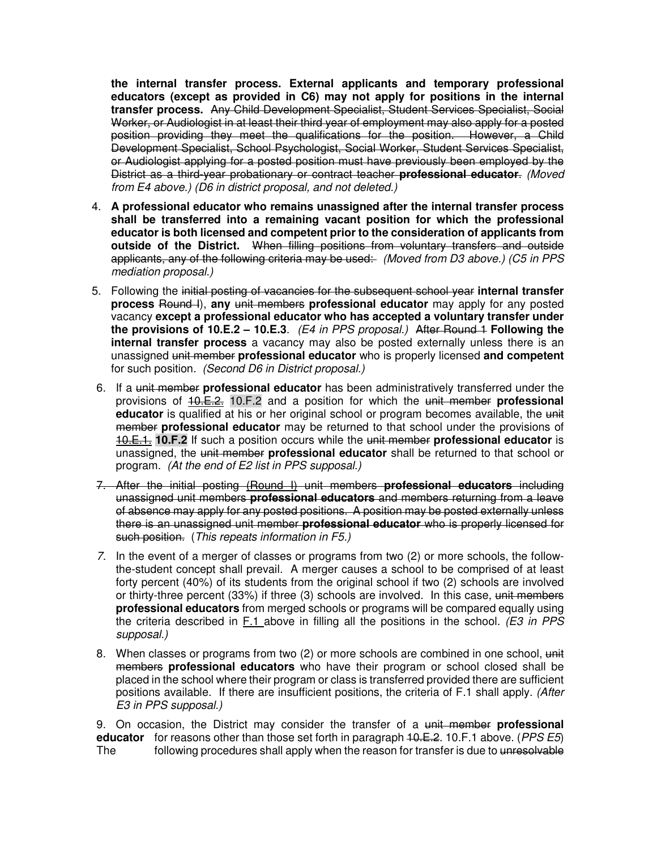**the internal transfer process. External applicants and temporary professional educators (except as provided in C6) may not apply for positions in the internal transfer process.** Any Child Development Specialist, Student Services Specialist, Social Worker, or Audiologist in at least their third year of employment may also apply for a posted position providing they meet the qualifications for the position. However, a Child Development Specialist, School Psychologist, Social Worker, Student Services Specialist, or Audiologist applying for a posted position must have previously been employed by the District as a third-year probationary or contract teacher **professional educator**. (Moved from E4 above.) (D6 in district proposal, and not deleted.)

- 4. **A professional educator who remains unassigned after the internal transfer process shall be transferred into a remaining vacant position for which the professional educator is both licensed and competent prior to the consideration of applicants from outside of the District.** When filling positions from voluntary transfers and outside applicants, any of the following criteria may be used: (Moved from D3 above.) (C5 in PPS mediation proposal.)
- 5. Following the initial posting of vacancies for the subsequent school year **internal transfer process** Round I), **any** unit members **professional educator** may apply for any posted vacancy **except a professional educator who has accepted a voluntary transfer under the provisions of 10.E.2 – 10.E.3**. (E4 in PPS proposal.) After Round 1 **Following the internal transfer process** a vacancy may also be posted externally unless there is an unassigned unit member **professional educator** who is properly licensed **and competent** for such position. (Second D6 in District proposal.)
- 6. If a unit member **professional educator** has been administratively transferred under the provisions of 10.E.2. 10.F.2 and a position for which the unit member **professional educator** is qualified at his or her original school or program becomes available, the unit member **professional educator** may be returned to that school under the provisions of 10.E.1. **10.F.2** If such a position occurs while the unit member **professional educator** is unassigned, the unit member **professional educator** shall be returned to that school or program. (At the end of E2 list in PPS supposal.)
- 7. After the initial posting (Round I) unit members **professional educators** including unassigned unit members **professional educators** and members returning from a leave of absence may apply for any posted positions. A position may be posted externally unless there is an unassigned unit member **professional educator** who is properly licensed for such position. (This repeats information in F5.)
- 7. In the event of a merger of classes or programs from two (2) or more schools, the followthe-student concept shall prevail. A merger causes a school to be comprised of at least forty percent (40%) of its students from the original school if two (2) schools are involved or thirty-three percent (33%) if three (3) schools are involved. In this case, unit members **professional educators** from merged schools or programs will be compared equally using the criteria described in F.1 above in filling all the positions in the school. ( $E3$  in PPS supposal.)
- 8. When classes or programs from two (2) or more schools are combined in one school, unit members **professional educators** who have their program or school closed shall be placed in the school where their program or class is transferred provided there are sufficient positions available. If there are insufficient positions, the criteria of F.1 shall apply. (After E3 in PPS supposal.)

9. On occasion, the District may consider the transfer of a unit member **professional educator** for reasons other than those set forth in paragraph 40.E.2. 10.F.1 above. (*PPS E5*) The following procedures shall apply when the reason for transfer is due to unresolvable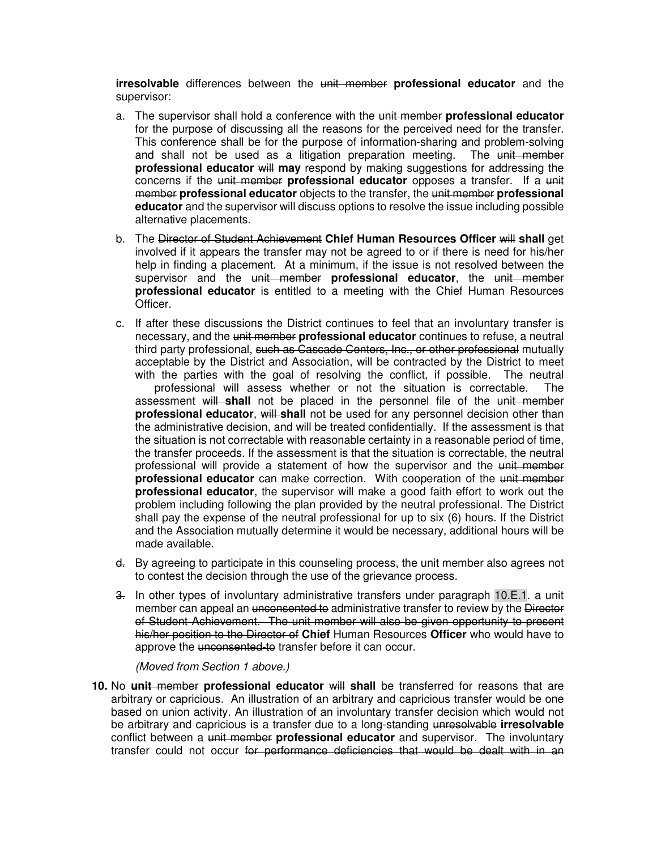**irresolvable** differences between the unit member **professional educator** and the supervisor:

- a. The supervisor shall hold a conference with the unit member **professional educator** for the purpose of discussing all the reasons for the perceived need for the transfer. This conference shall be for the purpose of information-sharing and problem-solving and shall not be used as a litigation preparation meeting. The unit member **professional educator** will **may** respond by making suggestions for addressing the concerns if the unit member **professional educator** opposes a transfer. If a unit member **professional educator** objects to the transfer, the unit member **professional educator** and the supervisor will discuss options to resolve the issue including possible alternative placements.
- b. The Director of Student Achievement **Chief Human Resources Officer** will **shall** get involved if it appears the transfer may not be agreed to or if there is need for his/her help in finding a placement. At a minimum, if the issue is not resolved between the supervisor and the unit member **professional educator**, the unit member **professional educator** is entitled to a meeting with the Chief Human Resources **Officer**
- c. If after these discussions the District continues to feel that an involuntary transfer is necessary, and the unit member **professional educator** continues to refuse, a neutral third party professional, such as Cascade Centers, Inc., or other professional mutually acceptable by the District and Association, will be contracted by the District to meet with the parties with the goal of resolving the conflict, if possible. The neutral professional will assess whether or not the situation is correctable. The assessment will **shall** not be placed in the personnel file of the unit member **professional educator, will shall** not be used for any personnel decision other than the administrative decision, and will be treated confidentially. If the assessment is that the situation is not correctable with reasonable certainty in a reasonable period of time, the transfer proceeds. If the assessment is that the situation is correctable, the neutral professional will provide a statement of how the supervisor and the unit member **professional educator** can make correction. With cooperation of the unit member **professional educator**, the supervisor will make a good faith effort to work out the problem including following the plan provided by the neutral professional. The District shall pay the expense of the neutral professional for up to six (6) hours. If the District and the Association mutually determine it would be necessary, additional hours will be made available.
- d. By agreeing to participate in this counseling process, the unit member also agrees not to contest the decision through the use of the grievance process.
- 3. In other types of involuntary administrative transfers under paragraph 10.E.1. a unit member can appeal an unconsented to administrative transfer to review by the Director of Student Achievement. The unit member will also be given opportunity to present his/her position to the Director of **Chief** Human Resources **Officer** who would have to approve the unconsented-to transfer before it can occur.

(Moved from Section 1 above.)

**10.** No **unit** member **professional educator** will **shall** be transferred for reasons that are arbitrary or capricious. An illustration of an arbitrary and capricious transfer would be one based on union activity. An illustration of an involuntary transfer decision which would not be arbitrary and capricious is a transfer due to a long-standing unresolvable **irresolvable** conflict between a unit member **professional educator** and supervisor. The involuntary transfer could not occur for performance deficiencies that would be dealt with in an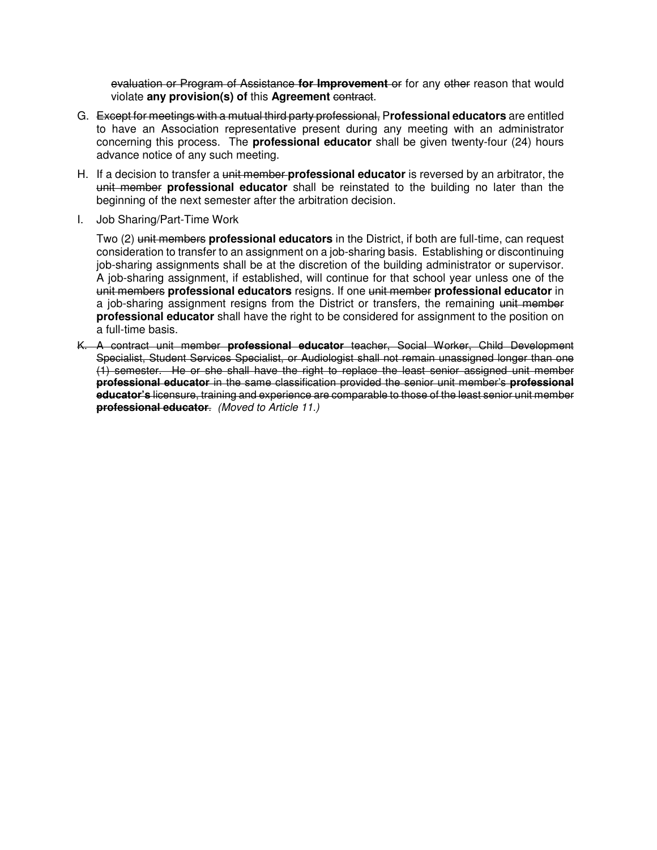evaluation or Program of Assistance **for Improvement** or for any other reason that would violate **any provision(s) of** this **Agreement** contract.

- G. Except for meetings with a mutual third party professional, P**rofessional educators** are entitled to have an Association representative present during any meeting with an administrator concerning this process. The **professional educator** shall be given twenty-four (24) hours advance notice of any such meeting.
- H. If a decision to transfer a unit member **professional educator** is reversed by an arbitrator, the unit member **professional educator** shall be reinstated to the building no later than the beginning of the next semester after the arbitration decision.
- I. Job Sharing/Part-Time Work

Two (2) unit members **professional educators** in the District, if both are full-time, can request consideration to transfer to an assignment on a job-sharing basis. Establishing or discontinuing job-sharing assignments shall be at the discretion of the building administrator or supervisor. A job-sharing assignment, if established, will continue for that school year unless one of the unit members **professional educators** resigns. If one unit member **professional educator** in a job-sharing assignment resigns from the District or transfers, the remaining unit member **professional educator** shall have the right to be considered for assignment to the position on a full-time basis.

K. A contract unit member **professional educator** teacher, Social Worker, Child Development Specialist, Student Services Specialist, or Audiologist shall not remain unassigned longer than one (1) semester. He or she shall have the right to replace the least senior assigned unit member **professional educator** in the same classification provided the senior unit member's **professional educator's** licensure, training and experience are comparable to those of the least senior unit member **professional educator**. (Moved to Article 11.)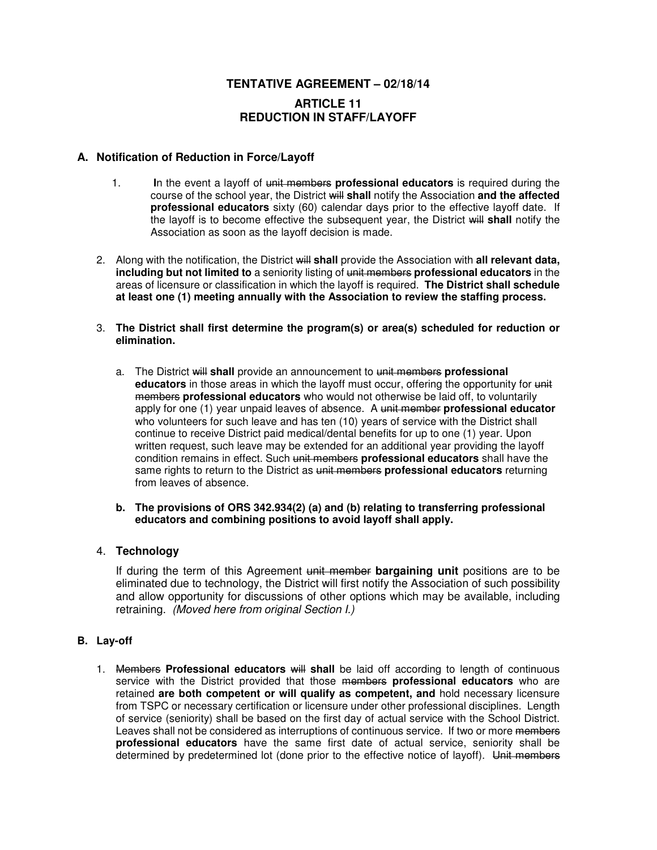# **TENTATIVE AGREEMENT – 02/18/14 ARTICLE 11 REDUCTION IN STAFF/LAYOFF**

## **A. Notification of Reduction in Force/Layoff**

- 1. **I**n the event a layoff of unit members **professional educators** is required during the course of the school year, the District will **shall** notify the Association **and the affected professional educators** sixty (60) calendar days prior to the effective layoff date. If the layoff is to become effective the subsequent year, the District will **shall** notify the Association as soon as the layoff decision is made.
- 2. Along with the notification, the District will **shall** provide the Association with **all relevant data, including but not limited to** a seniority listing of unit members **professional educators** in the areas of licensure or classification in which the layoff is required. **The District shall schedule at least one (1) meeting annually with the Association to review the staffing process.**
- 3. **The District shall first determine the program(s) or area(s) scheduled for reduction or elimination.** 
	- a. The District will **shall** provide an announcement to unit members **professional educators** in those areas in which the layoff must occur, offering the opportunity for unit members **professional educators** who would not otherwise be laid off, to voluntarily apply for one (1) year unpaid leaves of absence. A unit member **professional educator**  who volunteers for such leave and has ten (10) years of service with the District shall continue to receive District paid medical/dental benefits for up to one (1) year. Upon written request, such leave may be extended for an additional year providing the layoff condition remains in effect. Such unit members **professional educators** shall have the same rights to return to the District as unit members **professional educators** returning from leaves of absence.
	- **b. The provisions of ORS 342.934(2) (a) and (b) relating to transferring professional educators and combining positions to avoid layoff shall apply.**

### 4. **Technology**

 If during the term of this Agreement unit member **bargaining unit** positions are to be eliminated due to technology, the District will first notify the Association of such possibility and allow opportunity for discussions of other options which may be available, including retraining. *(Moved here from original Section I.)* 

#### **B. Lay-off**

1. Members **Professional educators** will **shall** be laid off according to length of continuous service with the District provided that those members **professional educators** who are retained **are both competent or will qualify as competent, and** hold necessary licensure from TSPC or necessary certification or licensure under other professional disciplines. Length of service (seniority) shall be based on the first day of actual service with the School District. Leaves shall not be considered as interruptions of continuous service. If two or more members **professional educators** have the same first date of actual service, seniority shall be determined by predetermined lot (done prior to the effective notice of layoff). Unit members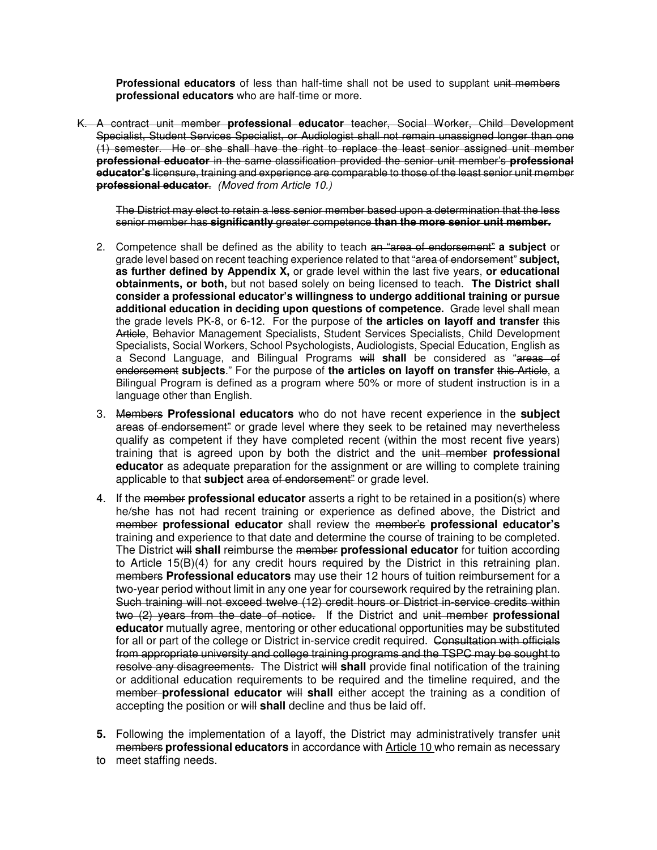**Professional educators** of less than half-time shall not be used to supplant unit members **professional educators** who are half-time or more.

K. A contract unit member **professional educator** teacher, Social Worker, Child Development Specialist, Student Services Specialist, or Audiologist shall not remain unassigned longer than one (1) semester. He or she shall have the right to replace the least senior assigned unit member **professional educator** in the same classification provided the senior unit member's **professional educator's** licensure, training and experience are comparable to those of the least senior unit member **professional educator**. (Moved from Article 10.)

The District may elect to retain a less senior member based upon a determination that the less senior member has **significantly** greater competence **than the more senior unit member.**

- 2. Competence shall be defined as the ability to teach an "area of endorsement" **a subject** or grade level based on recent teaching experience related to that "area of endorsement" **subject, as further defined by Appendix X,** or grade level within the last five years, **or educational obtainments, or both,** but not based solely on being licensed to teach. **The District shall consider a professional educator's willingness to undergo additional training or pursue additional education in deciding upon questions of competence.** Grade level shall mean the grade levels PK-8, or 6-12. For the purpose of **the articles on layoff and transfer** this Article, Behavior Management Specialists, Student Services Specialists, Child Development Specialists, Social Workers, School Psychologists, Audiologists, Special Education, English as a Second Language, and Bilingual Programs will **shall** be considered as "areas of endorsement **subjects**." For the purpose of **the articles on layoff on transfer** this Article, a Bilingual Program is defined as a program where 50% or more of student instruction is in a language other than English.
- 3. Members **Professional educators** who do not have recent experience in the **subject** areas of endorsement<sup>"</sup> or grade level where they seek to be retained may nevertheless qualify as competent if they have completed recent (within the most recent five years) training that is agreed upon by both the district and the unit member **professional educator** as adequate preparation for the assignment or are willing to complete training applicable to that **subject** area of endorsement" or grade level.
- 4. If the member **professional educator** asserts a right to be retained in a position(s) where he/she has not had recent training or experience as defined above, the District and member **professional educator** shall review the member's **professional educator's** training and experience to that date and determine the course of training to be completed. The District will **shall** reimburse the member **professional educator** for tuition according to Article 15(B)(4) for any credit hours required by the District in this retraining plan. members **Professional educators** may use their 12 hours of tuition reimbursement for a two-year period without limit in any one year for coursework required by the retraining plan. Such training will not exceed twelve (12) credit hours or District in-service credits within two (2) years from the date of notice. If the District and unit member **professional educator** mutually agree, mentoring or other educational opportunities may be substituted for all or part of the college or District in-service credit required. Consultation with officials from appropriate university and college training programs and the TSPC may be sought to resolve any disagreements. The District will **shall** provide final notification of the training or additional education requirements to be required and the timeline required, and the member **professional educator** will **shall** either accept the training as a condition of accepting the position or will **shall** decline and thus be laid off.
- **5.** Following the implementation of a layoff, the District may administratively transfer unit members **professional educators** in accordance with Article 10 who remain as necessary
- to meet staffing needs.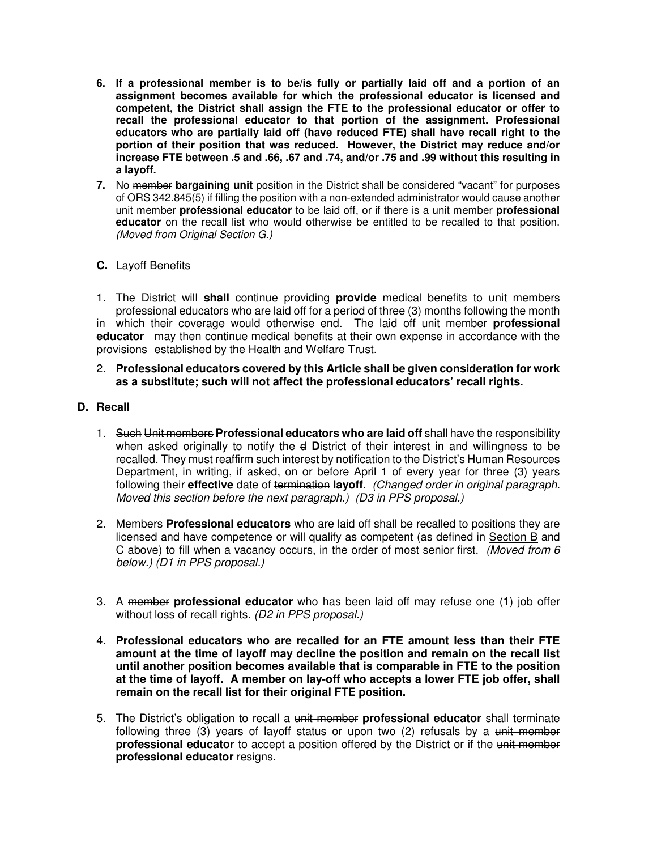- **6. If a professional member is to be/is fully or partially laid off and a portion of an assignment becomes available for which the professional educator is licensed and competent, the District shall assign the FTE to the professional educator or offer to recall the professional educator to that portion of the assignment. Professional educators who are partially laid off (have reduced FTE) shall have recall right to the portion of their position that was reduced. However, the District may reduce and/or increase FTE between .5 and .66, .67 and .74, and/or .75 and .99 without this resulting in a layoff.**
- **7.** No member **bargaining unit** position in the District shall be considered "vacant" for purposes of ORS 342.845(5) if filling the position with a non-extended administrator would cause another unit member **professional educator** to be laid off, or if there is a unit member **professional educator** on the recall list who would otherwise be entitled to be recalled to that position. (Moved from Original Section G.)

## **C.** Layoff Benefits

1. The District will **shall** continue providing **provide** medical benefits to unit members professional educators who are laid off for a period of three (3) months following the month in which their coverage would otherwise end. The laid off unit member **professional educator** may then continue medical benefits at their own expense in accordance with the provisions established by the Health and Welfare Trust.

#### 2. **Professional educators covered by this Article shall be given consideration for work as a substitute; such will not affect the professional educators' recall rights.**

### **D. Recall**

- 1. Such Unit members **Professional educators who are laid off** shall have the responsibility when asked originally to notify the e **D**istrict of their interest in and willingness to be recalled. They must reaffirm such interest by notification to the District's Human Resources Department, in writing, if asked, on or before April 1 of every year for three (3) years following their **effective** date of termination **layoff.** (Changed order in original paragraph. Moved this section before the next paragraph.) (D3 in PPS proposal.)
- 2. Members **Professional educators** who are laid off shall be recalled to positions they are licensed and have competence or will qualify as competent (as defined in Section B and G above) to fill when a vacancy occurs, in the order of most senior first. (Moved from 6 below.) (D1 in PPS proposal.)
- 3. A member **professional educator** who has been laid off may refuse one (1) job offer without loss of recall rights. (D2 in PPS proposal.)
- 4. **Professional educators who are recalled for an FTE amount less than their FTE amount at the time of layoff may decline the position and remain on the recall list until another position becomes available that is comparable in FTE to the position at the time of layoff. A member on lay-off who accepts a lower FTE job offer, shall remain on the recall list for their original FTE position.**
- 5. The District's obligation to recall a unit member **professional educator** shall terminate following three  $(3)$  years of layoff status or upon two  $(2)$  refusals by a unit member **professional educator** to accept a position offered by the District or if the unit member **professional educator** resigns.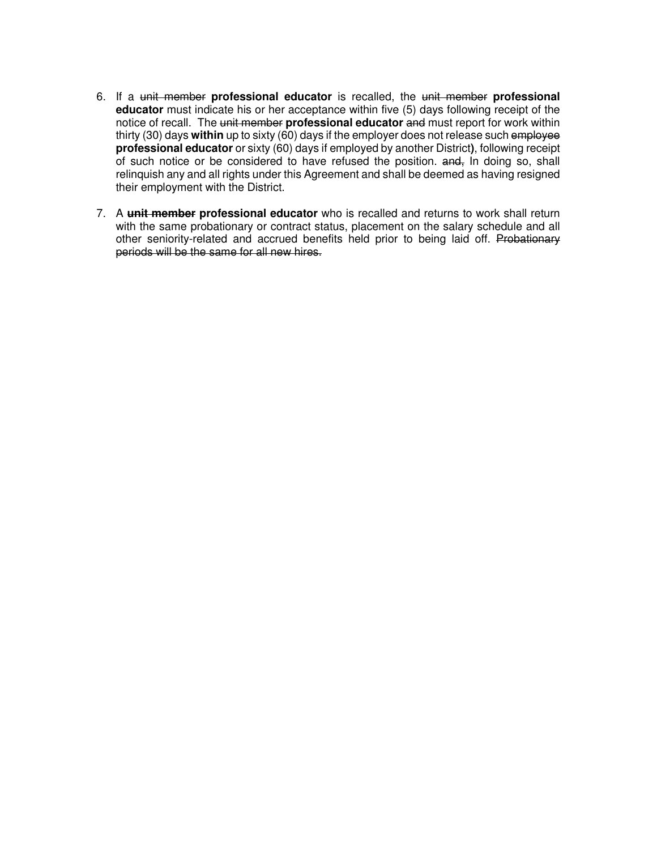- 6. If a unit member **professional educator** is recalled, the unit member **professional educator** must indicate his or her acceptance within five (5) days following receipt of the notice of recall. The unit member **professional educator** and must report for work within thirty (30) days **within** up to sixty (60) days if the employer does not release such employee **professional educator** or sixty (60) days if employed by another District**)**, following receipt of such notice or be considered to have refused the position. and, In doing so, shall relinquish any and all rights under this Agreement and shall be deemed as having resigned their employment with the District.
- 7. A **unit member professional educator** who is recalled and returns to work shall return with the same probationary or contract status, placement on the salary schedule and all other seniority-related and accrued benefits held prior to being laid off. Probationary periods will be the same for all new hires.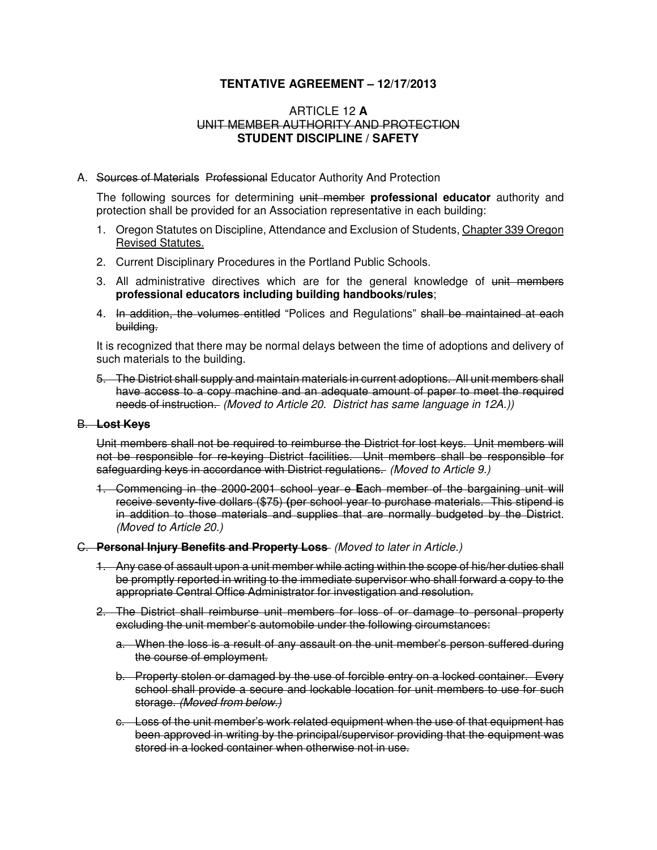# **TENTATIVE AGREEMENT – 12/17/2013**

### ARTICLE 12 **A**  UNIT MEMBER AUTHORITY AND PROTECTION **STUDENT DISCIPLINE / SAFETY**

#### A. Sources of MaterialsProfessional Educator Authority And Protection

The following sources for determining unit member **professional educator** authority and protection shall be provided for an Association representative in each building:

- 1. Oregon Statutes on Discipline, Attendance and Exclusion of Students, Chapter 339 Oregon Revised Statutes.
- 2. Current Disciplinary Procedures in the Portland Public Schools.
- 3. All administrative directives which are for the general knowledge of unit members **professional educators including building handbooks/rules**;
- 4. In addition, the volumes entitled "Polices and Regulations" shall be maintained at each building.

It is recognized that there may be normal delays between the time of adoptions and delivery of such materials to the building.

5. The District shall supply and maintain materials in current adoptions. All unit members shall have access to a copy machine and an adequate amount of paper to meet the required needs of instruction. (Moved to Article 20. District has same language in 12A.))

#### B. **Lost Keys**

Unit members shall not be required to reimburse the District for lost keys. Unit members will not be responsible for re-keying District facilities. Unit members shall be responsible for safeguarding keys in accordance with District regulations. (Moved to Article 9.)

1. Commencing in the 2000-2001 school year e **E**ach member of the bargaining unit will receive seventy-five dollars (\$75) **(**per school year to purchase materials. This stipend is in addition to those materials and supplies that are normally budgeted by the District. (Moved to Article 20.)

#### C. **Personal Injury Benefits and Property Loss** (Moved to later in Article.)

- 1. Any case of assault upon a unit member while acting within the scope of his/her duties shall be promptly reported in writing to the immediate supervisor who shall forward a copy to the appropriate Central Office Administrator for investigation and resolution.
- 2. The District shall reimburse unit members for loss of or damage to personal property excluding the unit member's automobile under the following circumstances:
	- a. When the loss is a result of any assault on the unit member's person suffered during the course of employment.
	- b. Property stolen or damaged by the use of forcible entry on a locked container. Every school shall provide a secure and lockable location for unit members to use for such storage. (Moved from below.)
	- c. Loss of the unit member's work related equipment when the use of that equipment has been approved in writing by the principal/supervisor providing that the equipment was stored in a locked container when otherwise not in use.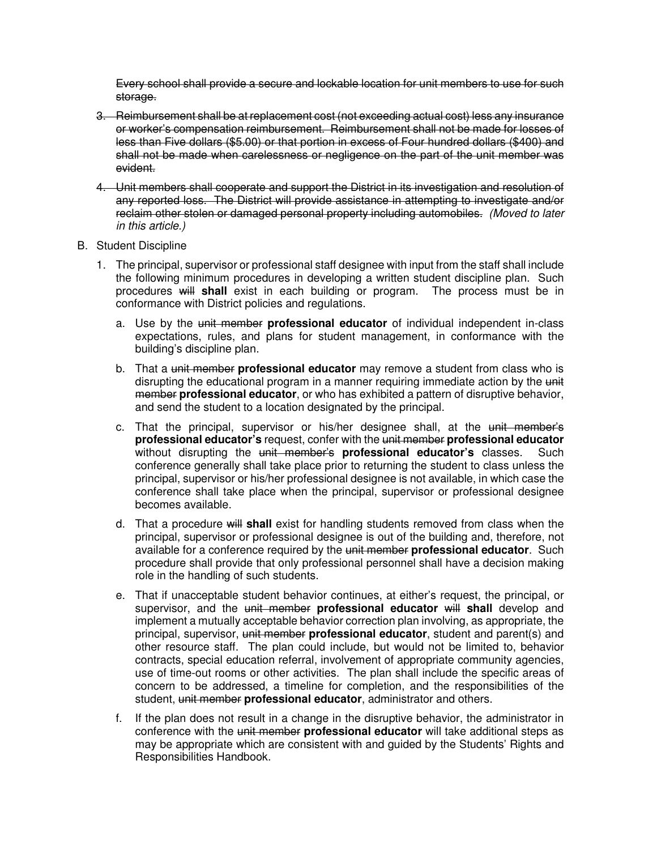Every school shall provide a secure and lockable location for unit members to use for such storage.

- 3. Reimbursement shall be at replacement cost (not exceeding actual cost) less any insurance or worker's compensation reimbursement. Reimbursement shall not be made for losses of less than Five dollars (\$5.00) or that portion in excess of Four hundred dollars (\$400) and shall not be made when carelessness or negligence on the part of the unit member was evident.
- 4. Unit members shall cooperate and support the District in its investigation and resolution of any reported loss. The District will provide assistance in attempting to investigate and/or reclaim other stolen or damaged personal property including automobiles. (Moved to later in this article.)
- B. Student Discipline
	- 1. The principal, supervisor or professional staff designee with input from the staff shall include the following minimum procedures in developing a written student discipline plan. Such procedures will **shall** exist in each building or program. The process must be in conformance with District policies and regulations.
		- a. Use by the unit member **professional educator** of individual independent in-class expectations, rules, and plans for student management, in conformance with the building's discipline plan.
		- b. That a unit member **professional educator** may remove a student from class who is disrupting the educational program in a manner requiring immediate action by the unit member **professional educator**, or who has exhibited a pattern of disruptive behavior, and send the student to a location designated by the principal.
		- c. That the principal, supervisor or his/her designee shall, at the unit member's **professional educator's** request, confer with the unit member **professional educator** without disrupting the unit member's **professional educator's** classes. Such conference generally shall take place prior to returning the student to class unless the principal, supervisor or his/her professional designee is not available, in which case the conference shall take place when the principal, supervisor or professional designee becomes available.
		- d. That a procedure will **shall** exist for handling students removed from class when the principal, supervisor or professional designee is out of the building and, therefore, not available for a conference required by the unit member **professional educator**. Such procedure shall provide that only professional personnel shall have a decision making role in the handling of such students.
		- e. That if unacceptable student behavior continues, at either's request, the principal, or supervisor, and the unit member **professional educator** will **shall** develop and implement a mutually acceptable behavior correction plan involving, as appropriate, the principal, supervisor, unit member **professional educator**, student and parent(s) and other resource staff. The plan could include, but would not be limited to, behavior contracts, special education referral, involvement of appropriate community agencies, use of time-out rooms or other activities. The plan shall include the specific areas of concern to be addressed, a timeline for completion, and the responsibilities of the student, unit member **professional educator**, administrator and others.
		- f. If the plan does not result in a change in the disruptive behavior, the administrator in conference with the unit member **professional educator** will take additional steps as may be appropriate which are consistent with and guided by the Students' Rights and Responsibilities Handbook.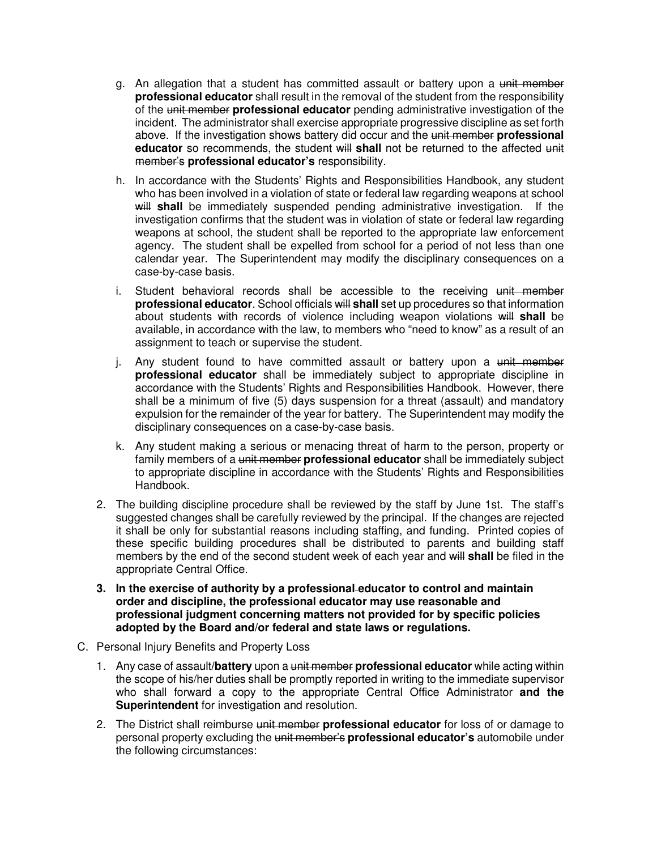- g. An allegation that a student has committed assault or battery upon a unit member **professional educator** shall result in the removal of the student from the responsibility of the unit member **professional educator** pending administrative investigation of the incident. The administrator shall exercise appropriate progressive discipline as set forth above. If the investigation shows battery did occur and the unit member **professional educator** so recommends, the student will shall not be returned to the affected unit member's **professional educator's** responsibility.
- h. In accordance with the Students' Rights and Responsibilities Handbook, any student who has been involved in a violation of state or federal law regarding weapons at school will shall be immediately suspended pending administrative investigation. If the investigation confirms that the student was in violation of state or federal law regarding weapons at school, the student shall be reported to the appropriate law enforcement agency. The student shall be expelled from school for a period of not less than one calendar year. The Superintendent may modify the disciplinary consequences on a case-by-case basis.
- i. Student behavioral records shall be accessible to the receiving unit member **professional educator**. School officials will **shall** set up procedures so that information about students with records of violence including weapon violations will **shall** be available, in accordance with the law, to members who "need to know" as a result of an assignment to teach or supervise the student.
- j. Any student found to have committed assault or battery upon a unit member **professional educator** shall be immediately subject to appropriate discipline in accordance with the Students' Rights and Responsibilities Handbook. However, there shall be a minimum of five (5) days suspension for a threat (assault) and mandatory expulsion for the remainder of the year for battery. The Superintendent may modify the disciplinary consequences on a case-by-case basis.
- k. Any student making a serious or menacing threat of harm to the person, property or family members of a unit member **professional educator** shall be immediately subject to appropriate discipline in accordance with the Students' Rights and Responsibilities Handbook.
- 2. The building discipline procedure shall be reviewed by the staff by June 1st. The staff's suggested changes shall be carefully reviewed by the principal. If the changes are rejected it shall be only for substantial reasons including staffing, and funding. Printed copies of these specific building procedures shall be distributed to parents and building staff members by the end of the second student week of each year and will **shall** be filed in the appropriate Central Office.
- **3. In the exercise of authority by a professional educator to control and maintain order and discipline, the professional educator may use reasonable and professional judgment concerning matters not provided for by specific policies adopted by the Board and/or federal and state laws or regulations.**
- C. Personal Injury Benefits and Property Loss
	- 1. Any case of assault**/battery** upon a unit member **professional educator** while acting within the scope of his/her duties shall be promptly reported in writing to the immediate supervisor who shall forward a copy to the appropriate Central Office Administrator **and the Superintendent** for investigation and resolution.
	- 2. The District shall reimburse unit member **professional educator** for loss of or damage to personal property excluding the unit member's **professional educator's** automobile under the following circumstances: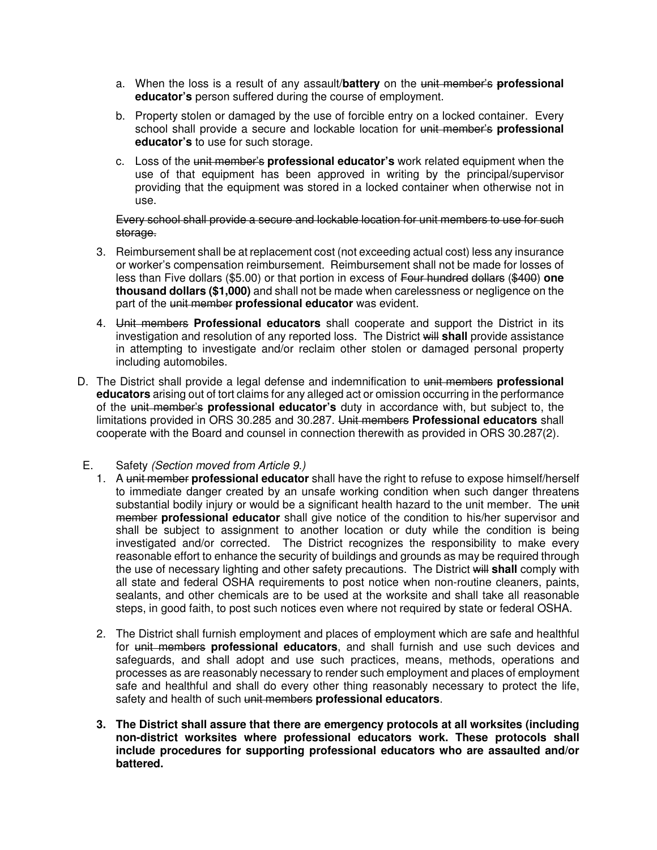- a. When the loss is a result of any assault/**battery** on the unit member's **professional educator's** person suffered during the course of employment.
- b. Property stolen or damaged by the use of forcible entry on a locked container. Every school shall provide a secure and lockable location for unit member's **professional educator's** to use for such storage.
- c. Loss of the unit member's **professional educator's** work related equipment when the use of that equipment has been approved in writing by the principal/supervisor providing that the equipment was stored in a locked container when otherwise not in use.

#### Every school shall provide a secure and lockable location for unit members to use for such storage.

- 3. Reimbursement shall be at replacement cost (not exceeding actual cost) less any insurance or worker's compensation reimbursement. Reimbursement shall not be made for losses of less than Five dollars (\$5.00) or that portion in excess of Four hundred dollars (\$400) **one thousand dollars (\$1,000)** and shall not be made when carelessness or negligence on the part of the unit member **professional educator** was evident.
- 4. Unit members **Professional educators** shall cooperate and support the District in its investigation and resolution of any reported loss. The District will **shall** provide assistance in attempting to investigate and/or reclaim other stolen or damaged personal property including automobiles.
- D. The District shall provide a legal defense and indemnification to unit members **professional educators** arising out of tort claims for any alleged act or omission occurring in the performance of the unit member's **professional educator's** duty in accordance with, but subject to, the limitations provided in ORS 30.285 and 30.287. Unit members **Professional educators** shall cooperate with the Board and counsel in connection therewith as provided in ORS 30.287(2).
- E. Safety (Section moved from Article 9.)
	- 1. A unit member **professional educator** shall have the right to refuse to expose himself/herself to immediate danger created by an unsafe working condition when such danger threatens substantial bodily injury or would be a significant health hazard to the unit member. The unit member **professional educator** shall give notice of the condition to his/her supervisor and shall be subject to assignment to another location or duty while the condition is being investigated and/or corrected. The District recognizes the responsibility to make every reasonable effort to enhance the security of buildings and grounds as may be required through the use of necessary lighting and other safety precautions. The District will **shall** comply with all state and federal OSHA requirements to post notice when non-routine cleaners, paints, sealants, and other chemicals are to be used at the worksite and shall take all reasonable steps, in good faith, to post such notices even where not required by state or federal OSHA.
	- 2. The District shall furnish employment and places of employment which are safe and healthful for unit members **professional educators**, and shall furnish and use such devices and safeguards, and shall adopt and use such practices, means, methods, operations and processes as are reasonably necessary to render such employment and places of employment safe and healthful and shall do every other thing reasonably necessary to protect the life, safety and health of such unit members **professional educators**.
	- **3. The District shall assure that there are emergency protocols at all worksites (including non-district worksites where professional educators work. These protocols shall include procedures for supporting professional educators who are assaulted and/or battered.**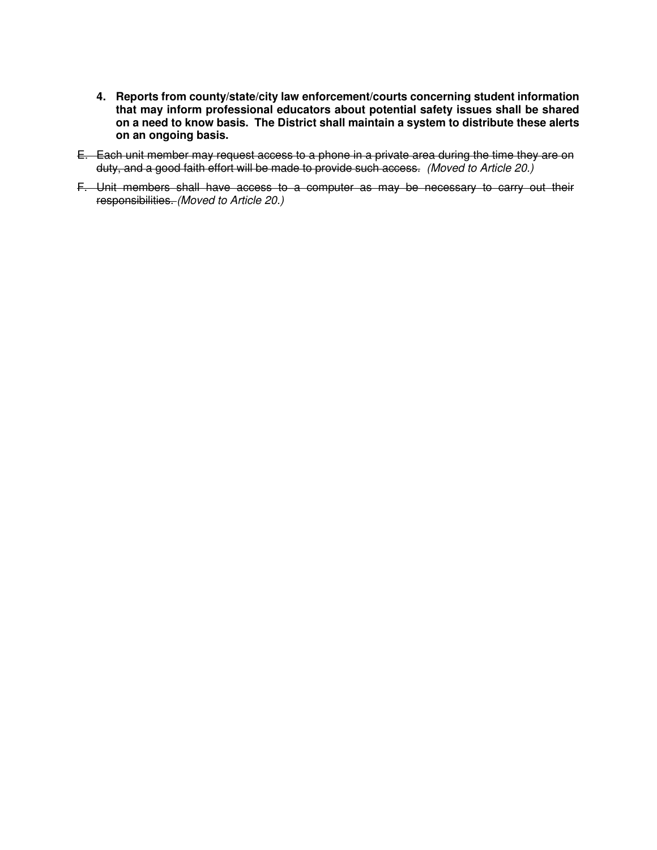- **4. Reports from county/state/city law enforcement/courts concerning student information that may inform professional educators about potential safety issues shall be shared on a need to know basis. The District shall maintain a system to distribute these alerts on an ongoing basis.**
- E. Each unit member may request access to a phone in a private area during the time they are on duty, and a good faith effort will be made to provide such access. (Moved to Article 20.)
- F. Unit members shall have access to a computer as may be necessary to carry out their responsibilities. (Moved to Article 20.)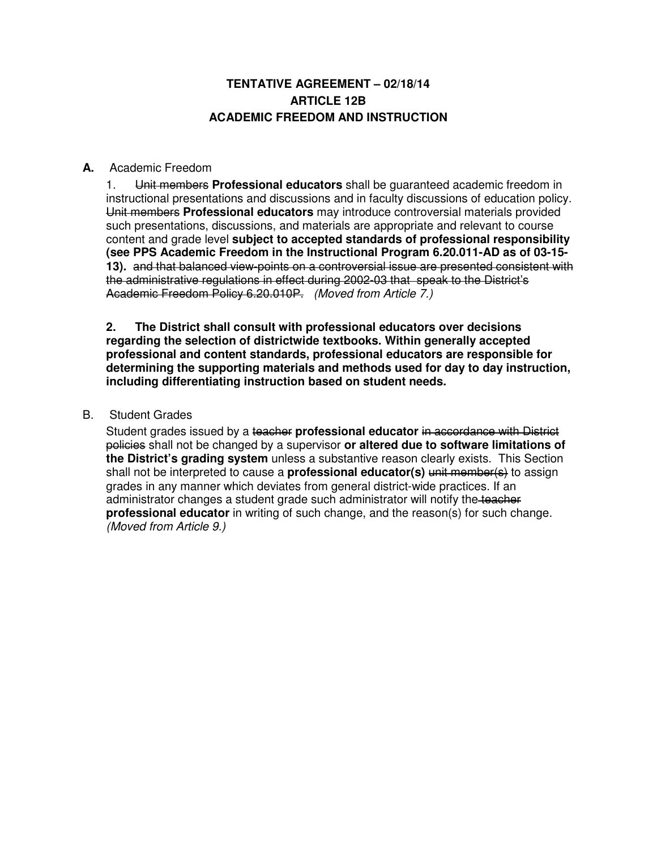# **TENTATIVE AGREEMENT – 02/18/14 ARTICLE 12B ACADEMIC FREEDOM AND INSTRUCTION**

# **A.** Academic Freedom

1. Unit members **Professional educators** shall be guaranteed academic freedom in instructional presentations and discussions and in faculty discussions of education policy. Unit members **Professional educators** may introduce controversial materials provided such presentations, discussions, and materials are appropriate and relevant to course content and grade level **subject to accepted standards of professional responsibility (see PPS Academic Freedom in the Instructional Program 6.20.011-AD as of 03-15- 13).** and that balanced view-points on a controversial issue are presented consistent with the administrative regulations in effect during 2002-03 that speak to the District's Academic Freedom Policy 6.20.010P. (Moved from Article 7.)

**2. The District shall consult with professional educators over decisions regarding the selection of districtwide textbooks. Within generally accepted professional and content standards, professional educators are responsible for determining the supporting materials and methods used for day to day instruction, including differentiating instruction based on student needs.** 

## B. Student Grades

Student grades issued by a teacher **professional educator** in accordance with District policies shall not be changed by a supervisor **or altered due to software limitations of the District's grading system** unless a substantive reason clearly exists. This Section shall not be interpreted to cause a **professional educator(s)** unit member(s) to assign grades in any manner which deviates from general district-wide practices. If an administrator changes a student grade such administrator will notify the teacher **professional educator** in writing of such change, and the reason(s) for such change. (Moved from Article 9.)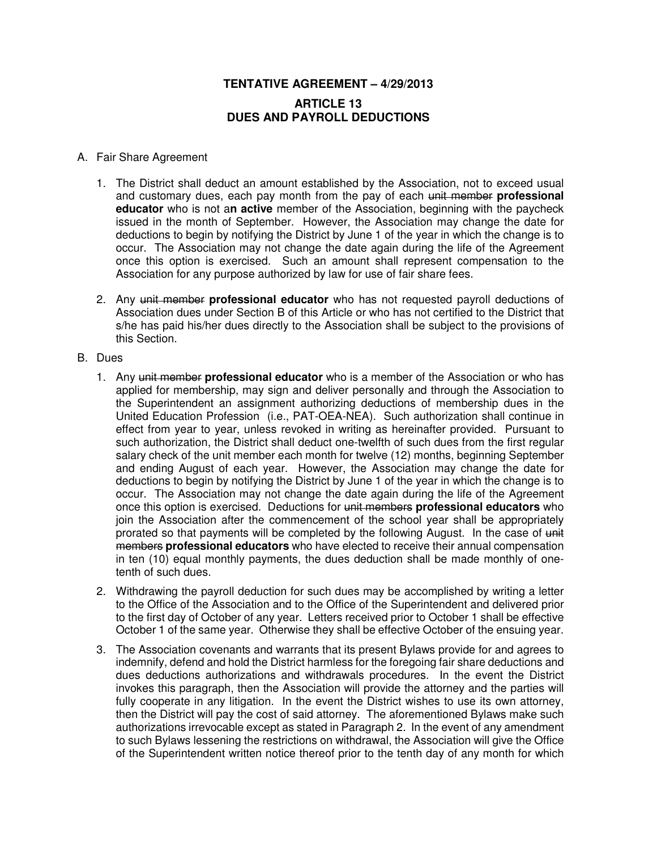# **TENTATIVE AGREEMENT – 4/29/2013 ARTICLE 13 DUES AND PAYROLL DEDUCTIONS**

## A. Fair Share Agreement

- 1. The District shall deduct an amount established by the Association, not to exceed usual and customary dues, each pay month from the pay of each unit member **professional educator** who is not a**n active** member of the Association, beginning with the paycheck issued in the month of September. However, the Association may change the date for deductions to begin by notifying the District by June 1 of the year in which the change is to occur. The Association may not change the date again during the life of the Agreement once this option is exercised. Such an amount shall represent compensation to the Association for any purpose authorized by law for use of fair share fees.
- 2. Any unit member **professional educator** who has not requested payroll deductions of Association dues under Section B of this Article or who has not certified to the District that s/he has paid his/her dues directly to the Association shall be subject to the provisions of this Section.
- B. Dues
	- 1. Any unit member **professional educator** who is a member of the Association or who has applied for membership, may sign and deliver personally and through the Association to the Superintendent an assignment authorizing deductions of membership dues in the United Education Profession (i.e., PAT-OEA-NEA). Such authorization shall continue in effect from year to year, unless revoked in writing as hereinafter provided. Pursuant to such authorization, the District shall deduct one-twelfth of such dues from the first regular salary check of the unit member each month for twelve (12) months, beginning September and ending August of each year. However, the Association may change the date for deductions to begin by notifying the District by June 1 of the year in which the change is to occur. The Association may not change the date again during the life of the Agreement once this option is exercised. Deductions for unit members **professional educators** who join the Association after the commencement of the school year shall be appropriately prorated so that payments will be completed by the following August. In the case of unit members **professional educators** who have elected to receive their annual compensation in ten (10) equal monthly payments, the dues deduction shall be made monthly of onetenth of such dues.
	- 2. Withdrawing the payroll deduction for such dues may be accomplished by writing a letter to the Office of the Association and to the Office of the Superintendent and delivered prior to the first day of October of any year. Letters received prior to October 1 shall be effective October 1 of the same year. Otherwise they shall be effective October of the ensuing year.
	- 3. The Association covenants and warrants that its present Bylaws provide for and agrees to indemnify, defend and hold the District harmless for the foregoing fair share deductions and dues deductions authorizations and withdrawals procedures. In the event the District invokes this paragraph, then the Association will provide the attorney and the parties will fully cooperate in any litigation. In the event the District wishes to use its own attorney, then the District will pay the cost of said attorney. The aforementioned Bylaws make such authorizations irrevocable except as stated in Paragraph 2. In the event of any amendment to such Bylaws lessening the restrictions on withdrawal, the Association will give the Office of the Superintendent written notice thereof prior to the tenth day of any month for which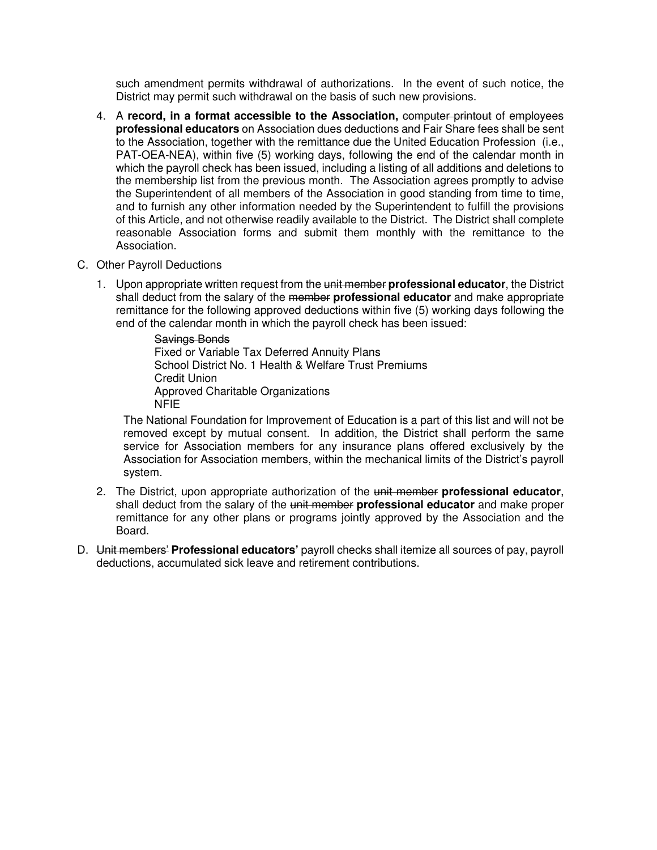such amendment permits withdrawal of authorizations. In the event of such notice, the District may permit such withdrawal on the basis of such new provisions.

- 4. A **record, in a format accessible to the Association,** computer printout of employees **professional educators** on Association dues deductions and Fair Share fees shall be sent to the Association, together with the remittance due the United Education Profession (i.e., PAT-OEA-NEA), within five (5) working days, following the end of the calendar month in which the payroll check has been issued, including a listing of all additions and deletions to the membership list from the previous month. The Association agrees promptly to advise the Superintendent of all members of the Association in good standing from time to time, and to furnish any other information needed by the Superintendent to fulfill the provisions of this Article, and not otherwise readily available to the District. The District shall complete reasonable Association forms and submit them monthly with the remittance to the Association.
- C. Other Payroll Deductions
	- 1. Upon appropriate written request from the unit member **professional educator**, the District shall deduct from the salary of the member **professional educator** and make appropriate remittance for the following approved deductions within five (5) working days following the end of the calendar month in which the payroll check has been issued:

Savings Bonds Fixed or Variable Tax Deferred Annuity Plans School District No. 1 Health & Welfare Trust Premiums Credit Union Approved Charitable Organizations NFIE

The National Foundation for Improvement of Education is a part of this list and will not be removed except by mutual consent. In addition, the District shall perform the same service for Association members for any insurance plans offered exclusively by the Association for Association members, within the mechanical limits of the District's payroll system.

- 2. The District, upon appropriate authorization of the unit member **professional educator**, shall deduct from the salary of the unit member **professional educator** and make proper remittance for any other plans or programs jointly approved by the Association and the Board.
- D. Unit members' **Professional educators'** payroll checks shall itemize all sources of pay, payroll deductions, accumulated sick leave and retirement contributions.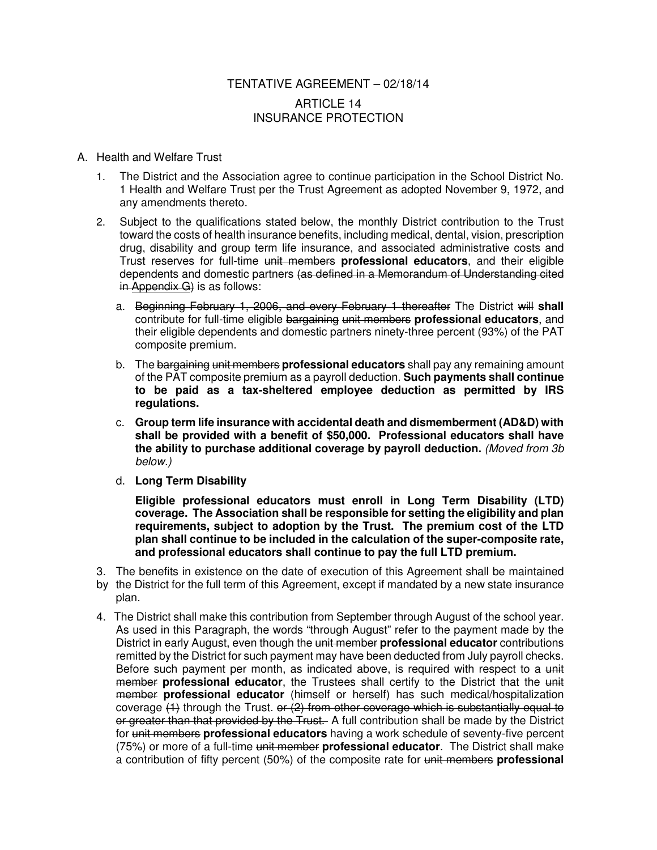# TENTATIVE AGREEMENT – 02/18/14 ARTICLE 14 INSURANCE PROTECTION

#### A. Health and Welfare Trust

- 1. The District and the Association agree to continue participation in the School District No. 1 Health and Welfare Trust per the Trust Agreement as adopted November 9, 1972, and any amendments thereto.
- 2. Subject to the qualifications stated below, the monthly District contribution to the Trust toward the costs of health insurance benefits, including medical, dental, vision, prescription drug, disability and group term life insurance, and associated administrative costs and Trust reserves for full-time unit members **professional educators**, and their eligible dependents and domestic partners (as defined in a Memorandum of Understanding cited in Appendix G) is as follows:
	- a. Beginning February 1, 2006, and every February 1 thereafter The District will **shall**  contribute for full-time eligible bargaining unit members **professional educators**, and their eligible dependents and domestic partners ninety-three percent (93%) of the PAT composite premium.
	- b. The bargaining unit members **professional educators** shall pay any remaining amount of the PAT composite premium as a payroll deduction. **Such payments shall continue to be paid as a tax-sheltered employee deduction as permitted by IRS regulations.**
	- c. **Group term life insurance with accidental death and dismemberment (AD&D) with shall be provided with a benefit of \$50,000. Professional educators shall have the ability to purchase additional coverage by payroll deduction.** (Moved from 3b below.)
	- d. **Long Term Disability**

**Eligible professional educators must enroll in Long Term Disability (LTD) coverage. The Association shall be responsible for setting the eligibility and plan requirements, subject to adoption by the Trust. The premium cost of the LTD plan shall continue to be included in the calculation of the super-composite rate, and professional educators shall continue to pay the full LTD premium.** 

- 3. The benefits in existence on the date of execution of this Agreement shall be maintained by the District for the full term of this Agreement, except if mandated by a new state insurance plan.
- 4. The District shall make this contribution from September through August of the school year. As used in this Paragraph, the words "through August" refer to the payment made by the District in early August, even though the unit member **professional educator** contributions remitted by the District for such payment may have been deducted from July payroll checks. Before such payment per month, as indicated above, is required with respect to a unit member **professional educator**, the Trustees shall certify to the District that the unit member **professional educator** (himself or herself) has such medical/hospitalization coverage  $(1)$  through the Trust. or  $(2)$  from other coverage which is substantially equal to or greater than that provided by the Trust. A full contribution shall be made by the District for unit members **professional educators** having a work schedule of seventy-five percent (75%) or more of a full-time unit member **professional educator**. The District shall make a contribution of fifty percent (50%) of the composite rate for unit members **professional**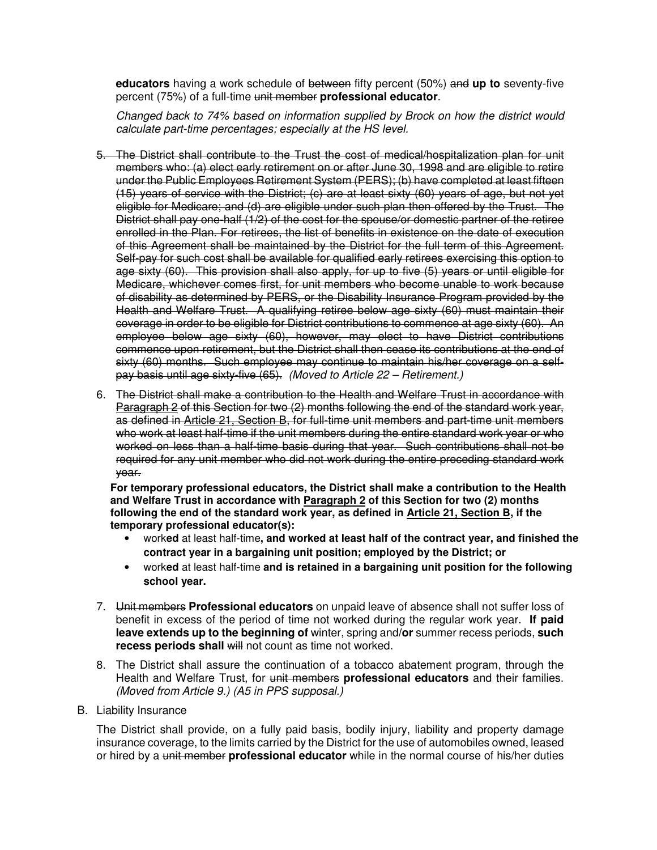**educators** having a work schedule of between fifty percent (50%) and **up to** seventy-five percent (75%) of a full-time unit member **professional educator**.

 Changed back to 74% based on information supplied by Brock on how the district would calculate part-time percentages; especially at the HS level.

- 5. The District shall contribute to the Trust the cost of medical/hospitalization plan for unit members who: (a) elect early retirement on or after June 30, 1998 and are eligible to retire under the Public Employees Retirement System (PERS); (b) have completed at least fifteen (15) years of service with the District; (c) are at least sixty (60) years of age, but not yet eligible for Medicare; and (d) are eligible under such plan then offered by the Trust. The District shall pay one-half (1/2) of the cost for the spouse/or domestic partner of the retiree enrolled in the Plan. For retirees, the list of benefits in existence on the date of execution of this Agreement shall be maintained by the District for the full term of this Agreement. Self-pay for such cost shall be available for qualified early retirees exercising this option to age sixty (60). This provision shall also apply, for up to five (5) years or until eligible for Medicare, whichever comes first, for unit members who become unable to work because of disability as determined by PERS, or the Disability Insurance Program provided by the Health and Welfare Trust. A qualifying retiree below age sixty (60) must maintain their coverage in order to be eligible for District contributions to commence at age sixty (60). An employee below age sixty (60), however, may elect to have District contributions commence upon retirement, but the District shall then cease its contributions at the end of sixty (60) months. Such employee may continue to maintain his/her coverage on a selfpay basis until age sixty-five (65). (Moved to Article 22 – Retirement.)
- 6. The District shall make a contribution to the Health and Welfare Trust in accordance with Paragraph 2 of this Section for two (2) months following the end of the standard work year, as defined in Article 21, Section B, for full-time unit members and part-time unit members who work at least half-time if the unit members during the entire standard work year or who worked on less than a half-time basis during that year. Such contributions shall not be required for any unit member who did not work during the entire preceding standard work year.

**For temporary professional educators, the District shall make a contribution to the Health and Welfare Trust in accordance with Paragraph 2 of this Section for two (2) months following the end of the standard work year, as defined in Article 21, Section B, if the temporary professional educator(s):** 

- work**ed** at least half-time**, and worked at least half of the contract year, and finished the contract year in a bargaining unit position; employed by the District; or**
- work**ed** at least half-time **and is retained in a bargaining unit position for the following school year.**
- 7. Unit members **Professional educators** on unpaid leave of absence shall not suffer loss of benefit in excess of the period of time not worked during the regular work year. **If paid leave extends up to the beginning of** winter, spring and**/or** summer recess periods, **such recess periods shall** will not count as time not worked.
- 8. The District shall assure the continuation of a tobacco abatement program, through the Health and Welfare Trust, for unit members **professional educators** and their families. (Moved from Article 9.) (A5 in PPS supposal.)
- B. Liability Insurance

The District shall provide, on a fully paid basis, bodily injury, liability and property damage insurance coverage, to the limits carried by the District for the use of automobiles owned, leased or hired by a unit member **professional educator** while in the normal course of his/her duties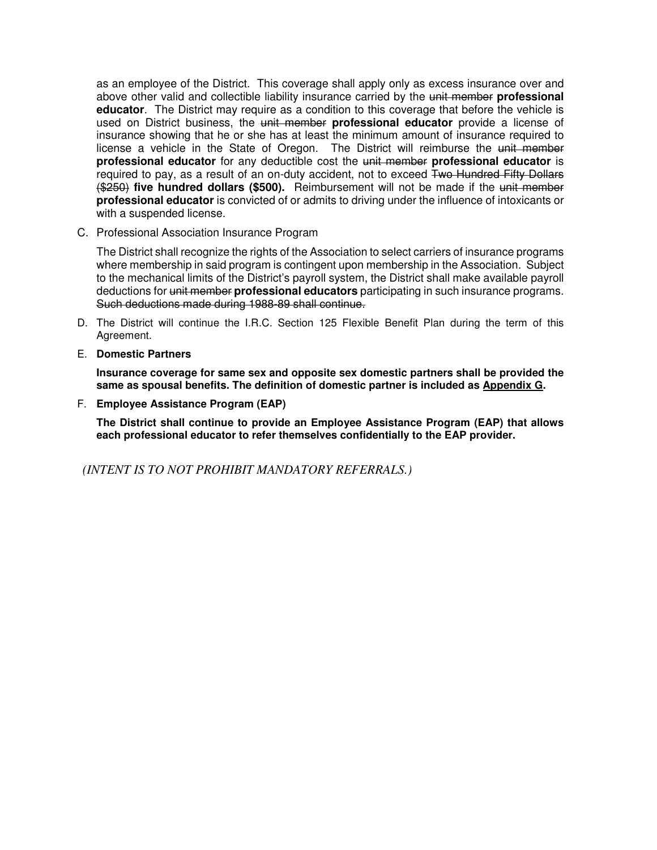as an employee of the District. This coverage shall apply only as excess insurance over and above other valid and collectible liability insurance carried by the unit member **professional educator**. The District may require as a condition to this coverage that before the vehicle is used on District business, the unit member **professional educator** provide a license of insurance showing that he or she has at least the minimum amount of insurance required to license a vehicle in the State of Oregon. The District will reimburse the unit member **professional educator** for any deductible cost the unit member **professional educator** is required to pay, as a result of an on-duty accident, not to exceed Two Hundred Fifty Dollars (\$250) **five hundred dollars (\$500).** Reimbursement will not be made if the unit member **professional educator** is convicted of or admits to driving under the influence of intoxicants or with a suspended license.

C. Professional Association Insurance Program

The District shall recognize the rights of the Association to select carriers of insurance programs where membership in said program is contingent upon membership in the Association. Subject to the mechanical limits of the District's payroll system, the District shall make available payroll deductions for unit member **professional educators** participating in such insurance programs. Such deductions made during 1988-89 shall continue.

- D. The District will continue the I.R.C. Section 125 Flexible Benefit Plan during the term of this Agreement.
- E. **Domestic Partners**

**Insurance coverage for same sex and opposite sex domestic partners shall be provided the same as spousal benefits. The definition of domestic partner is included as Appendix G.** 

F. **Employee Assistance Program (EAP)** 

**The District shall continue to provide an Employee Assistance Program (EAP) that allows each professional educator to refer themselves confidentially to the EAP provider.** 

*(INTENT IS TO NOT PROHIBIT MANDATORY REFERRALS.)*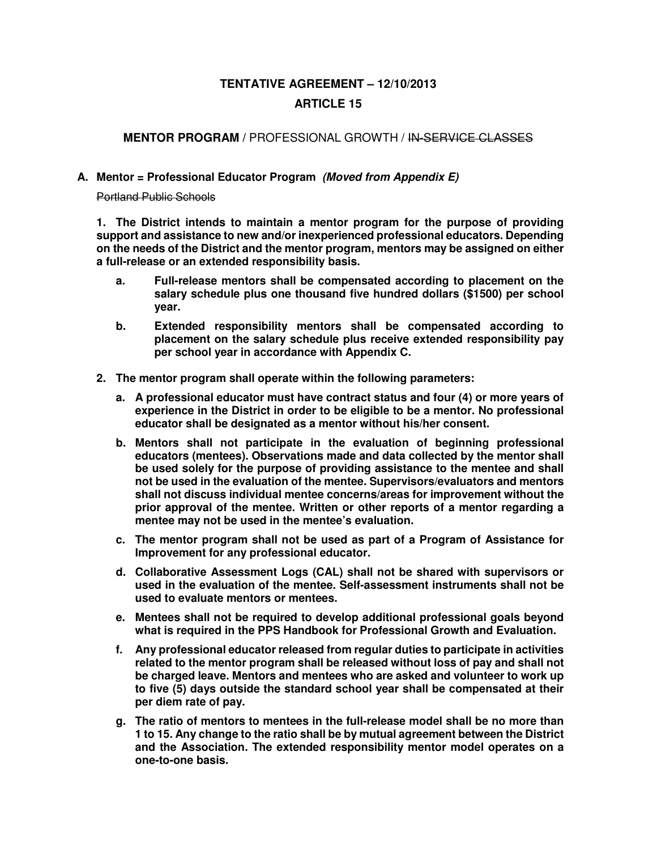# **TENTATIVE AGREEMENT – 12/10/2013 ARTICLE 15**

# **MENTOR PROGRAM /** PROFESSIONAL GROWTH / IN-SERVICE CLASSES

## **A. Mentor = Professional Educator Program (Moved from Appendix E)**

Portland Public Schools

**1. The District intends to maintain a mentor program for the purpose of providing support and assistance to new and/or inexperienced professional educators. Depending on the needs of the District and the mentor program, mentors may be assigned on either a full-release or an extended responsibility basis.**

- **a. Full-release mentors shall be compensated according to placement on the salary schedule plus one thousand five hundred dollars (\$1500) per school year.**
- **b. Extended responsibility mentors shall be compensated according to placement on the salary schedule plus receive extended responsibility pay per school year in accordance with Appendix C.**
- **2. The mentor program shall operate within the following parameters:** 
	- **a. A professional educator must have contract status and four (4) or more years of experience in the District in order to be eligible to be a mentor. No professional educator shall be designated as a mentor without his/her consent.**
	- **b. Mentors shall not participate in the evaluation of beginning professional educators (mentees). Observations made and data collected by the mentor shall be used solely for the purpose of providing assistance to the mentee and shall not be used in the evaluation of the mentee. Supervisors/evaluators and mentors shall not discuss individual mentee concerns/areas for improvement without the prior approval of the mentee. Written or other reports of a mentor regarding a mentee may not be used in the mentee's evaluation.**
	- **c. The mentor program shall not be used as part of a Program of Assistance for Improvement for any professional educator.**
	- **d. Collaborative Assessment Logs (CAL) shall not be shared with supervisors or used in the evaluation of the mentee. Self-assessment instruments shall not be used to evaluate mentors or mentees.**
	- **e. Mentees shall not be required to develop additional professional goals beyond what is required in the PPS Handbook for Professional Growth and Evaluation.**
	- **f. Any professional educator released from regular duties to participate in activities related to the mentor program shall be released without loss of pay and shall not be charged leave. Mentors and mentees who are asked and volunteer to work up to five (5) days outside the standard school year shall be compensated at their per diem rate of pay.**
	- **g. The ratio of mentors to mentees in the full-release model shall be no more than 1 to 15. Any change to the ratio shall be by mutual agreement between the District and the Association. The extended responsibility mentor model operates on a one-to-one basis.**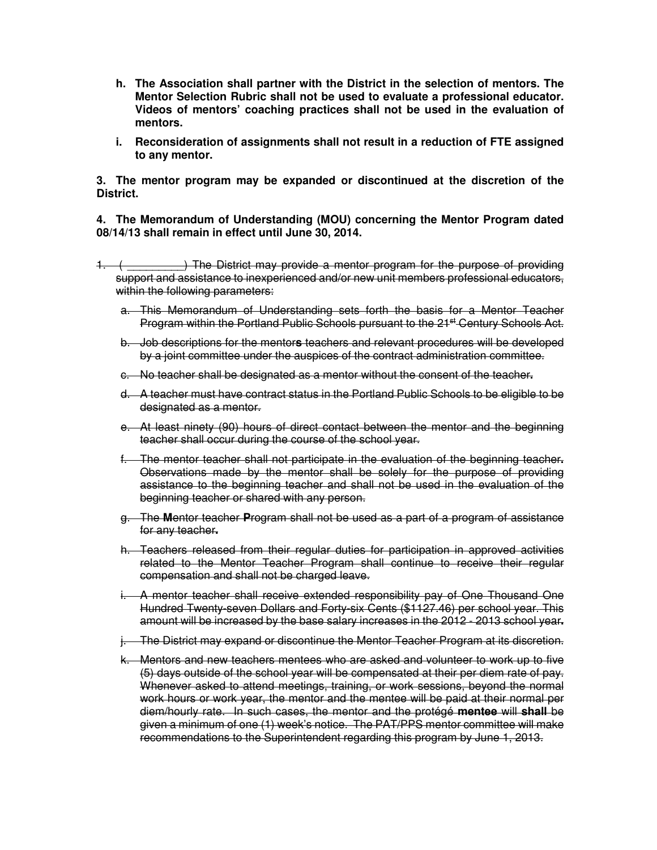- **h. The Association shall partner with the District in the selection of mentors. The Mentor Selection Rubric shall not be used to evaluate a professional educator. Videos of mentors' coaching practices shall not be used in the evaluation of mentors.**
- **i. Reconsideration of assignments shall not result in a reduction of FTE assigned to any mentor.**

**3. The mentor program may be expanded or discontinued at the discretion of the District.** 

**4. The Memorandum of Understanding (MOU) concerning the Mentor Program dated 08/14/13 shall remain in effect until June 30, 2014.** 

- 1. ( \_\_\_\_\_\_\_\_\_\_) The District may provide a mentor program for the purpose of providing support and assistance to inexperienced and/or new unit members professional educators, within the following parameters:
	- a. This Memorandum of Understanding sets forth the basis for a Mentor Teacher Program within the Portland Public Schools pursuant to the 21<sup>st</sup> Century Schools Act.
	- b. Job descriptions for the mentor**s** teachers and relevant procedures will be developed by a joint committee under the auspices of the contract administration committee.
	- c. No teacher shall be designated as a mentor without the consent of the teacher**.**
	- d. A teacher must have contract status in the Portland Public Schools to be eligible to be designated as a mentor.
	- e. At least ninety (90) hours of direct contact between the mentor and the beginning teacher shall occur during the course of the school year.
	- f. The mentor teacher shall not participate in the evaluation of the beginning teacher**.** Observations made by the mentor shall be solely for the purpose of providing assistance to the beginning teacher and shall not be used in the evaluation of the beginning teacher or shared with any person.
	- g. The **M**entor teacher **P**rogram shall not be used as a part of a program of assistance for any teacher**.**
	- h. Teachers released from their regular duties for participation in approved activities related to the Mentor Teacher Program shall continue to receive their regular compensation and shall not be charged leave.
	- i. A mentor teacher shall receive extended responsibility pay of One Thousand One Hundred Twenty-seven Dollars and Forty-six Cents (\$1127.46) per school year. This amount will be increased by the base salary increases in the 2012 - 2013 school year**.**
	- j. The District may expand or discontinue the Mentor Teacher Program at its discretion.
	- k. Mentors and new teachers mentees who are asked and volunteer to work up to five (5) days outside of the school year will be compensated at their per diem rate of pay. Whenever asked to attend meetings, training, or work sessions, beyond the normal work hours or work year, the mentor and the mentee will be paid at their normal per diem/hourly rate. In such cases, the mentor and the protégé **mentee** will **shall** be given a minimum of one (1) week's notice. The PAT/PPS mentor committee will make recommendations to the Superintendent regarding this program by June 1, 2013.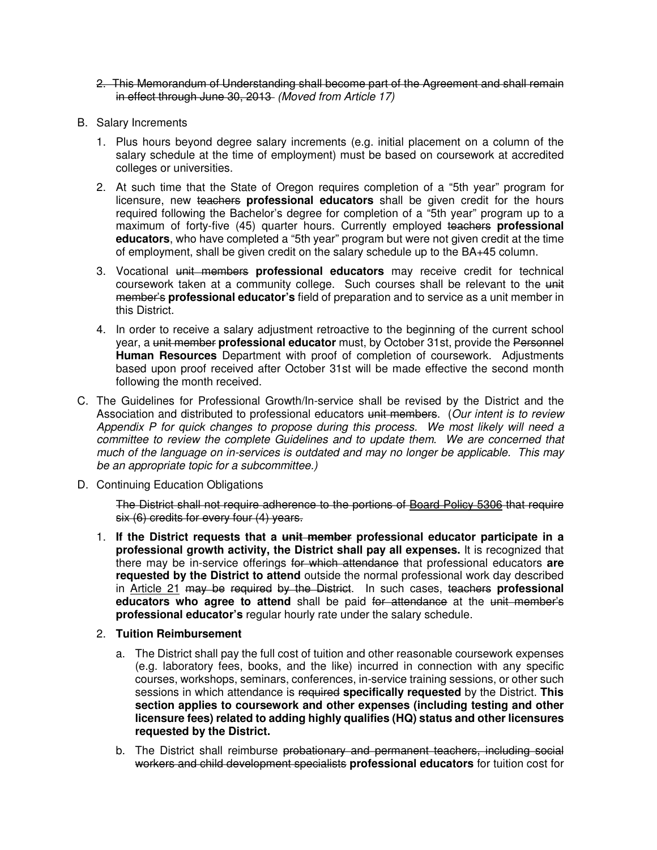- 2. This Memorandum of Understanding shall become part of the Agreement and shall remain in effect through June 30, 2013 (Moved from Article 17)
- B. Salary Increments
	- 1. Plus hours beyond degree salary increments (e.g. initial placement on a column of the salary schedule at the time of employment) must be based on coursework at accredited colleges or universities.
	- 2. At such time that the State of Oregon requires completion of a "5th year" program for licensure, new teachers **professional educators** shall be given credit for the hours required following the Bachelor's degree for completion of a "5th year" program up to a maximum of forty-five (45) quarter hours. Currently employed teachers **professional educators**, who have completed a "5th year" program but were not given credit at the time of employment, shall be given credit on the salary schedule up to the BA+45 column.
	- 3. Vocational unit members **professional educators** may receive credit for technical coursework taken at a community college. Such courses shall be relevant to the unit member's **professional educator's** field of preparation and to service as a unit member in this District.
	- 4. In order to receive a salary adjustment retroactive to the beginning of the current school year, a unit member **professional educator** must, by October 31st, provide the Personnel **Human Resources** Department with proof of completion of coursework. Adjustments based upon proof received after October 31st will be made effective the second month following the month received.
- C. The Guidelines for Professional Growth/In-service shall be revised by the District and the Association and distributed to professional educators unit members. (Our intent is to review Appendix P for quick changes to propose during this process. We most likely will need a committee to review the complete Guidelines and to update them. We are concerned that much of the language on in-services is outdated and may no longer be applicable. This may be an appropriate topic for a subcommittee.)
- D. Continuing Education Obligations

The District shall not require adherence to the portions of Board Policy 5306 that require six (6) credits for every four (4) years.

- 1. **If the District requests that a unit member professional educator participate in a professional growth activity, the District shall pay all expenses.** It is recognized that there may be in-service offerings for which attendance that professional educators **are requested by the District to attend** outside the normal professional work day described in Article 21 may be required by the District. In such cases, teachers **professional educators who agree to attend** shall be paid for attendance at the unit member's **professional educator's** regular hourly rate under the salary schedule.
- 2. **Tuition Reimbursement**
	- a. The District shall pay the full cost of tuition and other reasonable coursework expenses (e.g. laboratory fees, books, and the like) incurred in connection with any specific courses, workshops, seminars, conferences, in-service training sessions, or other such sessions in which attendance is required **specifically requested** by the District. **This section applies to coursework and other expenses (including testing and other licensure fees) related to adding highly qualifies (HQ) status and other licensures requested by the District.**
	- b. The District shall reimburse probationary and permanent teachers, including social workers and child development specialists **professional educators** for tuition cost for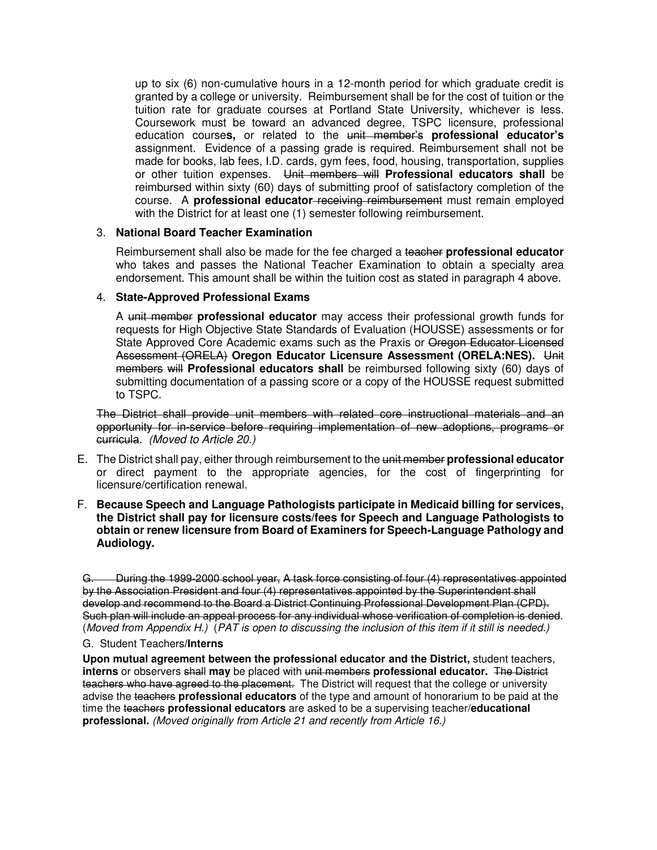up to six (6) non-cumulative hours in a 12-month period for which graduate credit is granted by a college or university. Reimbursement shall be for the cost of tuition or the tuition rate for graduate courses at Portland State University, whichever is less. Coursework must be toward an advanced degree, TSPC licensure, professional education course**s,** or related to the unit member's **professional educator's** assignment. Evidence of a passing grade is required. Reimbursement shall not be made for books, lab fees, I.D. cards, gym fees, food, housing, transportation, supplies or other tuition expenses. Unit members will **Professional educators shall** be reimbursed within sixty (60) days of submitting proof of satisfactory completion of the course. A **professional educator** receiving reimbursement must remain employed with the District for at least one (1) semester following reimbursement.

### 3. **National Board Teacher Examination**

Reimbursement shall also be made for the fee charged a teacher **professional educator**  who takes and passes the National Teacher Examination to obtain a specialty area endorsement. This amount shall be within the tuition cost as stated in paragraph 4 above.

#### 4. **State-Approved Professional Exams**

A unit member **professional educator** may access their professional growth funds for requests for High Objective State Standards of Evaluation (HOUSSE) assessments or for State Approved Core Academic exams such as the Praxis or Oregon Educator Licensed Assessment (ORELA) **Oregon Educator Licensure Assessment (ORELA:NES).** Unit members will **Professional educators shall** be reimbursed following sixty (60) days of submitting documentation of a passing score or a copy of the HOUSSE request submitted to TSPC.

The District shall provide unit members with related core instructional materials and an opportunity for in-service before requiring implementation of new adoptions, programs or curricula. (Moved to Article 20.)

- E. The District shall pay, either through reimbursement to the unit member **professional educator**  or direct payment to the appropriate agencies, for the cost of fingerprinting for licensure/certification renewal.
- F. **Because Speech and Language Pathologists participate in Medicaid billing for services, the District shall pay for licensure costs/fees for Speech and Language Pathologists to obtain or renew licensure from Board of Examiners for Speech-Language Pathology and Audiology.**

G. During the 1999-2000 school year, A task force consisting of four (4) representatives appointed by the Association President and four (4) representatives appointed by the Superintendent shall develop and recommend to the Board a District Continuing Professional Development Plan (CPD). Such plan will include an appeal process for any individual whose verification of completion is denied. (Moved from Appendix H.) (PAT is open to discussing the inclusion of this item if it still is needed.)

### G.Student Teachers**/Interns**

**Upon mutual agreement between the professional educator and the District,** student teachers, **interns** or observers shall **may** be placed with unit members **professional educator.** The District teachers who have agreed to the placement. The District will request that the college or university advise the teachers **professional educators** of the type and amount of honorarium to be paid at the time the teachers **professional educators** are asked to be a supervising teacher/**educational professional.** (Moved originally from Article 21 and recently from Article 16.)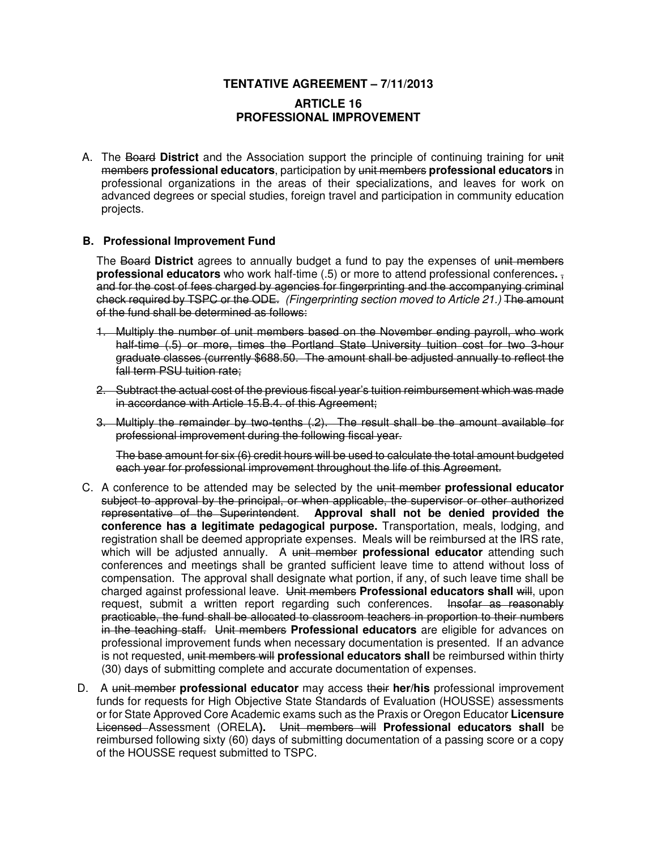## **TENTATIVE AGREEMENT – 7/11/2013**

# **ARTICLE 16 PROFESSIONAL IMPROVEMENT**

A. The Board **District** and the Association support the principle of continuing training for unit members **professional educators**, participation by unit members **professional educators** in professional organizations in the areas of their specializations, and leaves for work on advanced degrees or special studies, foreign travel and participation in community education projects.

### **B. Professional Improvement Fund**

The Board **District** agrees to annually budget a fund to pay the expenses of unit members **professional educators** who work half-time (.5) or more to attend professional conferences**.** , and for the cost of fees charged by agencies for fingerprinting and the accompanying criminal check required by TSPC or the ODE. (Fingerprinting section moved to Article 21.) The amount of the fund shall be determined as follows:

- 1. Multiply the number of unit members based on the November ending payroll, who work half-time (.5) or more, times the Portland State University tuition cost for two 3-hour graduate classes (currently \$688.50. The amount shall be adjusted annually to reflect the fall term PSU tuition rate;
- 2. Subtract the actual cost of the previous fiscal year's tuition reimbursement which was made in accordance with Article 15.B.4. of this Agreement;
- 3. Multiply the remainder by two-tenths (.2). The result shall be the amount available for professional improvement during the following fiscal year.

The base amount for six (6) credit hours will be used to calculate the total amount budgeted each year for professional improvement throughout the life of this Agreement.

- C. A conference to be attended may be selected by the unit member **professional educator**  subject to approval by the principal, or when applicable, the supervisor or other authorized representative of the Superintendent. **Approval shall not be denied provided the conference has a legitimate pedagogical purpose.** Transportation, meals, lodging, and registration shall be deemed appropriate expenses. Meals will be reimbursed at the IRS rate, which will be adjusted annually. A unit member **professional educator** attending such conferences and meetings shall be granted sufficient leave time to attend without loss of compensation. The approval shall designate what portion, if any, of such leave time shall be charged against professional leave. Unit members **Professional educators shall** will, upon request, submit a written report regarding such conferences. Insofar as reasonably practicable, the fund shall be allocated to classroom teachers in proportion to their numbers in the teaching staff. Unit members **Professional educators** are eligible for advances on professional improvement funds when necessary documentation is presented. If an advance is not requested, unit members will **professional educators shall** be reimbursed within thirty (30) days of submitting complete and accurate documentation of expenses.
- D. A unit member **professional educator** may access their **her/his** professional improvement funds for requests for High Objective State Standards of Evaluation (HOUSSE) assessments or for State Approved Core Academic exams such as the Praxis or Oregon Educator **Licensure** Licensed Assessment (ORELA**).** Unit members will **Professional educators shall** be reimbursed following sixty (60) days of submitting documentation of a passing score or a copy of the HOUSSE request submitted to TSPC.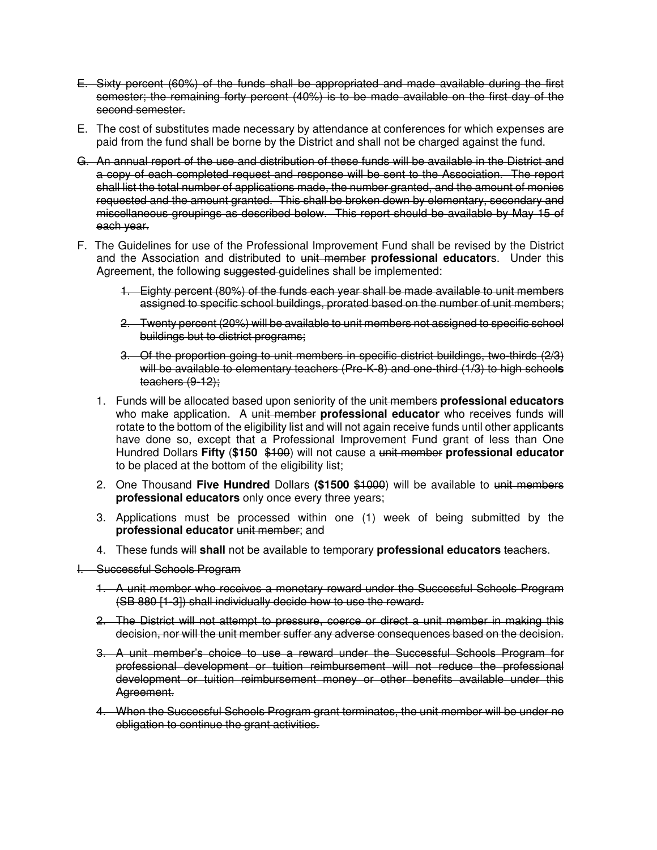- E. Sixty percent (60%) of the funds shall be appropriated and made available during the first semester; the remaining forty percent (40%) is to be made available on the first day of the second semester.
- E. The cost of substitutes made necessary by attendance at conferences for which expenses are paid from the fund shall be borne by the District and shall not be charged against the fund.
- G. An annual report of the use and distribution of these funds will be available in the District and a copy of each completed request and response will be sent to the Association. The report shall list the total number of applications made, the number granted, and the amount of monies requested and the amount granted. This shall be broken down by elementary, secondary and miscellaneous groupings as described below. This report should be available by May 15 of each year.
- F. The Guidelines for use of the Professional Improvement Fund shall be revised by the District and the Association and distributed to unit member **professional educator**s. Under this Agreement, the following suggested guidelines shall be implemented:
	- 1. Eighty percent (80%) of the funds each year shall be made available to unit members assigned to specific school buildings, prorated based on the number of unit members;
	- 2. Twenty percent (20%) will be available to unit members not assigned to specific school buildings but to district programs;
	- 3. Of the proportion going to unit members in specific district buildings, two-thirds (2/3) will be available to elementary teachers (Pre-K-8) and one-third (1/3) to high school**s** teachers (9-12);
	- 1. Funds will be allocated based upon seniority of the unit members **professional educators**  who make application. A unit member **professional educator** who receives funds will rotate to the bottom of the eligibility list and will not again receive funds until other applicants have done so, except that a Professional Improvement Fund grant of less than One Hundred Dollars **Fifty** (**\$150** \$100) will not cause a unit member **professional educator**  to be placed at the bottom of the eligibility list;
	- 2. One Thousand **Five Hundred** Dollars **(\$1500** \$1000) will be available to unit members **professional educators** only once every three years;
	- 3. Applications must be processed within one (1) week of being submitted by the **professional educator** unit member; and
	- 4. These funds will **shall** not be available to temporary **professional educators** teachers.
- I. Successful Schools Program
	- 1. A unit member who receives a monetary reward under the Successful Schools Program (SB 880 [1-3]) shall individually decide how to use the reward.
	- 2. The District will not attempt to pressure, coerce or direct a unit member in making this decision, nor will the unit member suffer any adverse consequences based on the decision.
	- 3. A unit member's choice to use a reward under the Successful Schools Program for professional development or tuition reimbursement will not reduce the professional development or tuition reimbursement money or other benefits available under this Agreement.
	- 4. When the Successful Schools Program grant terminates, the unit member will be under no obligation to continue the grant activities.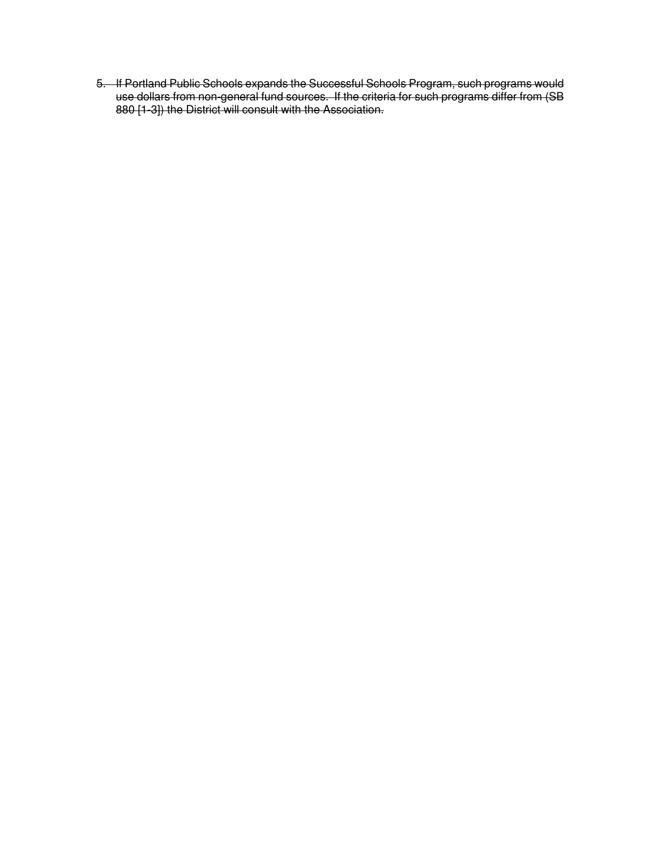5. If Portland Public Schools expands the Successful Schools Program, such programs would use dollars from non-general fund sources. If the criteria for such programs differ from (SB 880 [1-3]) the District will consult with the Association.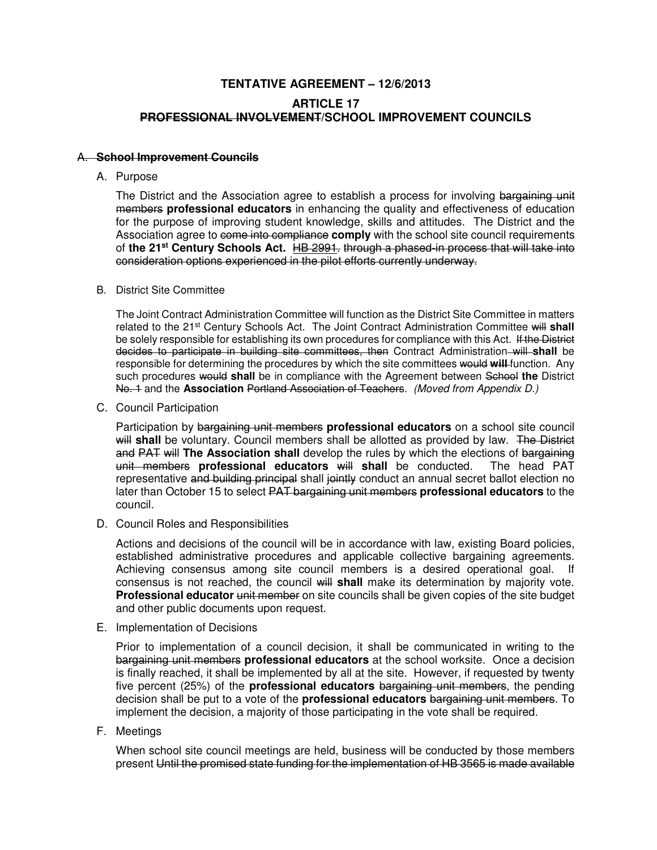# **TENTATIVE AGREEMENT – 12/6/2013 ARTICLE 17 PROFESSIONAL INVOLVEMENT/SCHOOL IMPROVEMENT COUNCILS**

#### A. **School Improvement Councils**

A. Purpose

The District and the Association agree to establish a process for involving bargaining unit members **professional educators** in enhancing the quality and effectiveness of education for the purpose of improving student knowledge, skills and attitudes. The District and the Association agree to come into compliance **comply** with the school site council requirements of **the 21st Century Schools Act.** HB 2991. through a phased-in process that will take into consideration options experienced in the pilot efforts currently underway.

#### B. District Site Committee

The Joint Contract Administration Committee will function as the District Site Committee in matters related to the 21<sup>st</sup> Century Schools Act. The Joint Contract Administration Committee will shall be solely responsible for establishing its own procedures for compliance with this Act. If the District decides to participate in building site committees, then Contract Administration will **shall** be responsible for determining the procedures by which the site committees would **will** function. Any such procedures would **shall** be in compliance with the Agreement between School **the** District No. 1 and the **Association** Portland Association of Teachers. (Moved from Appendix D.)

C. Council Participation

Participation by bargaining unit members **professional educators** on a school site council will shall be voluntary. Council members shall be allotted as provided by law. The District and PAT will **The Association shall** develop the rules by which the elections of bargaining unit members **professional educators** will **shall** be conducted. The head PAT representative and building principal shall jointly conduct an annual secret ballot election no later than October 15 to select PAT bargaining unit members **professional educators** to the council.

D. Council Roles and Responsibilities

Actions and decisions of the council will be in accordance with law, existing Board policies, established administrative procedures and applicable collective bargaining agreements. Achieving consensus among site council members is a desired operational goal. If consensus is not reached, the council will **shall** make its determination by majority vote. **Professional educator** unit member on site councils shall be given copies of the site budget and other public documents upon request.

E. Implementation of Decisions

Prior to implementation of a council decision, it shall be communicated in writing to the bargaining unit members **professional educators** at the school worksite. Once a decision is finally reached, it shall be implemented by all at the site. However, if requested by twenty five percent (25%) of the **professional educators** bargaining unit members, the pending decision shall be put to a vote of the **professional educators** bargaining unit members. To implement the decision, a majority of those participating in the vote shall be required.

F. Meetings

When school site council meetings are held, business will be conducted by those members present Until the promised state funding for the implementation of HB 3565 is made available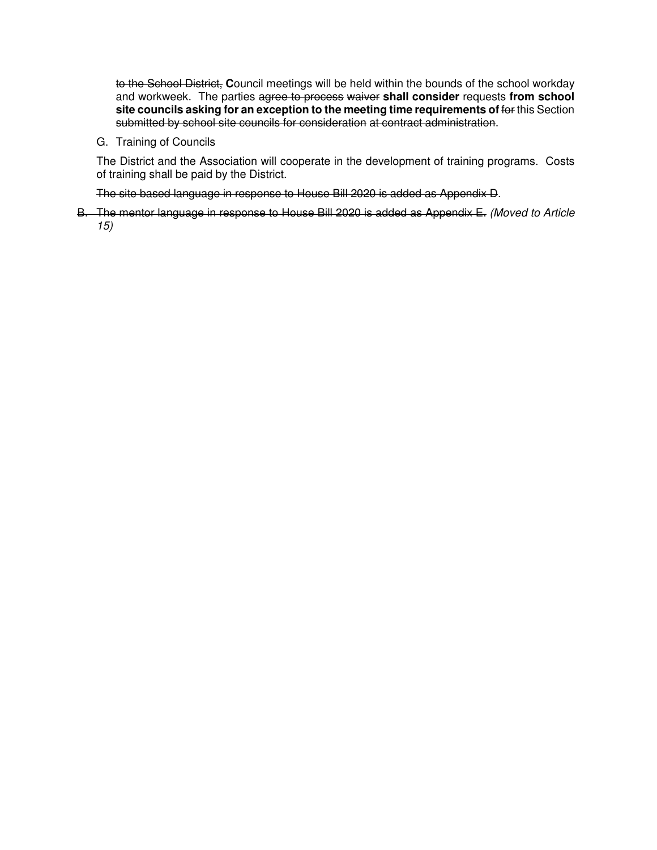to the School District, **C**ouncil meetings will be held within the bounds of the school workday and workweek. The parties agree to process waiver **shall consider** requests **from school site councils asking for an exception to the meeting time requirements of** for this Section submitted by school site councils for consideration at contract administration.

G. Training of Councils

The District and the Association will cooperate in the development of training programs. Costs of training shall be paid by the District.

The site based language in response to House Bill 2020 is added as Appendix D.

B. The mentor language in response to House Bill 2020 is added as Appendix E. (Moved to Article 15)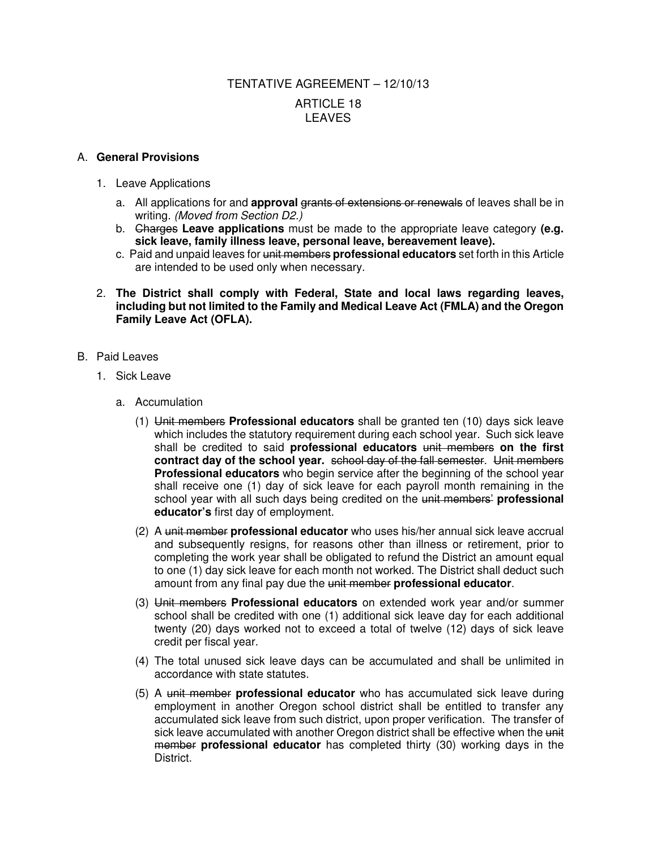# TENTATIVE AGREEMENT – 12/10/13 ARTICLE 18 LEAVES

### A. **General Provisions**

- 1. Leave Applications
	- a. All applications for and **approval** grants of extensions or renewals of leaves shall be in writing. (Moved from Section D2.)
	- b. Charges **Leave applications** must be made to the appropriate leave category **(e.g. sick leave, family illness leave, personal leave, bereavement leave).**
	- c. Paid and unpaid leaves for unit members **professional educators** set forth in this Article are intended to be used only when necessary.
- 2. **The District shall comply with Federal, State and local laws regarding leaves, including but not limited to the Family and Medical Leave Act (FMLA) and the Oregon Family Leave Act (OFLA).**
- B. Paid Leaves
	- 1. Sick Leave
		- a. Accumulation
			- (1) Unit members **Professional educators** shall be granted ten (10) days sick leave which includes the statutory requirement during each school year. Such sick leave shall be credited to said **professional educators** unit members **on the first contract day of the school year.** school day of the fall semester. Unit members **Professional educators** who begin service after the beginning of the school year shall receive one (1) day of sick leave for each payroll month remaining in the school year with all such days being credited on the unit members' **professional educator's** first day of employment.
			- (2) A unit member **professional educator** who uses his/her annual sick leave accrual and subsequently resigns, for reasons other than illness or retirement, prior to completing the work year shall be obligated to refund the District an amount equal to one (1) day sick leave for each month not worked. The District shall deduct such amount from any final pay due the unit member **professional educator**.
			- (3) Unit members **Professional educators** on extended work year and/or summer school shall be credited with one (1) additional sick leave day for each additional twenty (20) days worked not to exceed a total of twelve (12) days of sick leave credit per fiscal year.
			- (4) The total unused sick leave days can be accumulated and shall be unlimited in accordance with state statutes.
			- (5) A unit member **professional educator** who has accumulated sick leave during employment in another Oregon school district shall be entitled to transfer any accumulated sick leave from such district, upon proper verification. The transfer of sick leave accumulated with another Oregon district shall be effective when the unit member **professional educator** has completed thirty (30) working days in the District.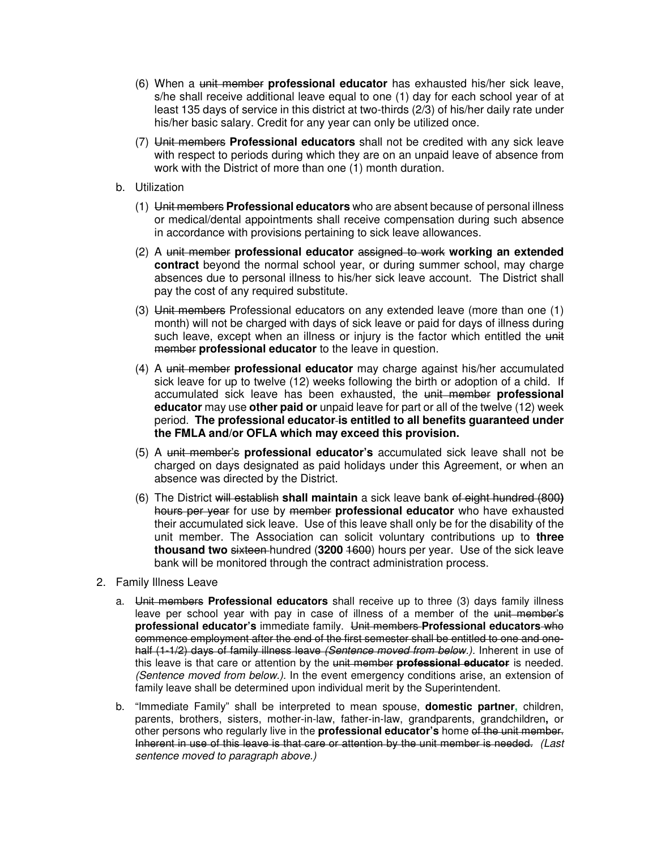- (6) When a unit member **professional educator** has exhausted his/her sick leave, s/he shall receive additional leave equal to one (1) day for each school year of at least 135 days of service in this district at two-thirds (2/3) of his/her daily rate under his/her basic salary. Credit for any year can only be utilized once.
- (7) Unit members **Professional educators** shall not be credited with any sick leave with respect to periods during which they are on an unpaid leave of absence from work with the District of more than one (1) month duration.
- b. Utilization
	- (1) Unit members **Professional educators** who are absent because of personal illness or medical/dental appointments shall receive compensation during such absence in accordance with provisions pertaining to sick leave allowances.
	- (2) A unit member **professional educator** assigned to work **working an extended contract** beyond the normal school year, or during summer school, may charge absences due to personal illness to his/her sick leave account. The District shall pay the cost of any required substitute.
	- (3) Unit members Professional educators on any extended leave (more than one (1) month) will not be charged with days of sick leave or paid for days of illness during such leave, except when an illness or injury is the factor which entitled the unit member **professional educator** to the leave in question.
	- (4) A unit member **professional educator** may charge against his/her accumulated sick leave for up to twelve (12) weeks following the birth or adoption of a child. If accumulated sick leave has been exhausted, the unit member **professional educator** may use **other paid or** unpaid leave for part or all of the twelve (12) week period. **The professional educator is entitled to all benefits guaranteed under the FMLA and/or OFLA which may exceed this provision.**
	- (5) A unit member's **professional educator's** accumulated sick leave shall not be charged on days designated as paid holidays under this Agreement, or when an absence was directed by the District.
	- (6) The District will establish **shall maintain** a sick leave bank of eight hundred (800**)** hours per year for use by member **professional educator** who have exhausted their accumulated sick leave. Use of this leave shall only be for the disability of the unit member. The Association can solicit voluntary contributions up to **three thousand two** sixteen hundred (**3200** 1600) hours per year. Use of the sick leave bank will be monitored through the contract administration process.
- 2. Family Illness Leave
	- a. Unit members **Professional educators** shall receive up to three (3) days family illness leave per school year with pay in case of illness of a member of the unit member's **professional educator's** immediate family. Unit members **Professional educators** who commence employment after the end of the first semester shall be entitled to one and onehalf (1-1/2) days of family illness leave (Sentence moved from below.). Inherent in use of this leave is that care or attention by the unit member **professional educator** is needed. (Sentence moved from below.). In the event emergency conditions arise, an extension of family leave shall be determined upon individual merit by the Superintendent.
	- b. "Immediate Family" shall be interpreted to mean spouse, **domestic partner,** children, parents, brothers, sisters, mother-in-law, father-in-law, grandparents, grandchildren**,** or other persons who regularly live in the **professional educator's** home of the unit member. Inherent in use of this leave is that care or attention by the unit member is needed. (Last sentence moved to paragraph above.)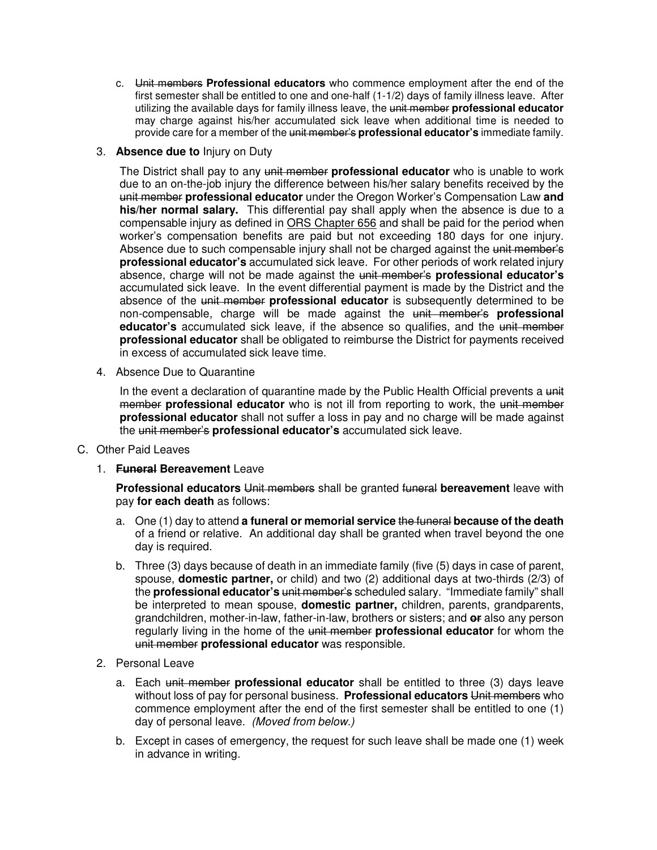c. Unit members **Professional educators** who commence employment after the end of the first semester shall be entitled to one and one-half (1-1/2) days of family illness leave. After utilizing the available days for family illness leave, the unit member **professional educator** may charge against his/her accumulated sick leave when additional time is needed to provide care for a member of the unit member's **professional educator's** immediate family.

## 3. **Absence due to** Injury on Duty

The District shall pay to any unit member **professional educator** who is unable to work due to an on-the-job injury the difference between his/her salary benefits received by the unit member **professional educator** under the Oregon Worker's Compensation Law **and his/her normal salary.** This differential pay shall apply when the absence is due to a compensable injury as defined in ORS Chapter 656 and shall be paid for the period when worker's compensation benefits are paid but not exceeding 180 days for one injury. Absence due to such compensable injury shall not be charged against the unit member's **professional educator's** accumulated sick leave. For other periods of work related injury absence, charge will not be made against the unit member's **professional educator's** accumulated sick leave. In the event differential payment is made by the District and the absence of the unit member **professional educator** is subsequently determined to be non-compensable, charge will be made against the unit member's **professional educator's** accumulated sick leave, if the absence so qualifies, and the unit member **professional educator** shall be obligated to reimburse the District for payments received in excess of accumulated sick leave time.

4. Absence Due to Quarantine

In the event a declaration of quarantine made by the Public Health Official prevents a unit member **professional educator** who is not ill from reporting to work, the unit member **professional educator** shall not suffer a loss in pay and no charge will be made against the unit member's **professional educator's** accumulated sick leave.

- C. Other Paid Leaves
	- 1. **Funeral Bereavement** Leave

**Professional educators** Unit members shall be granted funeral **bereavement** leave with pay **for each death** as follows:

- a. One (1) day to attend **a funeral or memorial service** the funeral **because of the death** of a friend or relative. An additional day shall be granted when travel beyond the one day is required.
- b. Three (3) days because of death in an immediate family (five (5) days in case of parent, spouse, **domestic partner,** or child) and two (2) additional days at two-thirds (2/3) of the **professional educator's** unit member's scheduled salary. "Immediate family" shall be interpreted to mean spouse, **domestic partner,** children, parents, grandparents, grandchildren, mother-in-law, father-in-law, brothers or sisters; and **or** also any person regularly living in the home of the unit member **professional educator** for whom the unit member **professional educator** was responsible.
- 2. Personal Leave
	- a. Each unit member **professional educator** shall be entitled to three (3) days leave without loss of pay for personal business. **Professional educators** Unit members who commence employment after the end of the first semester shall be entitled to one (1) day of personal leave. (Moved from below.)
	- b. Except in cases of emergency, the request for such leave shall be made one (1) week in advance in writing.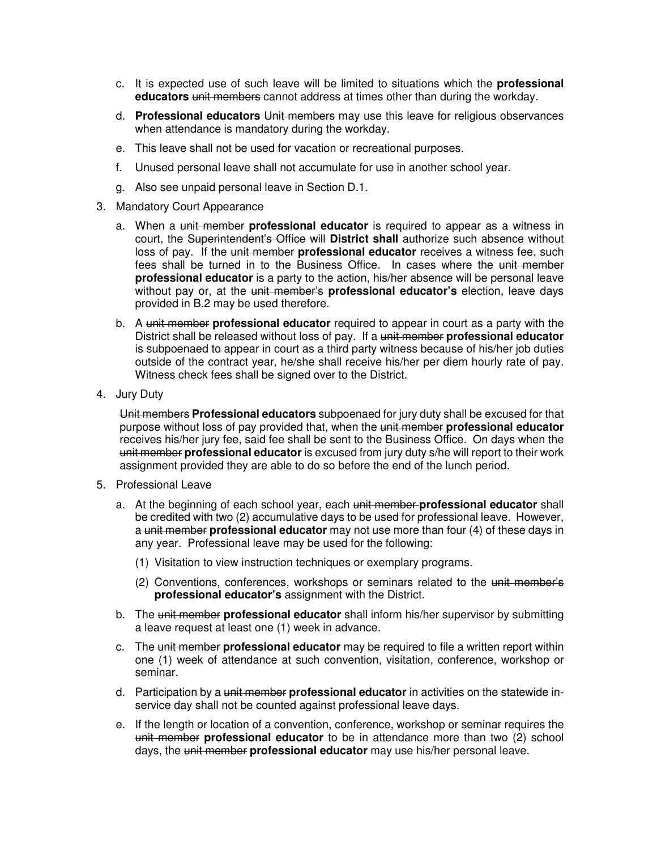- c. It is expected use of such leave will be limited to situations which the **professional educators** unit members cannot address at times other than during the workday.
- d. **Professional educators** Unit members may use this leave for religious observances when attendance is mandatory during the workday.
- e. This leave shall not be used for vacation or recreational purposes.
- f. Unused personal leave shall not accumulate for use in another school year.
- g. Also see unpaid personal leave in Section D.1.
- 3. Mandatory Court Appearance
	- a. When a unit member **professional educator** is required to appear as a witness in court, the Superintendent's Office will **District shall** authorize such absence without loss of pay. If the unit member **professional educator** receives a witness fee, such fees shall be turned in to the Business Office. In cases where the unit member **professional educator** is a party to the action, his/her absence will be personal leave without pay or, at the unit member's **professional educator's** election, leave days provided in B.2 may be used therefore.
	- b. A unit member **professional educator** required to appear in court as a party with the District shall be released without loss of pay. If a unit member **professional educator** is subpoenaed to appear in court as a third party witness because of his/her job duties outside of the contract year, he/she shall receive his/her per diem hourly rate of pay. Witness check fees shall be signed over to the District.
- 4. Jury Duty

Unit members **Professional educators** subpoenaed for jury duty shall be excused for that purpose without loss of pay provided that, when the unit member **professional educator** receives his/her jury fee, said fee shall be sent to the Business Office. On days when the unit member **professional educator** is excused from jury duty s/he will report to their work assignment provided they are able to do so before the end of the lunch period.

- 5. Professional Leave
	- a. At the beginning of each school year, each unit member **professional educator** shall be credited with two (2) accumulative days to be used for professional leave. However, a unit member **professional educator** may not use more than four (4) of these days in any year. Professional leave may be used for the following:
		- (1) Visitation to view instruction techniques or exemplary programs.
		- (2) Conventions, conferences, workshops or seminars related to the unit member's **professional educator's** assignment with the District.
	- b. The unit member **professional educator** shall inform his/her supervisor by submitting a leave request at least one (1) week in advance.
	- c. The unit member **professional educator** may be required to file a written report within one (1) week of attendance at such convention, visitation, conference, workshop or seminar.
	- d. Participation by a unit member **professional educator** in activities on the statewide inservice day shall not be counted against professional leave days.
	- e. If the length or location of a convention, conference, workshop or seminar requires the unit member **professional educator** to be in attendance more than two (2) school days, the unit member **professional educator** may use his/her personal leave.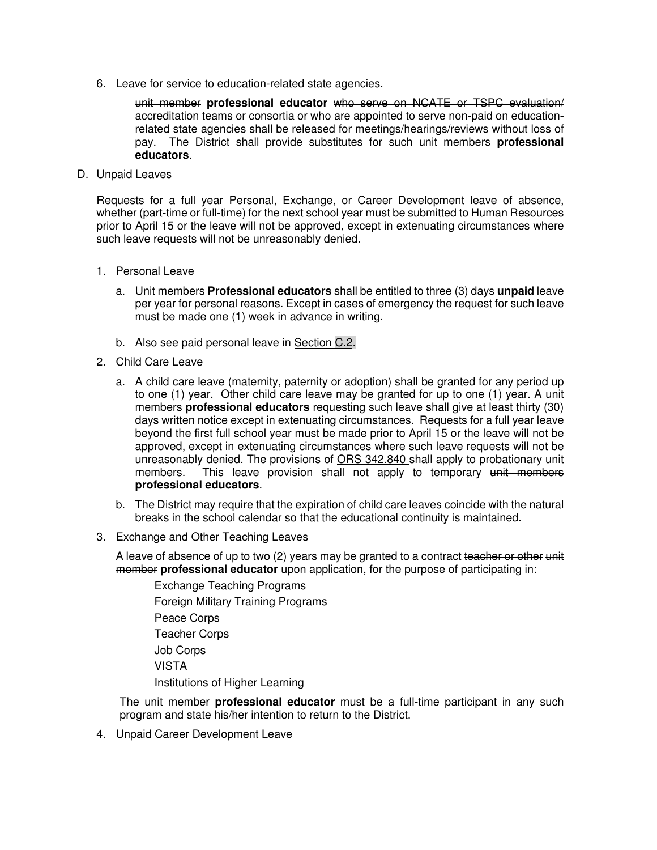6. Leave for service to education-related state agencies.

unit member **professional educator** who serve on NCATE or TSPC evaluation/ accreditation teams or consortia or who are appointed to serve non-paid on educationrelated state agencies shall be released for meetings/hearings/reviews without loss of pay. The District shall provide substitutes for such unit members **professional educators**.

D. Unpaid Leaves

Requests for a full year Personal, Exchange, or Career Development leave of absence, whether (part-time or full-time) for the next school year must be submitted to Human Resources prior to April 15 or the leave will not be approved, except in extenuating circumstances where such leave requests will not be unreasonably denied.

- 1. Personal Leave
	- a. Unit members **Professional educators** shall be entitled to three (3) days **unpaid** leave per year for personal reasons. Except in cases of emergency the request for such leave must be made one (1) week in advance in writing.
	- b. Also see paid personal leave in Section C.2.
- 2. Child Care Leave
	- a. A child care leave (maternity, paternity or adoption) shall be granted for any period up to one  $(1)$  year. Other child care leave may be granted for up to one  $(1)$  year. A unit members **professional educators** requesting such leave shall give at least thirty (30) days written notice except in extenuating circumstances. Requests for a full year leave beyond the first full school year must be made prior to April 15 or the leave will not be approved, except in extenuating circumstances where such leave requests will not be unreasonably denied. The provisions of ORS 342.840 shall apply to probationary unit members. This leave provision shall not apply to temporary unit members **professional educators**.
	- b. The District may require that the expiration of child care leaves coincide with the natural breaks in the school calendar so that the educational continuity is maintained.
- 3. Exchange and Other Teaching Leaves

A leave of absence of up to two (2) years may be granted to a contract teacher or other unit member **professional educator** upon application, for the purpose of participating in:

Exchange Teaching Programs Foreign Military Training Programs Peace Corps Teacher Corps Job Corps VISTA Institutions of Higher Learning

The unit member **professional educator** must be a full-time participant in any such program and state his/her intention to return to the District.

4. Unpaid Career Development Leave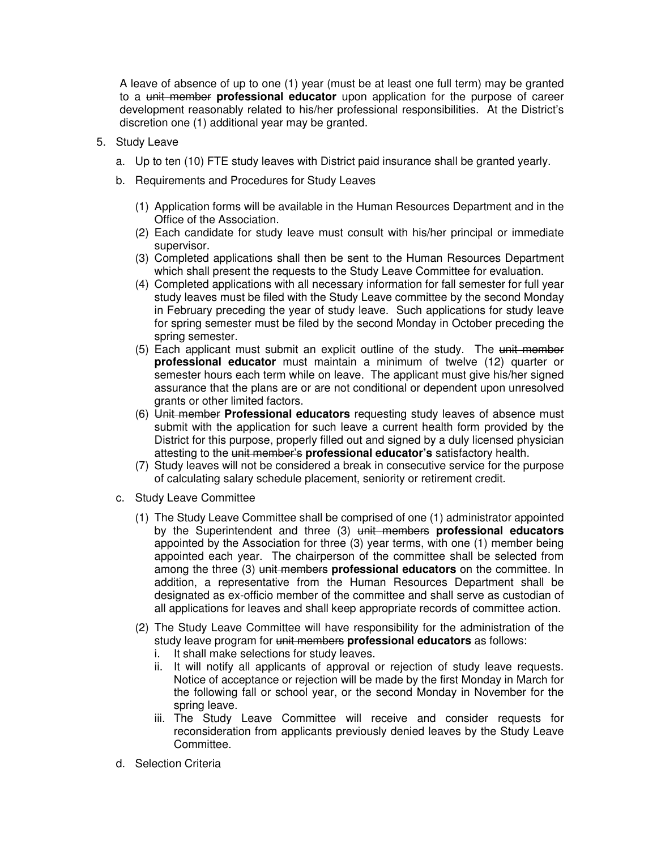A leave of absence of up to one (1) year (must be at least one full term) may be granted to a unit member **professional educator** upon application for the purpose of career development reasonably related to his/her professional responsibilities. At the District's discretion one (1) additional year may be granted.

- 5. Study Leave
	- a. Up to ten (10) FTE study leaves with District paid insurance shall be granted yearly.
	- b. Requirements and Procedures for Study Leaves
		- (1) Application forms will be available in the Human Resources Department and in the Office of the Association.
		- (2) Each candidate for study leave must consult with his/her principal or immediate supervisor.
		- (3) Completed applications shall then be sent to the Human Resources Department which shall present the requests to the Study Leave Committee for evaluation.
		- (4) Completed applications with all necessary information for fall semester for full year study leaves must be filed with the Study Leave committee by the second Monday in February preceding the year of study leave. Such applications for study leave for spring semester must be filed by the second Monday in October preceding the spring semester.
		- (5) Each applicant must submit an explicit outline of the study. The unit member **professional educator** must maintain a minimum of twelve (12) quarter or semester hours each term while on leave. The applicant must give his/her signed assurance that the plans are or are not conditional or dependent upon unresolved grants or other limited factors.
		- (6) Unit member **Professional educators** requesting study leaves of absence must submit with the application for such leave a current health form provided by the District for this purpose, properly filled out and signed by a duly licensed physician attesting to the unit member's **professional educator's** satisfactory health.
		- (7) Study leaves will not be considered a break in consecutive service for the purpose of calculating salary schedule placement, seniority or retirement credit.
	- c. Study Leave Committee
		- (1) The Study Leave Committee shall be comprised of one (1) administrator appointed by the Superintendent and three (3) unit members **professional educators** appointed by the Association for three (3) year terms, with one (1) member being appointed each year. The chairperson of the committee shall be selected from among the three (3) unit members **professional educators** on the committee. In addition, a representative from the Human Resources Department shall be designated as ex-officio member of the committee and shall serve as custodian of all applications for leaves and shall keep appropriate records of committee action.
		- (2) The Study Leave Committee will have responsibility for the administration of the study leave program for unit members **professional educators** as follows:
			- i. It shall make selections for study leaves.
			- ii. It will notify all applicants of approval or rejection of study leave requests. Notice of acceptance or rejection will be made by the first Monday in March for the following fall or school year, or the second Monday in November for the spring leave.
			- iii. The Study Leave Committee will receive and consider requests for reconsideration from applicants previously denied leaves by the Study Leave Committee.
	- d. Selection Criteria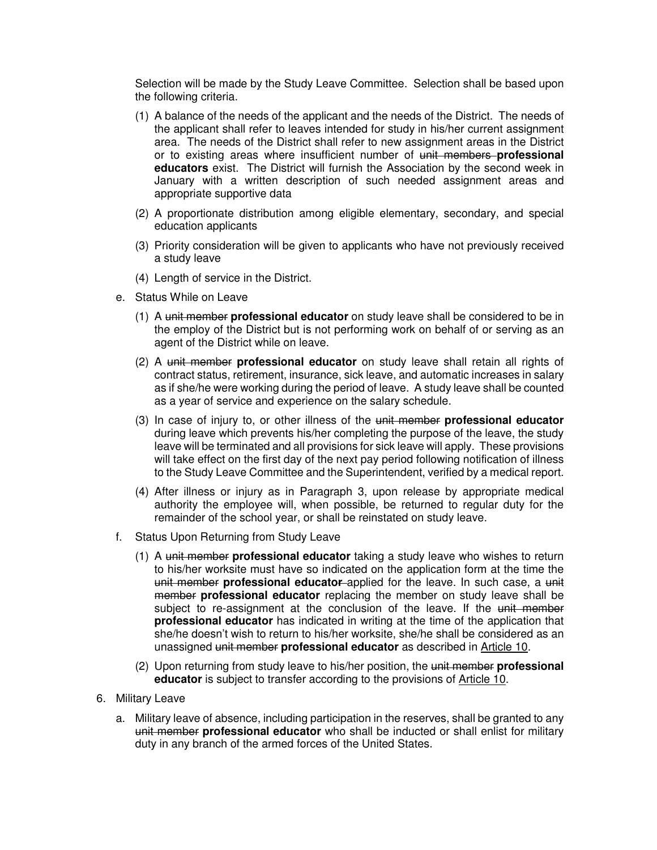Selection will be made by the Study Leave Committee. Selection shall be based upon the following criteria.

- (1) A balance of the needs of the applicant and the needs of the District. The needs of the applicant shall refer to leaves intended for study in his/her current assignment area. The needs of the District shall refer to new assignment areas in the District or to existing areas where insufficient number of unit members **professional educators** exist. The District will furnish the Association by the second week in January with a written description of such needed assignment areas and appropriate supportive data
- (2) A proportionate distribution among eligible elementary, secondary, and special education applicants
- (3) Priority consideration will be given to applicants who have not previously received a study leave
- (4) Length of service in the District.
- e. Status While on Leave
	- (1) A unit member **professional educator** on study leave shall be considered to be in the employ of the District but is not performing work on behalf of or serving as an agent of the District while on leave.
	- (2) A unit member **professional educator** on study leave shall retain all rights of contract status, retirement, insurance, sick leave, and automatic increases in salary as if she/he were working during the period of leave. A study leave shall be counted as a year of service and experience on the salary schedule.
	- (3) In case of injury to, or other illness of the unit member **professional educator** during leave which prevents his/her completing the purpose of the leave, the study leave will be terminated and all provisions for sick leave will apply. These provisions will take effect on the first day of the next pay period following notification of illness to the Study Leave Committee and the Superintendent, verified by a medical report.
	- (4) After illness or injury as in Paragraph 3, upon release by appropriate medical authority the employee will, when possible, be returned to regular duty for the remainder of the school year, or shall be reinstated on study leave.
- f. Status Upon Returning from Study Leave
	- (1) A unit member **professional educator** taking a study leave who wishes to return to his/her worksite must have so indicated on the application form at the time the unit member **professional educator** applied for the leave. In such case, a unit member **professional educator** replacing the member on study leave shall be subject to re-assignment at the conclusion of the leave. If the unit member **professional educator** has indicated in writing at the time of the application that she/he doesn't wish to return to his/her worksite, she/he shall be considered as an unassigned unit member **professional educator** as described in Article 10.
	- (2) Upon returning from study leave to his/her position, the unit member **professional educator** is subject to transfer according to the provisions of Article 10.
- 6. Military Leave
	- a. Military leave of absence, including participation in the reserves, shall be granted to any unit member **professional educator** who shall be inducted or shall enlist for military duty in any branch of the armed forces of the United States.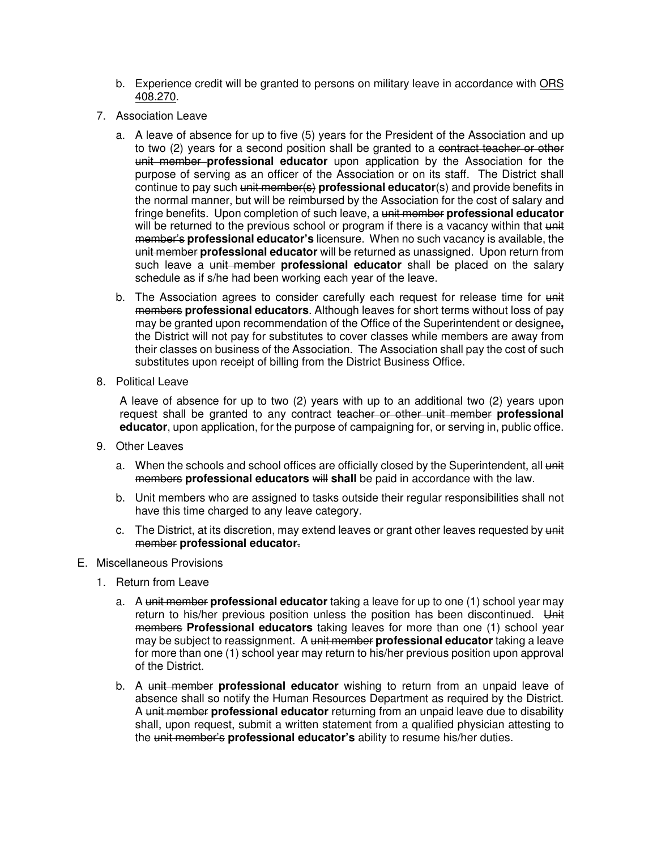- b. Experience credit will be granted to persons on military leave in accordance with ORS 408.270.
- 7. Association Leave
	- a. A leave of absence for up to five (5) years for the President of the Association and up to two (2) years for a second position shall be granted to a contract teacher or other unit member **professional educator** upon application by the Association for the purpose of serving as an officer of the Association or on its staff. The District shall continue to pay such unit member(s) **professional educator**(s) and provide benefits in the normal manner, but will be reimbursed by the Association for the cost of salary and fringe benefits. Upon completion of such leave, a unit member **professional educator** will be returned to the previous school or program if there is a vacancy within that unit member's **professional educator's** licensure. When no such vacancy is available, the unit member **professional educator** will be returned as unassigned. Upon return from such leave a unit member **professional educator** shall be placed on the salary schedule as if s/he had been working each year of the leave.
	- b. The Association agrees to consider carefully each request for release time for unit members **professional educators**. Although leaves for short terms without loss of pay may be granted upon recommendation of the Office of the Superintendent or designee**,** the District will not pay for substitutes to cover classes while members are away from their classes on business of the Association. The Association shall pay the cost of such substitutes upon receipt of billing from the District Business Office.
- 8. Political Leave

A leave of absence for up to two (2) years with up to an additional two (2) years upon request shall be granted to any contract teacher or other unit member **professional educator**, upon application, for the purpose of campaigning for, or serving in, public office.

- 9. Other Leaves
	- a. When the schools and school offices are officially closed by the Superintendent, all unit members **professional educators** will **shall** be paid in accordance with the law.
	- b. Unit members who are assigned to tasks outside their regular responsibilities shall not have this time charged to any leave category.
	- c. The District, at its discretion, may extend leaves or grant other leaves requested by unit member **professional educator**.
- E. Miscellaneous Provisions
	- 1. Return from Leave
		- a. A unit member **professional educator** taking a leave for up to one (1) school year may return to his/her previous position unless the position has been discontinued. Unit members **Professional educators** taking leaves for more than one (1) school year may be subject to reassignment. A unit member **professional educator** taking a leave for more than one (1) school year may return to his/her previous position upon approval of the District.
		- b. A unit member **professional educator** wishing to return from an unpaid leave of absence shall so notify the Human Resources Department as required by the District. A unit member **professional educator** returning from an unpaid leave due to disability shall, upon request, submit a written statement from a qualified physician attesting to the unit member's **professional educator's** ability to resume his/her duties.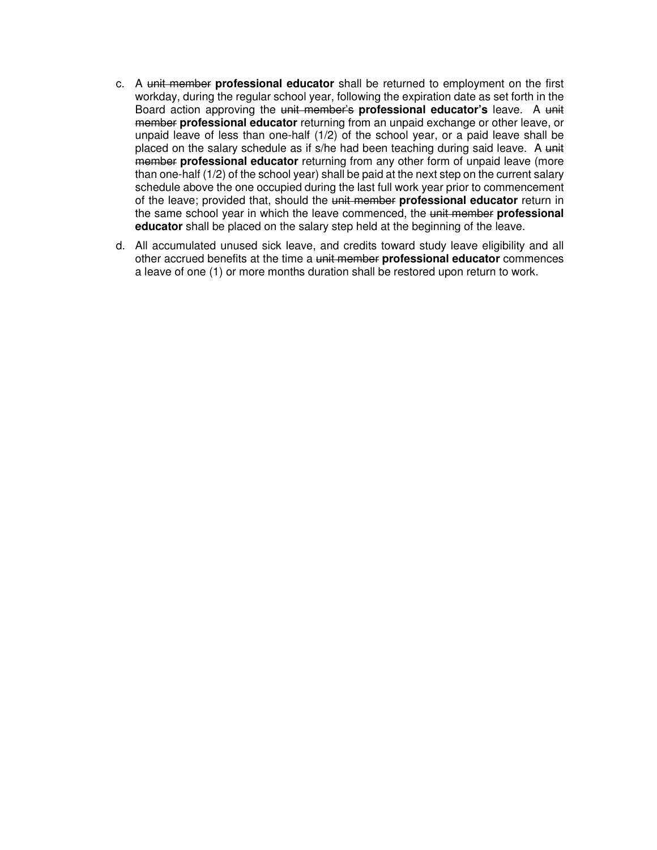- c. A unit member **professional educator** shall be returned to employment on the first workday, during the regular school year, following the expiration date as set forth in the Board action approving the unit member's **professional educator's** leave. A unit member **professional educator** returning from an unpaid exchange or other leave, or unpaid leave of less than one-half (1/2) of the school year, or a paid leave shall be placed on the salary schedule as if s/he had been teaching during said leave. A unit member **professional educator** returning from any other form of unpaid leave (more than one-half (1/2) of the school year) shall be paid at the next step on the current salary schedule above the one occupied during the last full work year prior to commencement of the leave; provided that, should the unit member **professional educator** return in the same school year in which the leave commenced, the unit member **professional educator** shall be placed on the salary step held at the beginning of the leave.
- d. All accumulated unused sick leave, and credits toward study leave eligibility and all other accrued benefits at the time a unit member **professional educator** commences a leave of one (1) or more months duration shall be restored upon return to work.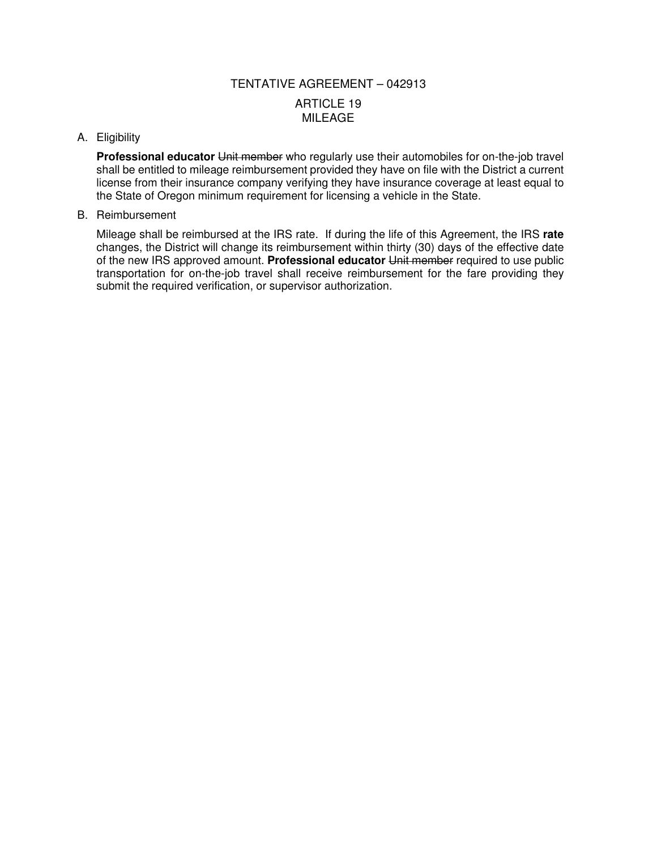# TENTATIVE AGREEMENT – 042913 ARTICLE 19 MILEAGE

#### A. Eligibility

**Professional educator** Unit member who regularly use their automobiles for on-the-job travel shall be entitled to mileage reimbursement provided they have on file with the District a current license from their insurance company verifying they have insurance coverage at least equal to the State of Oregon minimum requirement for licensing a vehicle in the State.

#### B. Reimbursement

Mileage shall be reimbursed at the IRS rate. If during the life of this Agreement, the IRS **rate**  changes, the District will change its reimbursement within thirty (30) days of the effective date of the new IRS approved amount. **Professional educator** Unit member required to use public transportation for on-the-job travel shall receive reimbursement for the fare providing they submit the required verification, or supervisor authorization.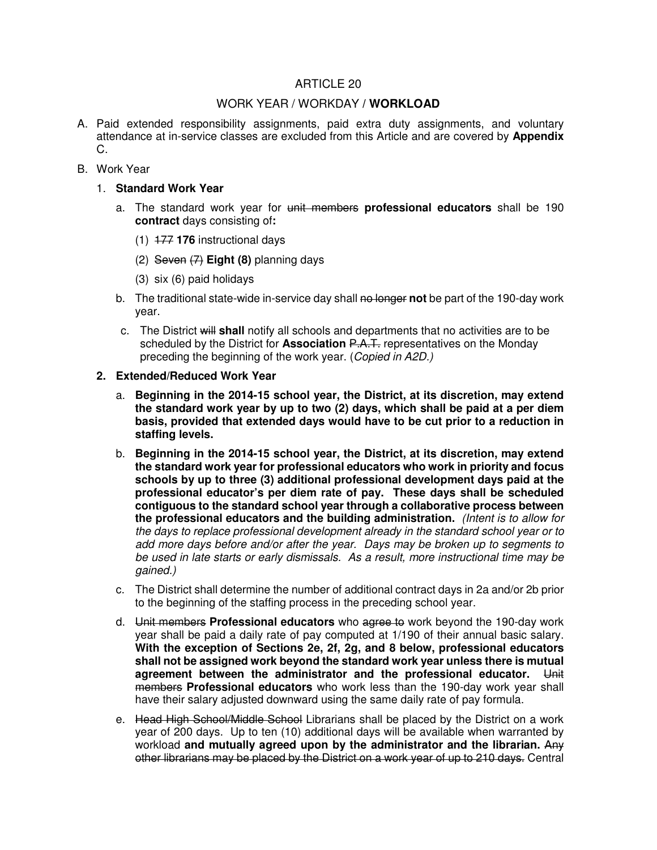# ARTICLE 20

## WORK YEAR / WORKDAY **/ WORKLOAD**

- A. Paid extended responsibility assignments, paid extra duty assignments, and voluntary attendance at in-service classes are excluded from this Article and are covered by **Appendix**  C.
- B. Work Year
	- 1. **Standard Work Year** 
		- a. The standard work year for unit members **professional educators** shall be 190 **contract** days consisting of**:**
			- (1) 177 **176** instructional days
			- (2) Seven (7) **Eight (8)** planning days
			- (3) six (6) paid holidays
		- b. The traditional state-wide in-service day shall no longer not be part of the 190-day work year.
		- c. The District will **shall** notify all schools and departments that no activities are to be scheduled by the District for **Association** P.A.T. representatives on the Monday preceding the beginning of the work year. (Copied in A2D.)

#### **2. Extended/Reduced Work Year**

- a. **Beginning in the 2014-15 school year, the District, at its discretion, may extend the standard work year by up to two (2) days, which shall be paid at a per diem basis, provided that extended days would have to be cut prior to a reduction in staffing levels.**
- b. **Beginning in the 2014-15 school year, the District, at its discretion, may extend the standard work year for professional educators who work in priority and focus schools by up to three (3) additional professional development days paid at the professional educator's per diem rate of pay. These days shall be scheduled contiguous to the standard school year through a collaborative process between the professional educators and the building administration.** (Intent is to allow for the days to replace professional development already in the standard school year or to add more days before and/or after the year. Days may be broken up to segments to be used in late starts or early dismissals. As a result, more instructional time may be gained.)
- c. The District shall determine the number of additional contract days in 2a and/or 2b prior to the beginning of the staffing process in the preceding school year.
- d. Unit members **Professional educators** who agree to work beyond the 190-day work year shall be paid a daily rate of pay computed at 1/190 of their annual basic salary. **With the exception of Sections 2e, 2f, 2g, and 8 below, professional educators shall not be assigned work beyond the standard work year unless there is mutual agreement between the administrator and the professional educator.** Unit members **Professional educators** who work less than the 190-day work year shall have their salary adjusted downward using the same daily rate of pay formula.
- e. Head High School/Middle School Librarians shall be placed by the District on a work year of 200 days. Up to ten (10) additional days will be available when warranted by workload **and mutually agreed upon by the administrator and the librarian.** Any other librarians may be placed by the District on a work year of up to 210 days. Central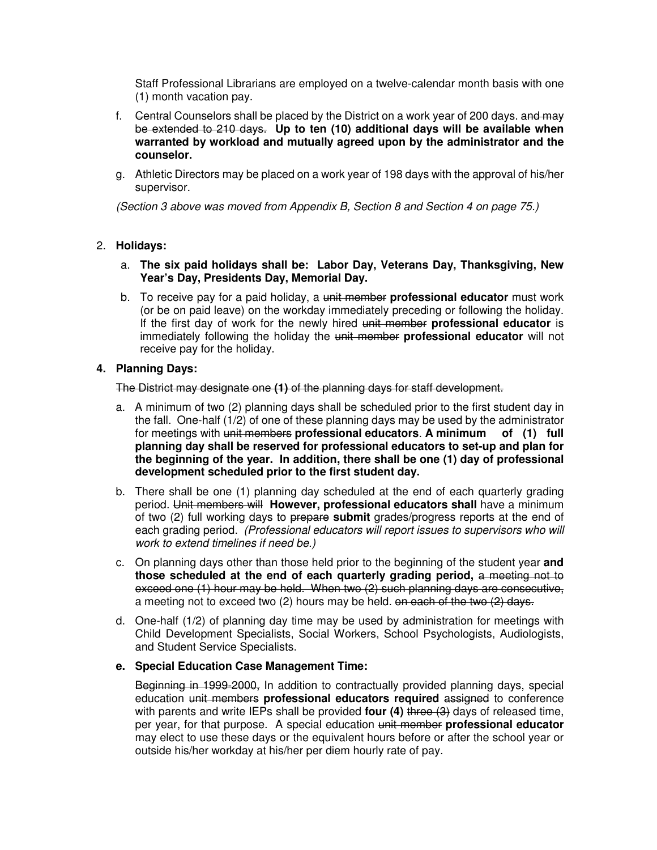Staff Professional Librarians are employed on a twelve-calendar month basis with one (1) month vacation pay.

- f. Gentral Counselors shall be placed by the District on a work year of 200 days. and may be extended to 210 days. **Up to ten (10) additional days will be available when warranted by workload and mutually agreed upon by the administrator and the counselor.**
- g. Athletic Directors may be placed on a work year of 198 days with the approval of his/her supervisor.

(Section 3 above was moved from Appendix B, Section 8 and Section 4 on page 75.)

# 2. **Holidays:**

- a. **The six paid holidays shall be: Labor Day, Veterans Day, Thanksgiving, New Year's Day, Presidents Day, Memorial Day.**
- b. To receive pay for a paid holiday, a unit member **professional educator** must work (or be on paid leave) on the workday immediately preceding or following the holiday. If the first day of work for the newly hired unit member **professional educator** is immediately following the holiday the unit member **professional educator** will not receive pay for the holiday.

# **4. Planning Days:**

The District may designate one **(1)** of the planning days for staff development.

- a. A minimum of two (2) planning days shall be scheduled prior to the first student day in the fall. One-half (1/2) of one of these planning days may be used by the administrator for meetings with unit members **professional educators**. **A minimum of (1) full planning day shall be reserved for professional educators to set-up and plan for the beginning of the year. In addition, there shall be one (1) day of professional development scheduled prior to the first student day.**
- b. There shall be one (1) planning day scheduled at the end of each quarterly grading period. Unit members will **However, professional educators shall** have a minimum of two (2) full working days to prepare **submit** grades/progress reports at the end of each grading period. (Professional educators will report issues to supervisors who will work to extend timelines if need be.)
- c. On planning days other than those held prior to the beginning of the student year **and those scheduled at the end of each quarterly grading period,** a meeting not to exceed one (1) hour may be held. When two (2) such planning days are consecutive, a meeting not to exceed two (2) hours may be held. on each of the two (2) days.
- d. One-half (1/2) of planning day time may be used by administration for meetings with Child Development Specialists, Social Workers, School Psychologists, Audiologists, and Student Service Specialists.

# **e. Special Education Case Management Time:**

Beginning in 1999-2000, In addition to contractually provided planning days, special education unit members **professional educators required** assigned to conference with parents and write IEPs shall be provided **four (4)** three (3) days of released time, per year, for that purpose. A special education unit member **professional educator** may elect to use these days or the equivalent hours before or after the school year or outside his/her workday at his/her per diem hourly rate of pay.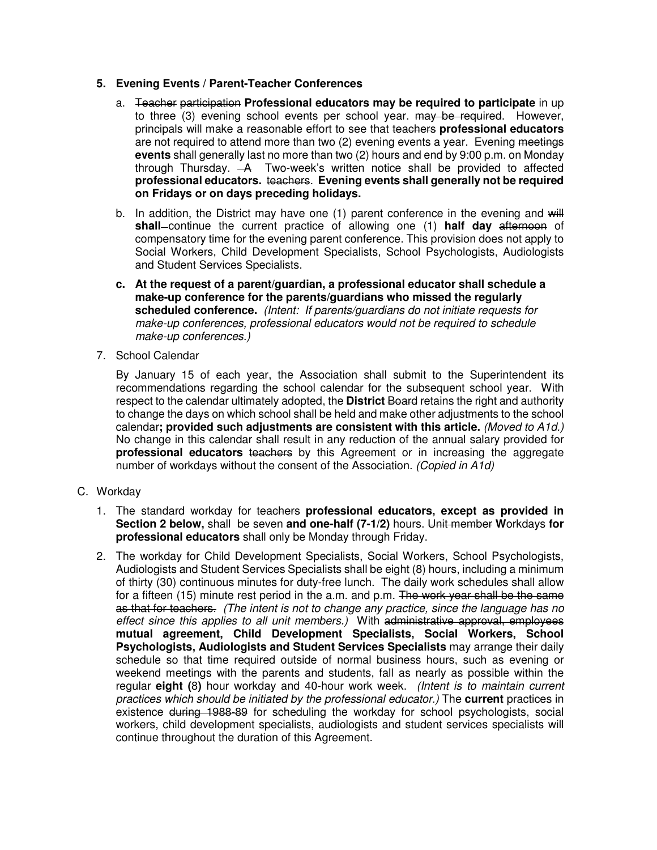# **5. Evening Events / Parent-Teacher Conferences**

- a. Teacher participation **Professional educators may be required to participate** in up to three (3) evening school events per school year. may be required. However, principals will make a reasonable effort to see that teachers **professional educators** are not required to attend more than two (2) evening events a year. Evening meetings **events** shall generally last no more than two (2) hours and end by 9:00 p.m. on Monday through Thursday. A Two-week's written notice shall be provided to affected **professional educators.** teachers. **Evening events shall generally not be required on Fridays or on days preceding holidays.**
- b. In addition, the District may have one  $(1)$  parent conference in the evening and  $\frac{1}{2}$ **shall** continue the current practice of allowing one (1) **half day** afternoon of compensatory time for the evening parent conference. This provision does not apply to Social Workers, Child Development Specialists, School Psychologists, Audiologists and Student Services Specialists.
- **c. At the request of a parent/guardian, a professional educator shall schedule a make-up conference for the parents/guardians who missed the regularly scheduled conference.** (Intent: If parents/guardians do not initiate requests for make-up conferences, professional educators would not be required to schedule make-up conferences.)
- 7. School Calendar

By January 15 of each year, the Association shall submit to the Superintendent its recommendations regarding the school calendar for the subsequent school year. With respect to the calendar ultimately adopted, the **District** Board retains the right and authority to change the days on which school shall be held and make other adjustments to the school calendar**; provided such adjustments are consistent with this article.** (Moved to A1d.) No change in this calendar shall result in any reduction of the annual salary provided for **professional educators** teachers by this Agreement or in increasing the aggregate number of workdays without the consent of the Association. (Copied in A1d)

- C. Workday
	- 1. The standard workday for teachers **professional educators, except as provided in Section 2 below,** shall be seven **and one-half (7-1/2)** hours. Unit member **W**orkdays **for professional educators** shall only be Monday through Friday.
	- 2. The workday for Child Development Specialists, Social Workers, School Psychologists, Audiologists and Student Services Specialists shall be eight (8) hours, including a minimum of thirty (30) continuous minutes for duty-free lunch. The daily work schedules shall allow for a fifteen (15) minute rest period in the a.m. and p.m. The work year shall be the same as that for teachers. (The intent is not to change any practice, since the language has no effect since this applies to all unit members.) With administrative approval, employees **mutual agreement, Child Development Specialists, Social Workers, School Psychologists, Audiologists and Student Services Specialists** may arrange their daily schedule so that time required outside of normal business hours, such as evening or weekend meetings with the parents and students, fall as nearly as possible within the regular **eight (**8**)** hour workday and 40-hour work week. (Intent is to maintain current practices which should be initiated by the professional educator.) The **current** practices in existence during 1988-89 for scheduling the workday for school psychologists, social workers, child development specialists, audiologists and student services specialists will continue throughout the duration of this Agreement.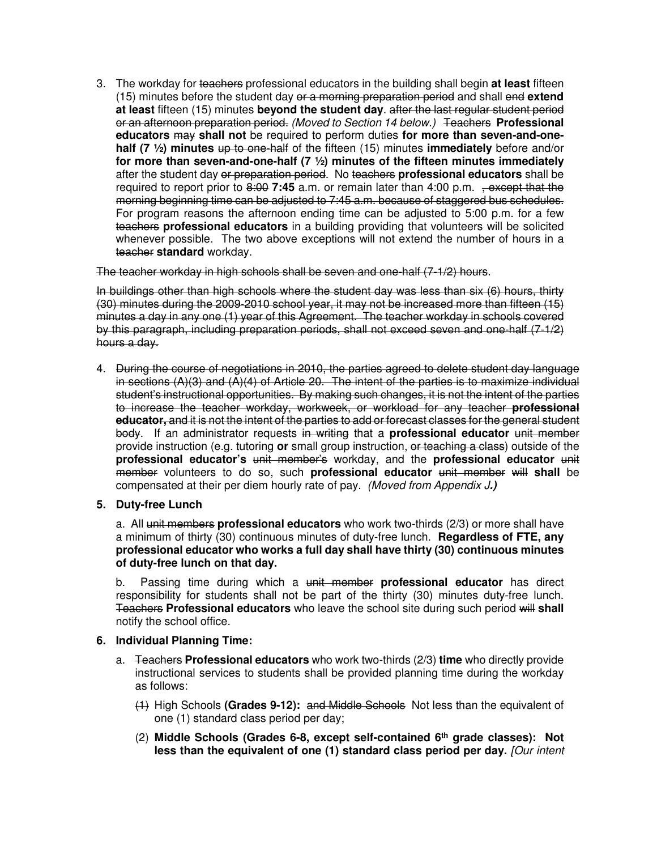3. The workday for teachers professional educators in the building shall begin **at least** fifteen (15) minutes before the student day or a morning preparation period and shall end **extend at least** fifteen (15) minutes **beyond the student day**. after the last regular student period or an afternoon preparation period. (Moved to Section 14 below.) Teachers **Professional educators** may **shall not** be required to perform duties **for more than seven-and-onehalf (7 ½) minutes** up to one-half of the fifteen (15) minutes **immediately** before and/or **for more than seven-and-one-half (7 ½) minutes of the fifteen minutes immediately**  after the student day or preparation period. No teachers **professional educators** shall be required to report prior to 8:00 7:45 a.m. or remain later than 4:00 p.m. , except that the morning beginning time can be adjusted to 7:45 a.m. because of staggered bus schedules. For program reasons the afternoon ending time can be adjusted to 5:00 p.m. for a few teachers **professional educators** in a building providing that volunteers will be solicited whenever possible. The two above exceptions will not extend the number of hours in a teacher **standard** workday.

The teacher workday in high schools shall be seven and one-half (7-1/2) hours.

In buildings other than high schools where the student day was less than six (6) hours, thirty (30) minutes during the 2009-2010 school year, it may not be increased more than fifteen (15) minutes a day in any one (1) year of this Agreement. The teacher workday in schools covered by this paragraph, including preparation periods, shall not exceed seven and one-half (7-1/2) hours a day.

- 4. During the course of negotiations in 2010, the parties agreed to delete student day language in sections  $(A)(3)$  and  $(A)(4)$  of Article 20. The intent of the parties is to maximize individual student's instructional opportunities. By making such changes, it is not the intent of the parties to increase the teacher workday, workweek, or workload for any teacher **professional educator,** and it is not the intent of the parties to add or forecast classes for the general student body. If an administrator requests in writing that a **professional educator** unit member provide instruction (e.g. tutoring **or** small group instruction, or teaching a class) outside of the **professional educator's** unit member's workday, and the **professional educator** unit member volunteers to do so, such **professional educator** unit member will **shall** be compensated at their per diem hourly rate of pay. (Moved from Appendix J**.)**
- **5. Duty-free Lunch**

a. All unit members **professional educators** who work two-thirds (2/3) or more shall have a minimum of thirty (30) continuous minutes of duty-free lunch. **Regardless of FTE, any professional educator who works a full day shall have thirty (30) continuous minutes of duty-free lunch on that day.**

b. Passing time during which a unit member **professional educator** has direct responsibility for students shall not be part of the thirty (30) minutes duty-free lunch. Teachers **Professional educators** who leave the school site during such period will **shall** notify the school office.

# **6. Individual Planning Time:**

- a. Teachers **Professional educators** who work two-thirds (2/3) **time** who directly provide instructional services to students shall be provided planning time during the workday as follows:
	- (1) High Schools **(Grades 9-12):** and Middle Schools Not less than the equivalent of one (1) standard class period per day;
	- (2) **Middle Schools (Grades 6-8, except self-contained 6th grade classes): Not**  less than the equivalent of one (1) standard class period per day. *[Our intent*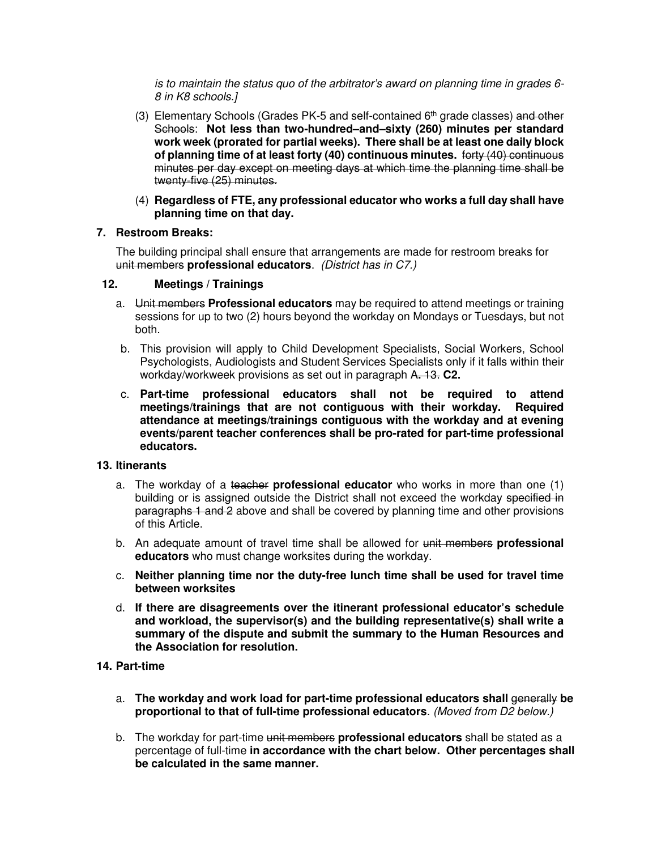is to maintain the status quo of the arbitrator's award on planning time in grades 6- 8 in K8 schools.]

- (3) Elementary Schools (Grades PK-5 and self-contained  $6<sup>th</sup>$  grade classes) and other Schools: **Not less than two-hundred–and–sixty (260) minutes per standard work week (prorated for partial weeks). There shall be at least one daily block of planning time of at least forty (40) continuous minutes.** forty (40) continuous minutes per day except on meeting days at which time the planning time shall be twenty-five (25) minutes.
- (4) **Regardless of FTE, any professional educator who works a full day shall have planning time on that day.**

# **7. Restroom Breaks:**

 The building principal shall ensure that arrangements are made for restroom breaks for unit members **professional educators**. (District has in C7.)

# **12. Meetings / Trainings**

- a. Unit members **Professional educators** may be required to attend meetings or training sessions for up to two (2) hours beyond the workday on Mondays or Tuesdays, but not both.
- b. This provision will apply to Child Development Specialists, Social Workers, School Psychologists, Audiologists and Student Services Specialists only if it falls within their workday/workweek provisions as set out in paragraph A**.** 13. **C2.**
- c. **Part-time professional educators shall not be required to attend meetings/trainings that are not contiguous with their workday. Required attendance at meetings/trainings contiguous with the workday and at evening events/parent teacher conferences shall be pro-rated for part-time professional educators.**

# **13. Itinerants**

- a. The workday of a teacher **professional educator** who works in more than one (1) building or is assigned outside the District shall not exceed the workday specified in paragraphs 1 and 2 above and shall be covered by planning time and other provisions of this Article.
- b. An adequate amount of travel time shall be allowed for unit members **professional educators** who must change worksites during the workday.
- c. **Neither planning time nor the duty-free lunch time shall be used for travel time between worksites**
- d. **If there are disagreements over the itinerant professional educator's schedule and workload, the supervisor(s) and the building representative(s) shall write a summary of the dispute and submit the summary to the Human Resources and the Association for resolution.**

# **14. Part-time**

- a. **The workday and work load for part-time professional educators shall** generally **be proportional to that of full-time professional educators**. (Moved from D2 below.)
- b. The workday for part-time unit members **professional educators** shall be stated as a percentage of full-time **in accordance with the chart below. Other percentages shall be calculated in the same manner.**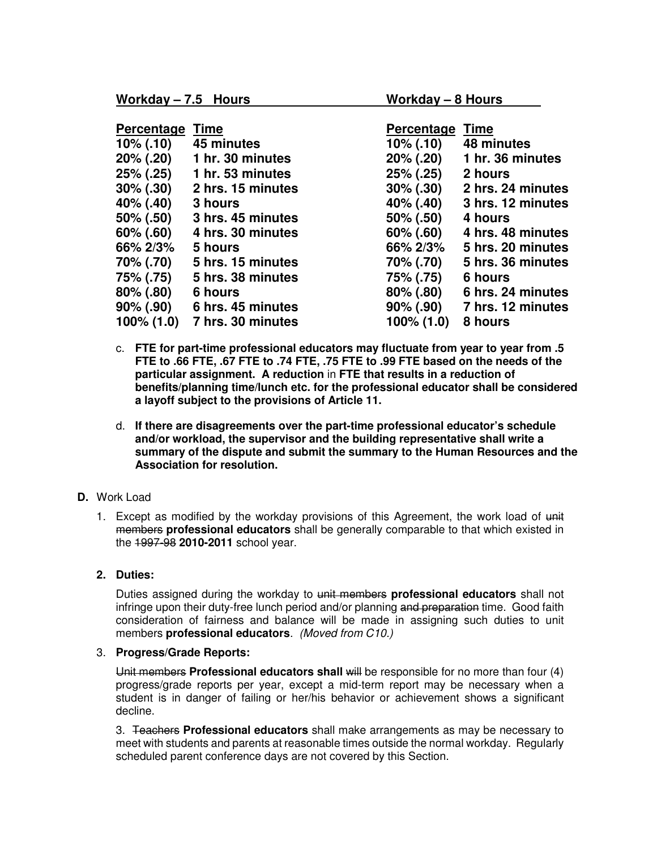| <b>Percentage</b> | Time              | <b>Percentage</b> | <b>Time</b>       |
|-------------------|-------------------|-------------------|-------------------|
| $10\%$ (.10)      | 45 minutes        | $10\%$ (.10)      | 48 minutes        |
| 20% (.20)         | 1 hr. 30 minutes  | 20% (.20)         | 1 hr. 36 minutes  |
| $25\%$ (.25)      | 1 hr. 53 minutes  | 25% (.25)         | 2 hours           |
| $30\%$ (.30)      | 2 hrs. 15 minutes | $30\%$ (.30)      | 2 hrs. 24 minutes |
| 40% (.40)         | 3 hours           | 40% (.40)         | 3 hrs. 12 minutes |
| 50% (.50)         | 3 hrs. 45 minutes | 50% (.50)         | 4 hours           |
| $60\%$ (.60)      | 4 hrs. 30 minutes | $60\%$ (.60)      | 4 hrs. 48 minutes |
| 66% 2/3%          | 5 hours           | 66% 2/3%          | 5 hrs. 20 minutes |
| 70% (.70)         | 5 hrs. 15 minutes | 70% (.70)         | 5 hrs. 36 minutes |
| 75% (.75)         | 5 hrs. 38 minutes | 75% (.75)         | 6 hours           |
| $80\%$ (.80)      | 6 hours           | $80\%$ (.80)      | 6 hrs. 24 minutes |
| $90\%$ (.90)      | 6 hrs. 45 minutes | $90\%$ (.90)      | 7 hrs. 12 minutes |
| $100\% (1.0)$     | 7 hrs. 30 minutes | 100% (1.0)        | 8 hours           |

- c. **FTE for part-time professional educators may fluctuate from year to year from .5 FTE to .66 FTE, .67 FTE to .74 FTE, .75 FTE to .99 FTE based on the needs of the particular assignment. A reduction** in **FTE that results in a reduction of benefits/planning time/lunch etc. for the professional educator shall be considered a layoff subject to the provisions of Article 11.**
- d. **If there are disagreements over the part-time professional educator's schedule and/or workload, the supervisor and the building representative shall write a summary of the dispute and submit the summary to the Human Resources and the Association for resolution.**

# **D.** Work Load

1. Except as modified by the workday provisions of this Agreement, the work load of unit members **professional educators** shall be generally comparable to that which existed in the 1997-98 **2010-2011** school year.

# **2. Duties:**

Duties assigned during the workday to unit members **professional educators** shall not infringe upon their duty-free lunch period and/or planning and preparation time. Good faith consideration of fairness and balance will be made in assigning such duties to unit members **professional educators**. (Moved from C10.)

### 3. **Progress/Grade Reports:**

Unit members **Professional educators shall** will be responsible for no more than four (4) progress/grade reports per year, except a mid-term report may be necessary when a student is in danger of failing or her/his behavior or achievement shows a significant decline.

3. Teachers **Professional educators** shall make arrangements as may be necessary to meet with students and parents at reasonable times outside the normal workday. Regularly scheduled parent conference days are not covered by this Section.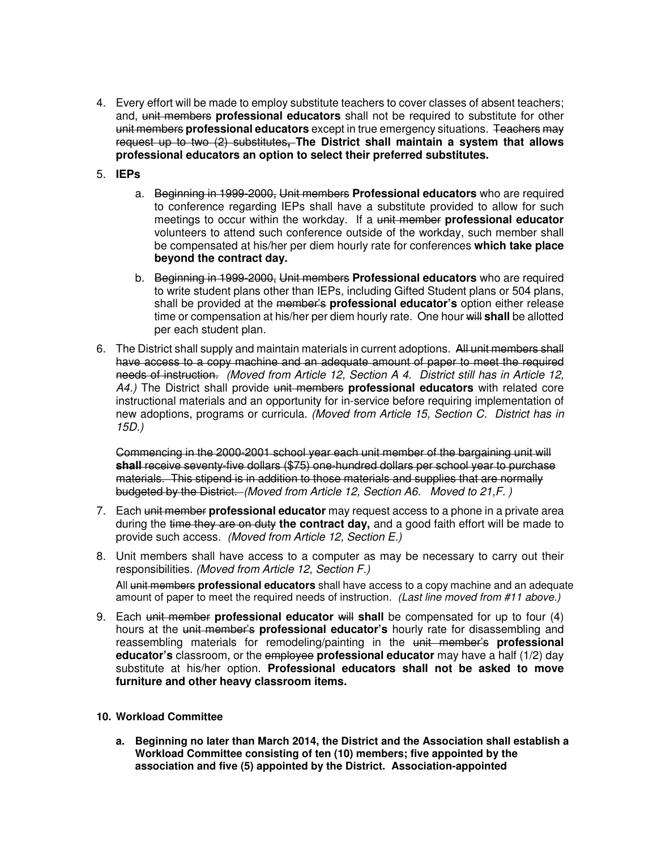- 4. Every effort will be made to employ substitute teachers to cover classes of absent teachers; and, unit members **professional educators** shall not be required to substitute for other unit members **professional educators** except in true emergency situations. Teachers may request up to two (2) substitutes**, The District shall maintain a system that allows professional educators an option to select their preferred substitutes.**
- 5. **IEPs**
	- a. Beginning in 1999-2000, Unit members **Professional educators** who are required to conference regarding IEPs shall have a substitute provided to allow for such meetings to occur within the workday. If a unit member **professional educator**  volunteers to attend such conference outside of the workday, such member shall be compensated at his/her per diem hourly rate for conferences **which take place beyond the contract day.**
	- b. Beginning in 1999-2000, Unit members **Professional educators** who are required to write student plans other than IEPs, including Gifted Student plans or 504 plans, shall be provided at the member's **professional educator's** option either release time or compensation at his/her per diem hourly rate. One hour will **shall** be allotted per each student plan.
- 6. The District shall supply and maintain materials in current adoptions. All unit members shall have access to a copy machine and an adequate amount of paper to meet the required needs of instruction. (Moved from Article 12, Section A 4. District still has in Article 12, A4.) The District shall provide unit members **professional educators** with related core instructional materials and an opportunity for in-service before requiring implementation of new adoptions, programs or curricula. (Moved from Article 15, Section C. District has in 15D.)

 Commencing in the 2000-2001 school year each unit member of the bargaining unit will **shall** receive seventy-five dollars (\$75) one-hundred dollars per school year to purchase materials. This stipend is in addition to those materials and supplies that are normally budgeted by the District. (Moved from Article 12, Section A6. Moved to 21,F. )

- 7. Each unit member **professional educator** may request access to a phone in a private area during the time they are on duty **the contract day,** and a good faith effort will be made to provide such access. (Moved from Article 12, Section E.)
- 8. Unit members shall have access to a computer as may be necessary to carry out their responsibilities. (Moved from Article 12, Section F.) All unit members **professional educators** shall have access to a copy machine and an adequate amount of paper to meet the required needs of instruction. (Last line moved from #11 above.)
- 9. Each unit member **professional educator will shall** be compensated for up to four (4) hours at the unit member's **professional educator's** hourly rate for disassembling and reassembling materials for remodeling/painting in the unit member's **professional educator's** classroom, or the employee **professional educator** may have a half (1/2) day substitute at his/her option. **Professional educators shall not be asked to move furniture and other heavy classroom items.**
- **10. Workload Committee** 
	- **a. Beginning no later than March 2014, the District and the Association shall establish a Workload Committee consisting of ten (10) members; five appointed by the association and five (5) appointed by the District. Association-appointed**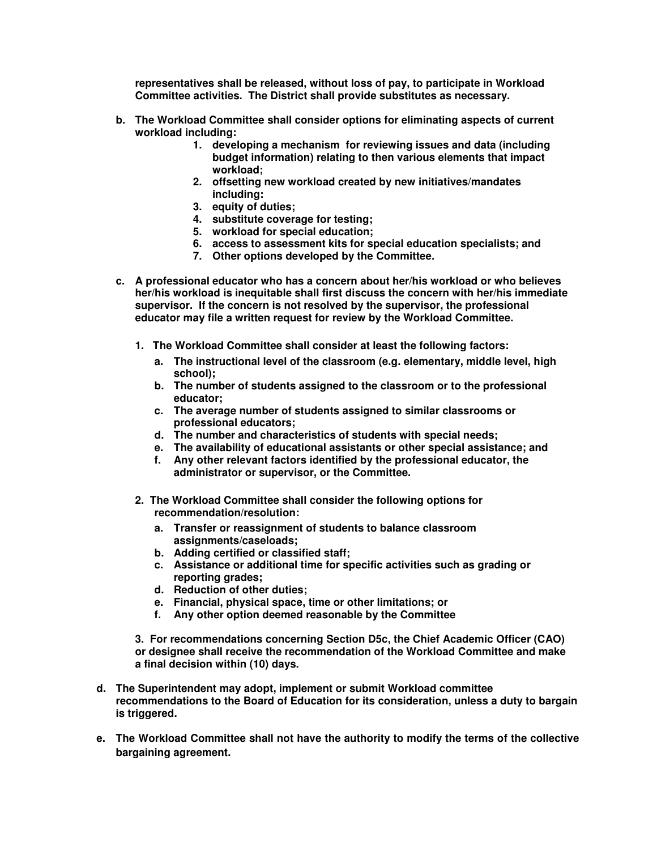**representatives shall be released, without loss of pay, to participate in Workload Committee activities. The District shall provide substitutes as necessary.** 

- **b. The Workload Committee shall consider options for eliminating aspects of current workload including:** 
	- **1. developing a mechanism for reviewing issues and data (including budget information) relating to then various elements that impact workload;**
	- **2. offsetting new workload created by new initiatives/mandates including:**
	- **3. equity of duties;**
	- **4. substitute coverage for testing;**
	- **5. workload for special education;**
	- **6. access to assessment kits for special education specialists; and**
	- **7. Other options developed by the Committee.**
- **c. A professional educator who has a concern about her/his workload or who believes her/his workload is inequitable shall first discuss the concern with her/his immediate supervisor. If the concern is not resolved by the supervisor, the professional educator may file a written request for review by the Workload Committee.** 
	- **1. The Workload Committee shall consider at least the following factors:** 
		- **a. The instructional level of the classroom (e.g. elementary, middle level, high school);**
		- **b. The number of students assigned to the classroom or to the professional educator;**
		- **c. The average number of students assigned to similar classrooms or professional educators;**
		- **d. The number and characteristics of students with special needs;**
		- **e. The availability of educational assistants or other special assistance; and**
		- **f. Any other relevant factors identified by the professional educator, the administrator or supervisor, or the Committee.**
	- **2. The Workload Committee shall consider the following options for recommendation/resolution:** 
		- **a. Transfer or reassignment of students to balance classroom assignments/caseloads;**
		- **b. Adding certified or classified staff;**
		- **c. Assistance or additional time for specific activities such as grading or reporting grades;**
		- **d. Reduction of other duties;**
		- **e. Financial, physical space, time or other limitations; or**
		- **f. Any other option deemed reasonable by the Committee**

**3. For recommendations concerning Section D5c, the Chief Academic Officer (CAO) or designee shall receive the recommendation of the Workload Committee and make a final decision within (10) days.** 

- **d. The Superintendent may adopt, implement or submit Workload committee recommendations to the Board of Education for its consideration, unless a duty to bargain is triggered.**
- **e. The Workload Committee shall not have the authority to modify the terms of the collective bargaining agreement.**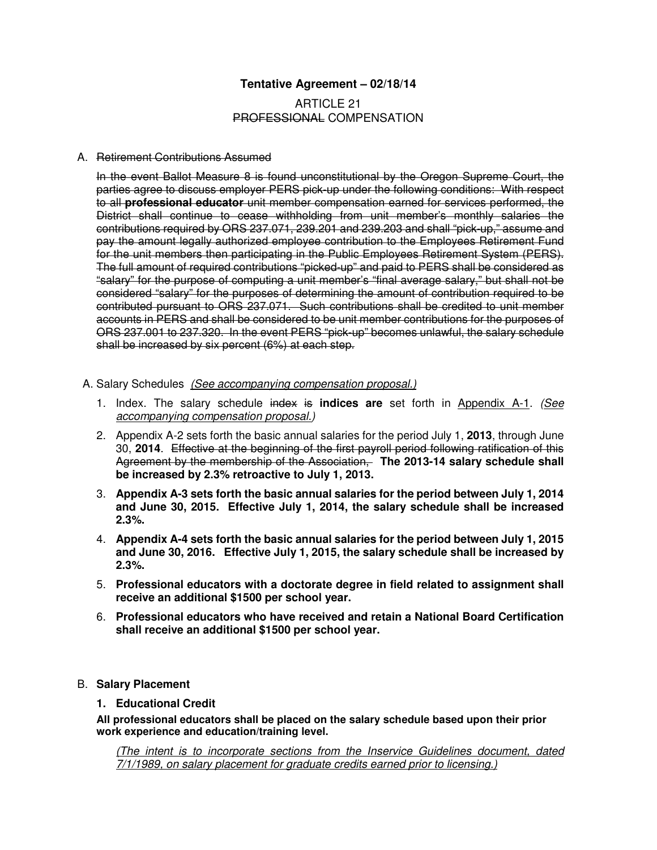# **Tentative Agreement – 02/18/14**

# ARTICLE 21 PROFESSIONAL COMPENSATION

### A. Retirement Contributions Assumed

In the event Ballot Measure 8 is found unconstitutional by the Oregon Supreme Court, the parties agree to discuss employer PERS pick-up under the following conditions: With respect to all **professional educator** unit member compensation earned for services performed, the District shall continue to cease withholding from unit member's monthly salaries the contributions required by ORS 237.071, 239.201 and 239.203 and shall "pick-up," assume and pay the amount legally authorized employee contribution to the Employees Retirement Fund for the unit members then participating in the Public Employees Retirement System (PERS). The full amount of required contributions "picked-up" and paid to PERS shall be considered as "salary" for the purpose of computing a unit member's "final average salary," but shall not be considered "salary" for the purposes of determining the amount of contribution required to be contributed pursuant to ORS 237.071. Such contributions shall be credited to unit member accounts in PERS and shall be considered to be unit member contributions for the purposes of ORS 237.001 to 237.320. In the event PERS "pick-up" becomes unlawful, the salary schedule shall be increased by six percent (6%) at each step.

- A. Salary Schedules(See accompanying compensation proposal.)
	- 1. Index. The salary schedule index is **indices are** set forth in Appendix A-1. (See accompanying compensation proposal.)
	- 2. Appendix A-2 sets forth the basic annual salaries for the period July 1, **2013**, through June 30, **2014**. Effective at the beginning of the first payroll period following ratification of this Agreement by the membership of the Association, **The 2013-14 salary schedule shall be increased by 2.3% retroactive to July 1, 2013.**
	- 3. **Appendix A-3 sets forth the basic annual salaries for the period between July 1, 2014 and June 30, 2015. Effective July 1, 2014, the salary schedule shall be increased 2.3%.**
	- 4. **Appendix A-4 sets forth the basic annual salaries for the period between July 1, 2015 and June 30, 2016. Effective July 1, 2015, the salary schedule shall be increased by 2.3%.**
	- 5. **Professional educators with a doctorate degree in field related to assignment shall receive an additional \$1500 per school year.**
	- 6. **Professional educators who have received and retain a National Board Certification shall receive an additional \$1500 per school year.**

## B. **Salary Placement**

## **1. Educational Credit**

**All professional educators shall be placed on the salary schedule based upon their prior work experience and education/training level.** 

(The intent is to incorporate sections from the Inservice Guidelines document, dated 7/1/1989, on salary placement for graduate credits earned prior to licensing.)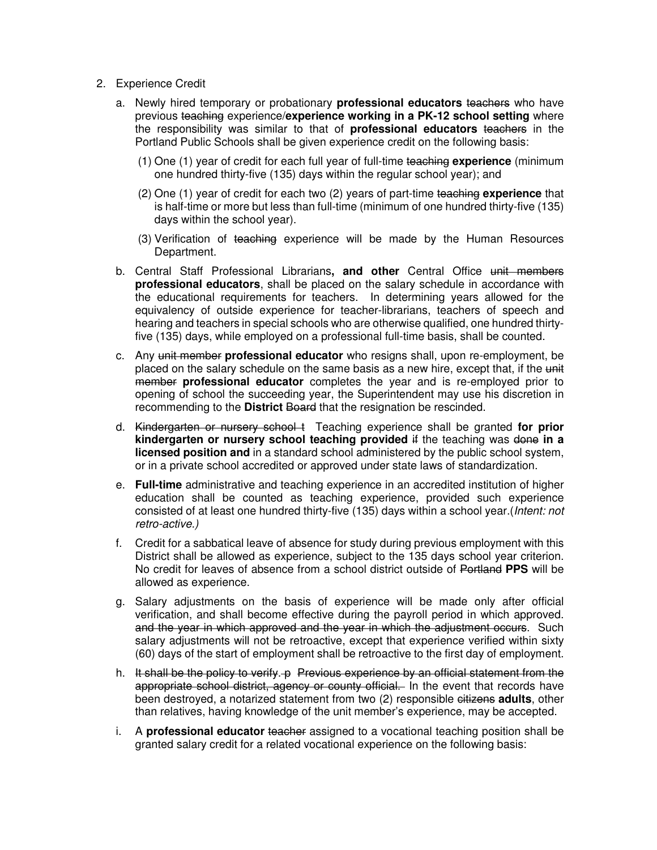- 2. Experience Credit
	- a. Newly hired temporary or probationary **professional educators** teachers who have previous teaching experience/**experience working in a PK-12 school setting** where the responsibility was similar to that of **professional educators** teachers in the Portland Public Schools shall be given experience credit on the following basis:
		- (1) One (1) year of credit for each full year of full-time teaching **experience** (minimum one hundred thirty-five (135) days within the regular school year); and
		- (2) One (1) year of credit for each two (2) years of part-time teaching **experience** that is half-time or more but less than full-time (minimum of one hundred thirty-five (135) days within the school year).
		- (3) Verification of teaching experience will be made by the Human Resources Department.
	- b. Central Staff Professional Librarians**, and other** Central Office unit members **professional educators**, shall be placed on the salary schedule in accordance with the educational requirements for teachers. In determining years allowed for the equivalency of outside experience for teacher-librarians, teachers of speech and hearing and teachers in special schools who are otherwise qualified, one hundred thirtyfive (135) days, while employed on a professional full-time basis, shall be counted.
	- c. Any unit member **professional educator** who resigns shall, upon re-employment, be placed on the salary schedule on the same basis as a new hire, except that, if the unit member **professional educator** completes the year and is re-employed prior to opening of school the succeeding year, the Superintendent may use his discretion in recommending to the **District** Board that the resignation be rescinded.
	- d. Kindergarten or nursery school t Teaching experience shall be granted **for prior kindergarten or nursery school teaching provided** if the teaching was done **in a licensed position and** in a standard school administered by the public school system, or in a private school accredited or approved under state laws of standardization.
	- e. **Full-time** administrative and teaching experience in an accredited institution of higher education shall be counted as teaching experience, provided such experience consisted of at least one hundred thirty-five (135) days within a school year.(Intent: not retro-active.)
	- f. Credit for a sabbatical leave of absence for study during previous employment with this District shall be allowed as experience, subject to the 135 days school year criterion. No credit for leaves of absence from a school district outside of Portland **PPS** will be allowed as experience.
	- g. Salary adjustments on the basis of experience will be made only after official verification, and shall become effective during the payroll period in which approved. and the year in which approved and the year in which the adjustment occurs. Such salary adjustments will not be retroactive, except that experience verified within sixty (60) days of the start of employment shall be retroactive to the first day of employment.
	- h. It shall be the policy to verify. p Previous experience by an official statement from the appropriate school district, agency or county official. In the event that records have been destroyed, a notarized statement from two (2) responsible eitizens **adults**, other than relatives, having knowledge of the unit member's experience, may be accepted.
	- i. A **professional educator** teacher assigned to a vocational teaching position shall be granted salary credit for a related vocational experience on the following basis: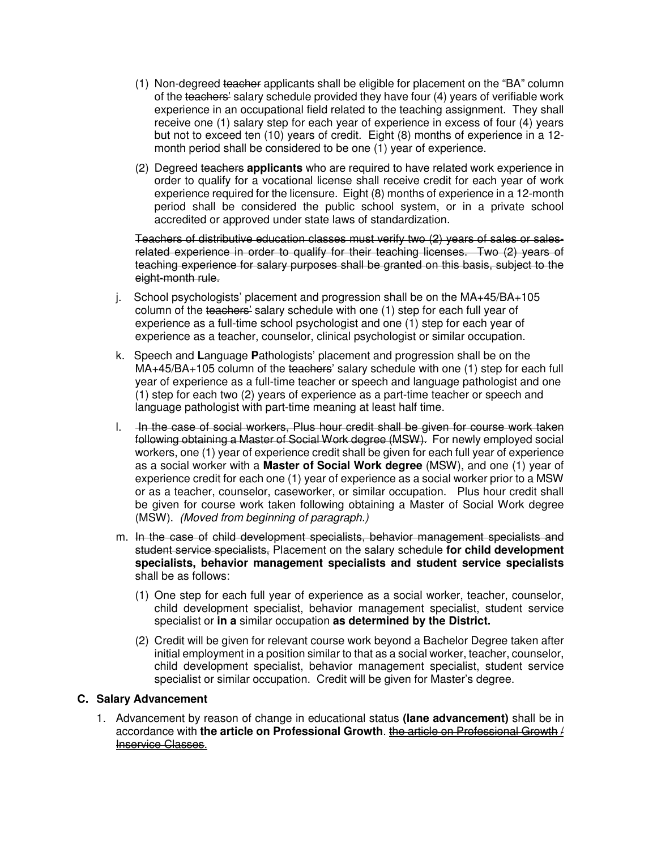- (1) Non-degreed teacher applicants shall be eligible for placement on the "BA" column of the teachers' salary schedule provided they have four (4) years of verifiable work experience in an occupational field related to the teaching assignment. They shall receive one (1) salary step for each year of experience in excess of four (4) years but not to exceed ten (10) years of credit. Eight (8) months of experience in a 12 month period shall be considered to be one (1) year of experience.
- (2) Degreed teachers **applicants** who are required to have related work experience in order to qualify for a vocational license shall receive credit for each year of work experience required for the licensure. Eight (8) months of experience in a 12-month period shall be considered the public school system, or in a private school accredited or approved under state laws of standardization.

Teachers of distributive education classes must verify two (2) years of sales or salesrelated experience in order to qualify for their teaching licenses. Two (2) years of teaching experience for salary purposes shall be granted on this basis, subject to the eight-month rule.

- j. School psychologists' placement and progression shall be on the MA+45/BA+105 column of the teachers' salary schedule with one (1) step for each full year of experience as a full-time school psychologist and one (1) step for each year of experience as a teacher, counselor, clinical psychologist or similar occupation.
- k. Speech and **L**anguage **P**athologists' placement and progression shall be on the MA+45/BA+105 column of the teachers' salary schedule with one (1) step for each full year of experience as a full-time teacher or speech and language pathologist and one (1) step for each two (2) years of experience as a part-time teacher or speech and language pathologist with part-time meaning at least half time.
- l. In the case of social workers, Plus hour credit shall be given for course work taken following obtaining a Master of Social Work degree (MSW). For newly employed social workers, one (1) year of experience credit shall be given for each full year of experience as a social worker with a **Master of Social Work degree** (MSW), and one (1) year of experience credit for each one (1) year of experience as a social worker prior to a MSW or as a teacher, counselor, caseworker, or similar occupation. Plus hour credit shall be given for course work taken following obtaining a Master of Social Work degree (MSW). (Moved from beginning of paragraph.)
- m. In the case of child development specialists, behavior management specialists and student service specialists, Placement on the salary schedule **for child development specialists, behavior management specialists and student service specialists** shall be as follows:
	- (1) One step for each full year of experience as a social worker, teacher, counselor, child development specialist, behavior management specialist, student service specialist or **in a** similar occupation **as determined by the District.**
	- (2) Credit will be given for relevant course work beyond a Bachelor Degree taken after initial employment in a position similar to that as a social worker, teacher, counselor, child development specialist, behavior management specialist, student service specialist or similar occupation. Credit will be given for Master's degree.

# **C. Salary Advancement**

1. Advancement by reason of change in educational status **(lane advancement)** shall be in accordance with **the article on Professional Growth**. the article on Professional Growth / Inservice Classes.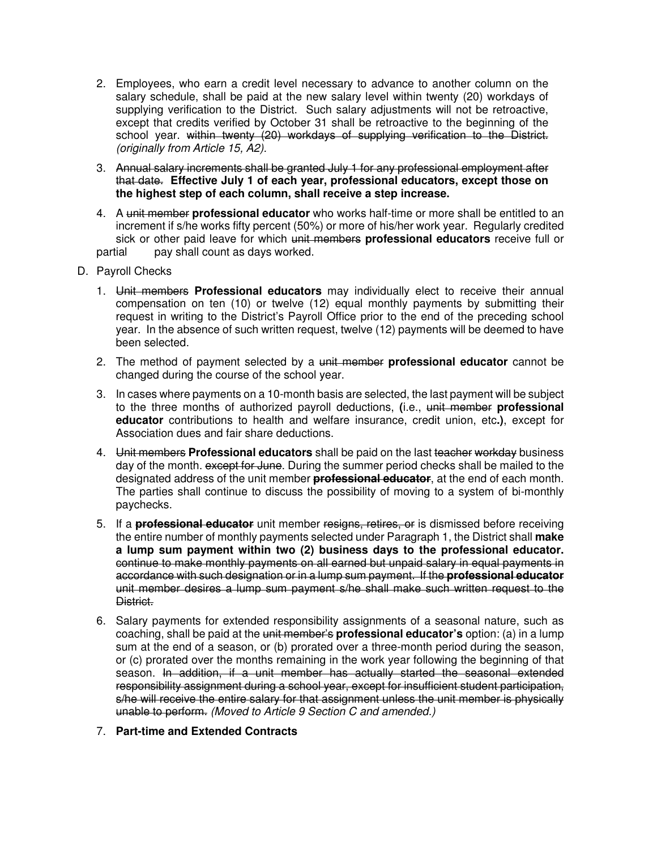- 2. Employees, who earn a credit level necessary to advance to another column on the salary schedule, shall be paid at the new salary level within twenty (20) workdays of supplying verification to the District. Such salary adjustments will not be retroactive, except that credits verified by October 31 shall be retroactive to the beginning of the school year. within twenty (20) workdays of supplying verification to the District. (originally from Article 15, A2).
- 3. Annual salary increments shall be granted July 1 for any professional employment after that date. **Effective July 1 of each year, professional educators, except those on the highest step of each column, shall receive a step increase.**
- 4. A unit member **professional educator** who works half-time or more shall be entitled to an increment if s/he works fifty percent (50%) or more of his/her work year. Regularly credited sick or other paid leave for which unit members **professional educators** receive full or partial pay shall count as days worked.
- D. Payroll Checks
	- 1. Unit members **Professional educators** may individually elect to receive their annual compensation on ten (10) or twelve (12) equal monthly payments by submitting their request in writing to the District's Payroll Office prior to the end of the preceding school year. In the absence of such written request, twelve (12) payments will be deemed to have been selected.
	- 2. The method of payment selected by a unit member **professional educator** cannot be changed during the course of the school year.
	- 3. In cases where payments on a 10-month basis are selected, the last payment will be subject to the three months of authorized payroll deductions, **(**i.e., unit member **professional educator** contributions to health and welfare insurance, credit union, etc**.)**, except for Association dues and fair share deductions.
	- 4. Unit members **Professional educators** shall be paid on the last teacher workday business day of the month. except for June. During the summer period checks shall be mailed to the designated address of the unit member **professional educator**, at the end of each month. The parties shall continue to discuss the possibility of moving to a system of bi-monthly paychecks.
	- 5. If a **professional educator** unit member resigns, retires, or is dismissed before receiving the entire number of monthly payments selected under Paragraph 1, the District shall **make a lump sum payment within two (2) business days to the professional educator.** continue to make monthly payments on all earned but unpaid salary in equal payments in accordance with such designation or in a lump sum payment. If the **professional educator**  unit member desires a lump sum payment s/he shall make such written request to the District.
	- 6. Salary payments for extended responsibility assignments of a seasonal nature, such as coaching, shall be paid at the unit member's **professional educator's** option: (a) in a lump sum at the end of a season, or (b) prorated over a three-month period during the season, or (c) prorated over the months remaining in the work year following the beginning of that season. In addition, if a unit member has actually started the seasonal extended responsibility assignment during a school year, except for insufficient student participation, s/he will receive the entire salary for that assignment unless the unit member is physically unable to perform. (Moved to Article 9 Section C and amended.)
	- 7. **Part-time and Extended Contracts**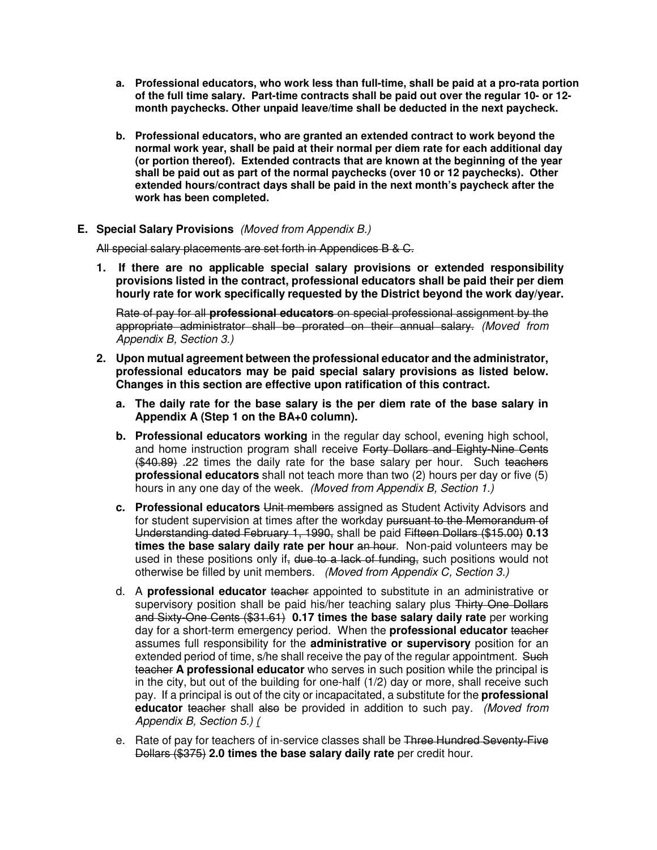- **a. Professional educators, who work less than full-time, shall be paid at a pro-rata portion of the full time salary. Part-time contracts shall be paid out over the regular 10- or 12 month paychecks. Other unpaid leave/time shall be deducted in the next paycheck.**
- **b. Professional educators, who are granted an extended contract to work beyond the normal work year, shall be paid at their normal per diem rate for each additional day (or portion thereof). Extended contracts that are known at the beginning of the year shall be paid out as part of the normal paychecks (over 10 or 12 paychecks). Other extended hours/contract days shall be paid in the next month's paycheck after the work has been completed.**

## **E. Special Salary Provisions** (Moved from Appendix B.)

All special salary placements are set forth in Appendices B & C.

**1. If there are no applicable special salary provisions or extended responsibility provisions listed in the contract, professional educators shall be paid their per diem hourly rate for work specifically requested by the District beyond the work day/year.** 

Rate of pay for all **professional educators** on special professional assignment by the appropriate administrator shall be prorated on their annual salary. (Moved from Appendix B, Section 3.)

- **2. Upon mutual agreement between the professional educator and the administrator, professional educators may be paid special salary provisions as listed below. Changes in this section are effective upon ratification of this contract.** 
	- **a. The daily rate for the base salary is the per diem rate of the base salary in Appendix A (Step 1 on the BA+0 column).**
	- **b. Professional educators working** in the regular day school, evening high school, and home instruction program shall receive Forty Dollars and Eighty-Nine Cents (\$40.89) .22 times the daily rate for the base salary per hour. Such teachers **professional educators** shall not teach more than two (2) hours per day or five (5) hours in any one day of the week. (Moved from Appendix B, Section 1.)
	- **c. Professional educators** Unit members assigned as Student Activity Advisors and for student supervision at times after the workday pursuant to the Memorandum of Understanding dated February 1, 1990, shall be paid Fifteen Dollars (\$15.00) **0.13 times the base salary daily rate per hour an hour.** Non-paid volunteers may be used in these positions only if, due to a lack of funding, such positions would not otherwise be filled by unit members. (Moved from Appendix C, Section 3.)
	- d. A **professional educator** teacher appointed to substitute in an administrative or supervisory position shall be paid his/her teaching salary plus Thirty One Dollars and Sixty-One Cents (\$31.61) **0.17 times the base salary daily rate** per working day for a short-term emergency period. When the **professional educator** teacher assumes full responsibility for the **administrative or supervisory** position for an extended period of time, s/he shall receive the pay of the regular appointment. Such teacher **A professional educator** who serves in such position while the principal is in the city, but out of the building for one-half (1/2) day or more, shall receive such pay. If a principal is out of the city or incapacitated, a substitute for the **professional educator** teacher shall also be provided in addition to such pay. (Moved from Appendix B, Section 5.) (
	- e. Rate of pay for teachers of in-service classes shall be Three Hundred Seventy-Five Dollars (\$375) **2.0 times the base salary daily rate** per credit hour.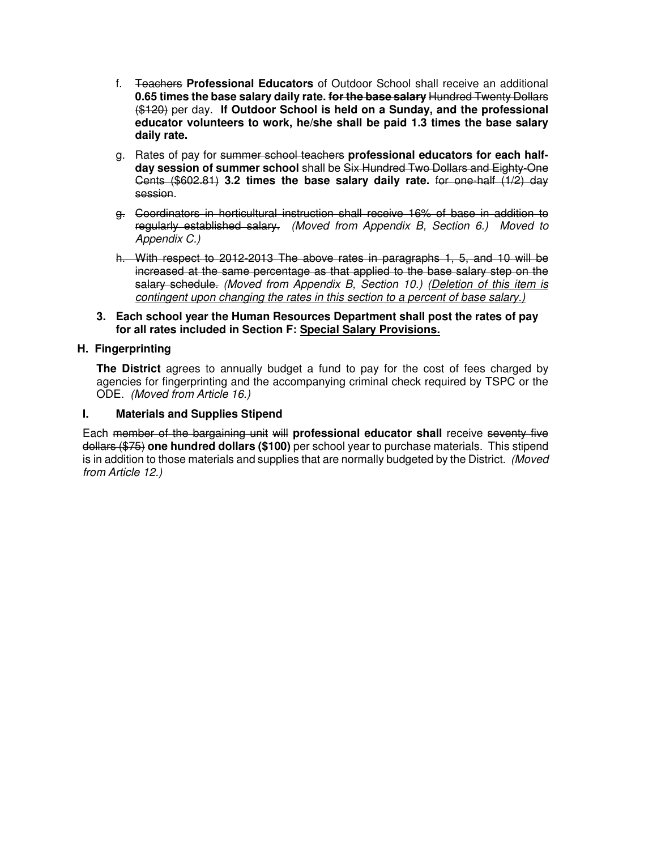- f. Teachers **Professional Educators** of Outdoor School shall receive an additional **0.65 times the base salary daily rate. for the base salary** Hundred Twenty Dollars (\$120) per day. **If Outdoor School is held on a Sunday, and the professional educator volunteers to work, he/she shall be paid 1.3 times the base salary daily rate.**
- g. Rates of pay for summer school teachers **professional educators for each halfday session of summer school** shall be Six Hundred Two Dollars and Eighty-One Cents (\$602.81) **3.2 times the base salary daily rate.** for one-half (1/2) day session.
- g. Coordinators in horticultural instruction shall receive 16% of base in addition to regularly established salary. (Moved from Appendix B, Section 6.) Moved to Appendix C.)
- h. With respect to 2012-2013 The above rates in paragraphs 1, 5, and 10 will be increased at the same percentage as that applied to the base salary step on the salary schedule. (Moved from Appendix B, Section 10.) (Deletion of this item is contingent upon changing the rates in this section to a percent of base salary.)
- **3. Each school year the Human Resources Department shall post the rates of pay for all rates included in Section F: Special Salary Provisions.**

# **H. Fingerprinting**

 **The District** agrees to annually budget a fund to pay for the cost of fees charged by agencies for fingerprinting and the accompanying criminal check required by TSPC or the ODE. (Moved from Article 16.)

# **I. Materials and Supplies Stipend**

Each member of the bargaining unit will **professional educator shall** receive seventy five dollars (\$75) **one hundred dollars (\$100)** per school year to purchase materials. This stipend is in addition to those materials and supplies that are normally budgeted by the District. (Moved from Article 12.)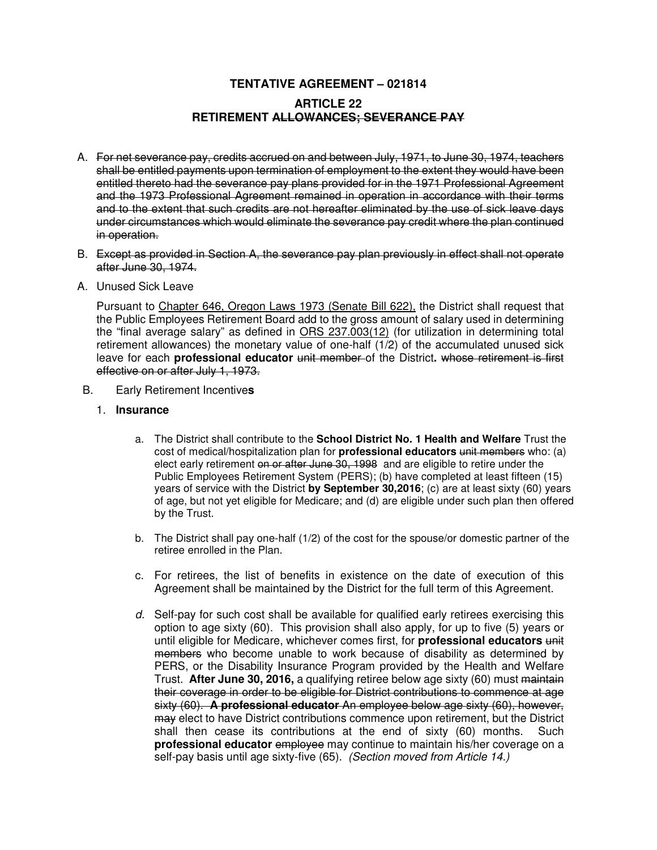# **TENTATIVE AGREEMENT – 021814 ARTICLE 22 RETIREMENT ALLOWANCES; SEVERANCE PAY**

- A. For net severance pay, credits accrued on and between July, 1971, to June 30, 1974, teachers shall be entitled payments upon termination of employment to the extent they would have been entitled thereto had the severance pay plans provided for in the 1971 Professional Agreement and the 1973 Professional Agreement remained in operation in accordance with their terms and to the extent that such credits are not hereafter eliminated by the use of sick leave days under circumstances which would eliminate the severance pay credit where the plan continued in operation.
- B. Except as provided in Section A, the severance pay plan previously in effect shall not operate after June 30, 1974.
- A. Unused Sick Leave

Pursuant to Chapter 646, Oregon Laws 1973 (Senate Bill 622), the District shall request that the Public Employees Retirement Board add to the gross amount of salary used in determining the "final average salary" as defined in ORS 237.003(12) (for utilization in determining total retirement allowances) the monetary value of one-half (1/2) of the accumulated unused sick leave for each **professional educator** unit member of the District. whose retirement is first effective on or after July 1, 1973.

- B. Early Retirement Incentive**s**
	- 1. **Insurance** 
		- a. The District shall contribute to the **School District No. 1 Health and Welfare** Trust the cost of medical/hospitalization plan for **professional educators** unit members who: (a) elect early retirement on or after June 30, 1998 and are eligible to retire under the Public Employees Retirement System (PERS); (b) have completed at least fifteen (15) years of service with the District **by September 30,2016**; (c) are at least sixty (60) years of age, but not yet eligible for Medicare; and (d) are eligible under such plan then offered by the Trust.
		- b. The District shall pay one-half (1/2) of the cost for the spouse/or domestic partner of the retiree enrolled in the Plan.
		- c. For retirees, the list of benefits in existence on the date of execution of this Agreement shall be maintained by the District for the full term of this Agreement.
		- $d.$  Self-pay for such cost shall be available for qualified early retirees exercising this option to age sixty (60). This provision shall also apply, for up to five (5) years or until eligible for Medicare, whichever comes first, for **professional educators** unit members who become unable to work because of disability as determined by PERS, or the Disability Insurance Program provided by the Health and Welfare Trust. **After June 30, 2016,** a qualifying retiree below age sixty (60) must maintain their coverage in order to be eligible for District contributions to commence at age sixty (60). **A professional educator** An employee below age sixty (60), however, may elect to have District contributions commence upon retirement, but the District shall then cease its contributions at the end of sixty (60) months. Such **professional educator** employee may continue to maintain his/her coverage on a self-pay basis until age sixty-five (65). (Section moved from Article 14.)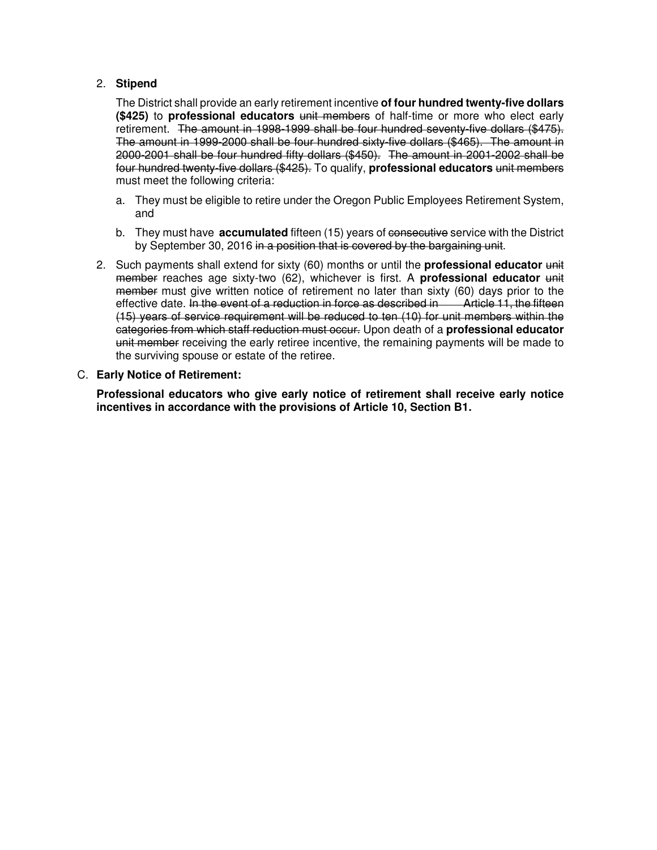# 2. **Stipend**

The District shall provide an early retirement incentive **of four hundred twenty-five dollars (\$425)** to **professional educators** unit members of half-time or more who elect early retirement. The amount in 1998-1999 shall be four hundred seventy-five dollars (\$475). The amount in 1999-2000 shall be four hundred sixty-five dollars (\$465). The amount in 2000-2001 shall be four hundred fifty dollars (\$450). The amount in 2001-2002 shall be four hundred twenty-five dollars (\$425). To qualify, **professional educators** unit members must meet the following criteria:

- a. They must be eligible to retire under the Oregon Public Employees Retirement System, and
- b. They must have **accumulated** fifteen (15) years of consecutive service with the District by September 30, 2016 in a position that is covered by the bargaining unit.
- 2. Such payments shall extend for sixty (60) months or until the **professional educator** unit member reaches age sixty-two (62), whichever is first. A **professional educator** unit member must give written notice of retirement no later than sixty (60) days prior to the effective date. In the event of a reduction in force as described in Article 11, the fifteen (15) years of service requirement will be reduced to ten (10) for unit members within the categories from which staff reduction must occur. Upon death of a **professional educator** unit member receiving the early retiree incentive, the remaining payments will be made to the surviving spouse or estate of the retiree.

# C. **Early Notice of Retirement:**

**Professional educators who give early notice of retirement shall receive early notice incentives in accordance with the provisions of Article 10, Section B1.**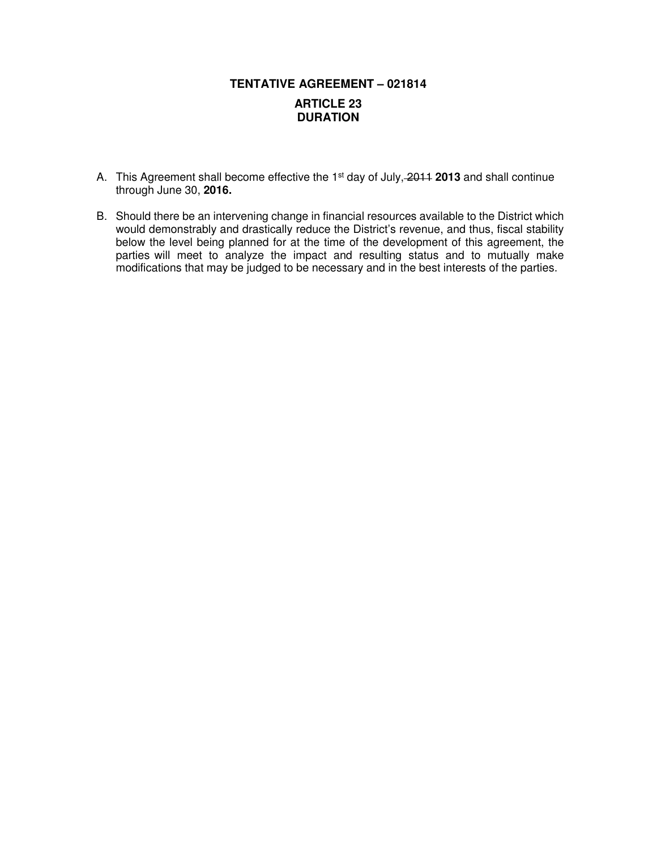# **TENTATIVE AGREEMENT – 021814 ARTICLE 23 DURATION**

- A. This Agreement shall become effective the 1st day of July, 2011 **2013** and shall continue through June 30, **2016.**
- B. Should there be an intervening change in financial resources available to the District which would demonstrably and drastically reduce the District's revenue, and thus, fiscal stability below the level being planned for at the time of the development of this agreement, the parties will meet to analyze the impact and resulting status and to mutually make modifications that may be judged to be necessary and in the best interests of the parties.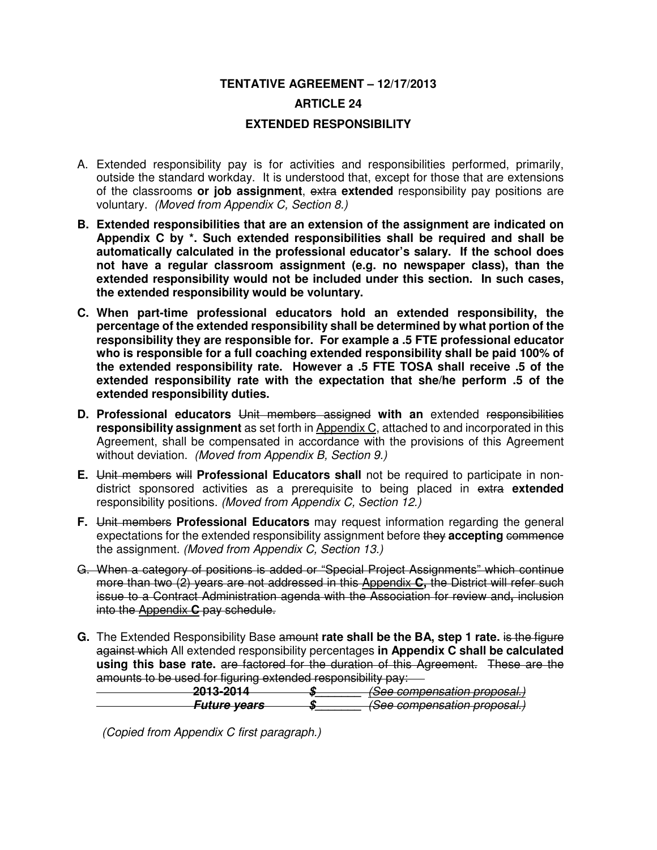# **TENTATIVE AGREEMENT – 12/17/2013 ARTICLE 24 EXTENDED RESPONSIBILITY**

- A. Extended responsibility pay is for activities and responsibilities performed, primarily, outside the standard workday. It is understood that, except for those that are extensions of the classrooms **or job assignment**, extra **extended** responsibility pay positions are voluntary. (Moved from Appendix C, Section 8.)
- **B. Extended responsibilities that are an extension of the assignment are indicated on Appendix C by \*. Such extended responsibilities shall be required and shall be automatically calculated in the professional educator's salary. If the school does not have a regular classroom assignment (e.g. no newspaper class), than the extended responsibility would not be included under this section. In such cases, the extended responsibility would be voluntary.**
- **C. When part-time professional educators hold an extended responsibility, the percentage of the extended responsibility shall be determined by what portion of the responsibility they are responsible for. For example a .5 FTE professional educator who is responsible for a full coaching extended responsibility shall be paid 100% of the extended responsibility rate. However a .5 FTE TOSA shall receive .5 of the extended responsibility rate with the expectation that she/he perform .5 of the extended responsibility duties.**
- **D. Professional educators** Unit members assigned **with an** extended responsibilities **responsibility assignment** as set forth in Appendix C, attached to and incorporated in this Agreement, shall be compensated in accordance with the provisions of this Agreement without deviation. (Moved from Appendix B, Section 9.)
- **E.** Unit members will **Professional Educators shall** not be required to participate in nondistrict sponsored activities as a prerequisite to being placed in extra **extended** responsibility positions. (Moved from Appendix C, Section 12.)
- **F.** Unit members **Professional Educators** may request information regarding the general expectations for the extended responsibility assignment before they **accepting** commence the assignment. (Moved from Appendix C, Section 13.)
- G. When a category of positions is added or "Special Project Assignments" which continue more than two (2) years are not addressed in this Appendix **C,** the District will refer such issue to a Contract Administration agenda with the Association for review and**,** inclusion into the Appendix **C** pay schedule.
- **G.** The Extended Responsibility Base amount **rate shall be the BA, step 1 rate.** is the figure against which All extended responsibility percentages **in Appendix C shall be calculated using this base rate.** are factored for the duration of this Agreement. These are the amounts to be used for figuring extended responsibility pay:

| .<br>$-1$ $-$<br>$-1$<br><u>. 100. 1044</u> | . | /Soo companeation proposal              |
|---------------------------------------------|---|-----------------------------------------|
| <del>EVIV EVIT</del>                        |   | <del>rocc compensation proposal.</del>  |
| Futuro vosre                                |   | /Soo componention proposal              |
| <del>rature veurs</del>                     |   | <del>, poco componadilon proposam</del> |

(Copied from Appendix C first paragraph.)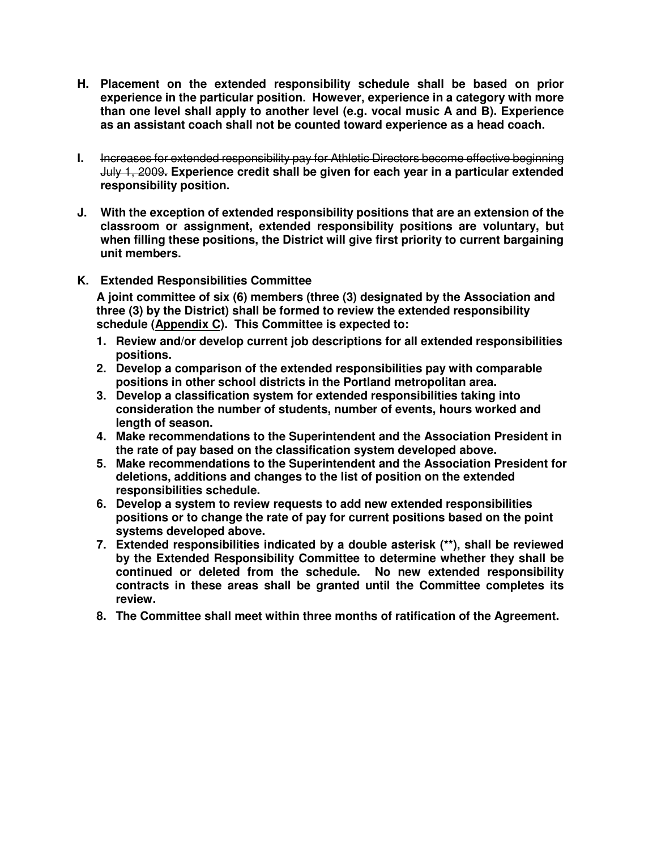- **H. Placement on the extended responsibility schedule shall be based on prior experience in the particular position. However, experience in a category with more than one level shall apply to another level (e.g. vocal music A and B). Experience as an assistant coach shall not be counted toward experience as a head coach.**
- **I.** Increases for extended responsibility pay for Athletic Directors become effective beginning July 1, 2009**. Experience credit shall be given for each year in a particular extended responsibility position.**
- **J. With the exception of extended responsibility positions that are an extension of the classroom or assignment, extended responsibility positions are voluntary, but when filling these positions, the District will give first priority to current bargaining unit members.**
- **K. Extended Responsibilities Committee**

**A joint committee of six (6) members (three (3) designated by the Association and three (3) by the District) shall be formed to review the extended responsibility schedule (Appendix C). This Committee is expected to:** 

- **1. Review and/or develop current job descriptions for all extended responsibilities positions.**
- **2. Develop a comparison of the extended responsibilities pay with comparable positions in other school districts in the Portland metropolitan area.**
- **3. Develop a classification system for extended responsibilities taking into consideration the number of students, number of events, hours worked and length of season.**
- **4. Make recommendations to the Superintendent and the Association President in the rate of pay based on the classification system developed above.**
- **5. Make recommendations to the Superintendent and the Association President for deletions, additions and changes to the list of position on the extended responsibilities schedule.**
- **6. Develop a system to review requests to add new extended responsibilities positions or to change the rate of pay for current positions based on the point systems developed above.**
- **7. Extended responsibilities indicated by a double asterisk (\*\*), shall be reviewed by the Extended Responsibility Committee to determine whether they shall be continued or deleted from the schedule. No new extended responsibility contracts in these areas shall be granted until the Committee completes its review.**
- **8. The Committee shall meet within three months of ratification of the Agreement.**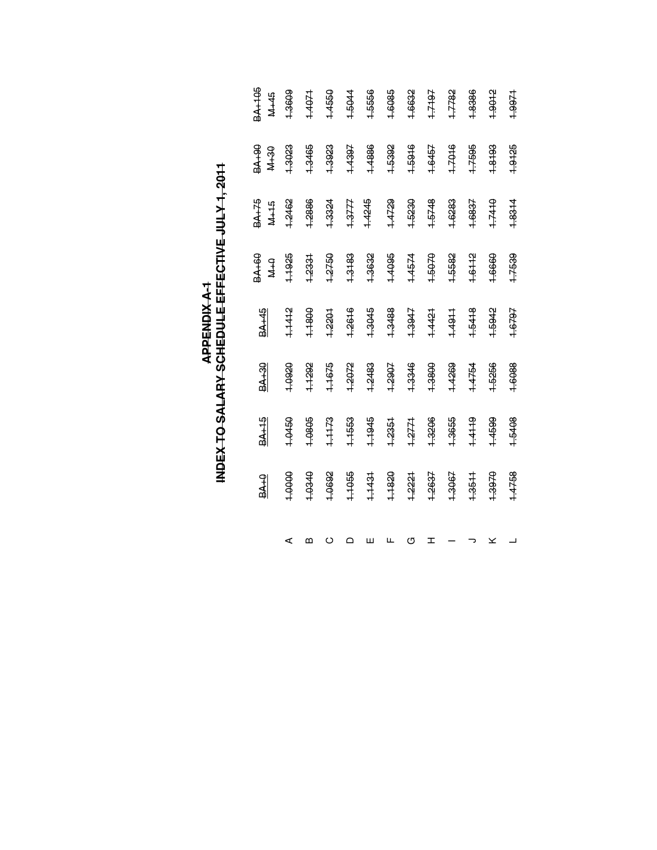| 3A+105<br>M <sub>+45</sub><br><b>06+4E</b><br><b>M+30</b> | 1.3609<br>1.3023 | 1.4071<br>1.3465 | 1.4550<br>1.3923 | 1.5044<br>1.4397 | 1.5556<br>1.4886 | 1.6085<br>1.5392 | 1.6632<br>1.5916 | 1.7197<br>1.6457 | 1.7782<br>1.7016 | 1.8386<br>1.7595 | 1.9012<br>1.8193 | 1.9971<br>1.9125 |
|-----------------------------------------------------------|------------------|------------------|------------------|------------------|------------------|------------------|------------------|------------------|------------------|------------------|------------------|------------------|
| <b>BA+75</b><br>$M+15$                                    | 1.2462           | 1.2886           | 1.3324           | <b>1.3777</b>    | 1.4245           | 1.4729           | 1.5230           | 1.5748           | 1.6283           | 1.6837           | 1.7410           | 1.8314           |
| <b>BA+60</b><br>$2+M$                                     | 1,1925           | 1.2331           | 1.2750           | 1.3183           | 1.3632           | 1.4095           | 1.4574           | 1.5070           | 1.5582           | 1.6112           | 1.6660           | 1.7539           |
| BA <sub>145</sub>                                         | 1.1412           | 1.1800           | 1.2201           | 1.2616           | 1.3045           | 1.3488           | 1.3947           | 1.4421           | +4911            | 1.5418           | 1.5942           | 1.6797           |
| <b>BA+30</b>                                              | 1.0920           | 1.1292           | 1.1675           | 1.2072           | 1.2483           | 1.2907           | 1.3346           | 1.3800           | 1.4269           | 1.4754           | 1.5256           | 1.6088           |
| $\frac{8A+15}{2}$                                         | 1.0450           | 1.0805           | 1.1173           | 1.1553           | 1.1945           | 1.2351           | 1.2771           | 1.3206           | 1.3655           | 1.4119           | 1.4599           | 1.5408           |
| $\overline{\text{BAA}}$                                   | 1.0000           | 0780-1           | 1.0692           | 1.1055           | 1.1431           | 1.1820           | 1.2221           | 1.2637           | 1.3067           | 1.3511           | 1.3970           | 1.4758           |
|                                                           | ⋖                | മ                | $\circ$          | ≏                | ш                | щ                | U                | ᆂ                |                  |                  |                  |                  |

# INDEX TO SALARY SCHEDULE EFFECTIVE JULY 1, 2011 **INDEX TO SALARY SCHEDULE EFFECTIVE JULY 1, 2011 APPENDIX A-1**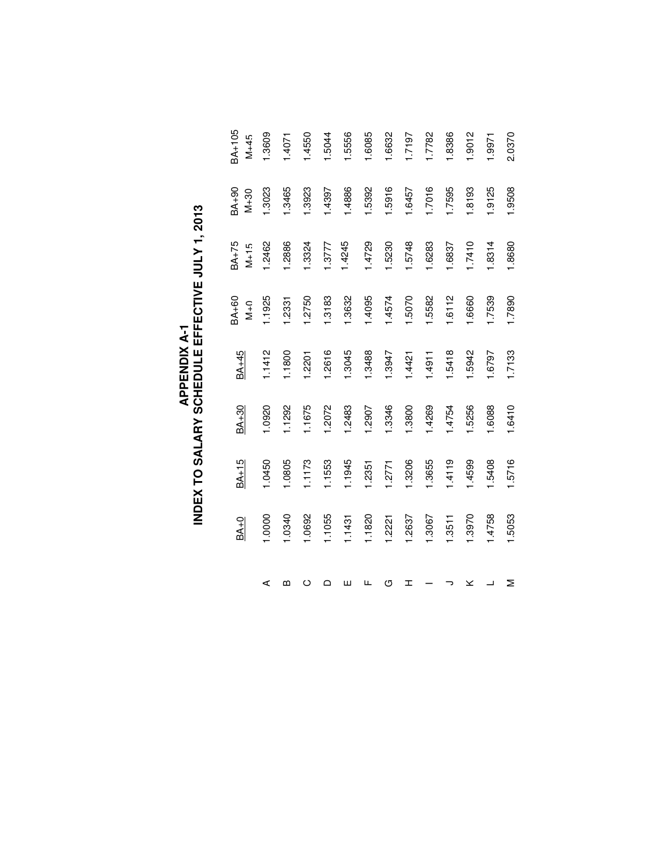| 1.0000<br>$BA+0$ | 1.0450<br>$BA+15$ | 1.0920<br>BA+30 | $BA+45$<br>1.1412 | 1.1925<br>BA <sub>+60</sub><br>$M+O$ | BA <sub>+75</sub><br>1.2462<br>$M+15$ | 1.3023<br>BA <sub>+90</sub><br>$N+30$ | BA+105<br>1.3609<br>$M+45$ |
|------------------|-------------------|-----------------|-------------------|--------------------------------------|---------------------------------------|---------------------------------------|----------------------------|
|                  | 1.0805            | 1.1292          | 1.1800            | 1.2331                               | 1.2886                                | 1.3465                                | 1.4071                     |
| 1.0692           | 1.1173            | 1.1675          | 1.2201            | 1.2750                               | 1.3324                                | 1.3923                                | 1.4550                     |
| 1.1055           | 1.1553            | 1.2072          | 1.2616            | 1.3183                               | 1.3777                                | 1.4397                                | 1.5044                     |
| 1.1431           | 1.1945            | 1.2483          | 1.3045            | 1.3632                               | 1.4245                                | 1.4886                                | 1.5556                     |
| 1.1820           | 1.2351            | 1.2907          | 1.3488            | 1.4095                               | 1.4729                                | 1.5392                                | 1.6085                     |
| 1.2221           | 1.2771            | 1.3346          | 1.3947            | 1.4574                               | 1.5230                                | 1.5916                                | 1.6632                     |
| 1.2637           | 1.3206            | 1.3800          | 1.4421            | 1.5070                               | 1.5748                                | 1.6457                                | 1.7197                     |
| 1.3067           | 1.3655            | 1.4269          | 1.4911            | 1.5582                               | 1.6283                                | 1.7016                                | 1.7782                     |
| 1.3511           | 1.4119            | 1.4754          | 1.5418            | 1.6112                               | 1.6837                                | 1.7595                                | 1.8386                     |
| 1.3970           | 1.4599            | 1.5256          | 1.5942            | 09991                                | 1.7410                                | 1.8193                                | 1.9012                     |
| 1.4758           | 1.5408            | 1.6088          | 1.6797            | 1.7539                               | 1.8314                                | 1.9125                                | 1.9971                     |
| 1.5053           | 1.5716            | 1.6410          | 1.7133            | 1.7890                               | 1.8680                                | 1.9508                                | 2.0370                     |

# **APPENDIX A-1<br>INDEX TO SALARY SCHEDULE EFFECTIVE JULY 1, 2013 INDEX TO SALARY SCHEDULE EFFECTIVE JULY 1, 2013 APPENDIX A-1**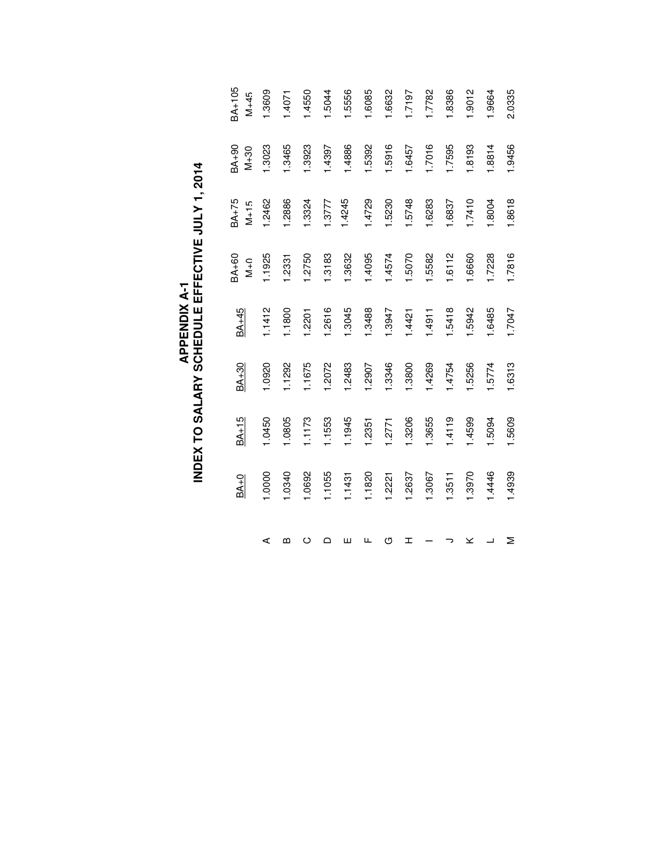|          | $BA+0$ | $BA+15$ | $BA+30$ | $BA+45$ | BA <sub>+60</sub><br>$\frac{1}{2}$ | BA+75<br>$M + 15$ | $06+96$<br>$M + 30$ | BA <sub>+105</sub><br>$M+45$ |
|----------|--------|---------|---------|---------|------------------------------------|-------------------|---------------------|------------------------------|
| ⋖        | 1.0000 | 1.0450  | 1.0920  | 1.1412  | 1.1925                             | 1.2462            | <b>3023</b>         | 1.3609                       |
| m        | 1.0340 | 1.0805  | 1.1292  | 1.1800  | 1.2331                             | 1.2886            | 1.3465              | 1.4071                       |
| $\circ$  | 1.0692 | 1.1173  | 1.1675  | 1.2201  | 1.2750                             | 1.3324            | 1.3923              | 1.4550                       |
| $\Omega$ | 1.1055 | 1.1553  | 1.2072  | 1.2616  | 1.3183                             | 1.3777            | 1.4397              | 1.5044                       |
| Ш        | 1.1431 | 1.1945  | 1.2483  | 1.3045  | 1.3632                             | 1.4245            | 1.4886              | 1.5556                       |
| щ        | 1.1820 | 1.2351  | 1.2907  | 1.3488  | 1.4095                             | 1.4729            | 5392                | 1.6085                       |
| ৩        | 1.2221 | 1.2771  | 1.3346  | 1.3947  | 1.4574                             | 1.5230            | 1.5916              | 1.6632                       |
| H        | 1.2637 | 1.3206  | 1.3800  | 1.4421  | 1.5070                             | 1.5748            | 1.6457              | 1.7197                       |
|          | 1.3067 | 1.3655  | 1.4269  | 1.4911  | 1.5582                             | 1.6283            | 1.7016              | 1.7782                       |
|          | 1.3511 | 1.4119  | 1.4754  | 1.5418  | 1.6112                             | 1.6837            | 1.7595              | 1.8386                       |
| ×        | 1.3970 | 1.4599  | 1.5256  | 1.5942  | 1.6660                             | 1.7410            | 1.8193              | 1.9012                       |
| ┙        | 1.4446 | 1.5094  | 1.5774  | 1.6485  | 1.7228                             | 1.8004            | 1.8814              | 1.9664                       |
| Σ        | 1.4939 | 1.5609  | 1.6313  | 1.7047  | 1.7816                             | 1.8618            | 1.9456              | 2.0335                       |

# **APPENDIX A-1<br>INDEX TO SALARY SCHEDULE EFFECTIVE JULY 1, 2014 INDEX TO SALARY SCHEDULE EFFECTIVE JULY 1, 2014 APPENDIX A-1**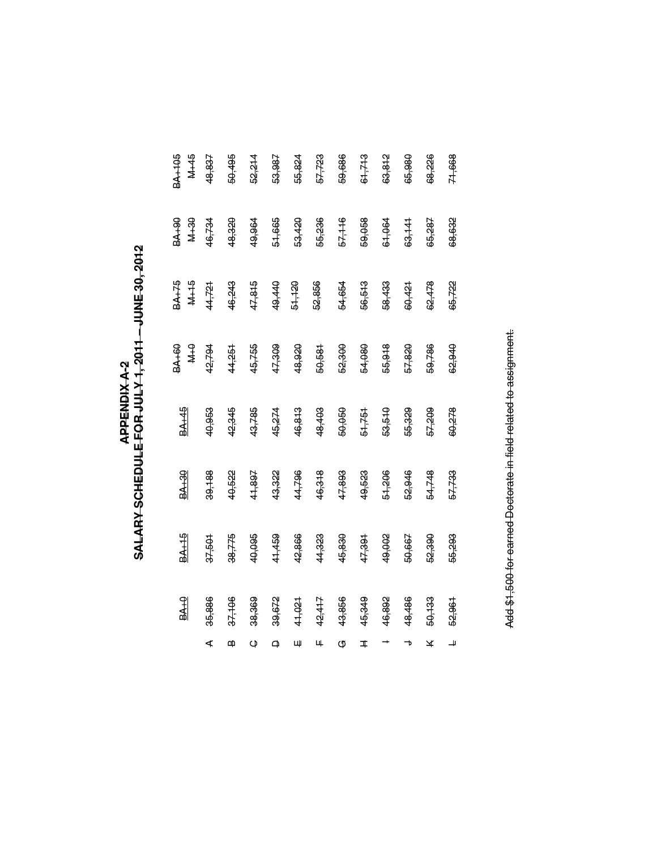# SALARY SCHEDULE FOR JULY 1, 2011 – JUNE 30, 2012 **SALARY SCHEDULE FOR JULY 1, 2011 – JUNE 30, 2012 APPENDIX A-2**

| <b>BALLAS</b><br>M <sub>+45</sub> | 48,837 | 50,495 | 52,214  | 53,987 | 55,824 | 57,723 | 59,686 | 61,713 | 63,812 | 65,980 | 68,226 | 71,668 |
|-----------------------------------|--------|--------|---------|--------|--------|--------|--------|--------|--------|--------|--------|--------|
| <b>94+48</b><br><b>08+7N</b>      | 16,734 | 48,320 | 49,964  | 51,665 | 53,420 | 55,236 | 57,116 | 59,058 | 61,064 | 63,141 | 65,287 | 68,632 |
| $M+15$<br>BA+75                   | 44,721 | 46,243 | 47,815  | 49,440 | 61,120 | 52,856 | 54,654 | 56,513 | 58,433 | 60,421 | 62,478 | 65,722 |
| <b>BA+60</b><br>$\frac{9}{2}$     | 42,794 | 44,251 | 45,755  | 47,309 | 48,920 | 50,581 | 52,300 | 54,080 | 55,918 | 57,820 | 59,786 | 62,940 |
| <b>BA<sub>145</sub></b>           | 40,953 | 42,345 | 43,785  | 45,274 | 46,813 | 48,403 | 50,050 | 51,751 | 53,510 | 55,329 | 57,209 | 60,278 |
| $\frac{8A+30}{2}$                 | 39,188 | 40,522 | 41,897  | 43,322 | 44,796 | 46,318 | 47,893 | 49,523 | 51,206 | 52,946 | 54,748 | 57,733 |
| $\frac{BA+15}{AB}$                | 37,501 | 38,775 | 40,095  | 41,459 | 42,866 | 44,323 | 45,830 | 47,391 | 49,002 | 50,667 | 52,390 | 55,293 |
| 9.449                             | 35,886 | 37,106 | 38,369  | 39,672 | 41,021 | 42,417 | 43,856 | 45,349 | 46,892 | 48,486 | 50,133 | 52,961 |
|                                   | ⋖      | m      | $\circ$ |        | Щ      | Щ.     | G      | I      |        | ┓      | ¥      | 4      |

Add \$1,500 for earned Doctorate in field related to assignment. Add \$1,500 for earned Doctorate in field related to assignment.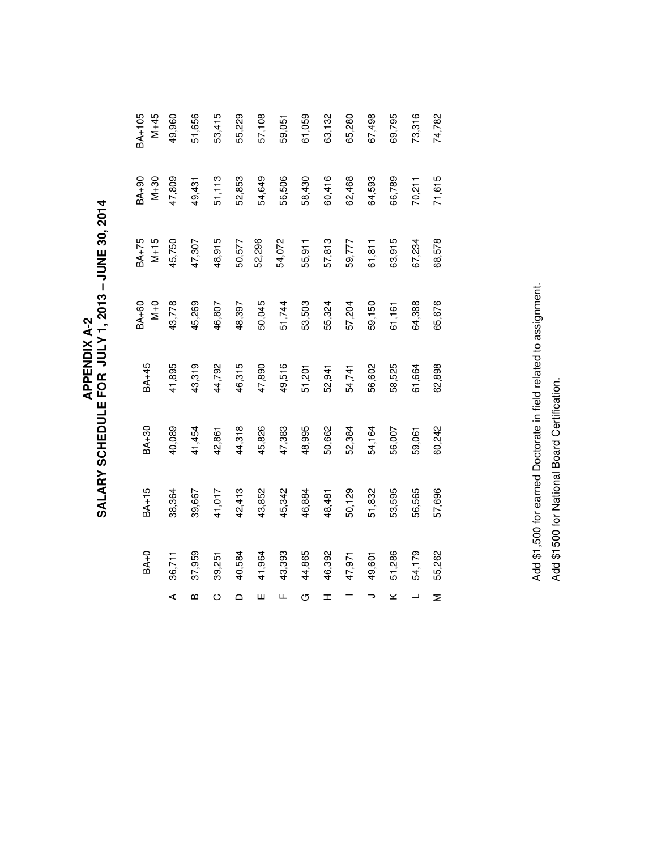**APPENDIX A-2<br>SALARY SCHEDULE FOR JULY 1, 2013 – JUNE 30, 2014 SALARY SCHEDULE FOR JULY 1, 2013 – JUNE 30, 2014 APPENDIX A-2** 

|        | $BA+0$ | $BA+15$ | <b>BA+30</b> | $BA+45$ | <b>BA+60</b><br>$0+o$ | BA <sub>+75</sub><br>$M+15$ | BA <sub>+90</sub><br>$M+30$ | $M+45$<br>BA <sub>+105</sub> |
|--------|--------|---------|--------------|---------|-----------------------|-----------------------------|-----------------------------|------------------------------|
| ⋖      | 36,711 | 38,364  | 40,089       | 41,895  | 43,778                | 45,750                      | 47,809                      | 49,960                       |
| ഥ      | 37,959 | 39,667  | 41,454       | 43,319  | 45,269                | 47,307                      | 49,431                      | 51,656                       |
| Õ      | 39,251 | 41,017  | 42,861       | 44,792  | 46,807                | 48,915                      | 51,113                      | 53,415                       |
| $\Box$ | 40,584 | 42,413  | 44,318       | 46,315  | 48,397                | 50,577                      | 52,853                      | 55,229                       |
| Ш      | 41,964 | 43,852  | 45,826       | 47,890  | 50,045                | 52,296                      | 54,649                      | 57,108                       |
| Щ      | 43,393 | 45,342  | 47,383       | 49,516  | 51,744                | 54,072                      | 56,506                      | 59,051                       |
| U      | 44,865 | 46,884  | 48,995       | 51,201  | 53,503                | 55,911                      | 58,430                      | 61,059                       |
| I      | 46,392 | 48,481  | 50,662       | 52,941  | 55,324                | 57,813                      | 60,416                      | 63,132                       |
|        | 47,971 | 50,129  | 52,384       | 54,741  | 57,204                | 59,777                      | 62,468                      | 65,280                       |
| っ      | 49,601 | 51,832  | 54,164       | 56,602  | 59,150                | 61,811                      | 64,593                      | 67,498                       |
| ⊻      | 51,286 | 53,595  | 56,007       | 58,525  | 61,161                | 63,915                      | 66,789                      | 69,795                       |
|        | 54,179 | 56,565  | 59,061       | 61,664  | 64,388                | 67,234                      | 70,211                      | 73,316                       |
| Σ      | 55,262 | 57,696  | 60,242       | 62,898  | 65,676                | 68,578                      | 71,615                      | 74,782                       |

Add \$1,500 for earned Doctorate in field related to assignment. Add \$1,500 for earned Doctorate in field related to assignment. Add \$1500 for National Board Certification. Add \$1500 for National Board Certification.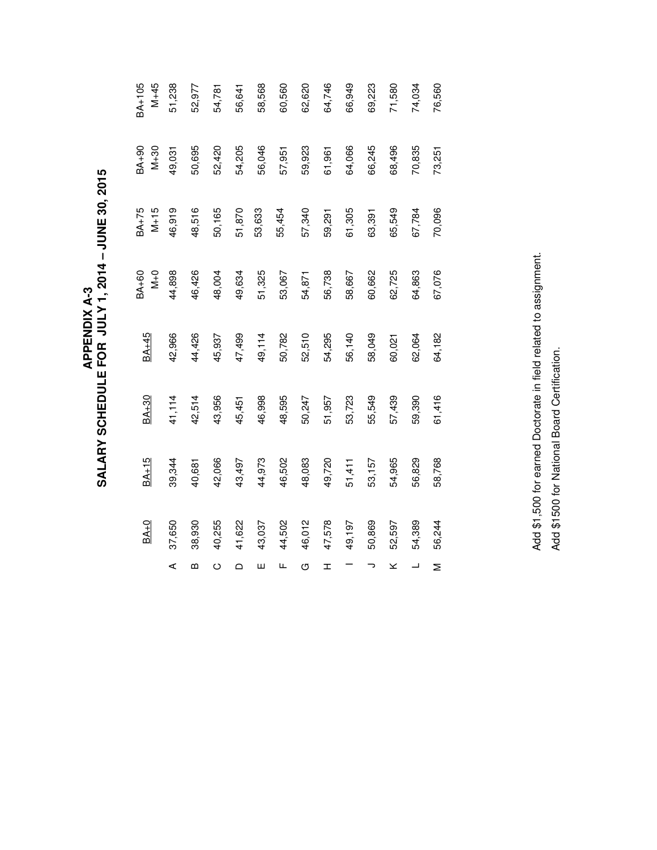APPENDIX A-3<br>SALARY SCHEDULE FOR JULY 1, 2014 – JUNE 30, 2015 **SALARY SCHEDULE FOR JULY 1, 2014 – JUNE 30, 2015 APPENDIX A-3** 

|                          | $BA+0$ | BA+15  | BA+30  | $BA+45$ | <b>BA+60</b><br>$N+0$ | $BA+75$<br>$M+15$ | BA <sub>+90</sub><br>$M + 30$ | BA <sub>+105</sub><br>$M+45$ |
|--------------------------|--------|--------|--------|---------|-----------------------|-------------------|-------------------------------|------------------------------|
| ⋖                        | 37,650 | 39,344 | 41,114 | 42,966  | 44,898                | 46,919            | 49,031                        | 51,238                       |
| m                        | 38,930 | 40,681 | 42,514 | 44,426  | 46,426                | 48,516            | 50,695                        | 52,977                       |
| $\circ$                  | 40,255 | 42,066 | 43,956 | 45,937  | 48,004                | 50,165            | 52,420                        | 54,781                       |
| $\Omega$                 | 41,622 | 43,497 | 45,451 | 47,499  | 49,634                | 51,870            | 54,205                        | 56,641                       |
| ш                        | 43,037 | 44,973 | 46,998 | 49,114  | 51,325                | 53,633            | 56,046                        | 58,568                       |
| Щ                        | 44,502 | 46,502 | 48,595 | 50,782  | 53,067                | 55,454            | 57,951                        | 60,560                       |
| U                        | 46,012 | 48,083 | 50,247 | 52,510  | 54,871                | 57,340            | 59,923                        | 62,620                       |
| I                        | 47,578 | 49,720 | 51,957 | 54,295  | 56,738                | 59,291            | 61,961                        | 64,746                       |
|                          | 49,197 | 51,411 | 53,723 | 56,140  | 58,667                | 61,305            | 64,066                        | 66,949                       |
| っ                        | 50,869 | 53,157 | 55,549 | 58,049  | 60,662                | 63,391            | 66,245                        | 69,223                       |
| ×                        | 52,597 | 54,965 | 57,439 | 60,021  | 62,725                | 65,549            | 68,496                        | 71,580                       |
| $\overline{\phantom{0}}$ | 54,389 | 56,829 | 59,390 | 62,064  | 64,863                | 67,784            | 70,835                        | 74,034                       |
| Σ                        | 56,244 | 58,768 | 61,416 | 64,182  | 67,076                | 70,096            | 73,251                        | 76,560                       |

Add \$1,500 for earned Doctorate in field related to assignment. Add \$1,500 for earned Doctorate in field related to assignment. Add \$1500 for National Board Certification. Add \$1500 for National Board Certification.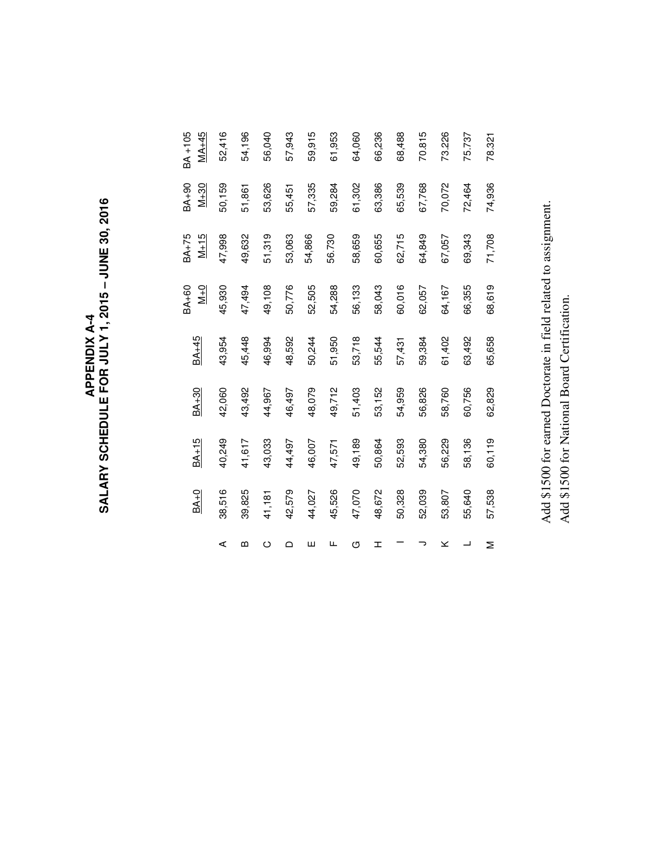Add \$1500 for earned Doctorate in field related to assignment. Add \$1500 for earned Doctorate in field related to assignment. Add \$1500 for National Board Certification. Add \$1500 for National Board Certification.

|        |         |         |        | BA+60         | BA <sub>+75</sub> | BA <sub>+90</sub> | BA <sub>+105</sub> |
|--------|---------|---------|--------|---------------|-------------------|-------------------|--------------------|
| $BA+0$ | $BA+15$ | $BA+30$ | BA+45  | $\frac{1}{2}$ | $M+15$            | $M+30$            | $MA+45$            |
| 38,516 | 40,249  | 42,060  | 43,954 | 45,930        | 47,998            | 50,159            | 52,416             |
| 39,825 | 41,617  | 43,492  | 45,448 | 47,494        | 49,632            | 51,861            | 54,196             |
| 41,181 | 43,033  | 44,967  | 46,994 | 49,108        | 51,319            | 53,626            | 56,040             |
| 42,579 | 44,497  | 46,497  | 48,592 | 50,776        | 53,063            | 55,451            | 57,943             |
| 44,027 | 46,007  | 48,079  | 50,244 | 52,505        | 54,866            | 57,335            | 59,915             |
| 45,526 | 47,571  | 49,712  | 51,950 | 54,288        | 56.730            | 59,284            | 61,953             |
| 47,070 | 49,189  | 51,403  | 53,718 | 56,133        | 58,659            | 61,302            | 64,060             |
| 48,672 | 50,864  | 53,152  | 55,544 | 58,043        | 60,655            | 63,386            | 66,236             |
| 50,328 | 52,593  | 54,959  | 57,431 | 60,016        | 62,715            | 65,539            | 68,488             |
| 52,039 | 54,380  | 56,826  | 59,384 | 62,057        | 64,849            | 67,768            | 70.815             |
| 53,807 | 56,229  | 58,760  | 61,402 | 64,167        | 67,057            | 70,072            | 73.226             |
| 55,640 | 58,136  | 60,756  | 63,492 | 66,355        | 69,343            | 72,464            | 75.737             |
| 57,538 | 60,119  | 62,829  | 65,658 | 68,619        | 71,708            | 74,936            | 78.321             |

APPENDIX A-4<br>SALARY SCHEDULE FOR JULY 1, 2015 – JUNE 30, 2016 **SALARY SCHEDULE FOR JULY 1, 2015 – JUNE 30, 2016 APPENDIX A-4**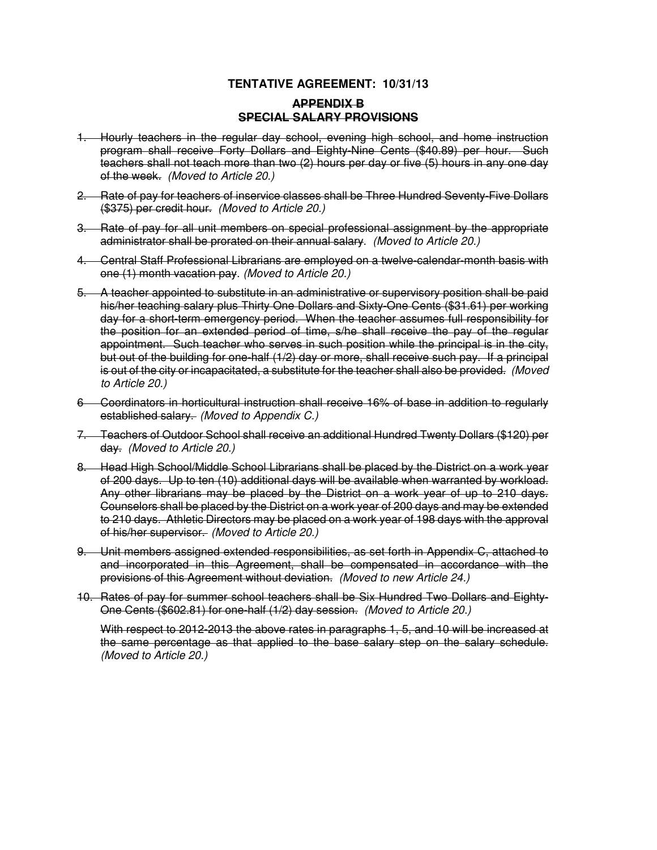# **TENTATIVE AGREEMENT: 10/31/13**

# **APPENDIX B SPECIAL SALARY PROVISIONS**

- 1. Hourly teachers in the regular day school, evening high school, and home instruction program shall receive Forty Dollars and Eighty-Nine Cents (\$40.89) per hour. Such teachers shall not teach more than two (2) hours per day or five (5) hours in any one day of the week. (Moved to Article 20.)
- 2. Rate of pay for teachers of inservice classes shall be Three Hundred Seventy-Five Dollars (\$375) per credit hour. (Moved to Article 20.)
- 3. Rate of pay for all unit members on special professional assignment by the appropriate administrator shall be prorated on their annual salary. (Moved to Article 20.)
- 4. Central Staff Professional Librarians are employed on a twelve-calendar-month basis with one (1) month vacation pay. (Moved to Article 20.)
- 5. A teacher appointed to substitute in an administrative or supervisory position shall be paid his/her teaching salary plus Thirty One Dollars and Sixty-One Cents (\$31.61) per working day for a short-term emergency period. When the teacher assumes full responsibility for the position for an extended period of time, s/he shall receive the pay of the regular appointment. Such teacher who serves in such position while the principal is in the city, but out of the building for one-half (1/2) day or more, shall receive such pay. If a principal is out of the city or incapacitated, a substitute for the teacher shall also be provided. (Moved to Article 20.)
- 6 Coordinators in horticultural instruction shall receive 16% of base in addition to regularly established salary. (Moved to Appendix C.)
- 7. Teachers of Outdoor School shall receive an additional Hundred Twenty Dollars (\$120) per day. (Moved to Article 20.)
- 8. Head High School/Middle School Librarians shall be placed by the District on a work year of 200 days. Up to ten (10) additional days will be available when warranted by workload. Any other librarians may be placed by the District on a work year of up to 210 days. Counselors shall be placed by the District on a work year of 200 days and may be extended to 210 days. Athletic Directors may be placed on a work year of 198 days with the approval of his/her supervisor. (Moved to Article 20.)
- 9. Unit members assigned extended responsibilities, as set forth in Appendix C, attached to and incorporated in this Agreement, shall be compensated in accordance with the provisions of this Agreement without deviation. (Moved to new Article 24.)
- 10. Rates of pay for summer school teachers shall be Six Hundred Two Dollars and Eighty-One Cents (\$602.81) for one-half (1/2) day session. (Moved to Article 20.)

With respect to 2012-2013 the above rates in paragraphs 1, 5, and 10 will be increased at the same percentage as that applied to the base salary step on the salary schedule. (Moved to Article 20.)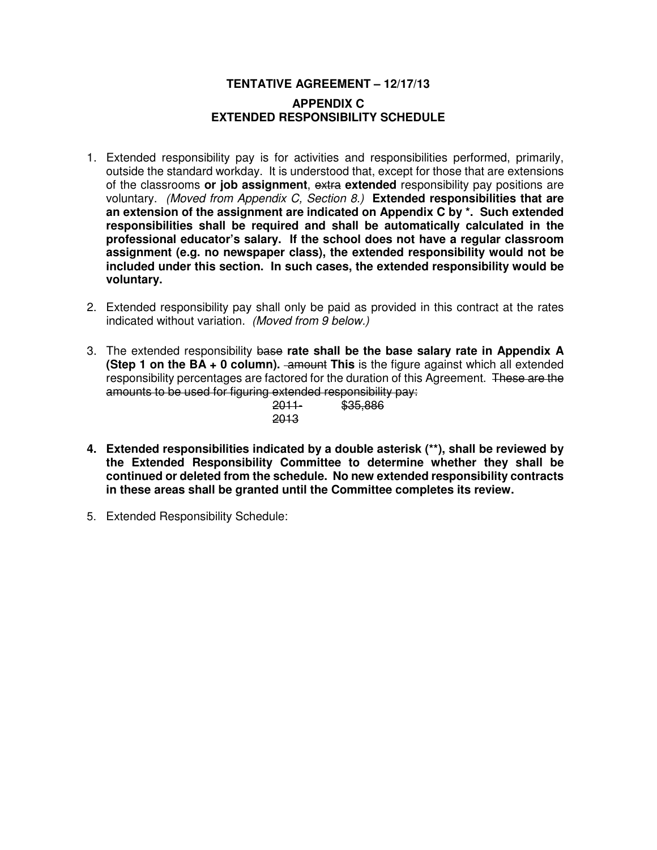# **TENTATIVE AGREEMENT – 12/17/13 APPENDIX C EXTENDED RESPONSIBILITY SCHEDULE**

- 1. Extended responsibility pay is for activities and responsibilities performed, primarily, outside the standard workday. It is understood that, except for those that are extensions of the classrooms **or job assignment**, extra **extended** responsibility pay positions are voluntary. (Moved from Appendix C, Section 8.) **Extended responsibilities that are an extension of the assignment are indicated on Appendix C by \*. Such extended responsibilities shall be required and shall be automatically calculated in the professional educator's salary. If the school does not have a regular classroom assignment (e.g. no newspaper class), the extended responsibility would not be included under this section. In such cases, the extended responsibility would be voluntary.**
- 2. Extended responsibility pay shall only be paid as provided in this contract at the rates indicated without variation. (Moved from 9 below.)
- 3. The extended responsibility base **rate shall be the base salary rate in Appendix A (Step 1 on the BA + 0 column).** -amount This is the figure against which all extended responsibility percentages are factored for the duration of this Agreement. These are the amounts to be used for figuring extended responsibility pay: 86.

| <del>2011-</del> | \$35,88 |
|------------------|---------|
| 2013             |         |

- **4. Extended responsibilities indicated by a double asterisk (\*\*), shall be reviewed by the Extended Responsibility Committee to determine whether they shall be continued or deleted from the schedule. No new extended responsibility contracts in these areas shall be granted until the Committee completes its review.**
- 5. Extended Responsibility Schedule: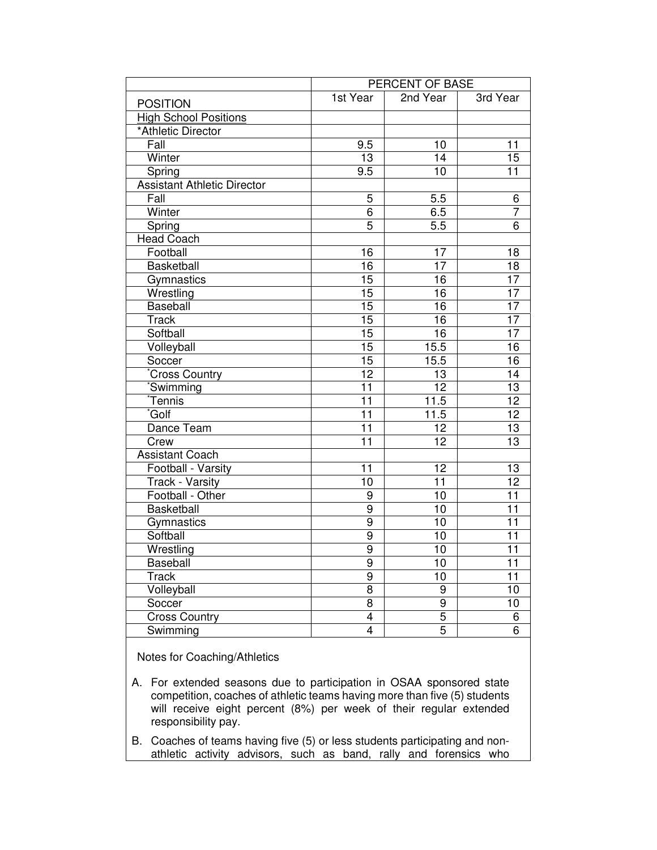|                                    |                         | PERCENT OF BASE |                 |
|------------------------------------|-------------------------|-----------------|-----------------|
| <b>POSITION</b>                    | 1st Year                | 2nd Year        | 3rd Year        |
| <b>High School Positions</b>       |                         |                 |                 |
| *Athletic Director                 |                         |                 |                 |
| Fall                               | 9.5                     | 10              | 11              |
| Winter                             | 13                      | 14              | 15              |
| Spring                             | 9.5                     | 10              | $\overline{11}$ |
| <b>Assistant Athletic Director</b> |                         |                 |                 |
| $\overline{F}$ all                 | 5                       | 5.5             | 6               |
| Winter                             | $\overline{6}$          | 6.5             | $\overline{7}$  |
| Spring                             | $\overline{5}$          | 5.5             | $\overline{6}$  |
| <b>Head Coach</b>                  |                         |                 |                 |
| Football                           | 16                      | 17              | 18              |
| Basketball                         | 16                      | 17              | $\overline{18}$ |
| Gymnastics                         | 15                      | $\overline{16}$ | $\overline{17}$ |
| Wrestling                          | $\overline{15}$         | $\overline{16}$ | $\overline{17}$ |
| <b>Baseball</b>                    | 15                      | 16              | 17              |
| <b>Track</b>                       | 15                      | $\overline{16}$ | $\overline{17}$ |
| Softball                           | $\overline{15}$         | 16              | $\overline{17}$ |
| Volleyball                         | $\overline{15}$         | 15.5            | $\overline{16}$ |
| Soccer                             | 15                      | 15.5            | 16              |
| Cross Country                      | $\overline{12}$         | 13              | $\overline{14}$ |
| *Swimming                          | $\overline{11}$         | 12              | $\overline{13}$ |
| *Tennis                            | $\overline{11}$         | 11.5            | $\overline{12}$ |
| Golf <sup>*</sup>                  | $\overline{11}$         | 11.5            | $\overline{12}$ |
| Dance Team                         | 11                      | $\overline{12}$ | $\overline{13}$ |
| Crew                               | 11                      | 12              | 13              |
| <b>Assistant Coach</b>             |                         |                 |                 |
| Football - Varsity                 | 11                      | 12              | 13              |
| <b>Track - Varsity</b>             | $\overline{10}$         | $\overline{11}$ | $\overline{12}$ |
| Football - Other                   | 9                       | 10              | $\overline{11}$ |
| <b>Basketball</b>                  | $\overline{9}$          | $\overline{10}$ | $\overline{11}$ |
| Gymnastics                         | $\overline{9}$          | $\overline{10}$ | $\overline{11}$ |
| Softball                           | 9                       | 10              | $\overline{11}$ |
| Wrestling                          | $\overline{9}$          | 10              | $\overline{11}$ |
| Baseball                           | 9                       | 10              | 11              |
| <b>Track</b>                       | $\overline{9}$          | 10              | $\overline{11}$ |
| Volleyball                         | 8                       | 9               | 10              |
| Soccer                             | 8                       | 9               | 10              |
| <b>Cross Country</b>               | $\overline{\mathbf{4}}$ | 5               | 6               |
| Swimming                           | 4                       | 5               | $\overline{6}$  |
| Notes for Coaching/Athletics       |                         |                 |                 |

- A. For extended seasons due to participation in OSAA sponsored state competition, coaches of athletic teams having more than five (5) students will receive eight percent (8%) per week of their regular extended responsibility pay.
- B. Coaches of teams having five (5) or less students participating and nonathletic activity advisors, such as band, rally and forensics who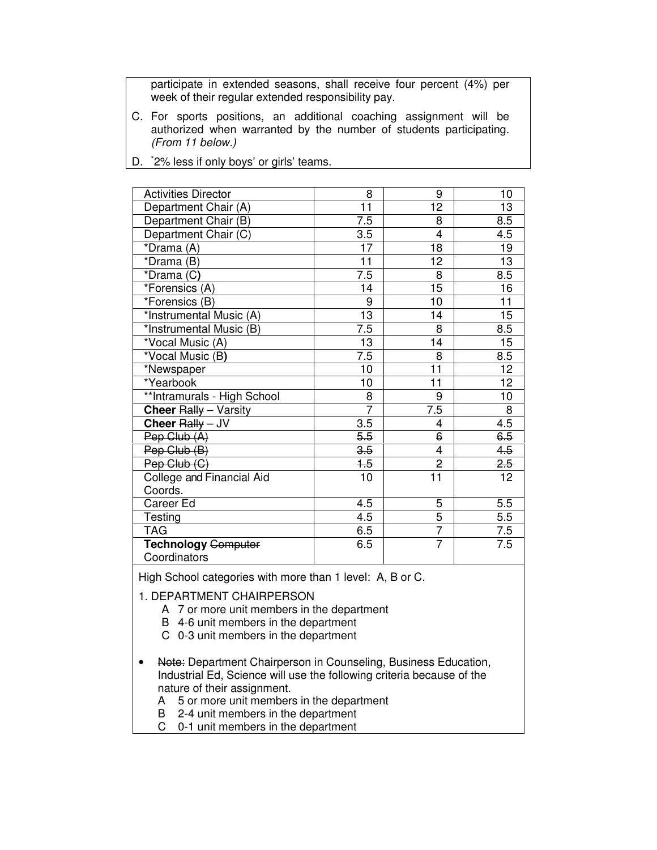participate in extended seasons, shall receive four percent (4%) per week of their regular extended responsibility pay.

C. For sports positions, an additional coaching assignment will be authorized when warranted by the number of students participating. (From 11 below.)

| <b>Activities Director</b>  | 8                | 9                       | 10              |
|-----------------------------|------------------|-------------------------|-----------------|
| Department Chair (A)        | 11               | 12                      | 13              |
| Department Chair (B)        | 7.5              | 8                       | 8.5             |
| Department Chair (C)        | 3.5              | $\overline{4}$          | 4.5             |
| *Drama (A)                  | 17               | 18                      | 19              |
| *Drama (B)                  | 11               | 12                      | 13              |
| *Drama (C)                  | $\overline{7.5}$ | 8                       | 8.5             |
| *Forensics (A)              | 14               | 15                      | 16              |
| *Forensics (B)              | 9                | 10                      | 11              |
| *Instrumental Music (A)     | 13               | 14                      | 15              |
| *Instrumental Music (B)     | 7.5              | 8                       | 8.5             |
| *Vocal Music (A)            | 13               | 14                      | 15              |
| *Vocal Music (B)            | 7.5              | 8                       | 8.5             |
| *Newspaper                  | 10               | 11                      | 12 <sup>2</sup> |
| *Yearbook                   | 10               | $\overline{11}$         | 12 <sup>2</sup> |
| **Intramurals - High School | 8                | 9                       | 10              |
| Cheer Rally - Varsity       | $\overline{7}$   | 7.5                     | 8               |
| Cheer $R$ ally - JV         | 3.5              | 4                       | 4.5             |
| Pep Club (A)                | 5.5              | 6                       | 6.5             |
| Pep Club (B)                | 3.5              | $\overline{\mathbf{4}}$ | 4.5             |
| Pep Club (C)                | $+5$             | $\overline{2}$          | 2.5             |
| College and Financial Aid   | 10               | 11                      | 12              |
| Coords.                     |                  |                         |                 |
| Career Ed                   | 4.5              | 5                       | 5.5             |
| Testing                     | 4.5              | $\overline{5}$          | 5.5             |
| <b>TAG</b>                  | 6.5              | $\overline{7}$          | 7.5             |
| Technology Computer         | 6.5              | $\overline{7}$          | 7.5             |
| Coordinators                |                  |                         |                 |

D. \*2% less if only boys' or girls' teams.

High School categories with more than 1 level: A, B or C.

1. DEPARTMENT CHAIRPERSON

- A 7 or more unit members in the department
- B 4-6 unit members in the department
- C 0-3 unit members in the department
- Note: Department Chairperson in Counseling, Business Education, Industrial Ed, Science will use the following criteria because of the nature of their assignment.
	- A 5 or more unit members in the department
	- B 2-4 unit members in the department
	- C 0-1 unit members in the department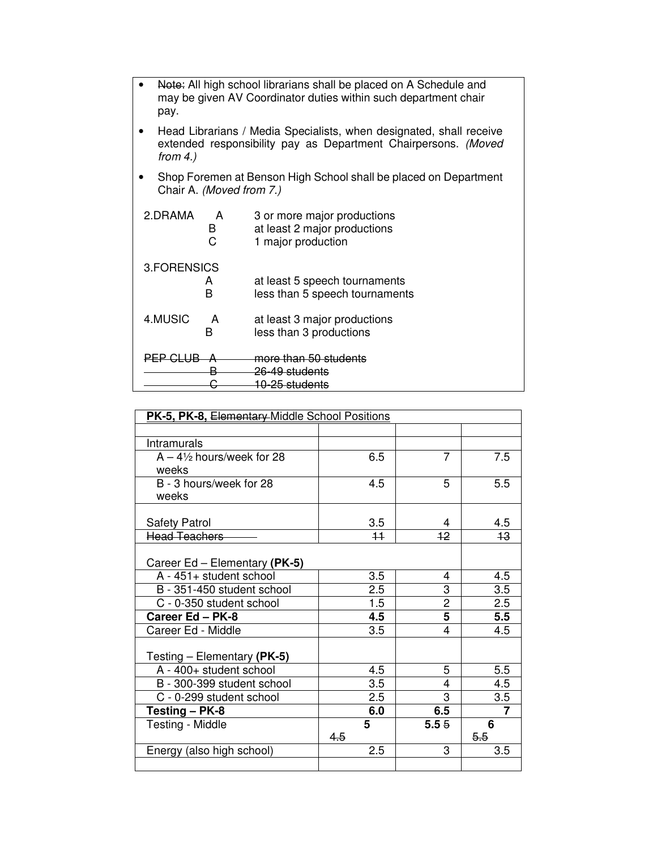| Note: All high school librarians shall be placed on A Schedule and<br>may be given AV Coordinator duties within such department chair<br>pay.        |             |                                                                                   |  |  |
|------------------------------------------------------------------------------------------------------------------------------------------------------|-------------|-----------------------------------------------------------------------------------|--|--|
| Head Librarians / Media Specialists, when designated, shall receive<br>extended responsibility pay as Department Chairpersons. (Moved<br>from $4.$ ) |             |                                                                                   |  |  |
| Shop Foremen at Benson High School shall be placed on Department<br>Chair A. (Moved from 7.)                                                         |             |                                                                                   |  |  |
| 2.DRAMA                                                                                                                                              | A<br>В<br>C | 3 or more major productions<br>at least 2 major productions<br>1 major production |  |  |
| 3.FORENSICS                                                                                                                                          | A<br>в      | at least 5 speech tournaments<br>less than 5 speech tournaments                   |  |  |
| 4.MUSIC                                                                                                                                              | A<br>B      | at least 3 major productions<br>less than 3 productions                           |  |  |
| <b>PEP CI</b>                                                                                                                                        |             | more than 50 students<br>26-49 students<br><del>10-25 students</del>              |  |  |

| PK-5, PK-8, Elementary Middle School Positions |          |                |          |  |
|------------------------------------------------|----------|----------------|----------|--|
|                                                |          |                |          |  |
| <b>Intramurals</b>                             |          |                |          |  |
| $A - 4\frac{1}{2}$ hours/week for 28<br>weeks  | 6.5      | 7              | 7.5      |  |
| B - 3 hours/week for 28<br>weeks               | 4.5      | 5              | 5.5      |  |
| <b>Safety Patrol</b>                           | 3.5      | 4              | 4.5      |  |
| Head Teachers                                  | 11       | 12             | 13       |  |
| Career Ed – Elementary (PK-5)                  |          |                |          |  |
| A - 451+ student school                        | 3.5      | 4              | 4.5      |  |
| B - 351-450 student school                     | 2.5      | 3              | 3.5      |  |
| C - 0-350 student school                       | 1.5      | $\overline{2}$ | 2.5      |  |
| Career Ed - PK-8                               | 4.5      | 5              | 5.5      |  |
| Career Ed - Middle                             | 3.5      | 4              | 4.5      |  |
| Testing – Elementary (PK-5)                    |          |                |          |  |
| A - 400+ student school                        | 4.5      | 5              | 5.5      |  |
| B - 300-399 student school                     | 3.5      | 4              | 4.5      |  |
| C - 0-299 student school                       | 2.5      | 3              | 3.5      |  |
| Testing - PK-8                                 | 6.0      | 6.5            | 7        |  |
| Testing - Middle                               | 5<br>4.5 | 5.55           | 6<br>5.5 |  |
| Energy (also high school)                      | 2.5      | 3              | 3.5      |  |
|                                                |          |                |          |  |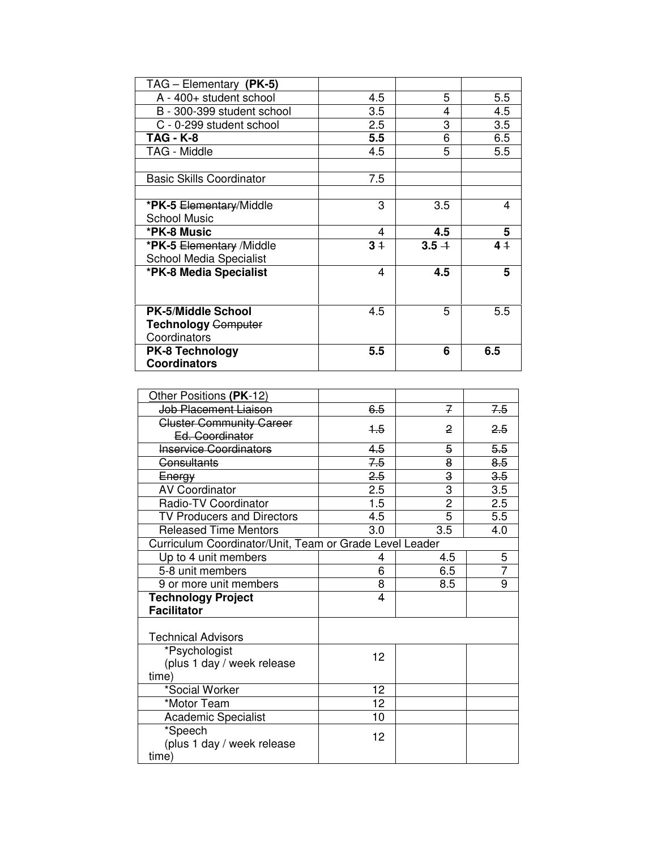| TAG - Elementary (PK-5)         |      |         |         |
|---------------------------------|------|---------|---------|
| A - 400+ student school         | 4.5  | 5       | 5.5     |
| B - 300-399 student school      | 3.5  | 4       | 4.5     |
| C - 0-299 student school        | 2.5  | 3       | 3.5     |
| TAG - K-8                       | 5.5  | 6       | 6.5     |
| TAG - Middle                    | 4.5  | 5       | $5.5\,$ |
|                                 |      |         |         |
| <b>Basic Skills Coordinator</b> | 7.5  |         |         |
|                                 |      |         |         |
| *PK-5 Elementary/Middle         | 3    | 3.5     | 4       |
| <b>School Music</b>             |      |         |         |
| *PK-8 Music                     | 4    | 4.5     | 5       |
| *PK-5 Elementary /Middle        | $3+$ | $3.5 +$ | 41      |
| <b>School Media Specialist</b>  |      |         |         |
| *PK-8 Media Specialist          | 4    | 4.5     | 5       |
|                                 |      |         |         |
|                                 |      |         |         |
| <b>PK-5/Middle School</b>       | 4.5  | 5       | 5.5     |
| <b>Technology Computer</b>      |      |         |         |
| Coordinators                    |      |         |         |
| <b>PK-8 Technology</b>          | 5.5  | 6       | 6.5     |
| <b>Coordinators</b>             |      |         |         |

| Other Positions (PK-12)                                 |      |                |     |
|---------------------------------------------------------|------|----------------|-----|
| Job Placement Liaison                                   | 6.5  | 7              | 7.5 |
| <b>Cluster Community Career</b>                         | $+5$ | 2              | 2,5 |
| Ed. Coordinator                                         |      |                |     |
| <b>Inservice Coordinators</b>                           | 4.5  | 5              | 5.5 |
| <b>Consultants</b>                                      | 7.5  | 8              | 8.5 |
| Energy                                                  | 2.5  | 3              | 3.5 |
| <b>AV Coordinator</b>                                   | 2.5  | 3              | 3.5 |
| Radio-TV Coordinator                                    | 1.5  | $\overline{2}$ | 2.5 |
| <b>TV Producers and Directors</b>                       | 4.5  | 5              | 5.5 |
| <b>Released Time Mentors</b>                            | 3.0  | 3.5            | 4.0 |
| Curriculum Coordinator/Unit, Team or Grade Level Leader |      |                |     |
| Up to 4 unit members                                    | 4    | 4.5            | 5   |
| 5-8 unit members                                        | 6    | 6.5            | 7   |
| 9 or more unit members                                  | 8    | 8.5            | 9   |
| <b>Technology Project</b>                               | 4    |                |     |
| <b>Facilitator</b>                                      |      |                |     |
|                                                         |      |                |     |
| <b>Technical Advisors</b>                               |      |                |     |
| *Psychologist                                           | 12   |                |     |
| (plus 1 day / week release                              |      |                |     |
| time)                                                   |      |                |     |
| *Social Worker                                          | 12   |                |     |
| *Motor Team                                             | 12   |                |     |
| <b>Academic Specialist</b>                              | 10   |                |     |
| *Speech                                                 | 12   |                |     |
| (plus 1 day / week release                              |      |                |     |
| time)                                                   |      |                |     |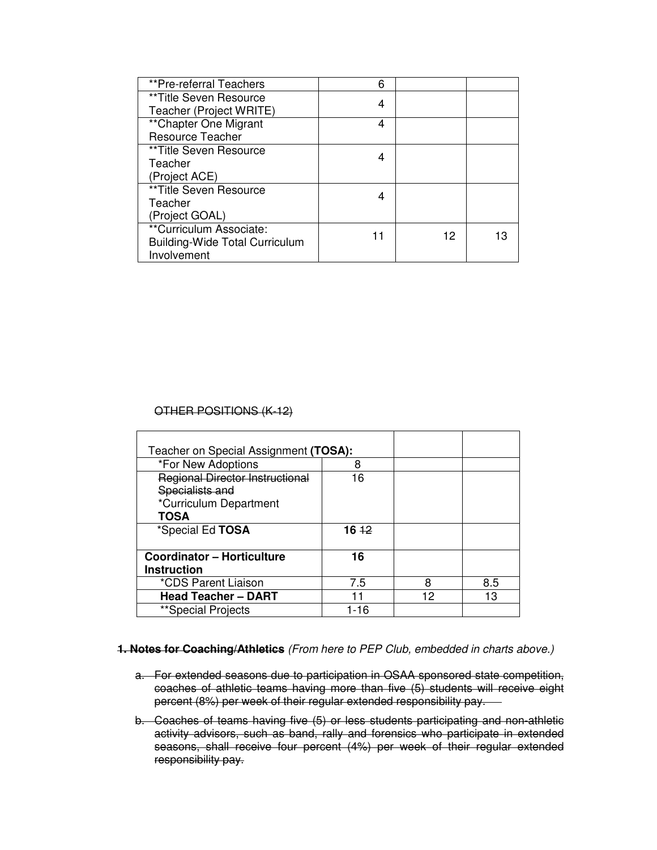| **Pre-referral Teachers               | 6 |    |    |
|---------------------------------------|---|----|----|
| **Title Seven Resource                | 4 |    |    |
| Teacher (Project WRITE)               |   |    |    |
| ** Chapter One Migrant                | 4 |    |    |
| <b>Resource Teacher</b>               |   |    |    |
| **Title Seven Resource                | 4 |    |    |
| Teacher                               |   |    |    |
| (Project ACE)                         |   |    |    |
| **Title Seven Resource                | 4 |    |    |
| Teacher                               |   |    |    |
| (Project GOAL)                        |   |    |    |
| **Curriculum Associate:               |   | 12 | 13 |
| <b>Building-Wide Total Curriculum</b> |   |    |    |
| Involvement                           |   |    |    |

# OTHER POSITIONS (K-12)

| Teacher on Special Assignment (TOSA):  |          |    |     |
|----------------------------------------|----------|----|-----|
| *For New Adoptions                     | 8        |    |     |
| <b>Regional Director Instructional</b> | 16       |    |     |
| Specialists and                        |          |    |     |
| *Curriculum Department                 |          |    |     |
| <b>TOSA</b>                            |          |    |     |
| *Special Ed TOSA                       | $16 + 2$ |    |     |
|                                        |          |    |     |
| <b>Coordinator - Horticulture</b>      | 16       |    |     |
| <b>Instruction</b>                     |          |    |     |
| *CDS Parent Liaison                    | 7.5      | 8  | 8.5 |
| <b>Head Teacher - DART</b>             |          | 12 | 13  |
| **Special Projects                     | 1-16     |    |     |

## **1. Notes for Coaching/Athletics** (From here to PEP Club, embedded in charts above.)

- a. For extended seasons due to participation in OSAA sponsored state competition, coaches of athletic teams having more than five (5) students will receive eight percent (8%) per week of their regular extended responsibility pay.
- b. Coaches of teams having five (5) or less students participating and non-athletic activity advisors, such as band, rally and forensics who participate in extended seasons, shall receive four percent (4%) per week of their regular extended responsibility pay.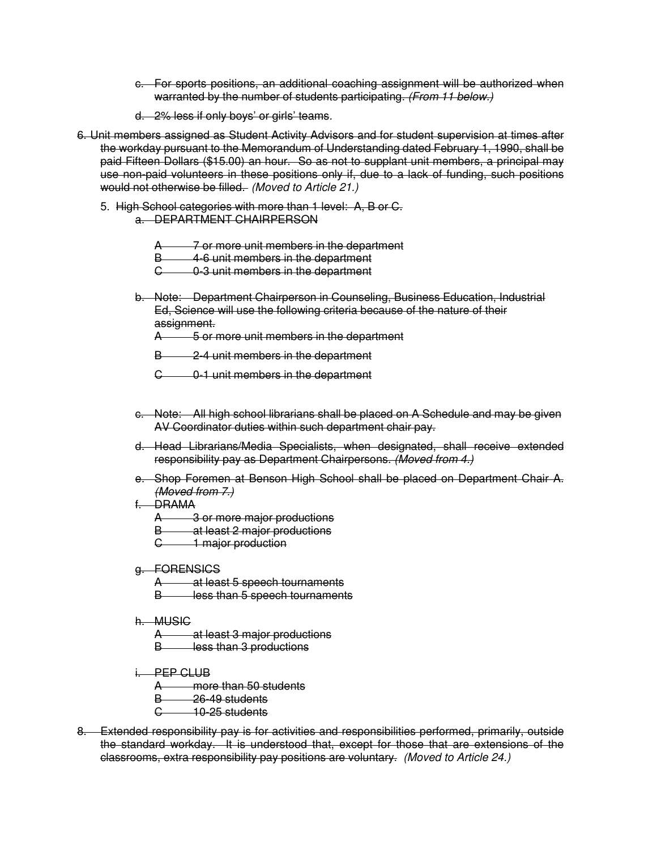- c. For sports positions, an additional coaching assignment will be authorized when warranted by the number of students participating. (From 11 below.)
- d. 2% less if only boys' or girls' teams.
- 6. Unit members assigned as Student Activity Advisors and for student supervision at times after the workday pursuant to the Memorandum of Understanding dated February 1, 1990, shall be paid Fifteen Dollars (\$15.00) an hour. So as not to supplant unit members, a principal may use non-paid volunteers in these positions only if, due to a lack of funding, such positions would not otherwise be filled. (Moved to Article 21.)
	- 5. High School categories with more than 1 level: A, B or C. a. DEPARTMENT CHAIRPERSON
		- A 7 or more unit members in the department
		- B 4-6 unit members in the department
		- C 0-3 unit members in the department
		- b. Note: Department Chairperson in Counseling, Business Education, Industrial Ed, Science will use the following criteria because of the nature of their assignment.
			- A 5 or more unit members in the department
			- B 2-4 unit members in the department
			- C 0-1 unit members in the department
		- c. Note: All high school librarians shall be placed on A Schedule and may be given AV Coordinator duties within such department chair pay.
		- d. Head Librarians/Media Specialists, when designated, shall receive extended responsibility pay as Department Chairpersons. (Moved from 4.)
		- e. Shop Foremen at Benson High School shall be placed on Department Chair A. (Moved from 7.)
		- f. DRAMA
			- A 3 or more major productions
			- **B** at least 2 major productions
			- C 1 major production
		- g. FORENSICS
			- at least 5 speech tournaments
			- B less than 5 speech tournaments
		- h. MUSIC
			- at least 3 major productions
			- **B** less than 3 productions
		- i. PEP CLUB
			- A more than 50 students
			- $B = 26-49$  students
			- $-10-25$  students
- 8. Extended responsibility pay is for activities and responsibilities performed, primarily, outside the standard workday. It is understood that, except for those that are extensions of the classrooms, extra responsibility pay positions are voluntary. (Moved to Article 24.)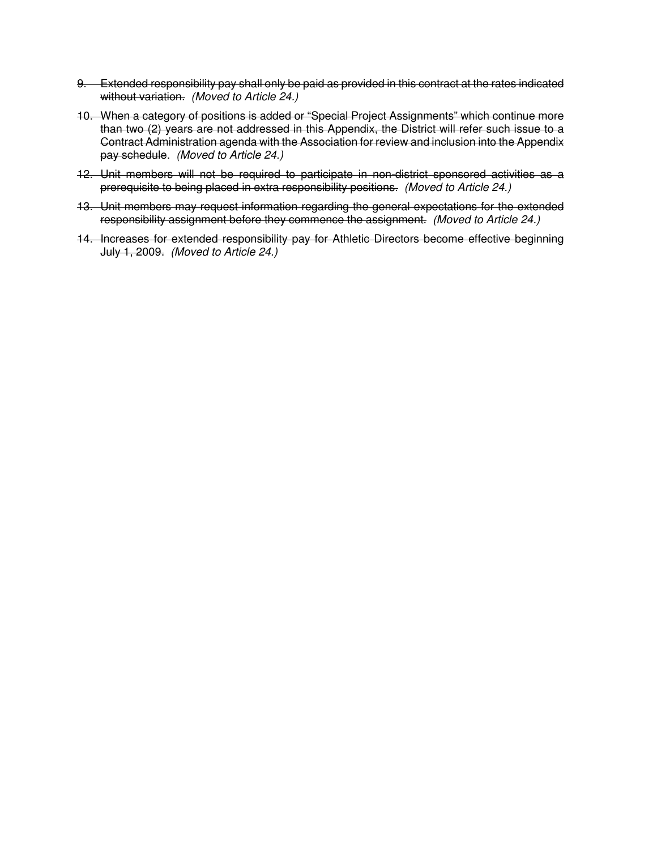- 9. Extended responsibility pay shall only be paid as provided in this contract at the rates indicated without variation. (Moved to Article 24.)
- 10. When a category of positions is added or "Special Project Assignments" which continue more than two (2) years are not addressed in this Appendix, the District will refer such issue to a Contract Administration agenda with the Association for review and inclusion into the Appendix pay schedule. (Moved to Article 24.)
- 12. Unit members will not be required to participate in non-district sponsored activities as a prerequisite to being placed in extra responsibility positions. (Moved to Article 24.)
- 13. Unit members may request information regarding the general expectations for the extended responsibility assignment before they commence the assignment. (Moved to Article 24.)
- 14. Increases for extended responsibility pay for Athletic Directors become effective beginning July 1, 2009. (Moved to Article 24.)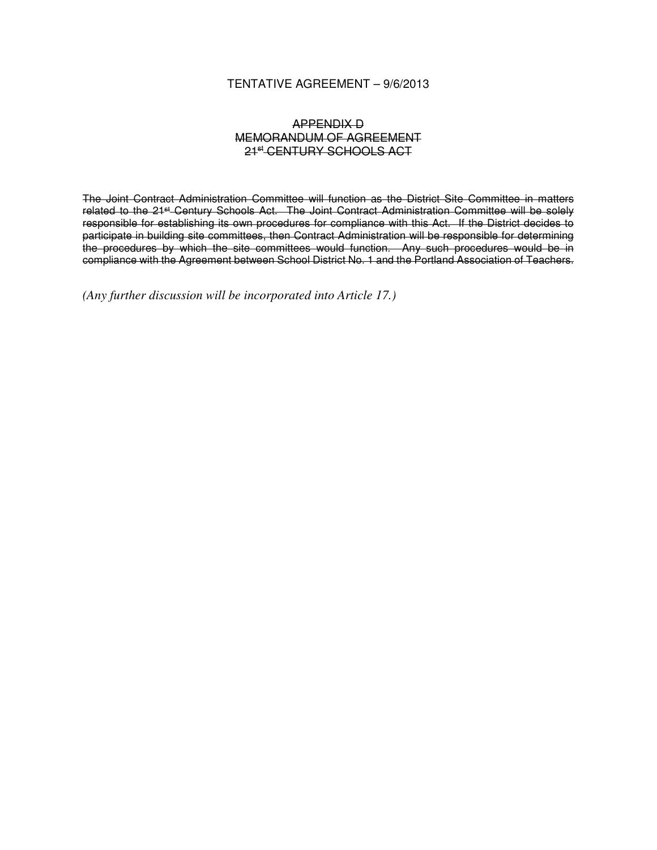# TENTATIVE AGREEMENT – 9/6/2013

# APPENDIX D MEMORANDUM OF AGREEMENT 21st CENTURY SCHOOLS ACT

The Joint Contract Administration Committee will function as the District Site Committee in matters related to the 21<sup>st</sup> Century Schools Act. The Joint Contract Administration Committee will be solely responsible for establishing its own procedures for compliance with this Act. If the District decides to participate in building site committees, then Contract Administration will be responsible for determining the procedures by which the site committees would function. Any such procedures would be in compliance with the Agreement between School District No. 1 and the Portland Association of Teachers.

*(Any further discussion will be incorporated into Article 17.)*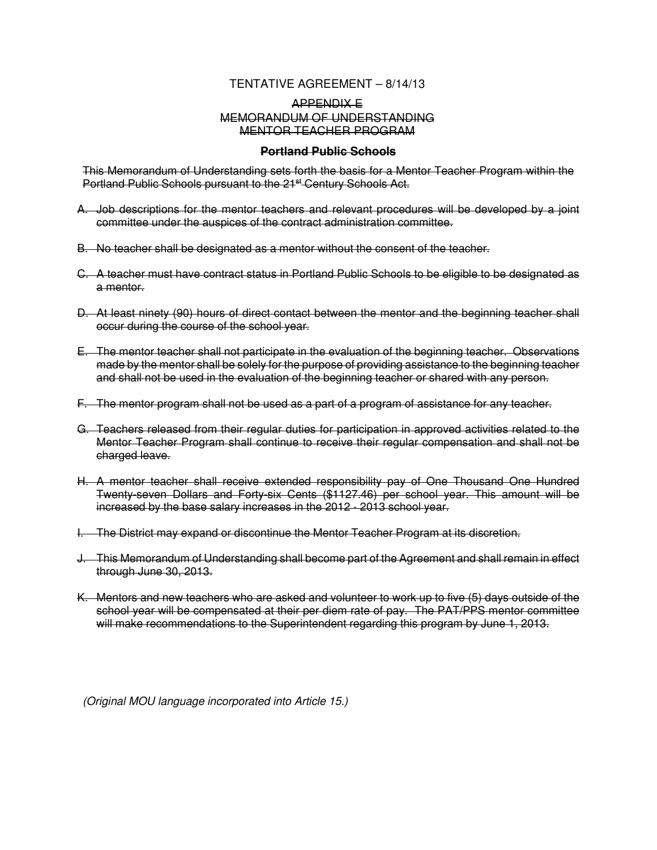# TENTATIVE AGREEMENT – 8/14/13

# APPENDIX E MEMORANDUM OF UNDERSTANDING MENTOR TEACHER PROGRAM

### **Portland Public Schools**

This Memorandum of Understanding sets forth the basis for a Mentor Teacher Program within the Portland Public Schools pursuant to the 21<sup>st</sup> Century Schools Act.

- A. Job descriptions for the mentor teachers and relevant procedures will be developed by a joint committee under the auspices of the contract administration committee.
- B. No teacher shall be designated as a mentor without the consent of the teacher.
- C. A teacher must have contract status in Portland Public Schools to be eligible to be designated as a mentor.
- D. At least ninety (90) hours of direct contact between the mentor and the beginning teacher shall occur during the course of the school year.
- E. The mentor teacher shall not participate in the evaluation of the beginning teacher. Observations made by the mentor shall be solely for the purpose of providing assistance to the beginning teacher and shall not be used in the evaluation of the beginning teacher or shared with any person.
- F. The mentor program shall not be used as a part of a program of assistance for any teacher.
- G. Teachers released from their regular duties for participation in approved activities related to the Mentor Teacher Program shall continue to receive their regular compensation and shall not be charged leave.
- H. A mentor teacher shall receive extended responsibility pay of One Thousand One Hundred Twenty-seven Dollars and Forty-six Cents (\$1127.46) per school year. This amount will be increased by the base salary increases in the 2012 - 2013 school year.
- I. The District may expand or discontinue the Mentor Teacher Program at its discretion.
- J. This Memorandum of Understanding shall become part of the Agreement and shall remain in effect through June 30, 2013.
- K. Mentors and new teachers who are asked and volunteer to work up to five (5) days outside of the school year will be compensated at their per diem rate of pay. The PAT/PPS mentor committee will make recommendations to the Superintendent regarding this program by June 1, 2013.

(Original MOU language incorporated into Article 15.)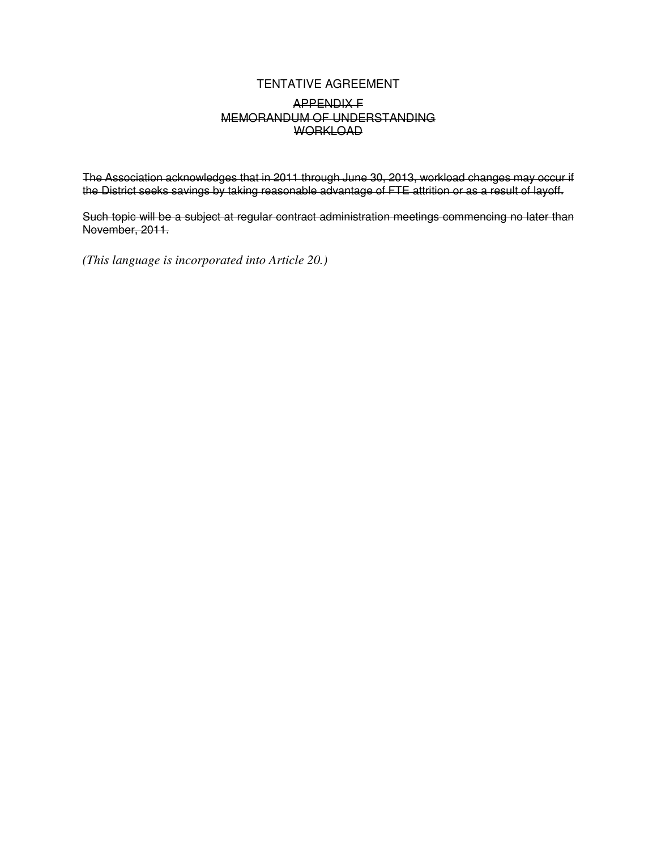### TENTATIVE AGREEMENT APPENDIX F MEMORANDUM OF UNDERSTANDING **WORKLOAD**

The Association acknowledges that in 2011 through June 30, 2013, workload changes may occur if the District seeks savings by taking reasonable advantage of FTE attrition or as a result of layoff.

Such topic will be a subject at regular contract administration meetings commencing no later than November, 2011.

*(This language is incorporated into Article 20.)*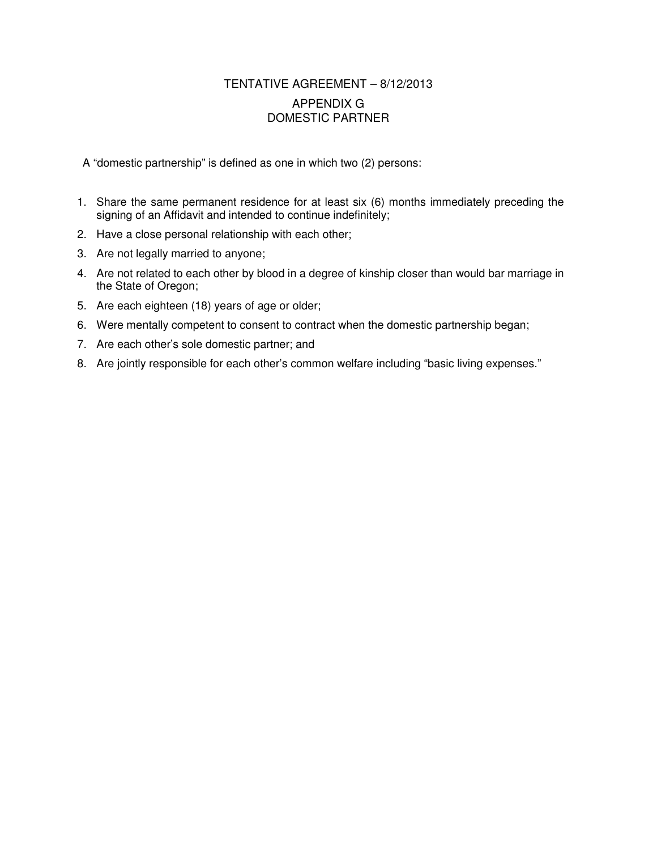### TENTATIVE AGREEMENT – 8/12/2013 APPENDIX G DOMESTIC PARTNER

A "domestic partnership" is defined as one in which two (2) persons:

- 1. Share the same permanent residence for at least six (6) months immediately preceding the signing of an Affidavit and intended to continue indefinitely;
- 2. Have a close personal relationship with each other;
- 3. Are not legally married to anyone;
- 4. Are not related to each other by blood in a degree of kinship closer than would bar marriage in the State of Oregon;
- 5. Are each eighteen (18) years of age or older;
- 6. Were mentally competent to consent to contract when the domestic partnership began;
- 7. Are each other's sole domestic partner; and
- 8. Are jointly responsible for each other's common welfare including "basic living expenses."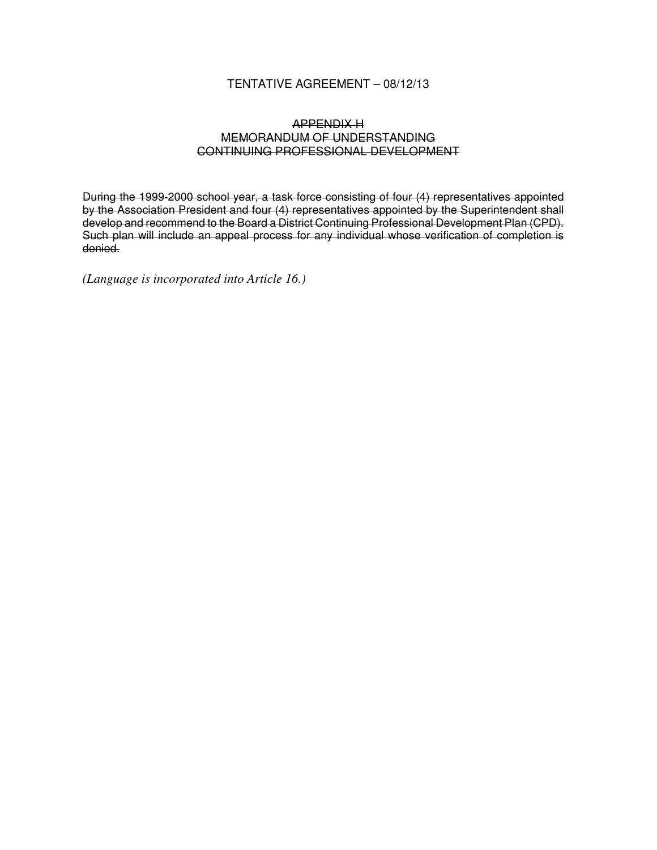#### TENTATIVE AGREEMENT – 08/12/13

#### APPENDIX H MEMORANDUM OF UNDERSTANDING CONTINUING PROFESSIONAL DEVELOPMENT

During the 1999-2000 school year, a task force consisting of four (4) representatives appointed by the Association President and four (4) representatives appointed by the Superintendent shall develop and recommend to the Board a District Continuing Professional Development Plan (CPD). Such plan will include an appeal process for any individual whose verification of completion is denied.

*(Language is incorporated into Article 16.)*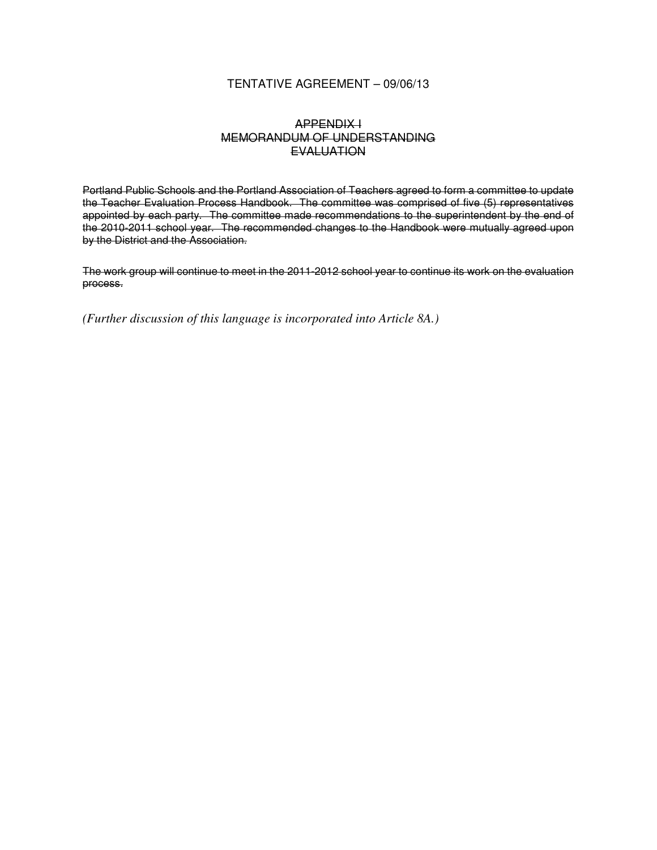#### TENTATIVE AGREEMENT – 09/06/13

#### APPENDIX I MEMORANDUM OF UNDERSTANDING **EVALUATION**

Portland Public Schools and the Portland Association of Teachers agreed to form a committee to update the Teacher Evaluation Process Handbook. The committee was comprised of five (5) representatives appointed by each party. The committee made recommendations to the superintendent by the end of the 2010-2011 school year. The recommended changes to the Handbook were mutually agreed upon by the District and the Association.

The work group will continue to meet in the 2011-2012 school year to continue its work on the evaluation process.

*(Further discussion of this language is incorporated into Article 8A.)*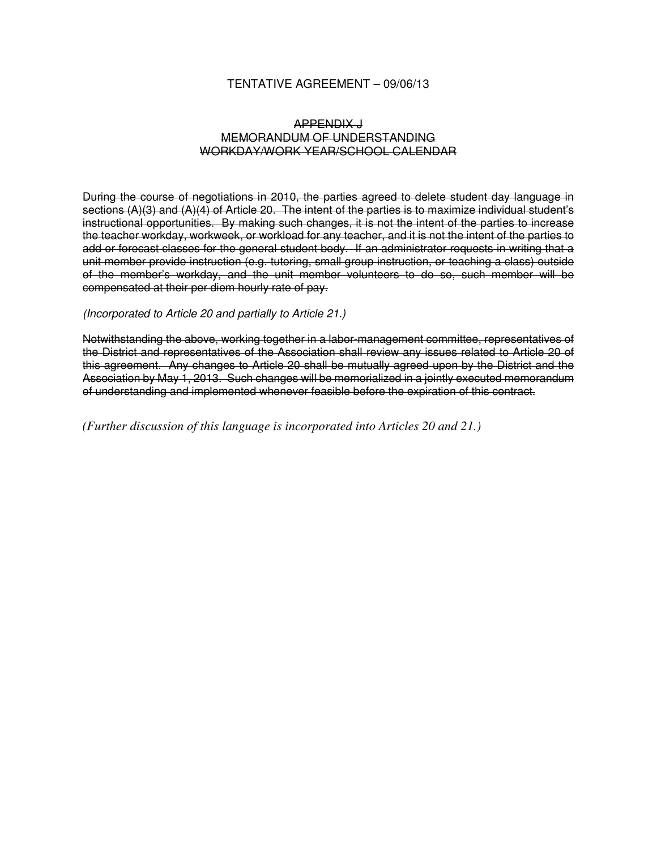#### TENTATIVE AGREEMENT – 09/06/13

#### APPENDIX J MEMORANDUM OF UNDERSTANDING WORKDAY/WORK YEAR/SCHOOL CALENDAR

During the course of negotiations in 2010, the parties agreed to delete student day language in sections (A)(3) and (A)(4) of Article 20. The intent of the parties is to maximize individual student's instructional opportunities. By making such changes, it is not the intent of the parties to increase the teacher workday, workweek, or workload for any teacher, and it is not the intent of the parties to add or forecast classes for the general student body. If an administrator requests in writing that a unit member provide instruction (e.g. tutoring, small group instruction, or teaching a class) outside of the member's workday, and the unit member volunteers to do so, such member will be compensated at their per diem hourly rate of pay.

#### (Incorporated to Article 20 and partially to Article 21.)

Notwithstanding the above, working together in a labor-management committee, representatives of the District and representatives of the Association shall review any issues related to Article 20 of this agreement. Any changes to Article 20 shall be mutually agreed upon by the District and the Association by May 1, 2013. Such changes will be memorialized in a jointly executed memorandum of understanding and implemented whenever feasible before the expiration of this contract.

*(Further discussion of this language is incorporated into Articles 20 and 21.)*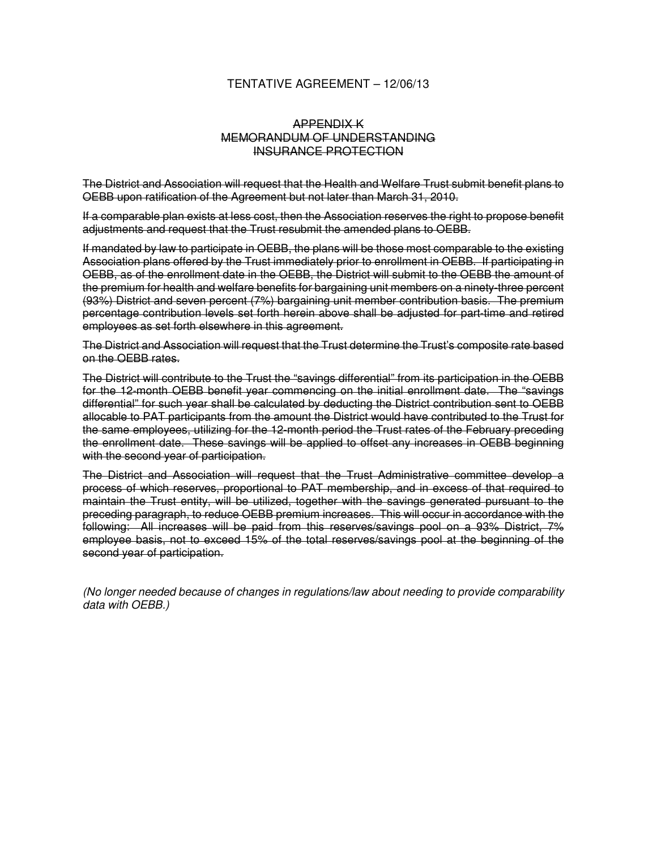#### TENTATIVE AGREEMENT – 12/06/13

#### APPENDIX K MEMORANDUM OF UNDERSTANDING INSURANCE PROTECTION

The District and Association will request that the Health and Welfare Trust submit benefit plans to OEBB upon ratification of the Agreement but not later than March 31, 2010.

If a comparable plan exists at less cost, then the Association reserves the right to propose benefit adjustments and request that the Trust resubmit the amended plans to OEBB.

If mandated by law to participate in OEBB, the plans will be those most comparable to the existing Association plans offered by the Trust immediately prior to enrollment in OEBB. If participating in OEBB, as of the enrollment date in the OEBB, the District will submit to the OEBB the amount of the premium for health and welfare benefits for bargaining unit members on a ninety-three percent (93%) District and seven percent (7%) bargaining unit member contribution basis. The premium percentage contribution levels set forth herein above shall be adjusted for part-time and retired employees as set forth elsewhere in this agreement.

The District and Association will request that the Trust determine the Trust's composite rate based on the OEBB rates.

The District will contribute to the Trust the "savings differential" from its participation in the OEBB for the 12-month OEBB benefit year commencing on the initial enrollment date. The "savings differential" for such year shall be calculated by deducting the District contribution sent to OEBB allocable to PAT participants from the amount the District would have contributed to the Trust for the same employees, utilizing for the 12-month period the Trust rates of the February preceding the enrollment date. These savings will be applied to offset any increases in OEBB beginning with the second year of participation.

The District and Association will request that the Trust Administrative committee develop a process of which reserves, proportional to PAT membership, and in excess of that required to maintain the Trust entity, will be utilized, together with the savings generated pursuant to the preceding paragraph, to reduce OEBB premium increases. This will occur in accordance with the following: All increases will be paid from this reserves/savings pool on a 93% District, 7% employee basis, not to exceed 15% of the total reserves/savings pool at the beginning of the second year of participation.

(No longer needed because of changes in regulations/law about needing to provide comparability data with OEBB.)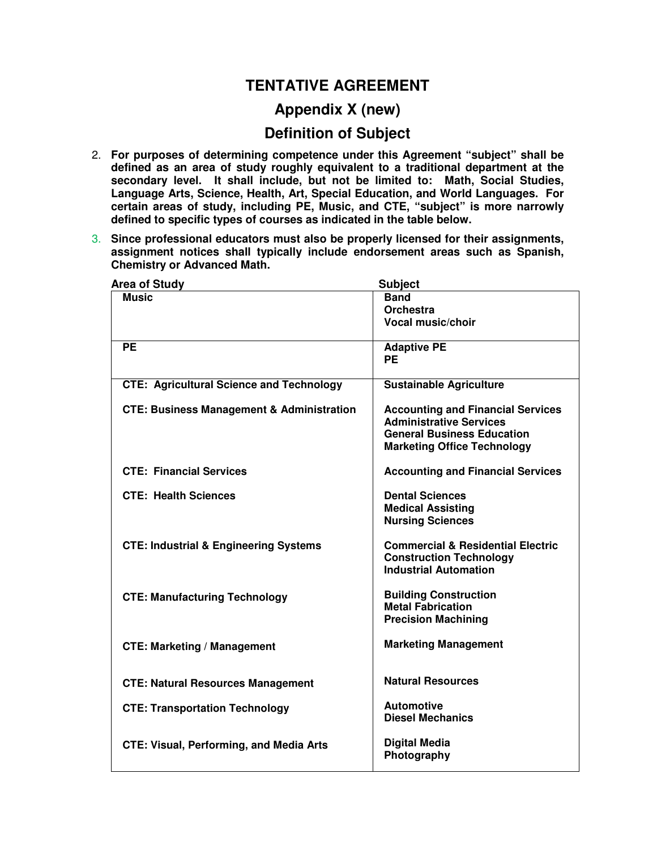# **TENTATIVE AGREEMENT**

# **Appendix X (new)**

## **Definition of Subject**

- 2. **For purposes of determining competence under this Agreement "subject" shall be defined as an area of study roughly equivalent to a traditional department at the secondary level. It shall include, but not be limited to: Math, Social Studies, Language Arts, Science, Health, Art, Special Education, and World Languages. For certain areas of study, including PE, Music, and CTE, "subject" is more narrowly defined to specific types of courses as indicated in the table below.**
- 3. **Since professional educators must also be properly licensed for their assignments, assignment notices shall typically include endorsement areas such as Spanish, Chemistry or Advanced Math.**

| <b>Area of Study</b>                                 | <b>Subject</b>                               |  |
|------------------------------------------------------|----------------------------------------------|--|
| <b>Music</b>                                         | <b>Band</b>                                  |  |
|                                                      | Orchestra                                    |  |
|                                                      | <b>Vocal music/choir</b>                     |  |
| <b>PE</b>                                            | <b>Adaptive PE</b>                           |  |
|                                                      | <b>PE</b>                                    |  |
| <b>CTE: Agricultural Science and Technology</b>      | <b>Sustainable Agriculture</b>               |  |
| <b>CTE: Business Management &amp; Administration</b> | <b>Accounting and Financial Services</b>     |  |
|                                                      | <b>Administrative Services</b>               |  |
|                                                      | <b>General Business Education</b>            |  |
|                                                      | <b>Marketing Office Technology</b>           |  |
| <b>CTE: Financial Services</b>                       | <b>Accounting and Financial Services</b>     |  |
| <b>CTE: Health Sciences</b>                          | <b>Dental Sciences</b>                       |  |
|                                                      | <b>Medical Assisting</b>                     |  |
|                                                      | <b>Nursing Sciences</b>                      |  |
| <b>CTE: Industrial &amp; Engineering Systems</b>     | <b>Commercial &amp; Residential Electric</b> |  |
|                                                      | <b>Construction Technology</b>               |  |
|                                                      | <b>Industrial Automation</b>                 |  |
| <b>CTE: Manufacturing Technology</b>                 | <b>Building Construction</b>                 |  |
|                                                      | <b>Metal Fabrication</b>                     |  |
|                                                      | <b>Precision Machining</b>                   |  |
| <b>CTE: Marketing / Management</b>                   | <b>Marketing Management</b>                  |  |
|                                                      |                                              |  |
| <b>CTE: Natural Resources Management</b>             | <b>Natural Resources</b>                     |  |
| <b>CTE: Transportation Technology</b>                | <b>Automotive</b>                            |  |
|                                                      | <b>Diesel Mechanics</b>                      |  |
| <b>CTE: Visual, Performing, and Media Arts</b>       | <b>Digital Media</b>                         |  |
|                                                      | Photography                                  |  |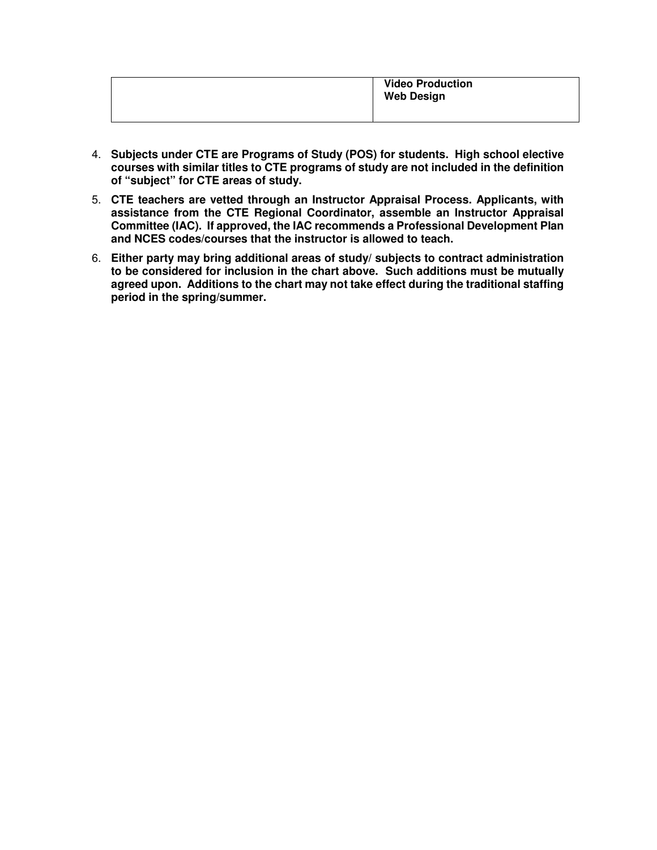|  | <b>Video Production</b><br><b>Web Design</b> |
|--|----------------------------------------------|
|  |                                              |

- 4. **Subjects under CTE are Programs of Study (POS) for students. High school elective courses with similar titles to CTE programs of study are not included in the definition of "subject" for CTE areas of study.**
- 5. **CTE teachers are vetted through an Instructor Appraisal Process. Applicants, with assistance from the CTE Regional Coordinator, assemble an Instructor Appraisal Committee (IAC). If approved, the IAC recommends a Professional Development Plan and NCES codes/courses that the instructor is allowed to teach.**
- 6. **Either party may bring additional areas of study/ subjects to contract administration to be considered for inclusion in the chart above. Such additions must be mutually agreed upon. Additions to the chart may not take effect during the traditional staffing period in the spring/summer.**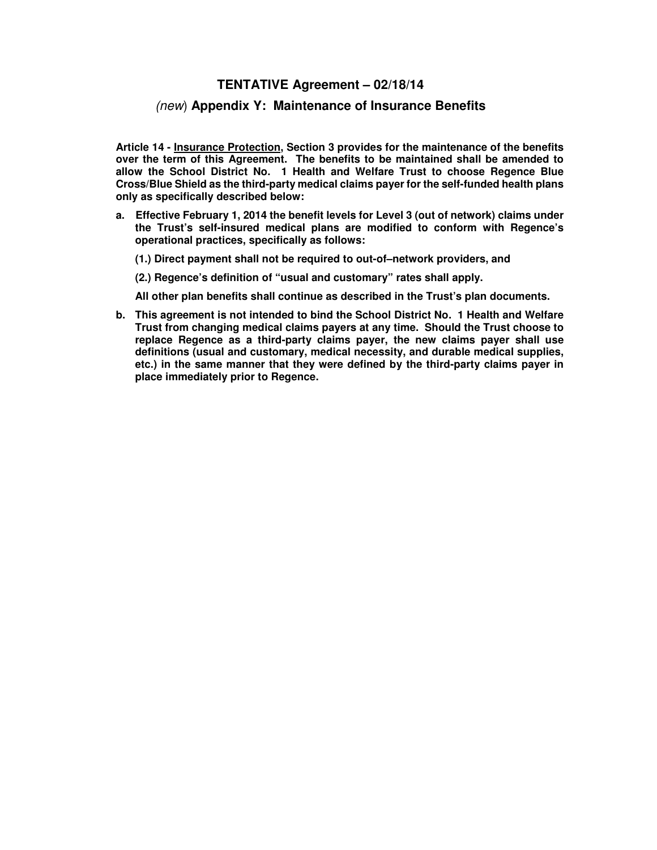#### **TENTATIVE Agreement – 02/18/14**

#### (new) **Appendix Y: Maintenance of Insurance Benefits**

**Article 14 - Insurance Protection, Section 3 provides for the maintenance of the benefits over the term of this Agreement. The benefits to be maintained shall be amended to allow the School District No. 1 Health and Welfare Trust to choose Regence Blue Cross/Blue Shield as the third-party medical claims payer for the self-funded health plans only as specifically described below:** 

- **a. Effective February 1, 2014 the benefit levels for Level 3 (out of network) claims under the Trust's self-insured medical plans are modified to conform with Regence's operational practices, specifically as follows:** 
	- **(1.) Direct payment shall not be required to out-of–network providers, and**
	- **(2.) Regence's definition of "usual and customary" rates shall apply.**

 **All other plan benefits shall continue as described in the Trust's plan documents.** 

**b. This agreement is not intended to bind the School District No. 1 Health and Welfare Trust from changing medical claims payers at any time. Should the Trust choose to replace Regence as a third-party claims payer, the new claims payer shall use definitions (usual and customary, medical necessity, and durable medical supplies, etc.) in the same manner that they were defined by the third-party claims payer in place immediately prior to Regence.**